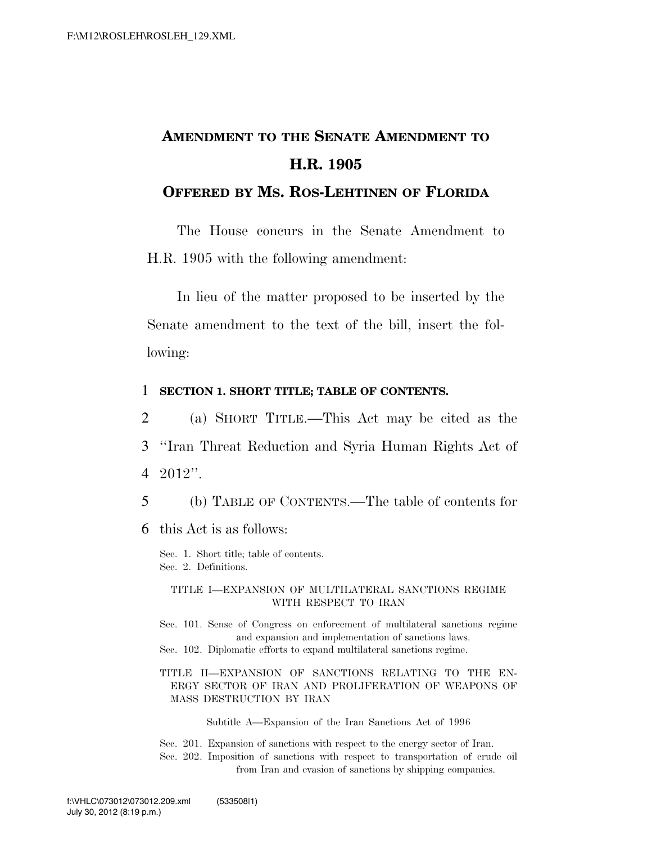# **AMENDMENT TO THE SENATE AMENDMENT TO H.R. 1905**

### **OFFERED BY MS. ROS-LEHTINEN OF FLORIDA**

The House concurs in the Senate Amendment to H.R. 1905 with the following amendment:

In lieu of the matter proposed to be inserted by the Senate amendment to the text of the bill, insert the following:

#### 1 **SECTION 1. SHORT TITLE; TABLE OF CONTENTS.**

2 (a) SHORT TITLE.—This Act may be cited as the 3 ''Iran Threat Reduction and Syria Human Rights Act of 4 2012''.

5 (b) TABLE OF CONTENTS.—The table of contents for

6 this Act is as follows:

Sec. 1. Short title; table of contents. Sec. 2. Definitions.

#### TITLE I—EXPANSION OF MULTILATERAL SANCTIONS REGIME WITH RESPECT TO IRAN

Sec. 101. Sense of Congress on enforcement of multilateral sanctions regime and expansion and implementation of sanctions laws. Sec. 102. Diplomatic efforts to expand multilateral sanctions regime.

TITLE II—EXPANSION OF SANCTIONS RELATING TO THE EN-ERGY SECTOR OF IRAN AND PROLIFERATION OF WEAPONS OF MASS DESTRUCTION BY IRAN

Subtitle A—Expansion of the Iran Sanctions Act of 1996

Sec. 201. Expansion of sanctions with respect to the energy sector of Iran. Sec. 202. Imposition of sanctions with respect to transportation of crude oil from Iran and evasion of sanctions by shipping companies.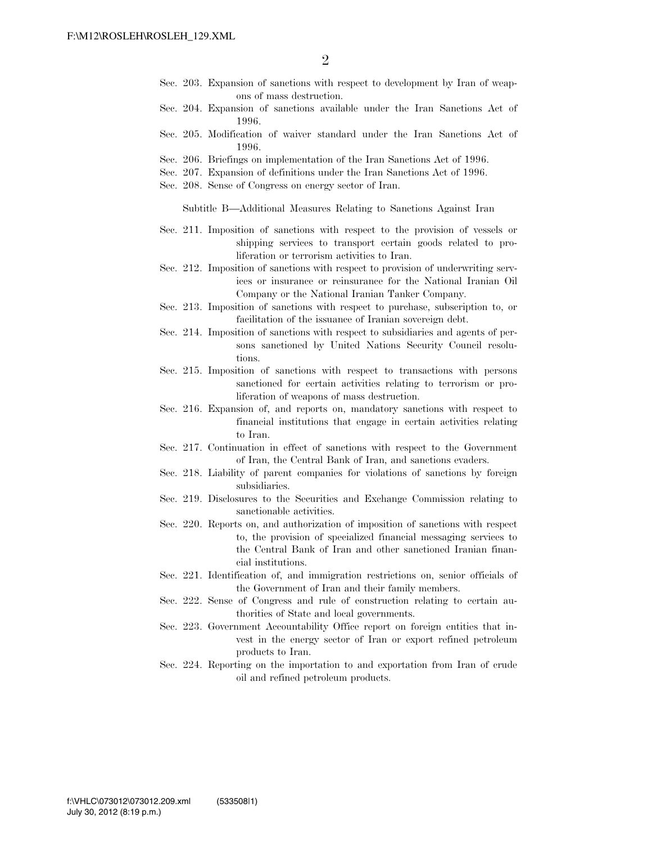- Sec. 203. Expansion of sanctions with respect to development by Iran of weapons of mass destruction.
- Sec. 204. Expansion of sanctions available under the Iran Sanctions Act of 1996.
- Sec. 205. Modification of waiver standard under the Iran Sanctions Act of 1996.
- Sec. 206. Briefings on implementation of the Iran Sanctions Act of 1996.
- Sec. 207. Expansion of definitions under the Iran Sanctions Act of 1996.
- Sec. 208. Sense of Congress on energy sector of Iran.

Subtitle B—Additional Measures Relating to Sanctions Against Iran

- Sec. 211. Imposition of sanctions with respect to the provision of vessels or shipping services to transport certain goods related to proliferation or terrorism activities to Iran.
- Sec. 212. Imposition of sanctions with respect to provision of underwriting services or insurance or reinsurance for the National Iranian Oil Company or the National Iranian Tanker Company.
- Sec. 213. Imposition of sanctions with respect to purchase, subscription to, or facilitation of the issuance of Iranian sovereign debt.
- Sec. 214. Imposition of sanctions with respect to subsidiaries and agents of persons sanctioned by United Nations Security Council resolutions.
- Sec. 215. Imposition of sanctions with respect to transactions with persons sanctioned for certain activities relating to terrorism or proliferation of weapons of mass destruction.
- Sec. 216. Expansion of, and reports on, mandatory sanctions with respect to financial institutions that engage in certain activities relating to Iran.
- Sec. 217. Continuation in effect of sanctions with respect to the Government of Iran, the Central Bank of Iran, and sanctions evaders.
- Sec. 218. Liability of parent companies for violations of sanctions by foreign subsidiaries.
- Sec. 219. Disclosures to the Securities and Exchange Commission relating to sanctionable activities.
- Sec. 220. Reports on, and authorization of imposition of sanctions with respect to, the provision of specialized financial messaging services to the Central Bank of Iran and other sanctioned Iranian financial institutions.
- Sec. 221. Identification of, and immigration restrictions on, senior officials of the Government of Iran and their family members.
- Sec. 222. Sense of Congress and rule of construction relating to certain authorities of State and local governments.
- Sec. 223. Government Accountability Office report on foreign entities that invest in the energy sector of Iran or export refined petroleum products to Iran.
- Sec. 224. Reporting on the importation to and exportation from Iran of crude oil and refined petroleum products.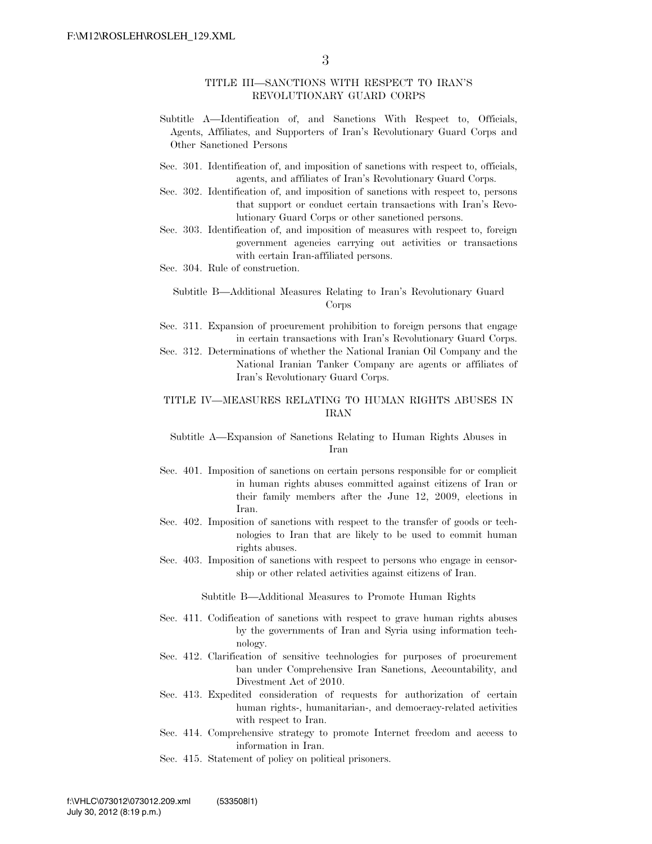#### TITLE III—SANCTIONS WITH RESPECT TO IRAN'S REVOLUTIONARY GUARD CORPS

- Subtitle A—Identification of, and Sanctions With Respect to, Officials, Agents, Affiliates, and Supporters of Iran's Revolutionary Guard Corps and Other Sanctioned Persons
- Sec. 301. Identification of, and imposition of sanctions with respect to, officials, agents, and affiliates of Iran's Revolutionary Guard Corps.
- Sec. 302. Identification of, and imposition of sanctions with respect to, persons that support or conduct certain transactions with Iran's Revolutionary Guard Corps or other sanctioned persons.
- Sec. 303. Identification of, and imposition of measures with respect to, foreign government agencies carrying out activities or transactions with certain Iran-affiliated persons.
- Sec. 304. Rule of construction.

Subtitle B—Additional Measures Relating to Iran's Revolutionary Guard Corps

- Sec. 311. Expansion of procurement prohibition to foreign persons that engage in certain transactions with Iran's Revolutionary Guard Corps.
- Sec. 312. Determinations of whether the National Iranian Oil Company and the National Iranian Tanker Company are agents or affiliates of Iran's Revolutionary Guard Corps.

#### TITLE IV—MEASURES RELATING TO HUMAN RIGHTS ABUSES IN IRAN

Subtitle A—Expansion of Sanctions Relating to Human Rights Abuses in Iran

- Sec. 401. Imposition of sanctions on certain persons responsible for or complicit in human rights abuses committed against citizens of Iran or their family members after the June 12, 2009, elections in Iran.
- Sec. 402. Imposition of sanctions with respect to the transfer of goods or technologies to Iran that are likely to be used to commit human rights abuses.
- Sec. 403. Imposition of sanctions with respect to persons who engage in censorship or other related activities against citizens of Iran.

Subtitle B—Additional Measures to Promote Human Rights

- Sec. 411. Codification of sanctions with respect to grave human rights abuses by the governments of Iran and Syria using information technology.
- Sec. 412. Clarification of sensitive technologies for purposes of procurement ban under Comprehensive Iran Sanctions, Accountability, and Divestment Act of 2010.
- Sec. 413. Expedited consideration of requests for authorization of certain human rights-, humanitarian-, and democracy-related activities with respect to Iran.
- Sec. 414. Comprehensive strategy to promote Internet freedom and access to information in Iran.
- Sec. 415. Statement of policy on political prisoners.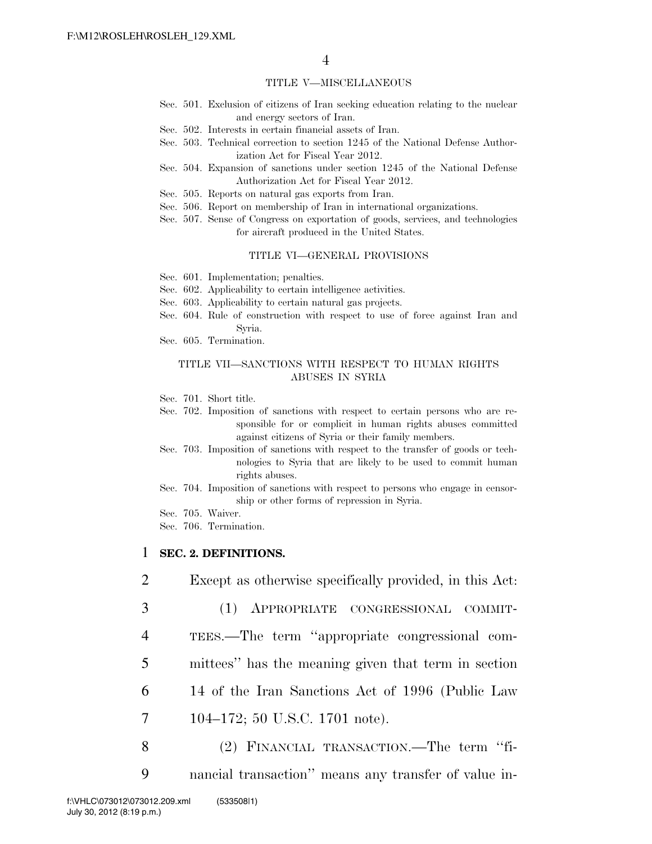#### TITLE V—MISCELLANEOUS

- Sec. 501. Exclusion of citizens of Iran seeking education relating to the nuclear and energy sectors of Iran.
- Sec. 502. Interests in certain financial assets of Iran.
- Sec. 503. Technical correction to section 1245 of the National Defense Authorization Act for Fiscal Year 2012.
- Sec. 504. Expansion of sanctions under section 1245 of the National Defense Authorization Act for Fiscal Year 2012.
- Sec. 505. Reports on natural gas exports from Iran.
- Sec. 506. Report on membership of Iran in international organizations.
- Sec. 507. Sense of Congress on exportation of goods, services, and technologies for aircraft produced in the United States.

#### TITLE VI—GENERAL PROVISIONS

- Sec. 601. Implementation; penalties.
- Sec. 602. Applicability to certain intelligence activities.
- Sec. 603. Applicability to certain natural gas projects.
- Sec. 604. Rule of construction with respect to use of force against Iran and Syria.
- Sec. 605. Termination.

#### TITLE VII—SANCTIONS WITH RESPECT TO HUMAN RIGHTS ABUSES IN SYRIA

- Sec. 701. Short title.
- Sec. 702. Imposition of sanctions with respect to certain persons who are responsible for or complicit in human rights abuses committed against citizens of Syria or their family members.
- Sec. 703. Imposition of sanctions with respect to the transfer of goods or technologies to Syria that are likely to be used to commit human rights abuses.
- Sec. 704. Imposition of sanctions with respect to persons who engage in censorship or other forms of repression in Syria.
- Sec. 705. Waiver.
- Sec. 706. Termination.

### 1 **SEC. 2. DEFINITIONS.**

- 2 Except as otherwise specifically provided, in this Act:
- 3 (1) APPROPRIATE CONGRESSIONAL COMMIT-
- 4 TEES.—The term ''appropriate congressional com-
- 5 mittees'' has the meaning given that term in section
- 6 14 of the Iran Sanctions Act of 1996 (Public Law
- 7 104–172; 50 U.S.C. 1701 note).
- 8 (2) FINANCIAL TRANSACTION.—The term ''fi-
- 9 nancial transaction'' means any transfer of value in-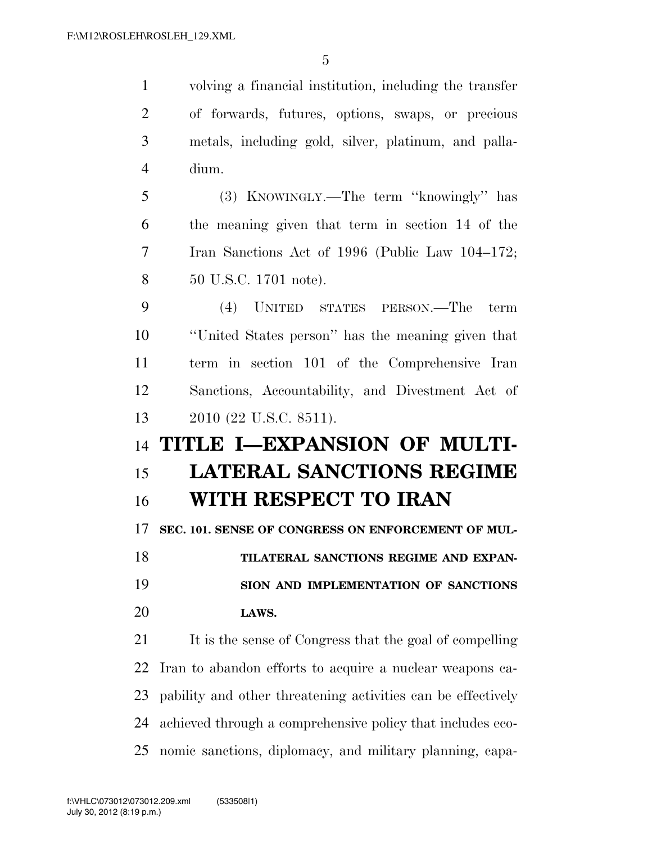volving a financial institution, including the transfer of forwards, futures, options, swaps, or precious metals, including gold, silver, platinum, and palla- dium. (3) KNOWINGLY.—The term ''knowingly'' has the meaning given that term in section 14 of the Iran Sanctions Act of 1996 (Public Law 104–172; 50 U.S.C. 1701 note). (4) UNITED STATES PERSON.—The term ''United States person'' has the meaning given that term in section 101 of the Comprehensive Iran Sanctions, Accountability, and Divestment Act of 2010 (22 U.S.C. 8511). **TITLE I—EXPANSION OF MULTI- LATERAL SANCTIONS REGIME WITH RESPECT TO IRAN SEC. 101. SENSE OF CONGRESS ON ENFORCEMENT OF MUL- TILATERAL SANCTIONS REGIME AND EXPAN- SION AND IMPLEMENTATION OF SANCTIONS LAWS.**  21 It is the sense of Congress that the goal of compelling Iran to abandon efforts to acquire a nuclear weapons ca-pability and other threatening activities can be effectively

 achieved through a comprehensive policy that includes eco-nomic sanctions, diplomacy, and military planning, capa-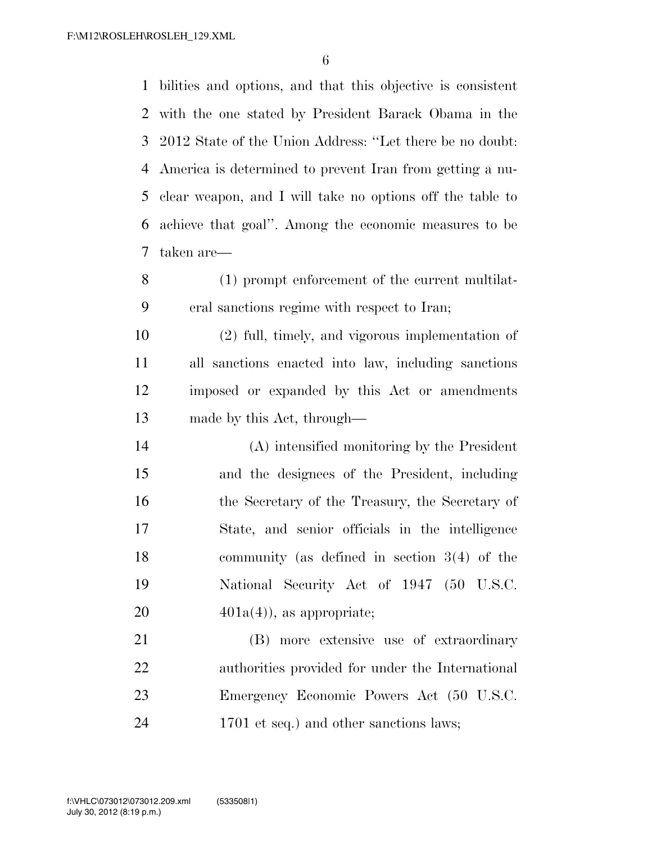bilities and options, and that this objective is consistent with the one stated by President Barack Obama in the 2012 State of the Union Address: ''Let there be no doubt: America is determined to prevent Iran from getting a nu- clear weapon, and I will take no options off the table to achieve that goal''. Among the economic measures to be taken are—

 (1) prompt enforcement of the current multilat-eral sanctions regime with respect to Iran;

 (2) full, timely, and vigorous implementation of all sanctions enacted into law, including sanctions imposed or expanded by this Act or amendments made by this Act, through—

 (A) intensified monitoring by the President and the designees of the President, including the Secretary of the Treasury, the Secretary of State, and senior officials in the intelligence community (as defined in section 3(4) of the National Security Act of 1947 (50 U.S.C.  $401a(4)$ , as appropriate;

 (B) more extensive use of extraordinary authorities provided for under the International Emergency Economic Powers Act (50 U.S.C. 24 1701 et seq.) and other sanctions laws;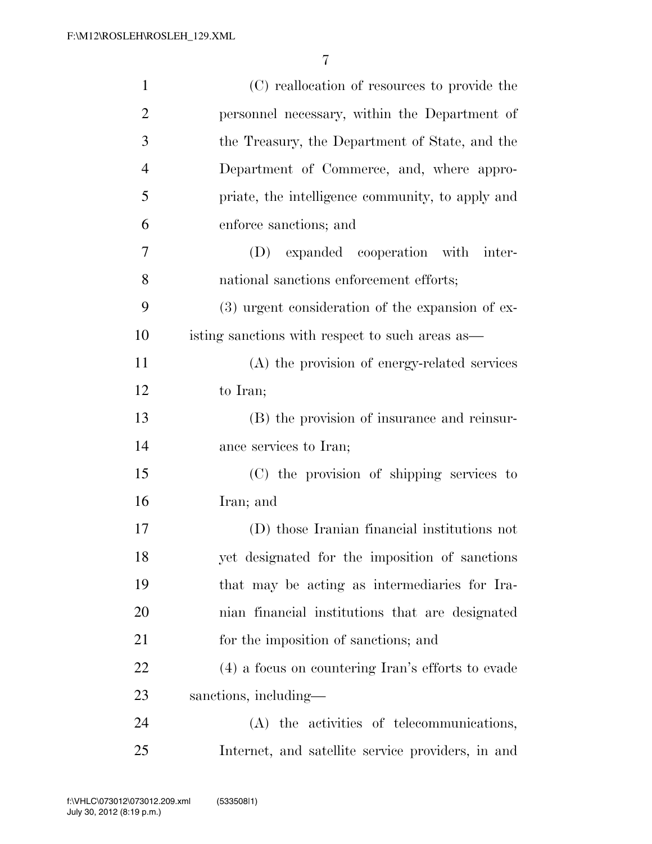| $\mathbf{1}$   | (C) reallocation of resources to provide the       |
|----------------|----------------------------------------------------|
| $\overline{2}$ | personnel necessary, within the Department of      |
| 3              | the Treasury, the Department of State, and the     |
| $\overline{4}$ | Department of Commerce, and, where appro-          |
| 5              | priate, the intelligence community, to apply and   |
| 6              | enforce sanctions; and                             |
| 7              | (D) expanded cooperation with inter-               |
| 8              | national sanctions enforcement efforts;            |
| 9              | $(3)$ urgent consideration of the expansion of ex- |
| 10             | isting sanctions with respect to such areas as—    |
| 11             | (A) the provision of energy-related services       |
| 12             | to Iran;                                           |
| 13             | (B) the provision of insurance and reinsur-        |
| 14             | ance services to Iran;                             |
| 15             | (C) the provision of shipping services to          |
| 16             | Iran; and                                          |
| 17             | (D) those Iranian financial institutions not       |
| 18             | yet designated for the imposition of sanctions     |
| 19             | that may be acting as intermediaries for Ira-      |
| 20             | nian financial institutions that are designated    |
| 21             | for the imposition of sanctions; and               |
| 22             | (4) a focus on countering Iran's efforts to evade  |
| 23             | sanctions, including—                              |
| 24             | (A) the activities of telecommunications,          |
| 25             | Internet, and satellite service providers, in and  |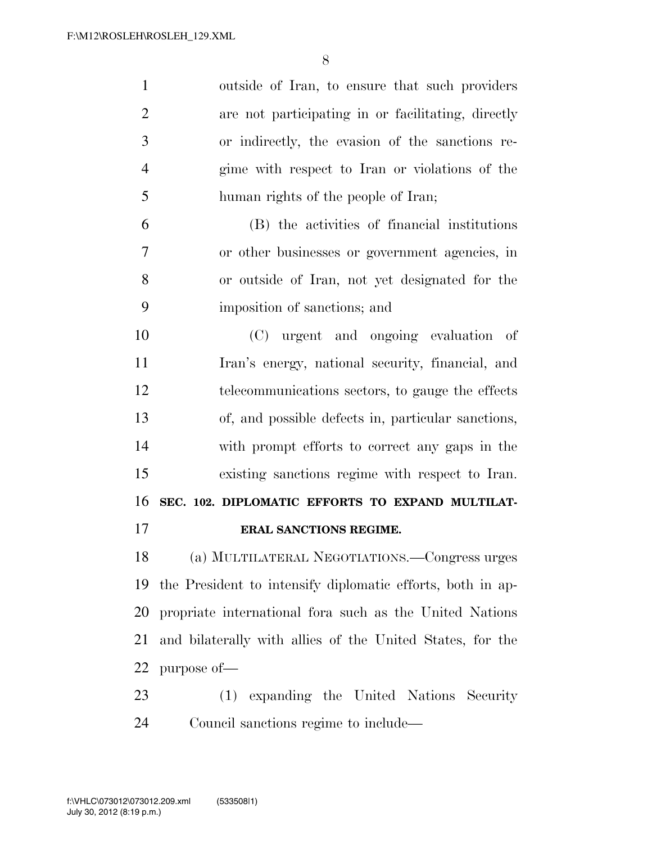| $\mathbf{1}$   | outside of Iran, to ensure that such providers             |
|----------------|------------------------------------------------------------|
| $\overline{2}$ | are not participating in or facilitating, directly         |
| 3              | or indirectly, the evasion of the sanctions re-            |
| $\overline{4}$ | gime with respect to Iran or violations of the             |
| 5              | human rights of the people of Iran;                        |
| 6              | (B) the activities of financial institutions               |
| 7              | or other businesses or government agencies, in             |
| 8              | or outside of Iran, not yet designated for the             |
| 9              | imposition of sanctions; and                               |
| 10             | (C) urgent and ongoing evaluation of                       |
| 11             | Iran's energy, national security, financial, and           |
| 12             | telecommunications sectors, to gauge the effects           |
| 13             | of, and possible defects in, particular sanctions,         |
| 14             | with prompt efforts to correct any gaps in the             |
| 15             | existing sanctions regime with respect to Iran.            |
| 16             | SEC. 102. DIPLOMATIC EFFORTS TO EXPAND MULTILAT-           |
| 17             | ERAL SANCTIONS REGIME.                                     |
| 18             | (a) MULTILATERAL NEGOTIATIONS.—Congress urges              |
| 19             | the President to intensify diplomatic efforts, both in ap- |
| 20             | propriate international for asuch as the United Nations    |
| 21             | and bilaterally with allies of the United States, for the  |
| 22             | purpose of-                                                |
|                |                                                            |

 (1) expanding the United Nations Security Council sanctions regime to include—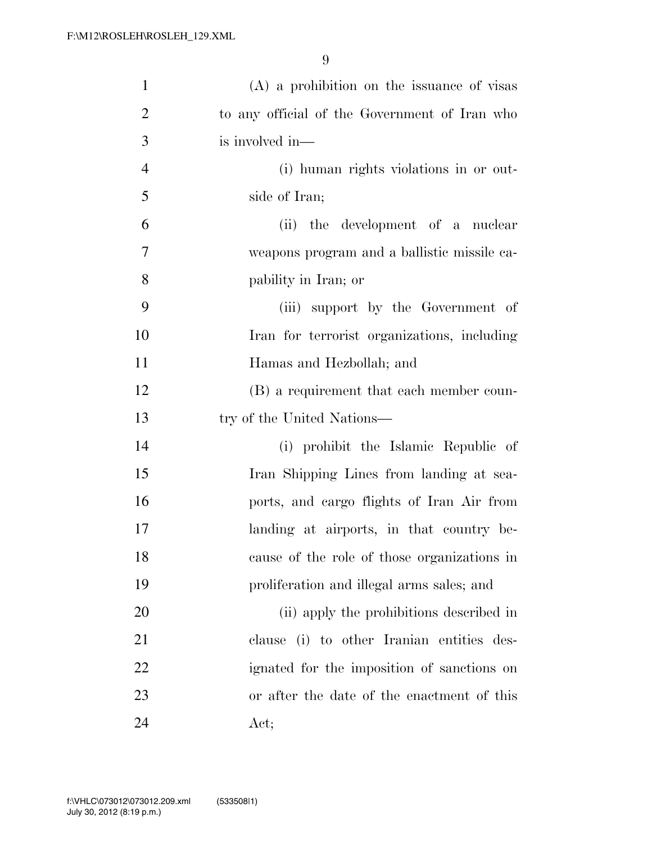| $\mathbf{1}$   | $(A)$ a prohibition on the issuance of visas  |
|----------------|-----------------------------------------------|
| $\overline{2}$ | to any official of the Government of Iran who |
| 3              | is involved in-                               |
| $\overline{4}$ | (i) human rights violations in or out-        |
| 5              | side of Iran;                                 |
| 6              | (ii) the development of a nuclear             |
| $\tau$         | weapons program and a ballistic missile ca-   |
| 8              | pability in Iran; or                          |
| 9              | (iii) support by the Government of            |
| 10             | Iran for terrorist organizations, including   |
| 11             | Hamas and Hezbollah; and                      |
| 12             | (B) a requirement that each member coun-      |
| 13             | try of the United Nations-                    |
| 14             | (i) prohibit the Islamic Republic of          |
| 15             | Iran Shipping Lines from landing at sea-      |
| 16             | ports, and cargo flights of Iran Air from     |
| 17             | landing at airports, in that country be-      |
| 18             | cause of the role of those organizations in   |
| 19             | proliferation and illegal arms sales; and     |
| 20             | (ii) apply the prohibitions described in      |
| 21             | clause (i) to other Iranian entities des-     |
| 22             | ignated for the imposition of sanctions on    |
| 23             | or after the date of the enactment of this    |
| 24             | Act;                                          |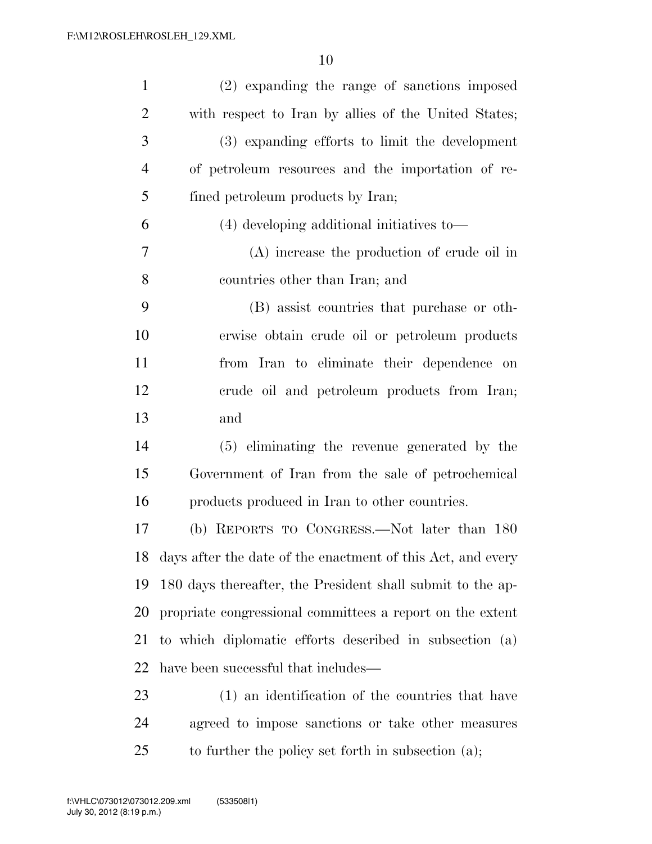| $\mathbf{1}$   | (2) expanding the range of sanctions imposed                |
|----------------|-------------------------------------------------------------|
| $\overline{2}$ | with respect to Iran by allies of the United States;        |
| 3              | (3) expanding efforts to limit the development              |
| $\overline{4}$ | of petroleum resources and the importation of re-           |
| 5              | fined petroleum products by Iran;                           |
| 6              | (4) developing additional initiatives to-                   |
| 7              | (A) increase the production of crude oil in                 |
| 8              | countries other than Iran; and                              |
| 9              | (B) assist countries that purchase or oth-                  |
| 10             | erwise obtain crude oil or petroleum products               |
| 11             | from Iran to eliminate their dependence on                  |
| 12             | crude oil and petroleum products from Iran;                 |
| 13             | and                                                         |
| 14             | (5) eliminating the revenue generated by the                |
| 15             | Government of Iran from the sale of petrochemical           |
| 16             | products produced in Iran to other countries.               |
| 17             | (b) REPORTS TO CONGRESS.—Not later than 180                 |
| 18             | days after the date of the enactment of this Act, and every |
| 19             | 180 days thereafter, the President shall submit to the ap-  |
| 20             | propriate congressional committees a report on the extent   |
| 21             | to which diplomatic efforts described in subsection (a)     |
| 22             | have been successful that includes—                         |
| 23             | (1) an identification of the countries that have            |
| 24             | agreed to impose sanctions or take other measures           |
| 25             | to further the policy set forth in subsection $(a)$ ;       |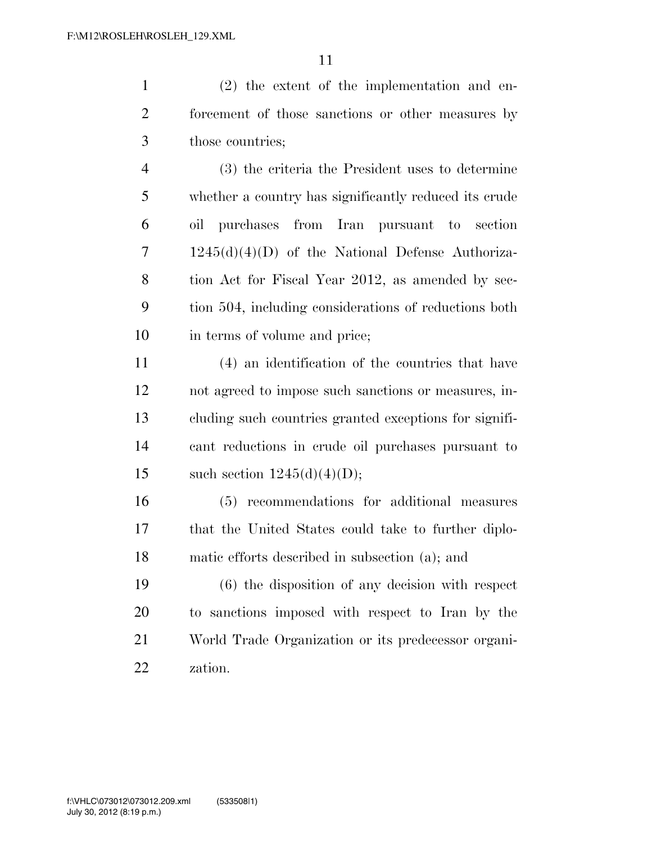(2) the extent of the implementation and en- forcement of those sanctions or other measures by those countries;

 (3) the criteria the President uses to determine whether a country has significantly reduced its crude oil purchases from Iran pursuant to section 1245(d)(4)(D) of the National Defense Authoriza-8 tion Act for Fiscal Year 2012, as amended by sec- tion 504, including considerations of reductions both in terms of volume and price;

 (4) an identification of the countries that have not agreed to impose such sanctions or measures, in- cluding such countries granted exceptions for signifi- cant reductions in crude oil purchases pursuant to 15 such section  $1245(d)(4)(D)$ ;

 (5) recommendations for additional measures that the United States could take to further diplo-matic efforts described in subsection (a); and

 (6) the disposition of any decision with respect to sanctions imposed with respect to Iran by the World Trade Organization or its predecessor organi-zation.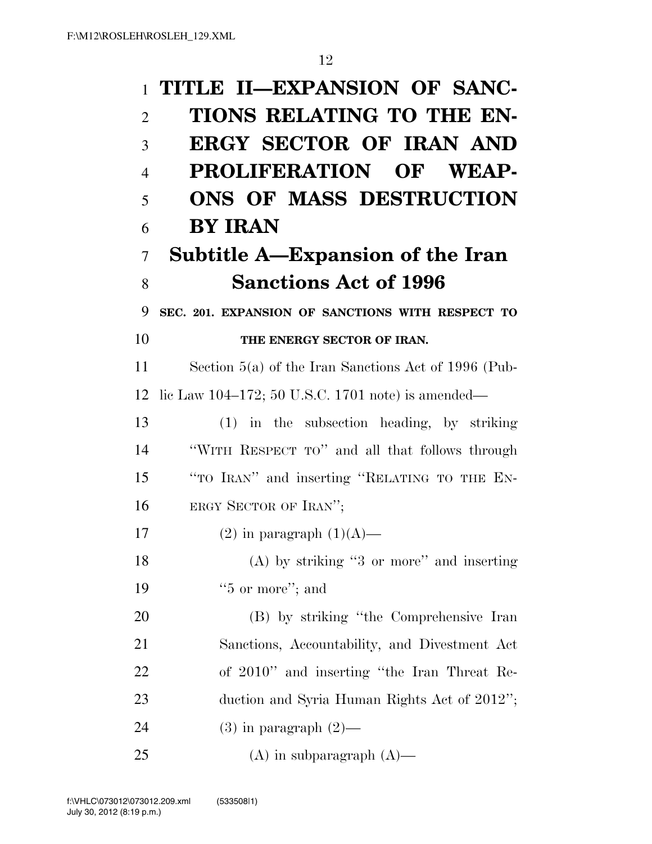| $\mathbf{1}$   | TITLE II-EXPANSION OF SANC-                            |
|----------------|--------------------------------------------------------|
| $\overline{2}$ | TIONS RELATING TO THE EN-                              |
| 3              | <b>ERGY SECTOR OF IRAN AND</b>                         |
| $\overline{4}$ | PROLIFERATION OF WEAP-                                 |
| 5              | ONS OF MASS DESTRUCTION                                |
| 6              | <b>BY IRAN</b>                                         |
| 7              | <b>Subtitle A—Expansion of the Iran</b>                |
| 8              | <b>Sanctions Act of 1996</b>                           |
| 9              | SEC. 201. EXPANSION OF SANCTIONS WITH RESPECT TO       |
| 10             | THE ENERGY SECTOR OF IRAN.                             |
| 11             | Section $5(a)$ of the Iran Sanctions Act of 1996 (Pub- |
| 12             | lic Law 104–172; 50 U.S.C. 1701 note) is amended—      |
| 13             | $(1)$ in the subsection heading, by striking           |
| 14             | "WITH RESPECT TO" and all that follows through         |
| 15             | "TO IRAN" and inserting "RELATING TO THE EN-           |
| 16             | ERGY SECTOR OF IRAN";                                  |
| 17             | $(2)$ in paragraph $(1)(A)$ —                          |
| 18             | $(A)$ by striking "3 or more" and inserting            |
| 19             | $"5$ or more"; and                                     |
| 20             | (B) by striking "the Comprehensive Iran                |
| 21             | Sanctions, Accountability, and Divestment Act          |
| 22             | of 2010" and inserting "the Iran Threat Re-            |
| 23             | duction and Syria Human Rights Act of 2012";           |
| 24             | $(3)$ in paragraph $(2)$ —                             |
| 25             | $(A)$ in subparagraph $(A)$ —                          |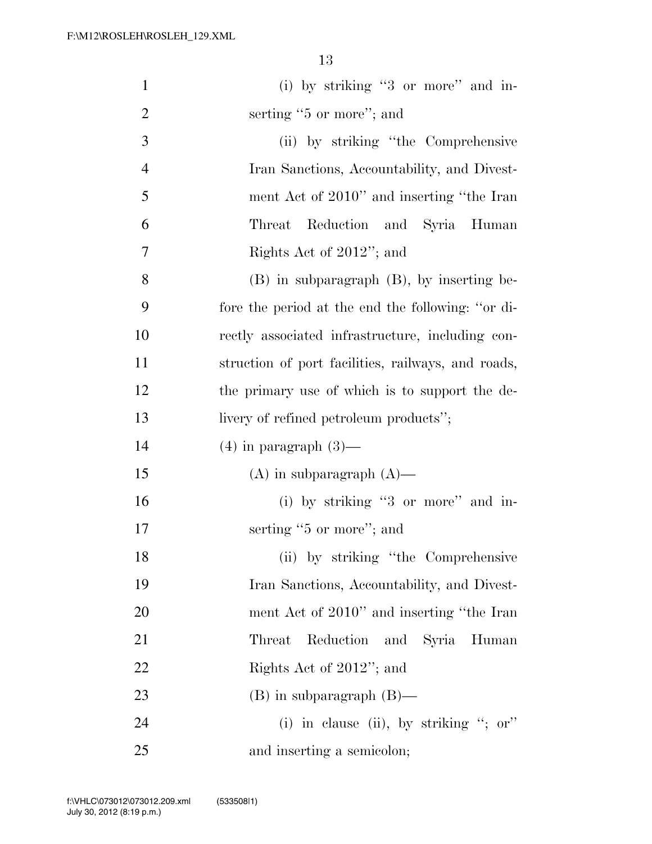| $\mathbf{1}$   | (i) by striking "3 or more" and in-                |
|----------------|----------------------------------------------------|
| $\overline{2}$ | serting "5 or more"; and                           |
| 3              | (ii) by striking "the Comprehensive                |
| $\overline{4}$ | Iran Sanctions, Accountability, and Divest-        |
| 5              | ment Act of 2010" and inserting "the Iran          |
| 6              | Reduction and Syria Human<br>Threat                |
| 7              | Rights Act of 2012"; and                           |
| 8              | $(B)$ in subparagraph $(B)$ , by inserting be-     |
| 9              | fore the period at the end the following: "or di-  |
| 10             | rectly associated infrastructure, including con-   |
| 11             | struction of port facilities, railways, and roads, |
| 12             | the primary use of which is to support the de-     |
| 13             | livery of refined petroleum products";             |
| 14             | $(4)$ in paragraph $(3)$ —                         |
| 15             | $(A)$ in subparagraph $(A)$ —                      |
| 16             | (i) by striking "3 or more" and in-                |
| 17             | serting "5 or more"; and                           |
| 18             | (ii) by striking "the Comprehensive                |
| 19             | Iran Sanctions, Accountability, and Divest-        |
| 20             | ment Act of 2010" and inserting "the Iran          |
| 21             | Reduction and Syria Human<br>Threat                |
| 22             | Rights Act of 2012"; and                           |
| 23             | $(B)$ in subparagraph $(B)$ —                      |
| 24             | (i) in clause (ii), by striking "; or"             |
| 25             | and inserting a semicolon;                         |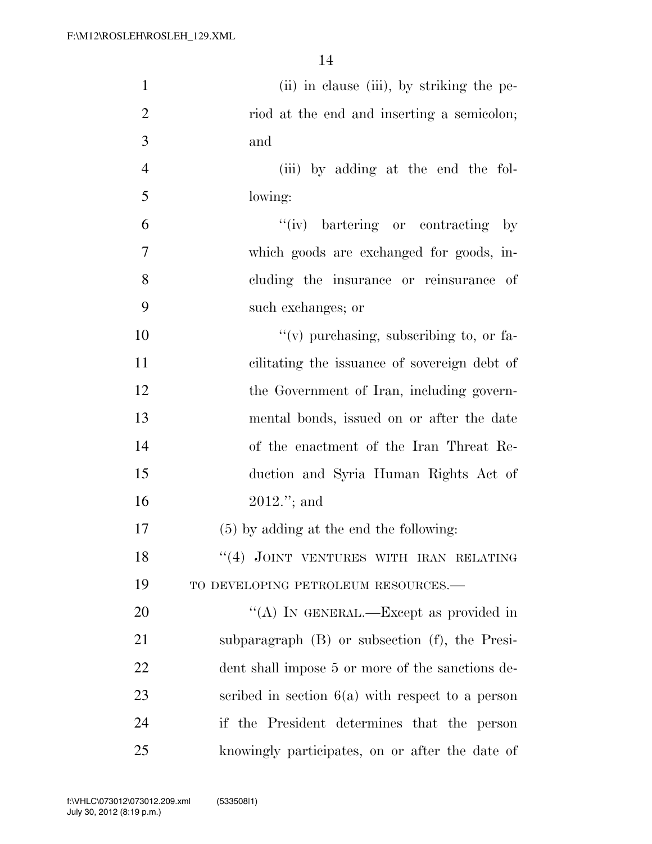| $\mathbf{1}$   | (ii) in clause (iii), by striking the pe-           |
|----------------|-----------------------------------------------------|
| $\overline{2}$ | riod at the end and inserting a semicolon;          |
| 3              | and                                                 |
| $\overline{4}$ | (iii) by adding at the end the fol-                 |
| 5              | lowing:                                             |
| 6              | "(iv) bartering or contracting<br>$-$ by            |
| 7              | which goods are exchanged for goods, in-            |
| 8              | cluding the insurance or reinsurance of             |
| 9              | such exchanges; or                                  |
| 10             | $f'(v)$ purchasing, subscribing to, or fa-          |
| 11             | cilitating the issuance of sovereign debt of        |
| 12             | the Government of Iran, including govern-           |
| 13             | mental bonds, issued on or after the date           |
| 14             | of the enactment of the Iran Threat Re-             |
| 15             | duction and Syria Human Rights Act of               |
| 16             | $2012."$ ; and                                      |
| 17             | $(5)$ by adding at the end the following:           |
| 18             | "(4) JOINT VENTURES WITH IRAN RELATING              |
| 19             | TO DEVELOPING PETROLEUM RESOURCES.-                 |
| 20             | "(A) IN GENERAL.—Except as provided in              |
| 21             | subparagraph $(B)$ or subsection $(f)$ , the Presi- |
| 22             | dent shall impose 5 or more of the sanctions de-    |
| 23             | scribed in section $6(a)$ with respect to a person  |
| 24             | if the President determines that the person         |
| 25             | knowingly participates, on or after the date of     |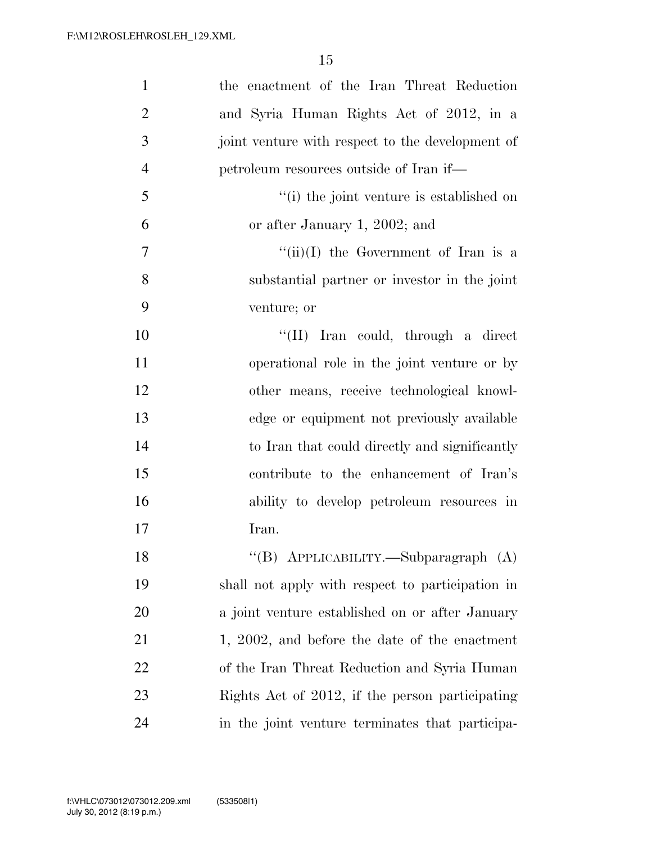| $\mathbf{1}$   | the enactment of the Iran Threat Reduction       |
|----------------|--------------------------------------------------|
| $\overline{2}$ | and Syria Human Rights Act of 2012, in a         |
| 3              | joint venture with respect to the development of |
| $\overline{4}$ | petroleum resources outside of Iran if—          |
| 5              | "(i) the joint venture is established on         |
| 6              | or after January 1, 2002; and                    |
| 7              | "(ii)(I) the Government of Iran is a             |
| 8              | substantial partner or investor in the joint     |
| 9              | venture; or                                      |
| 10             | "(II) Iran could, through a direct               |
| 11             | operational role in the joint venture or by      |
| 12             | other means, receive technological knowl-        |
| 13             | edge or equipment not previously available       |
| 14             | to Iran that could directly and significantly    |
| 15             | contribute to the enhancement of Iran's          |
| 16             | ability to develop petroleum resources in        |
| 17             | Iran.                                            |
| 18             | "(B) APPLICABILITY.—Subparagraph (A)             |
| 19             | shall not apply with respect to participation in |
| 20             | a joint venture established on or after January  |
| 21             | 1, 2002, and before the date of the enactment    |
| 22             | of the Iran Threat Reduction and Syria Human     |
| 23             | Rights Act of 2012, if the person participating  |
| 24             | in the joint venture terminates that participa-  |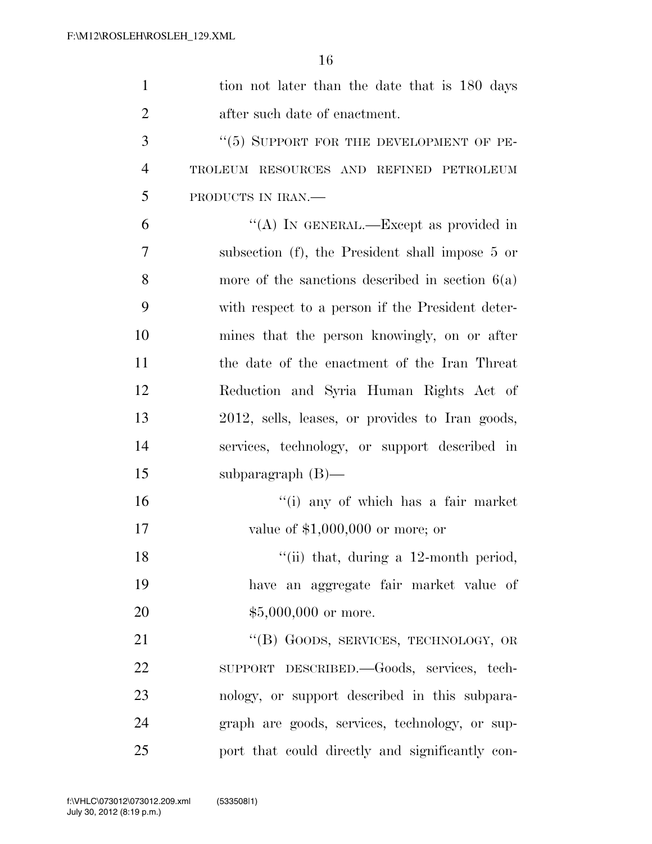| $\mathbf{1}$   | tion not later than the date that is 180 days     |
|----------------|---------------------------------------------------|
| $\overline{2}$ | after such date of enactment.                     |
| 3              | $``(5)$ SUPPORT FOR THE DEVELOPMENT OF PE-        |
| $\overline{4}$ | TROLEUM RESOURCES AND REFINED PETROLEUM           |
| 5              | PRODUCTS IN IRAN.                                 |
| 6              | "(A) IN GENERAL.—Except as provided in            |
| 7              | subsection (f), the President shall impose 5 or   |
| 8              | more of the sanctions described in section $6(a)$ |
| 9              | with respect to a person if the President deter-  |
| 10             | mines that the person knowingly, on or after      |
| 11             | the date of the enactment of the Iran Threat      |
| 12             | Reduction and Syria Human Rights Act of           |
| 13             | 2012, sells, leases, or provides to Iran goods,   |
| 14             | services, technology, or support described in     |
| 15             | subparagraph $(B)$ —                              |
| 16             | "(i) any of which has a fair market               |
| 17             | value of $$1,000,000$ or more; or                 |
| 18             | "(ii) that, during a $12$ -month period,          |
| 19             | have an aggregate fair market value of            |
| 20             | $$5,000,000$ or more.                             |
| 21             | "(B) GOODS, SERVICES, TECHNOLOGY, OR              |
| 22             | SUPPORT DESCRIBED. Goods, services, tech-         |
| 23             | nology, or support described in this subpara-     |
| 24             | graph are goods, services, technology, or sup-    |
| 25             | port that could directly and significantly con-   |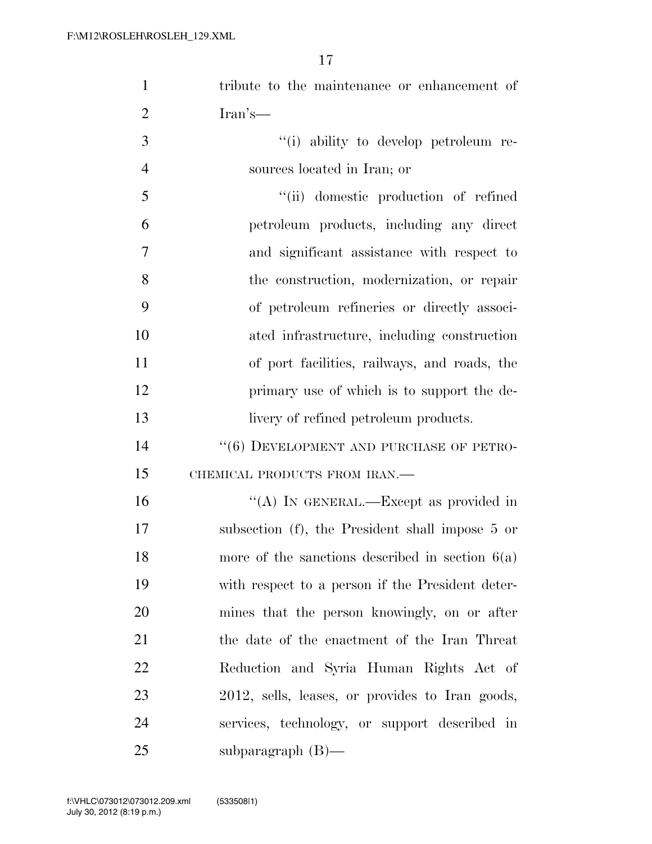| $\mathbf{1}$   | tribute to the maintenance or enhancement of      |
|----------------|---------------------------------------------------|
| $\overline{2}$ | Iran's—                                           |
| 3              | "(i) ability to develop petroleum re-             |
| $\overline{4}$ | sources located in Iran; or                       |
| 5              | "(ii) domestic production of refined              |
| 6              | petroleum products, including any direct          |
| 7              | and significant assistance with respect to        |
| 8              | the construction, modernization, or repair        |
| 9              | of petroleum refineries or directly associ-       |
| 10             | ated infrastructure, including construction       |
| 11             | of port facilities, railways, and roads, the      |
| 12             | primary use of which is to support the de-        |
| 13             | livery of refined petroleum products.             |
| 14             | $``(6)$ DEVELOPMENT AND PURCHASE OF PETRO-        |
| 15             | CHEMICAL PRODUCTS FROM IRAN.-                     |
| 16             | "(A) IN GENERAL.—Except as provided in            |
| 17             | subsection (f), the President shall impose 5 or   |
| 18             | more of the sanctions described in section $6(a)$ |
| 19             | with respect to a person if the President deter-  |
| 20             | mines that the person knowingly, on or after      |
| 21             | the date of the enactment of the Iran Threat      |
| 22             | Reduction and Syria Human Rights Act of           |
| 23             | 2012, sells, leases, or provides to Iran goods,   |
| 24             | services, technology, or support described in     |
| 25             | subparagraph $(B)$ —                              |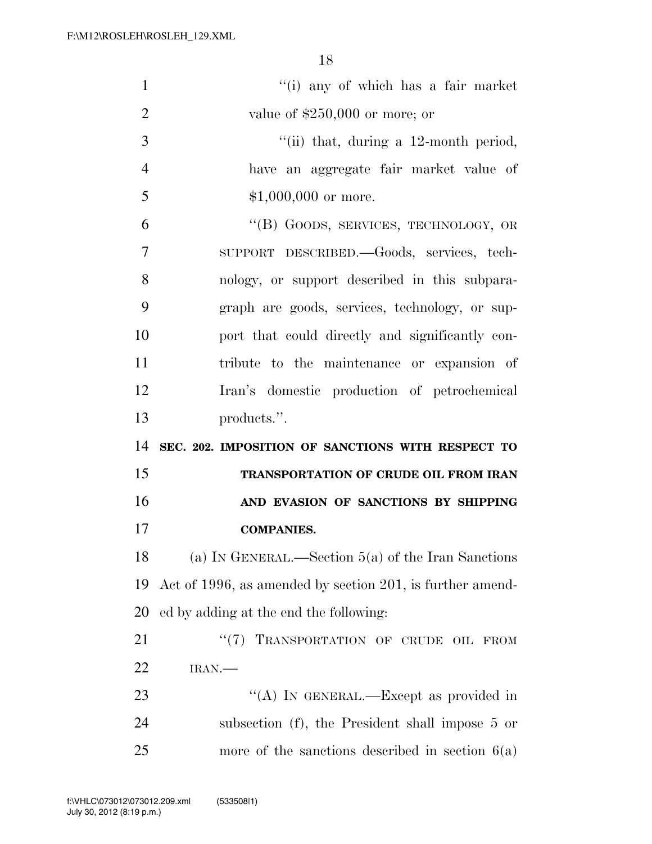| $\mathbf{1}$   | "(i) any of which has a fair market                       |
|----------------|-----------------------------------------------------------|
| $\overline{2}$ | value of $$250,000$ or more; or                           |
| 3              | "(ii) that, during a $12$ -month period,                  |
| $\overline{4}$ | have an aggregate fair market value of                    |
| 5              | $$1,000,000$ or more.                                     |
| 6              | "(B) GOODS, SERVICES, TECHNOLOGY, OR                      |
| 7              | SUPPORT DESCRIBED. Goods, services, tech-                 |
| 8              | nology, or support described in this subpara-             |
| 9              | graph are goods, services, technology, or sup-            |
| 10             | port that could directly and significantly con-           |
| 11             | tribute to the maintenance or expansion of                |
| 12             | Iran's domestic production of petrochemical               |
| 13             | products.".                                               |
| 14             | SEC. 202. IMPOSITION OF SANCTIONS WITH RESPECT TO         |
| 15             | TRANSPORTATION OF CRUDE OIL FROM IRAN                     |
| 16             | AND EVASION OF SANCTIONS BY SHIPPING                      |
| 17             | <b>COMPANIES.</b>                                         |
| 18             | (a) IN GENERAL.—Section $5(a)$ of the Iran Sanctions      |
| 19             | Act of 1996, as amended by section 201, is further amend- |
| 20             | ed by adding at the end the following:                    |
| 21             | TRANSPORTATION OF CRUDE OIL FROM<br>$(3^{12})^2$          |
| 22             | IRAN.                                                     |
| 23             | "(A) IN GENERAL.—Except as provided in                    |
| 24             | subsection (f), the President shall impose 5 or           |
| 25             | more of the sanctions described in section $6(a)$         |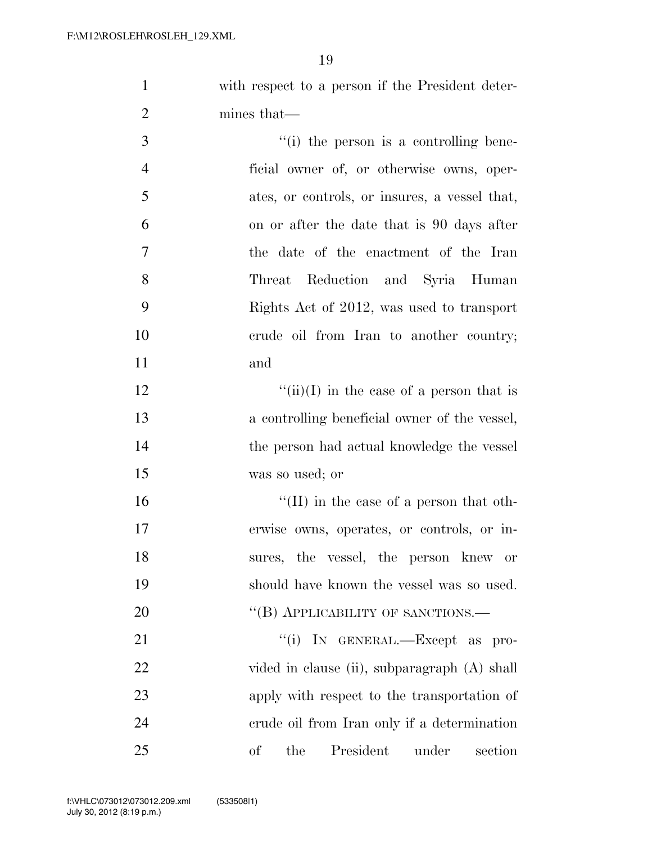with respect to a person if the President deter- mines that— 3 (i) the person is a controlling bene-

 ficial owner of, or otherwise owns, oper- ates, or controls, or insures, a vessel that, on or after the date that is 90 days after the date of the enactment of the Iran Threat Reduction and Syria Human Rights Act of 2012, was used to transport crude oil from Iran to another country; and

 $\frac{f'(\text{ii})(I)}{I}$  in the case of a person that is a controlling beneficial owner of the vessel, the person had actual knowledge the vessel was so used; or

 ''(II) in the case of a person that oth- erwise owns, operates, or controls, or in- sures, the vessel, the person knew or should have known the vessel was so used. 20 "(B) APPLICABILITY OF SANCTIONS.—

 $\text{``(i)}$  In GENERAL.—Except as pro-22 vided in clause (ii), subparagraph (A) shall apply with respect to the transportation of crude oil from Iran only if a determination of the President under section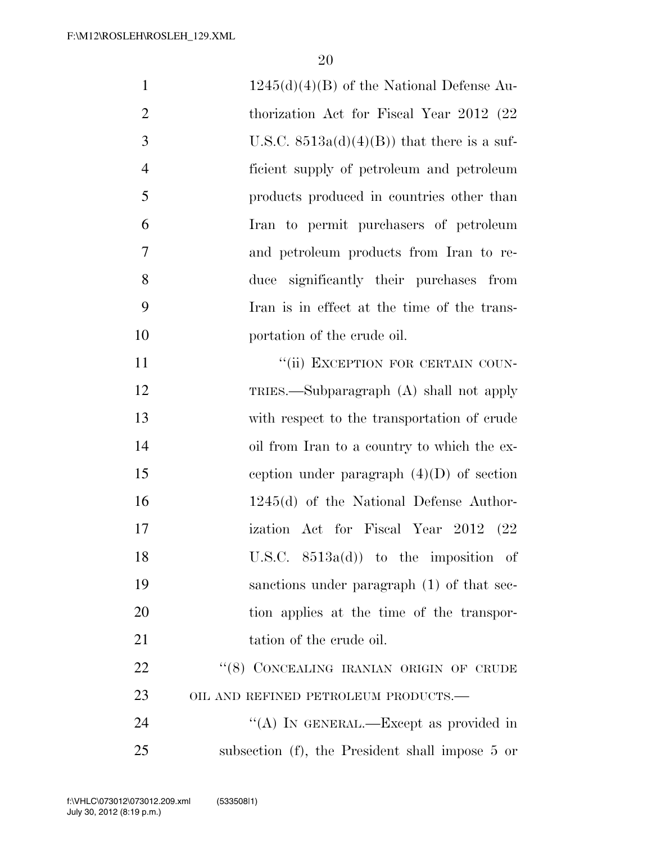| $\mathbf{1}$   | $1245(d)(4)(B)$ of the National Defense Au-     |
|----------------|-------------------------------------------------|
| $\overline{2}$ | thorization Act for Fiscal Year 2012 (22)       |
| 3              | U.S.C. $8513a(d)(4)(B)$ that there is a suf-    |
| $\overline{4}$ | ficient supply of petroleum and petroleum       |
| 5              | products produced in countries other than       |
| 6              | Iran to permit purchasers of petroleum          |
| 7              | and petroleum products from Iran to re-         |
| 8              | duce significantly their purchases from         |
| 9              | Iran is in effect at the time of the trans-     |
| 10             | portation of the crude oil.                     |
| 11             | "(ii) EXCEPTION FOR CERTAIN COUN-               |
| 12             | TRIES.—Subparagraph (A) shall not apply         |
| 13             | with respect to the transportation of crude     |
| 14             | oil from Iran to a country to which the ex-     |
| 15             | ception under paragraph $(4)(D)$ of section     |
| 16             | $1245(d)$ of the National Defense Author-       |
| 17             | ization Act for Fiscal Year 2012<br>- (22       |
| 18             | U.S.C. $8513a(d)$ to the imposition of          |
| 19             | sanctions under paragraph (1) of that sec-      |
| 20             | tion applies at the time of the transpor-       |
| 21             | tation of the crude oil.                        |
| <u>22</u>      | "(8) CONCEALING IRANIAN ORIGIN OF CRUDE         |
| 23             | OIL AND REFINED PETROLEUM PRODUCTS.-            |
| 24             | "(A) IN GENERAL.—Except as provided in          |
| 25             | subsection (f), the President shall impose 5 or |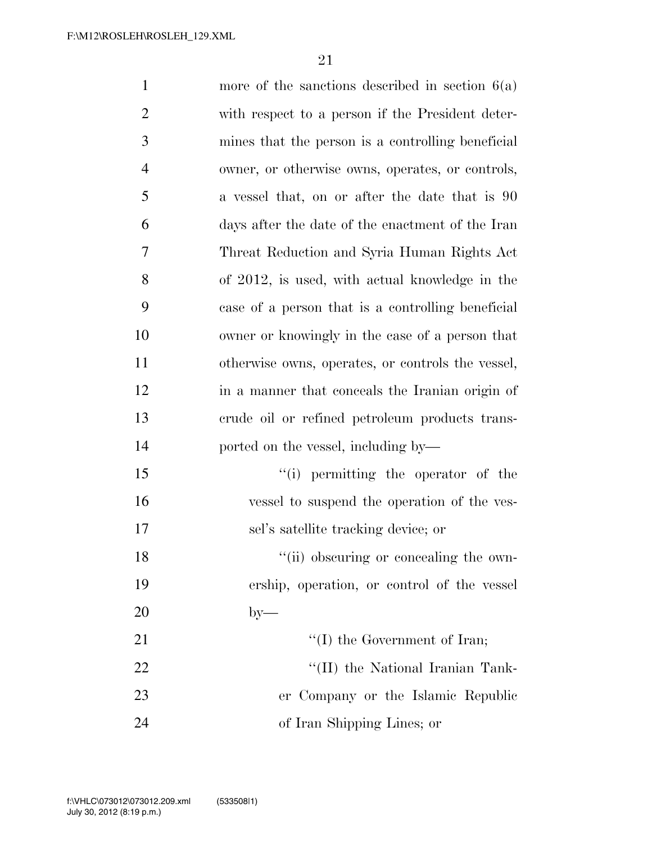| $\mathbf{1}$   | more of the sanctions described in section $6(a)$ |
|----------------|---------------------------------------------------|
| $\overline{2}$ | with respect to a person if the President deter-  |
| 3              | mines that the person is a controlling beneficial |
| $\overline{4}$ | owner, or otherwise owns, operates, or controls,  |
| 5              | a vessel that, on or after the date that is 90    |
| 6              | days after the date of the enactment of the Iran  |
| 7              | Threat Reduction and Syria Human Rights Act       |
| 8              | of 2012, is used, with actual knowledge in the    |
| 9              | case of a person that is a controlling beneficial |
| 10             | owner or knowingly in the case of a person that   |
| 11             | otherwise owns, operates, or controls the vessel, |
| 12             | in a manner that conceals the Iranian origin of   |
| 13             | erude oil or refined petroleum products trans-    |
| 14             | ported on the vessel, including by—               |
| 15             | "(i) permitting the operator of the               |
| 16             | vessel to suspend the operation of the ves-       |
| 17             | sel's satellite tracking device; or               |
| 18             | "(ii) obscuring or concealing the own-            |
| 19             | ership, operation, or control of the vessel       |
| 20             | $by-$                                             |
| 21             | $\lq\lq$ the Government of Iran;                  |
| 22             | $\lq\lq$ (II) the National Iranian Tank-          |
| 23             | er Company or the Islamic Republic                |
| 24             | of Iran Shipping Lines; or                        |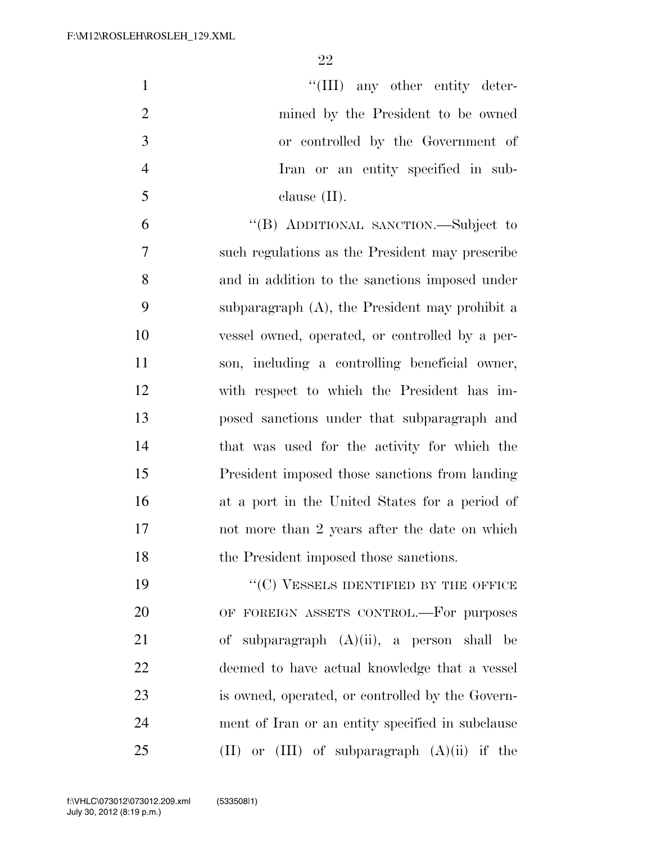$\text{``(III)}$  any other entity deter- mined by the President to be owned or controlled by the Government of Iran or an entity specified in sub- clause (II). ''(B) ADDITIONAL SANCTION.—Subject to such regulations as the President may prescribe and in addition to the sanctions imposed under subparagraph (A), the President may prohibit a vessel owned, operated, or controlled by a per- son, including a controlling beneficial owner, with respect to which the President has im- posed sanctions under that subparagraph and that was used for the activity for which the President imposed those sanctions from landing at a port in the United States for a period of

 not more than 2 years after the date on which the President imposed those sanctions.

19 "'(C) VESSELS IDENTIFIED BY THE OFFICE OF FOREIGN ASSETS CONTROL.—For purposes of subparagraph (A)(ii), a person shall be deemed to have actual knowledge that a vessel is owned, operated, or controlled by the Govern- ment of Iran or an entity specified in subclause (II) or (III) of subparagraph  $(A)(ii)$  if the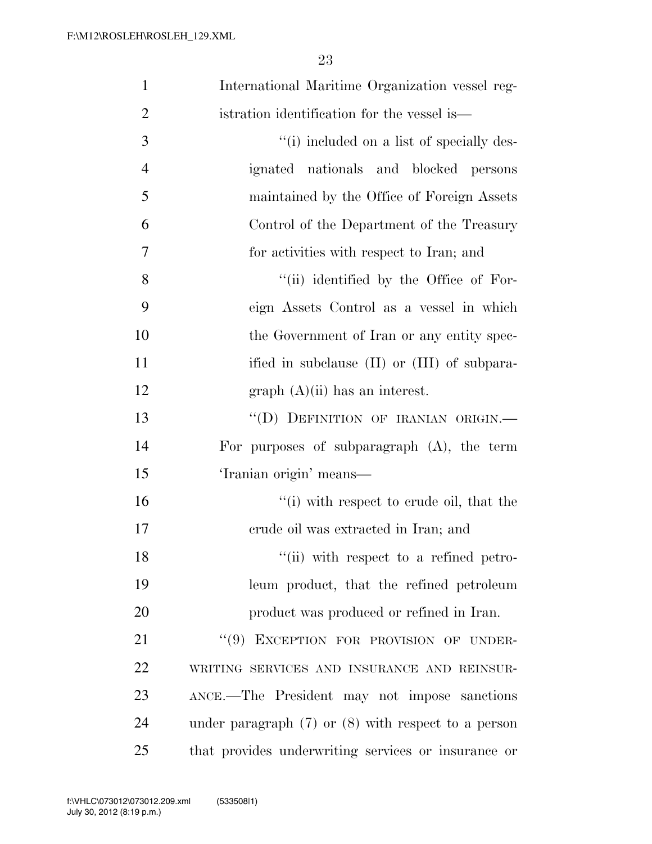| $\mathbf{1}$   | International Maritime Organization vessel reg-         |
|----------------|---------------------------------------------------------|
| $\overline{2}$ | istration identification for the vessel is—             |
| 3              | "(i) included on a list of specially des-               |
| $\overline{4}$ | ignated nationals and blocked persons                   |
| 5              | maintained by the Office of Foreign Assets              |
| 6              | Control of the Department of the Treasury               |
| $\overline{7}$ | for activities with respect to Iran; and                |
| 8              | "(ii) identified by the Office of For-                  |
| 9              | eign Assets Control as a vessel in which                |
| 10             | the Government of Iran or any entity spec-              |
| 11             | ified in subclause (II) or (III) of subpara-            |
| 12             | $graph (A)(ii)$ has an interest.                        |
| 13             | "(D) DEFINITION OF IRANIAN ORIGIN.-                     |
| 14             | For purposes of subparagraph $(A)$ , the term           |
| 15             | 'Iranian origin' means—                                 |
| 16             | "(i) with respect to crude oil, that the                |
| 17             | erude oil was extracted in Iran; and                    |
| 18             | "(ii) with respect to a refined petro-                  |
| 19             | leum product, that the refined petroleum                |
| 20             | product was produced or refined in Iran.                |
| 21             | "(9) EXCEPTION FOR PROVISION OF UNDER-                  |
| 22             | WRITING SERVICES AND INSURANCE AND REINSUR-             |
| 23             | ANCE.—The President may not impose sanctions            |
| 24             | under paragraph $(7)$ or $(8)$ with respect to a person |
| 25             | that provides underwriting services or insurance or     |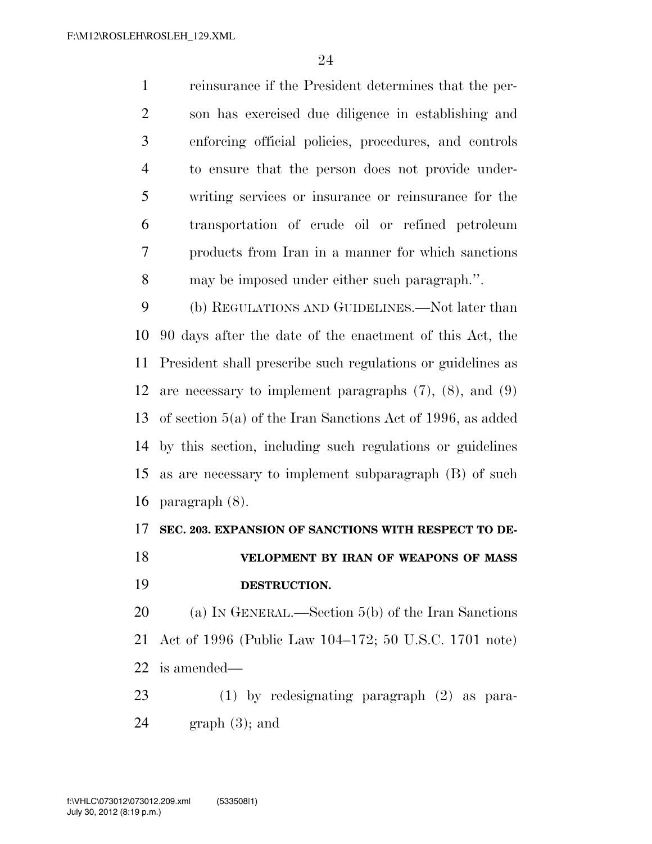reinsurance if the President determines that the per- son has exercised due diligence in establishing and enforcing official policies, procedures, and controls to ensure that the person does not provide under- writing services or insurance or reinsurance for the transportation of crude oil or refined petroleum products from Iran in a manner for which sanctions may be imposed under either such paragraph.''.

 (b) REGULATIONS AND GUIDELINES.—Not later than 90 days after the date of the enactment of this Act, the President shall prescribe such regulations or guidelines as are necessary to implement paragraphs (7), (8), and (9) of section 5(a) of the Iran Sanctions Act of 1996, as added by this section, including such regulations or guidelines as are necessary to implement subparagraph (B) of such paragraph (8).

### **SEC. 203. EXPANSION OF SANCTIONS WITH RESPECT TO DE-**

## **VELOPMENT BY IRAN OF WEAPONS OF MASS DESTRUCTION.**

 (a) IN GENERAL.—Section 5(b) of the Iran Sanctions Act of 1996 (Public Law 104–172; 50 U.S.C. 1701 note) is amended—

 (1) by redesignating paragraph (2) as para- $24 \qquad \text{graph } (3)$ ; and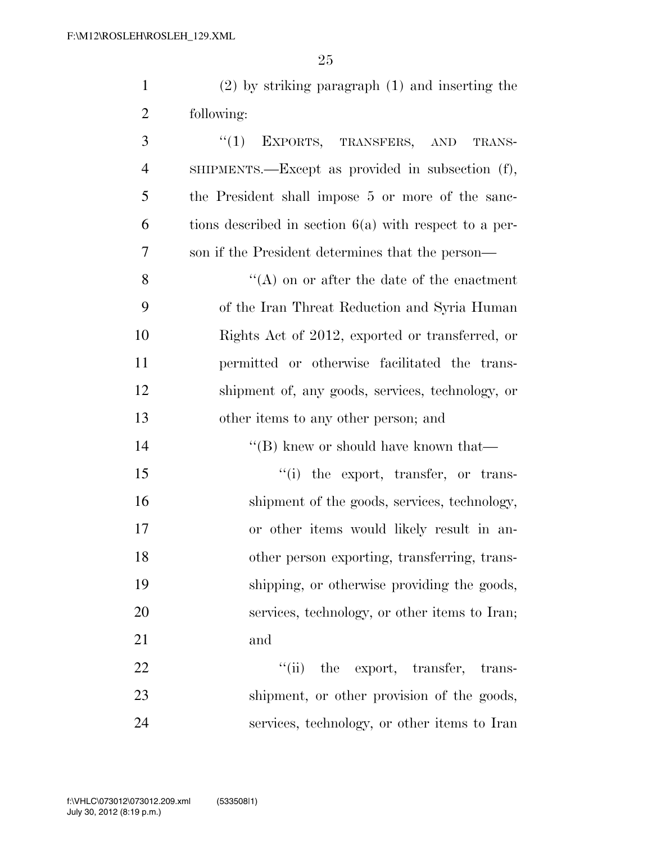(2) by striking paragraph (1) and inserting the following:

3 "(1) EXPORTS, TRANSFERS, AND TRANS- SHIPMENTS.—Except as provided in subsection (f), the President shall impose 5 or more of the sanc- $\epsilon$  tions described in section  $6(a)$  with respect to a per- son if the President determines that the person— ''(A) on or after the date of the enactment of the Iran Threat Reduction and Syria Human Rights Act of 2012, exported or transferred, or permitted or otherwise facilitated the trans- shipment of, any goods, services, technology, or other items to any other person; and 14 ''(B) knew or should have known that—

 $\frac{1}{10}$  the export, transfer, or trans-16 shipment of the goods, services, technology, or other items would likely result in an- other person exporting, transferring, trans- shipping, or otherwise providing the goods, services, technology, or other items to Iran; and

22  $\frac{1}{1}$  the export, transfer, trans-23 shipment, or other provision of the goods, services, technology, or other items to Iran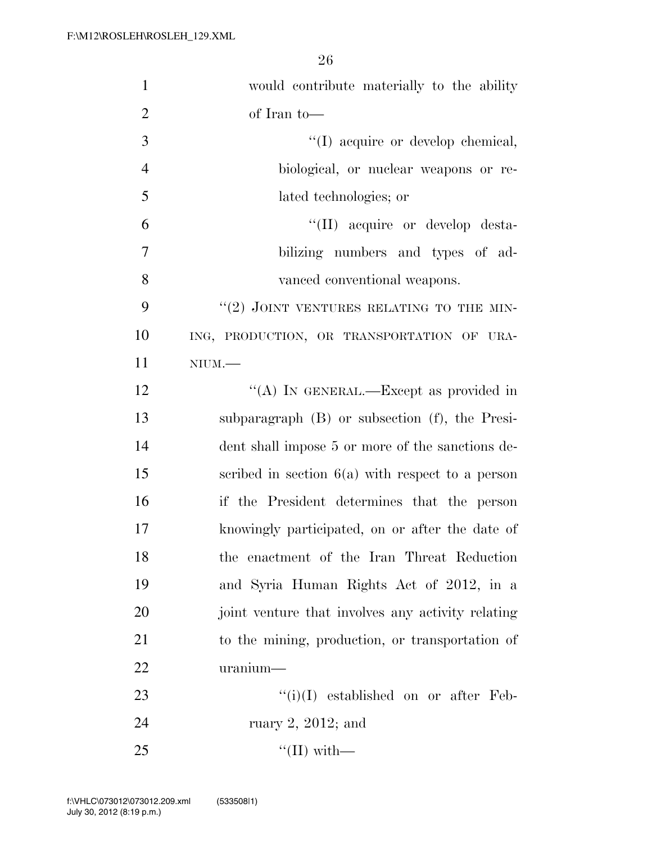| $\mathbf{1}$   | would contribute materially to the ability          |
|----------------|-----------------------------------------------------|
| $\overline{2}$ | of Iran to-                                         |
| 3              | "(I) acquire or develop chemical,                   |
| $\overline{4}$ | biological, or nuclear weapons or re-               |
| 5              | lated technologies; or                              |
| 6              | "(II) acquire or develop desta-                     |
| $\overline{7}$ | bilizing numbers and types of ad-                   |
| 8              | vanced conventional weapons.                        |
| 9              | $``(2)$ JOINT VENTURES RELATING TO THE MIN-         |
| 10             | ING, PRODUCTION, OR TRANSPORTATION OF URA-          |
| 11             | $NIUM$ .                                            |
| 12             | "(A) IN GENERAL.—Except as provided in              |
| 13             | subparagraph $(B)$ or subsection $(f)$ , the Presi- |
| 14             | dent shall impose 5 or more of the sanctions de-    |
| 15             | scribed in section $6(a)$ with respect to a person  |
| 16             | if the President determines that the person         |
| 17             | knowingly participated, on or after the date of     |
| 18             | the enactment of the Iran Threat Reduction          |
| 19             | and Syria Human Rights Act of 2012, in a            |
| 20             | joint venture that involves any activity relating   |
| 21             | to the mining, production, or transportation of     |
| 22             | uranium                                             |
| 23             | $``(i)(I)$ established on or after Feb-             |
| 24             | ruary $2, 2012$ ; and                               |
| 25             | $\lq(\text{II})$ with —                             |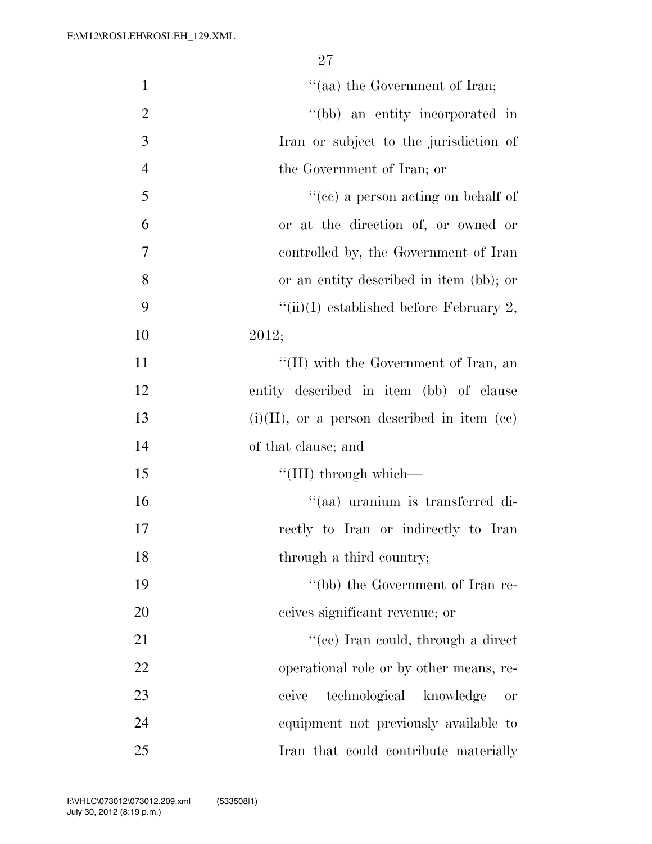| $\mathbf{1}$   | "(aa) the Government of Iran;                  |
|----------------|------------------------------------------------|
|                |                                                |
| $\overline{2}$ | "(bb) an entity incorporated in                |
| 3              | Iran or subject to the jurisdiction of         |
| $\overline{4}$ | the Government of Iran; or                     |
| 5              | "(cc) a person acting on behalf of             |
| 6              | or at the direction of, or owned or            |
| 7              | controlled by, the Government of Iran          |
| 8              | or an entity described in item (bb); or        |
| 9              | "(ii)(I) established before February 2,        |
| 10             | 2012;                                          |
| 11             | "(II) with the Government of Iran, an          |
| 12             | entity described in item (bb) of clause        |
| 13             | $(i)(II)$ , or a person described in item (cc) |
| 14             | of that clause; and                            |
| 15             | "(III) through which—                          |
| 16             | "(aa) uranium is transferred di-               |
| 17             | rectly to Iran or indirectly to Iran           |
| 18             | through a third country;                       |
| 19             | "(bb) the Government of Iran re-               |
| 20             | ceives significant revenue; or                 |
| 21             | "(ee) Iran could, through a direct             |
| 22             | operational role or by other means, re-        |
| 23             | technological knowledge<br>ceive<br><b>or</b>  |
| 24             | equipment not previously available to          |
| 25             | Iran that could contribute materially          |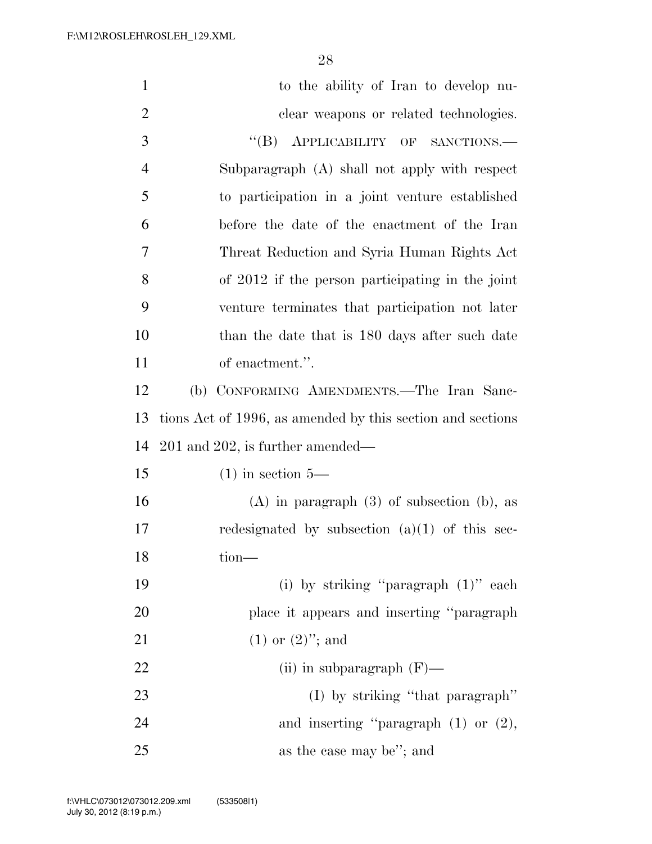| $\mathbf{1}$   | to the ability of Iran to develop nu-                      |
|----------------|------------------------------------------------------------|
| $\overline{2}$ | clear weapons or related technologies.                     |
| 3              | APPLICABILITY OF SANCTIONS.<br>$\lq\lq (B)$                |
| $\overline{4}$ | Subparagraph (A) shall not apply with respect              |
| 5              | to participation in a joint venture established            |
| 6              | before the date of the enactment of the Iran               |
| 7              | Threat Reduction and Syria Human Rights Act                |
| 8              | of 2012 if the person participating in the joint           |
| 9              | venture terminates that participation not later            |
| 10             | than the date that is 180 days after such date             |
| 11             | of enactment.".                                            |
| 12             | (b) CONFORMING AMENDMENTS.—The Iran Sanc-                  |
| 13             | tions Act of 1996, as amended by this section and sections |
| 14             | $201$ and $202$ , is further amended—                      |
| 15             | $(1)$ in section 5—                                        |
| 16             | $(A)$ in paragraph $(3)$ of subsection $(b)$ , as          |
| 17             | redesignated by subsection $(a)(1)$ of this sec-           |
| 18             | tion-                                                      |
| 19             | (i) by striking "paragraph $(1)$ " each                    |
| 20             | place it appears and inserting "paragraph"                 |
| 21             | $(1)$ or $(2)$ "; and                                      |
| 22             | (ii) in subparagraph $(F)$ —                               |
| 23             | $(I)$ by striking "that paragraph"                         |
| 24             | and inserting "paragraph $(1)$ or $(2)$ ,                  |
| 25             | as the case may be"; and                                   |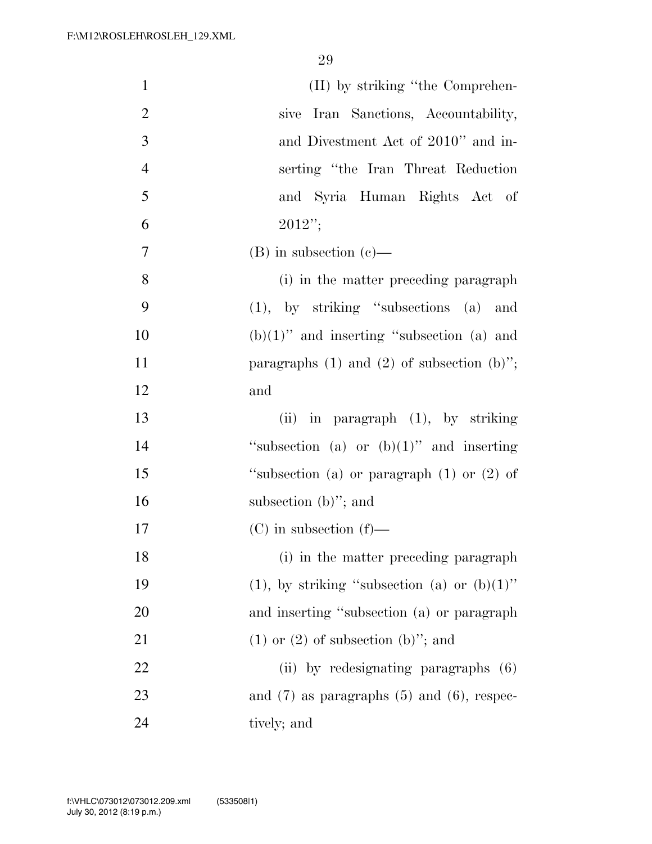| $\mathbf{1}$   | (II) by striking "the Comprehen-                  |
|----------------|---------------------------------------------------|
| $\mathbf{2}$   | sive Iran Sanctions, Accountability,              |
| 3              | and Divestment Act of 2010" and in-               |
| $\overline{4}$ | serting "the Iran Threat Reduction"               |
| 5              | and Syria Human Rights Act of                     |
| 6              | $2012$ ";                                         |
| $\overline{7}$ | $(B)$ in subsection $(c)$ —                       |
| 8              | (i) in the matter preceding paragraph             |
| 9              | $(1)$ , by striking "subsections $(a)$ and        |
| 10             | $(b)(1)$ " and inserting "subsection (a) and      |
| 11             | paragraphs $(1)$ and $(2)$ of subsection $(b)$ "; |
| 12             | and                                               |
| 13             | (ii) in paragraph $(1)$ , by striking             |
| 14             | "subsection (a) or $(b)(1)$ " and inserting       |
| 15             | "subsection (a) or paragraph $(1)$ or $(2)$ of    |
| 16             | subsection $(b)$ "; and                           |
| 17             | $(C)$ in subsection $(f)$ —                       |
| 18             | (i) in the matter preceding paragraph             |
| 19             | (1), by striking "subsection (a) or $(b)(1)$ "    |
| 20             | and inserting "subsection (a) or paragraph        |
| 21             | $(1)$ or $(2)$ of subsection $(b)$ "; and         |
| 22             | (ii) by redesignating paragraphs $(6)$            |
| 23             | and $(7)$ as paragraphs $(5)$ and $(6)$ , respec- |
| 24             | tively; and                                       |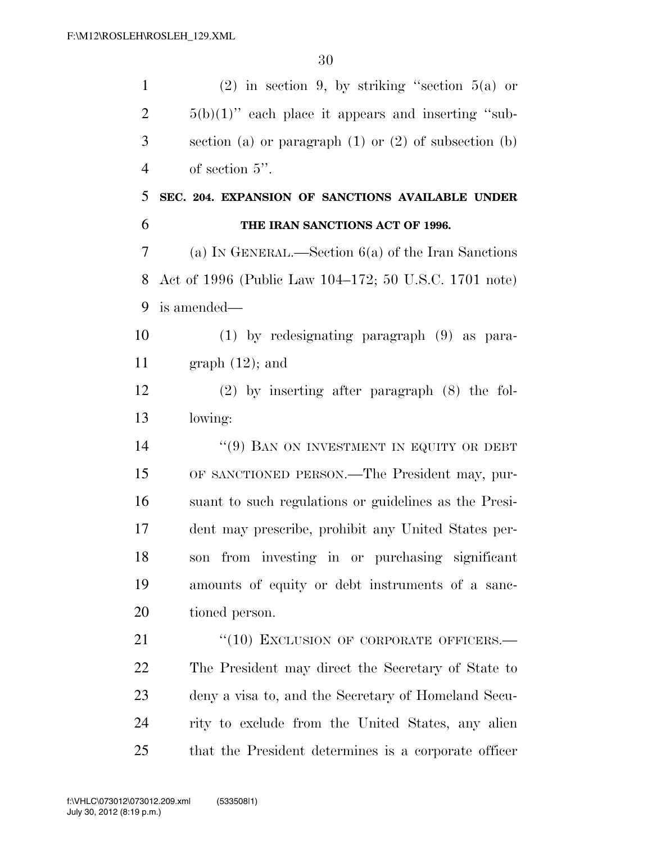| $\mathbf{1}$   | $(2)$ in section 9, by striking "section 5(a) or          |
|----------------|-----------------------------------------------------------|
| $\overline{2}$ | $5(b)(1)$ " each place it appears and inserting "sub-     |
| 3              | section (a) or paragraph $(1)$ or $(2)$ of subsection (b) |
| $\overline{4}$ | of section $5$ ".                                         |
| 5              | SEC. 204. EXPANSION OF SANCTIONS AVAILABLE UNDER          |
| 6              | THE IRAN SANCTIONS ACT OF 1996.                           |
| 7              | (a) IN GENERAL.—Section $6(a)$ of the Iran Sanctions      |
| 8              | Act of 1996 (Public Law 104–172; 50 U.S.C. 1701 note)     |
| 9              | is amended—                                               |
| 10             | $(1)$ by redesignating paragraph $(9)$ as para-           |
| 11             | graph $(12)$ ; and                                        |
| 12             | $(2)$ by inserting after paragraph $(8)$ the fol-         |
| 13             | lowing:                                                   |
| 14             | "(9) BAN ON INVESTMENT IN EQUITY OR DEBT                  |
| 15             | OF SANCTIONED PERSON.—The President may, pur-             |
| 16             | suant to such regulations or guidelines as the Presi-     |
| 17             | dent may prescribe, prohibit any United States per-       |
| 18             | son from investing in or purchasing significant           |
| 19             | amounts of equity or debt instruments of a sanc-          |
| 20             | tioned person.                                            |
| 21             | "(10) EXCLUSION OF CORPORATE OFFICERS.-                   |
| 22             | The President may direct the Secretary of State to        |
| 23             | deny a visa to, and the Secretary of Homeland Secu-       |
| 24             | rity to exclude from the United States, any alien         |
| 25             | that the President determines is a corporate officer      |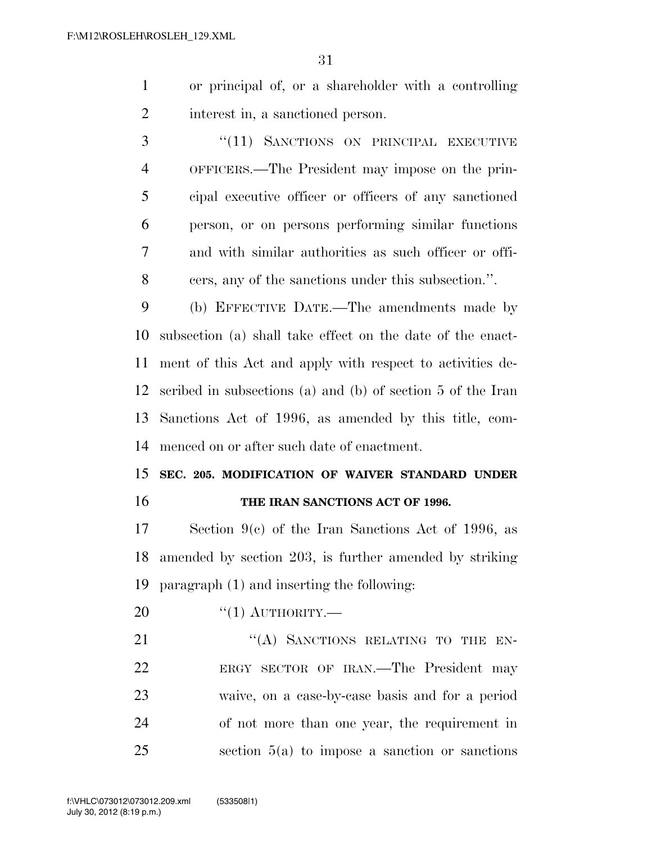- or principal of, or a shareholder with a controlling interest in, a sanctioned person.
- 3 "(11) SANCTIONS ON PRINCIPAL EXECUTIVE OFFICERS.—The President may impose on the prin- cipal executive officer or officers of any sanctioned person, or on persons performing similar functions and with similar authorities as such officer or offi-cers, any of the sanctions under this subsection.''.

 (b) EFFECTIVE DATE.—The amendments made by subsection (a) shall take effect on the date of the enact- ment of this Act and apply with respect to activities de- scribed in subsections (a) and (b) of section 5 of the Iran Sanctions Act of 1996, as amended by this title, com-menced on or after such date of enactment.

### **SEC. 205. MODIFICATION OF WAIVER STANDARD UNDER THE IRAN SANCTIONS ACT OF 1996.**

 Section 9(c) of the Iran Sanctions Act of 1996, as amended by section 203, is further amended by striking paragraph (1) and inserting the following:

 $^{(4)}$ (1) AUTHORITY.

21 "(A) SANCTIONS RELATING TO THE EN- ERGY SECTOR OF IRAN.—The President may waive, on a case-by-case basis and for a period of not more than one year, the requirement in section 5(a) to impose a sanction or sanctions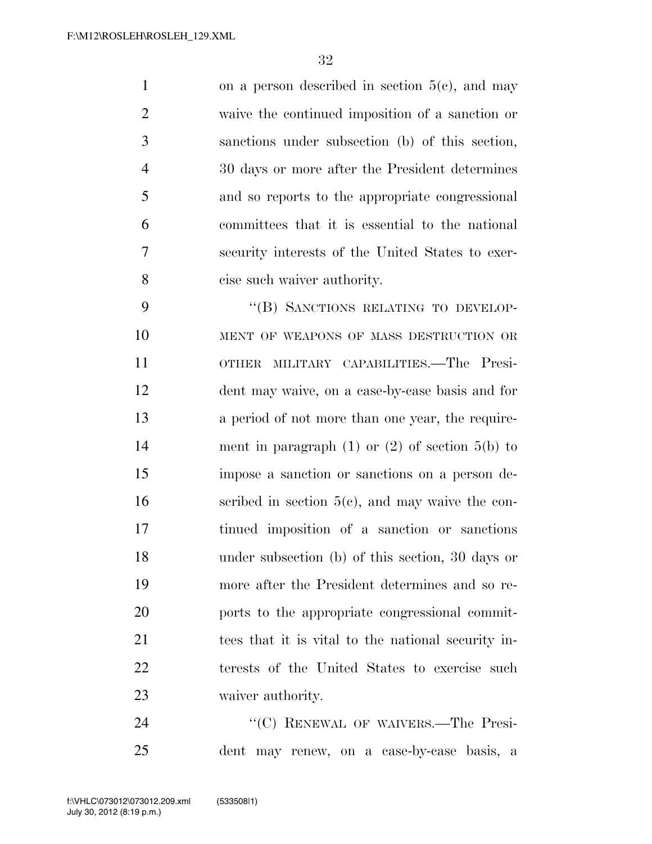1 on a person described in section  $5(e)$ , and may waive the continued imposition of a sanction or sanctions under subsection (b) of this section, 30 days or more after the President determines and so reports to the appropriate congressional committees that it is essential to the national security interests of the United States to exer-cise such waiver authority.

9 "(B) SANCTIONS RELATING TO DEVELOP-10 MENT OF WEAPONS OF MASS DESTRUCTION OR OTHER MILITARY CAPABILITIES.—The Presi- dent may waive, on a case-by-case basis and for a period of not more than one year, the require- ment in paragraph (1) or (2) of section 5(b) to impose a sanction or sanctions on a person de- scribed in section  $5(c)$ , and may waive the con- tinued imposition of a sanction or sanctions under subsection (b) of this section, 30 days or more after the President determines and so re- ports to the appropriate congressional commit- tees that it is vital to the national security in- terests of the United States to exercise such waiver authority.

24 "(C) RENEWAL OF WAIVERS.—The Presi-dent may renew, on a case-by-case basis, a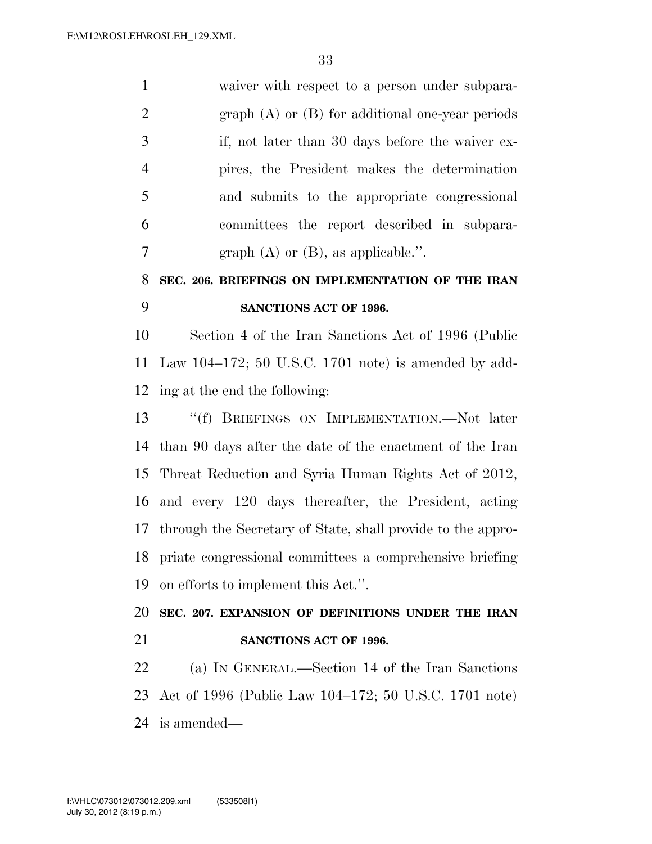waiver with respect to a person under subpara- graph (A) or (B) for additional one-year periods if, not later than 30 days before the waiver ex- pires, the President makes the determination and submits to the appropriate congressional committees the report described in subpara-7 graph  $(A)$  or  $(B)$ , as applicable.".

# **SEC. 206. BRIEFINGS ON IMPLEMENTATION OF THE IRAN SANCTIONS ACT OF 1996.**

 Section 4 of the Iran Sanctions Act of 1996 (Public Law 104–172; 50 U.S.C. 1701 note) is amended by add-ing at the end the following:

 ''(f) BRIEFINGS ON IMPLEMENTATION.—Not later than 90 days after the date of the enactment of the Iran Threat Reduction and Syria Human Rights Act of 2012, and every 120 days thereafter, the President, acting through the Secretary of State, shall provide to the appro- priate congressional committees a comprehensive briefing on efforts to implement this Act.''.

 **SEC. 207. EXPANSION OF DEFINITIONS UNDER THE IRAN SANCTIONS ACT OF 1996.** 

 (a) IN GENERAL.—Section 14 of the Iran Sanctions Act of 1996 (Public Law 104–172; 50 U.S.C. 1701 note) is amended—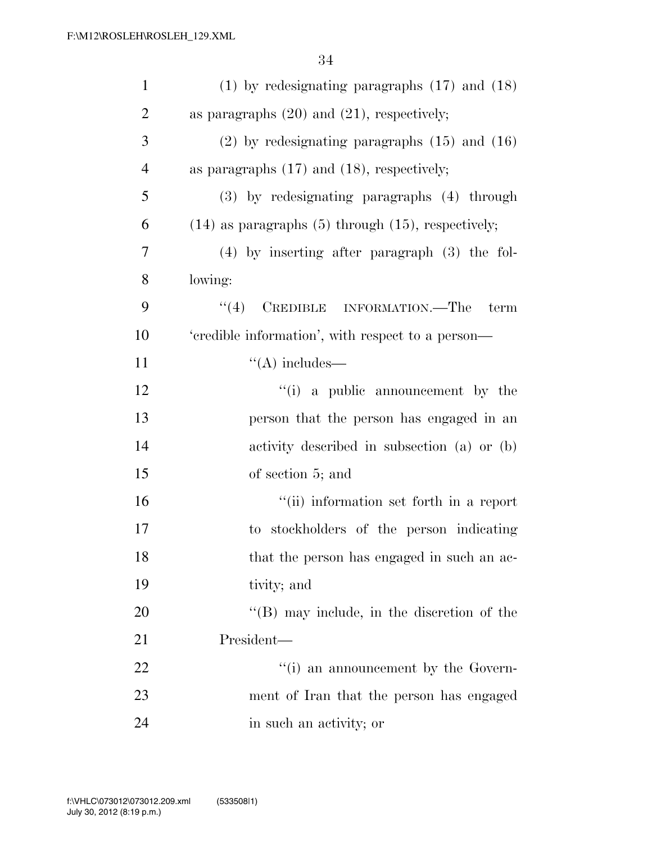| $\mathbf{1}$   | $(1)$ by redesignating paragraphs $(17)$ and $(18)$       |
|----------------|-----------------------------------------------------------|
| $\overline{2}$ | as paragraphs $(20)$ and $(21)$ , respectively;           |
| 3              | $(2)$ by redesignating paragraphs $(15)$ and $(16)$       |
| $\overline{4}$ | as paragraphs $(17)$ and $(18)$ , respectively;           |
| 5              | (3) by redesignating paragraphs (4) through               |
| 6              | $(14)$ as paragraphs $(5)$ through $(15)$ , respectively; |
| 7              | $(4)$ by inserting after paragraph $(3)$ the fol-         |
| 8              | lowing:                                                   |
| 9              | (4)<br>CREDIBLE INFORMATION.—The<br>term                  |
| 10             | 'credible information', with respect to a person-         |
| 11             | $\lq\lq$ includes—                                        |
| 12             | "(i) a public announcement by the                         |
| 13             | person that the person has engaged in an                  |
| 14             | activity described in subsection (a) or (b)               |
| 15             | of section 5; and                                         |
| 16             | "(ii) information set forth in a report                   |
| 17             | to stockholders of the person indicating                  |
| 18             | that the person has engaged in such an ac-                |
| 19             | tivity; and                                               |
| 20             | $\lq$ (B) may include, in the discretion of the           |
| 21             | President—                                                |
| 22             | "(i) an announcement by the Govern-                       |
| 23             | ment of Iran that the person has engaged                  |
| 24             | in such an activity; or                                   |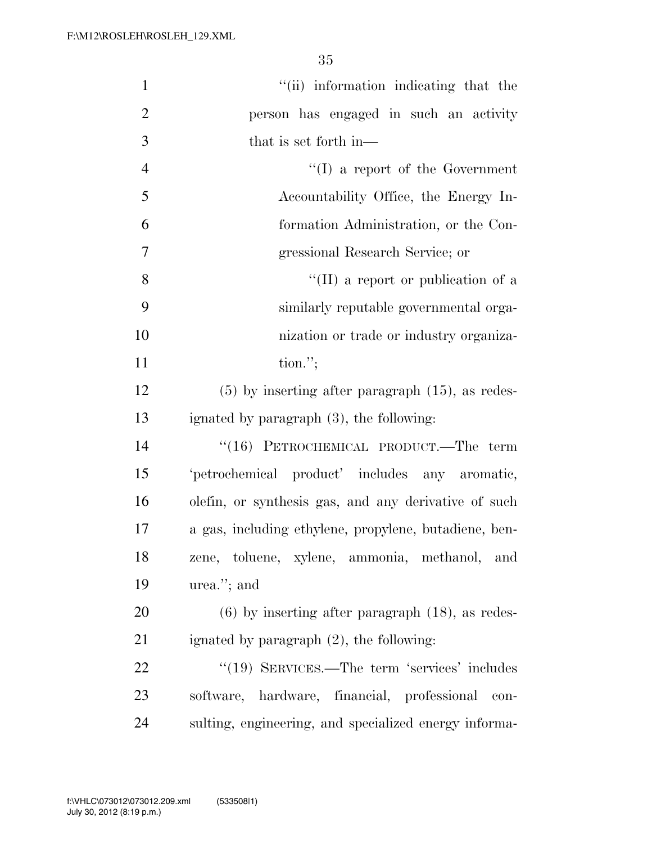| $\mathbf{1}$   | "(ii) information indicating that the                 |
|----------------|-------------------------------------------------------|
| $\overline{2}$ | person has engaged in such an activity                |
| 3              | that is set forth in—                                 |
| $\overline{4}$ | $\lq\lq$ a report of the Government                   |
| 5              | Accountability Office, the Energy In-                 |
| 6              | formation Administration, or the Con-                 |
| $\overline{7}$ | gressional Research Service; or                       |
| 8              | "(II) a report or publication of a                    |
| 9              | similarly reputable governmental orga-                |
| 10             | nization or trade or industry organiza-               |
| 11             | $\text{tion."};$                                      |
| 12             | $(5)$ by inserting after paragraph $(15)$ , as redes- |
| 13             | ignated by paragraph (3), the following:              |
| 14             | $``(16)$ PETROCHEMICAL PRODUCT.—The term              |
| 15             | 'petrochemical product' includes any aromatic,        |
| 16             | olefin, or synthesis gas, and any derivative of such  |
| 17             | a gas, including ethylene, propylene, butadiene, ben- |
| 18             | zene, toluene, xylene, ammonia, methanol, and         |
| 19             | urea."; and                                           |
| 20             | $(6)$ by inserting after paragraph $(18)$ , as redes- |
| 21             | ignated by paragraph $(2)$ , the following:           |
| 22             | "(19) SERVICES.—The term 'services' includes          |
| 23             | software, hardware, financial, professional<br>con-   |
| 24             | sulting, engineering, and specialized energy informa- |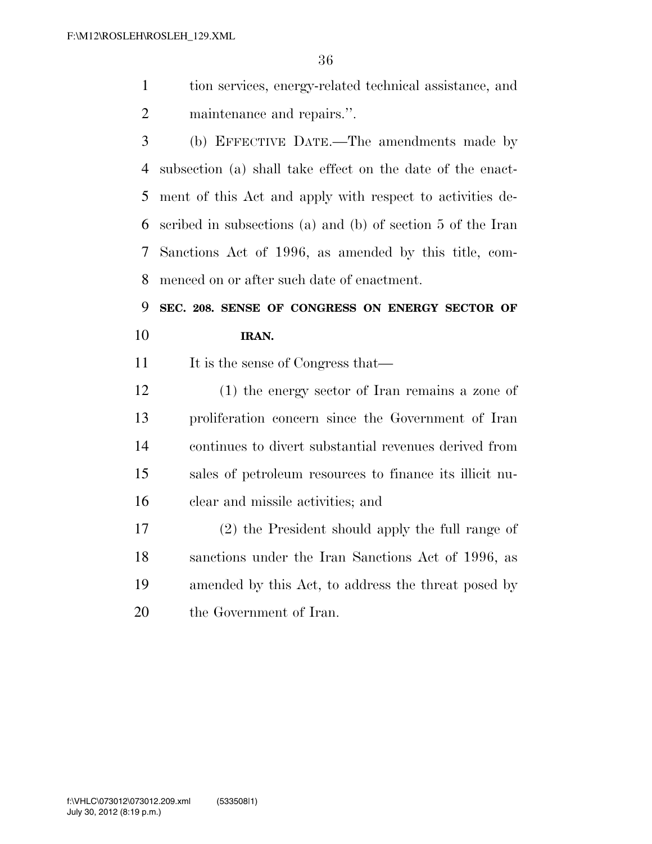- tion services, energy-related technical assistance, and maintenance and repairs.''.
- (b) EFFECTIVE DATE.—The amendments made by subsection (a) shall take effect on the date of the enact- ment of this Act and apply with respect to activities de- scribed in subsections (a) and (b) of section 5 of the Iran Sanctions Act of 1996, as amended by this title, com-menced on or after such date of enactment.

 **SEC. 208. SENSE OF CONGRESS ON ENERGY SECTOR OF IRAN.** 

11 It is the sense of Congress that—

 (1) the energy sector of Iran remains a zone of proliferation concern since the Government of Iran continues to divert substantial revenues derived from sales of petroleum resources to finance its illicit nu-clear and missile activities; and

 (2) the President should apply the full range of sanctions under the Iran Sanctions Act of 1996, as amended by this Act, to address the threat posed by the Government of Iran.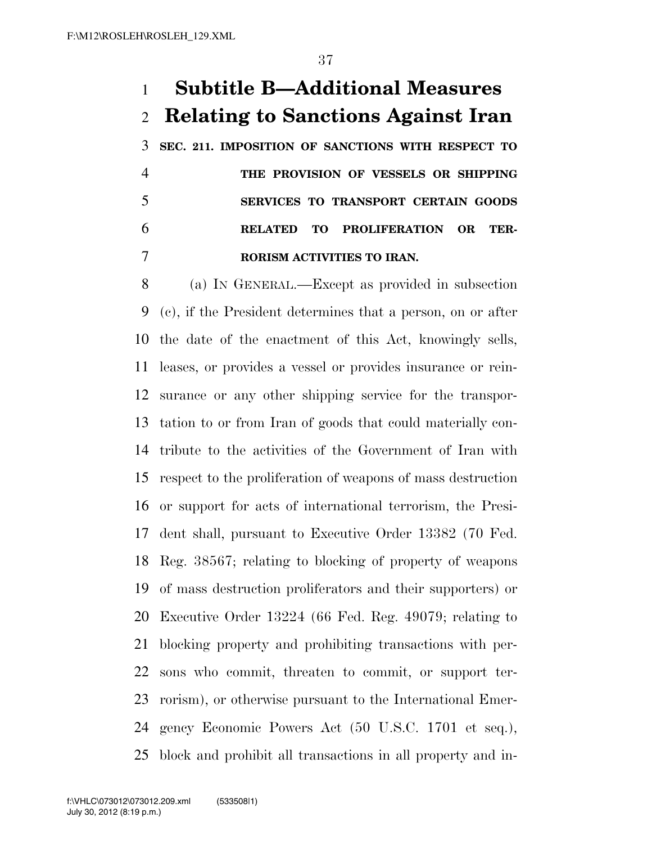### **Subtitle B—Additional Measures Relating to Sanctions Against Iran**

 **SEC. 211. IMPOSITION OF SANCTIONS WITH RESPECT TO THE PROVISION OF VESSELS OR SHIPPING SERVICES TO TRANSPORT CERTAIN GOODS RELATED TO PROLIFERATION OR TER-RORISM ACTIVITIES TO IRAN.** 

 (a) IN GENERAL.—Except as provided in subsection (c), if the President determines that a person, on or after the date of the enactment of this Act, knowingly sells, leases, or provides a vessel or provides insurance or rein- surance or any other shipping service for the transpor- tation to or from Iran of goods that could materially con- tribute to the activities of the Government of Iran with respect to the proliferation of weapons of mass destruction or support for acts of international terrorism, the Presi- dent shall, pursuant to Executive Order 13382 (70 Fed. Reg. 38567; relating to blocking of property of weapons of mass destruction proliferators and their supporters) or Executive Order 13224 (66 Fed. Reg. 49079; relating to blocking property and prohibiting transactions with per- sons who commit, threaten to commit, or support ter- rorism), or otherwise pursuant to the International Emer- gency Economic Powers Act (50 U.S.C. 1701 et seq.), block and prohibit all transactions in all property and in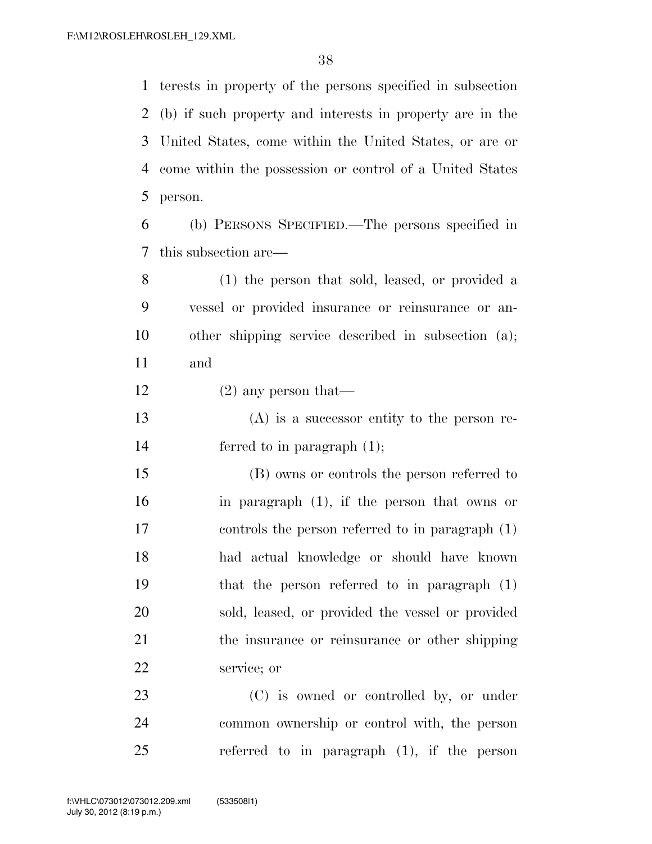terests in property of the persons specified in subsection (b) if such property and interests in property are in the United States, come within the United States, or are or come within the possession or control of a United States person.

 (b) PERSONS SPECIFIED.—The persons specified in this subsection are—

 (1) the person that sold, leased, or provided a vessel or provided insurance or reinsurance or an- other shipping service described in subsection (a); and

12 (2) any person that

 (A) is a successor entity to the person re-ferred to in paragraph (1);

 (B) owns or controls the person referred to in paragraph (1), if the person that owns or controls the person referred to in paragraph (1) had actual knowledge or should have known that the person referred to in paragraph (1) sold, leased, or provided the vessel or provided the insurance or reinsurance or other shipping service; or

 (C) is owned or controlled by, or under common ownership or control with, the person referred to in paragraph (1), if the person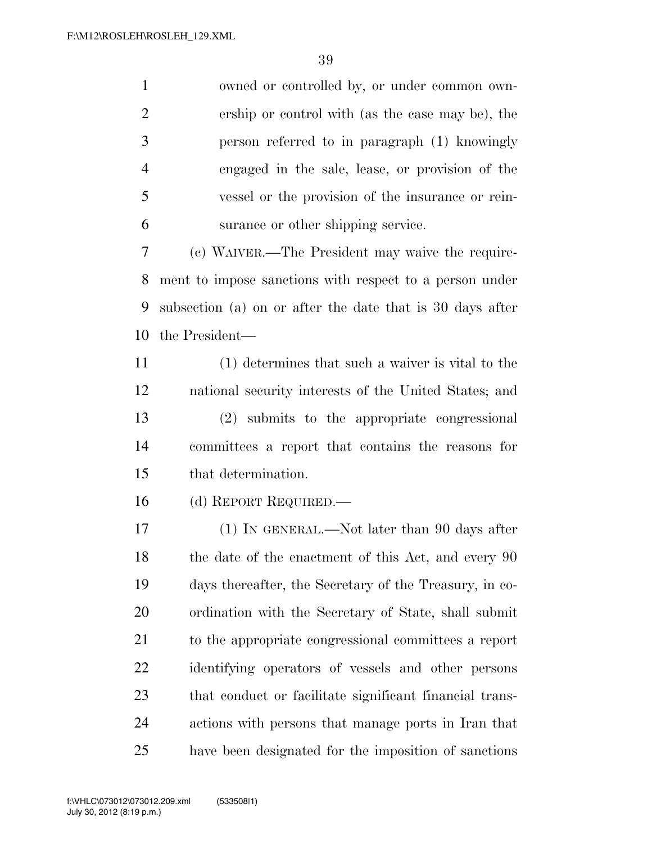| $\mathbf{1}$   | owned or controlled by, or under common own-              |
|----------------|-----------------------------------------------------------|
| $\overline{2}$ | ership or control with (as the case may be), the          |
| 3              | person referred to in paragraph (1) knowingly             |
| $\overline{4}$ | engaged in the sale, lease, or provision of the           |
| 5              | vessel or the provision of the insurance or rein-         |
| 6              | surance or other shipping service.                        |
| 7              | (c) WAIVER.—The President may waive the require-          |
| 8              | ment to impose sanctions with respect to a person under   |
| 9              | subsection (a) on or after the date that is 30 days after |
| 10             | the President—                                            |
| 11             | (1) determines that such a waiver is vital to the         |
| 12             | national security interests of the United States; and     |
| 13             | (2) submits to the appropriate congressional              |
| 14             | committees a report that contains the reasons for         |
| 15             | that determination.                                       |
| 16             | (d) REPORT REQUIRED.—                                     |
| 17             | (1) IN GENERAL.—Not later than 90 days after              |
| 18             | the date of the enactment of this Act, and every 90       |
| 19             | days thereafter, the Secretary of the Treasury, in co-    |
| 20             | ordination with the Secretary of State, shall submit      |
| 21             | to the appropriate congressional committees a report      |
| 22             | identifying operators of vessels and other persons        |
| 23             | that conduct or facilitate significant financial trans-   |
| 24             | actions with persons that manage ports in Iran that       |
| 25             | have been designated for the imposition of sanctions      |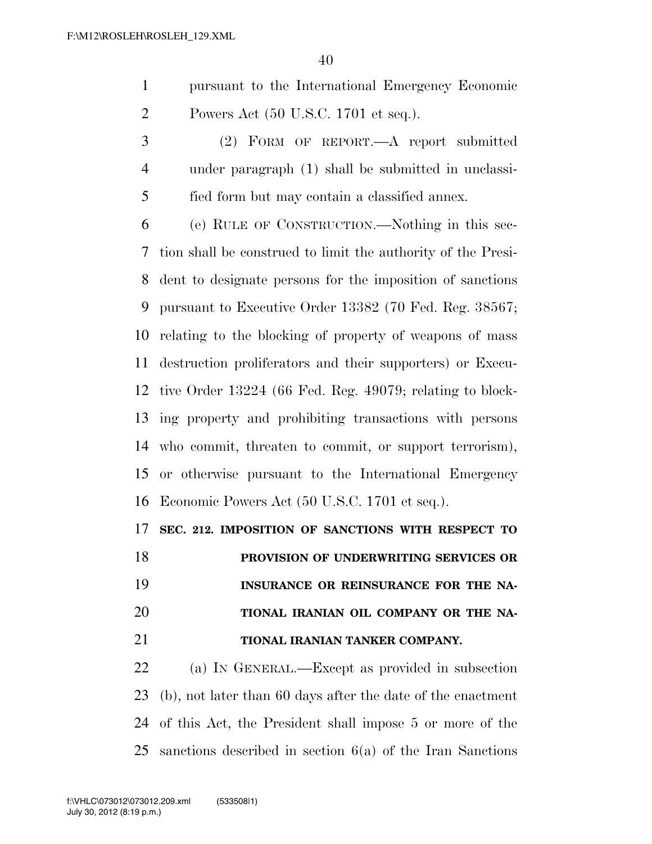pursuant to the International Emergency Economic Powers Act (50 U.S.C. 1701 et seq.).

 (2) FORM OF REPORT.—A report submitted under paragraph (1) shall be submitted in unclassi-fied form but may contain a classified annex.

 (e) RULE OF CONSTRUCTION.—Nothing in this sec- tion shall be construed to limit the authority of the Presi- dent to designate persons for the imposition of sanctions pursuant to Executive Order 13382 (70 Fed. Reg. 38567; relating to the blocking of property of weapons of mass destruction proliferators and their supporters) or Execu- tive Order 13224 (66 Fed. Reg. 49079; relating to block- ing property and prohibiting transactions with persons who commit, threaten to commit, or support terrorism), or otherwise pursuant to the International Emergency Economic Powers Act (50 U.S.C. 1701 et seq.).

**SEC. 212. IMPOSITION OF SANCTIONS WITH RESPECT TO** 

 **PROVISION OF UNDERWRITING SERVICES OR INSURANCE OR REINSURANCE FOR THE NA- TIONAL IRANIAN OIL COMPANY OR THE NA-TIONAL IRANIAN TANKER COMPANY.** 

 (a) IN GENERAL.—Except as provided in subsection (b), not later than 60 days after the date of the enactment of this Act, the President shall impose 5 or more of the sanctions described in section 6(a) of the Iran Sanctions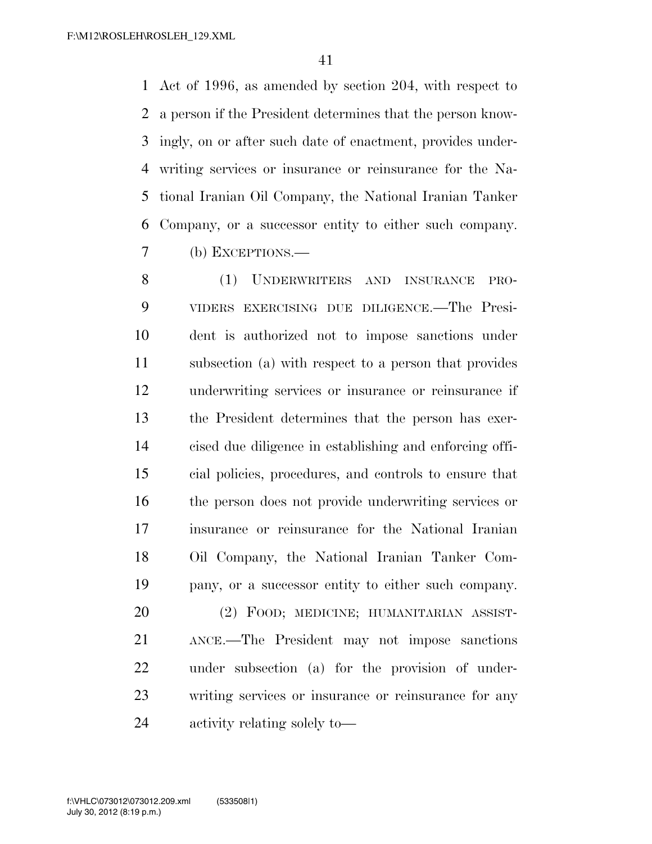Act of 1996, as amended by section 204, with respect to a person if the President determines that the person know- ingly, on or after such date of enactment, provides under- writing services or insurance or reinsurance for the Na- tional Iranian Oil Company, the National Iranian Tanker Company, or a successor entity to either such company. (b) EXCEPTIONS.—

 (1) UNDERWRITERS AND INSURANCE PRO- VIDERS EXERCISING DUE DILIGENCE.—The Presi- dent is authorized not to impose sanctions under subsection (a) with respect to a person that provides underwriting services or insurance or reinsurance if the President determines that the person has exer- cised due diligence in establishing and enforcing offi- cial policies, procedures, and controls to ensure that the person does not provide underwriting services or insurance or reinsurance for the National Iranian Oil Company, the National Iranian Tanker Com- pany, or a successor entity to either such company. (2) FOOD; MEDICINE; HUMANITARIAN ASSIST-

 ANCE.—The President may not impose sanctions under subsection (a) for the provision of under- writing services or insurance or reinsurance for any activity relating solely to—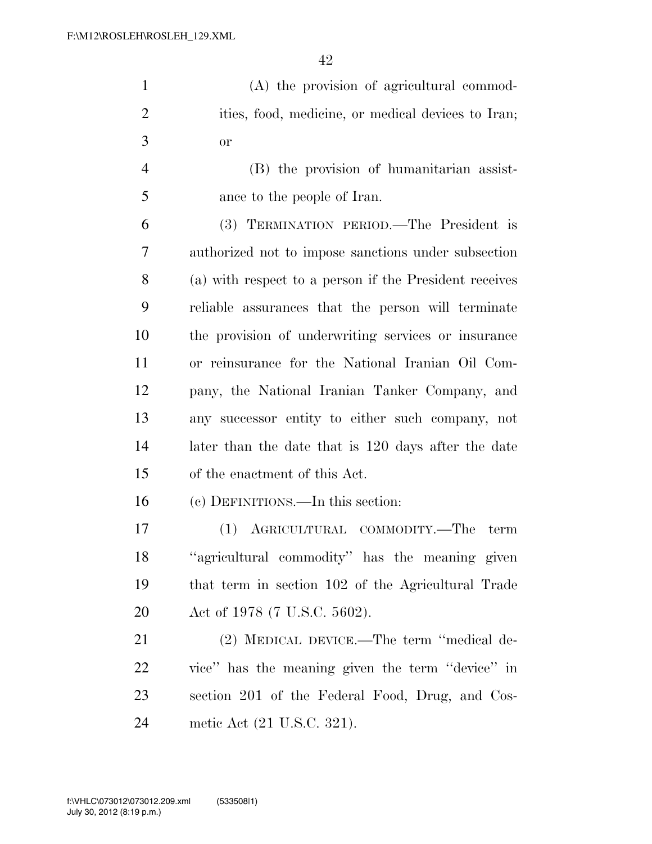(A) the provision of agricultural commod-2 ities, food, medicine, or medical devices to Iran; or

 (B) the provision of humanitarian assist-ance to the people of Iran.

 (3) TERMINATION PERIOD.—The President is authorized not to impose sanctions under subsection (a) with respect to a person if the President receives reliable assurances that the person will terminate the provision of underwriting services or insurance or reinsurance for the National Iranian Oil Com- pany, the National Iranian Tanker Company, and any successor entity to either such company, not later than the date that is 120 days after the date of the enactment of this Act.

(c) DEFINITIONS.—In this section:

 (1) AGRICULTURAL COMMODITY.—The term ''agricultural commodity'' has the meaning given that term in section 102 of the Agricultural Trade Act of 1978 (7 U.S.C. 5602).

 (2) MEDICAL DEVICE.—The term ''medical de- vice'' has the meaning given the term ''device'' in section 201 of the Federal Food, Drug, and Cos-metic Act (21 U.S.C. 321).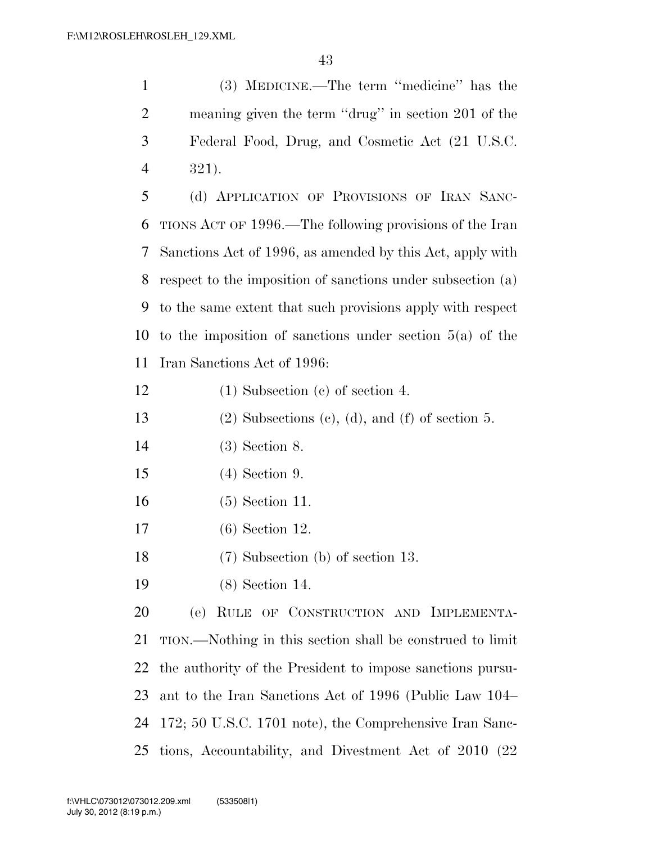| $\mathbf{1}$   | (3) MEDICINE.—The term "medicine" has the                   |
|----------------|-------------------------------------------------------------|
| $\overline{2}$ | meaning given the term "drug" in section 201 of the         |
| 3              | Federal Food, Drug, and Cosmetic Act (21 U.S.C.             |
| 4              | 321).                                                       |
| 5              | (d) APPLICATION OF PROVISIONS OF IRAN SANC-                 |
| 6              | TIONS ACT OF 1996.—The following provisions of the Iran     |
| 7              | Sanctions Act of 1996, as amended by this Act, apply with   |
| 8              | respect to the imposition of sanctions under subsection (a) |
| 9              | to the same extent that such provisions apply with respect  |
| 10             | to the imposition of sanctions under section $5(a)$ of the  |
| 11             | Iran Sanctions Act of 1996:                                 |
| 12             | $(1)$ Subsection $(e)$ of section 4.                        |
| 13             | $(2)$ Subsections $(c)$ , $(d)$ , and $(f)$ of section 5.   |
| 14             | $(3)$ Section 8.                                            |
| 15             | $(4)$ Section 9.                                            |
| 16             | $(5)$ Section 11.                                           |
| 17             | $(6)$ Section 12.                                           |
| 18             | $(7)$ Subsection (b) of section 13.                         |
| 19             | $(8)$ Section 14.                                           |
| 20             | (e) RULE OF CONSTRUCTION AND IMPLEMENTA-                    |
| 21             | TION.—Nothing in this section shall be construed to limit   |
| 22             | the authority of the President to impose sanctions pursu-   |
| 23             | ant to the Iran Sanctions Act of 1996 (Public Law 104–      |
| 24             | 172; 50 U.S.C. 1701 note), the Comprehensive Iran Sanc-     |
| 25             | tions, Accountability, and Divestment Act of 2010 (22)      |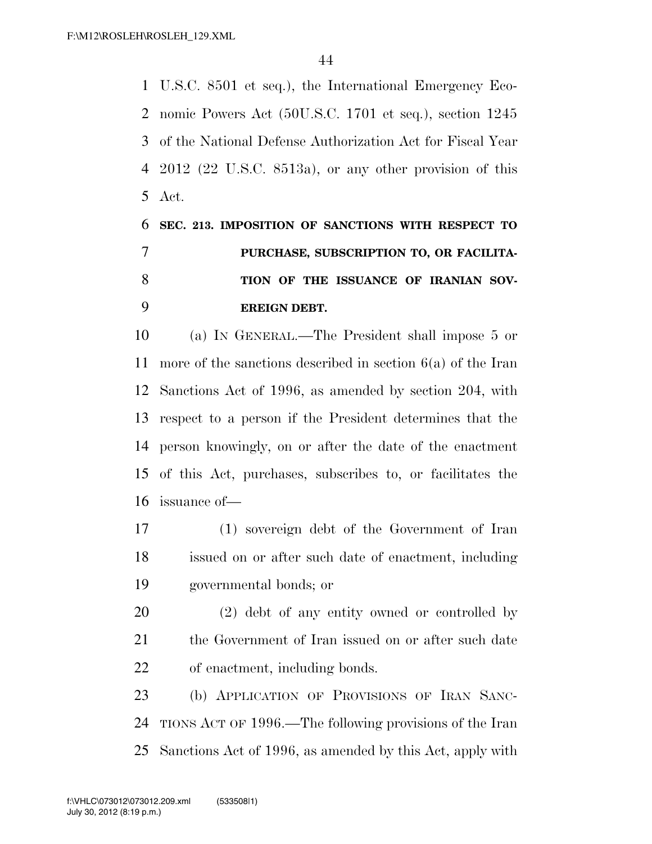U.S.C. 8501 et seq.), the International Emergency Eco- nomic Powers Act (50U.S.C. 1701 et seq.), section 1245 of the National Defense Authorization Act for Fiscal Year 2012 (22 U.S.C. 8513a), or any other provision of this Act.

## **SEC. 213. IMPOSITION OF SANCTIONS WITH RESPECT TO PURCHASE, SUBSCRIPTION TO, OR FACILITA- TION OF THE ISSUANCE OF IRANIAN SOV-EREIGN DEBT.**

 (a) IN GENERAL.—The President shall impose 5 or more of the sanctions described in section 6(a) of the Iran Sanctions Act of 1996, as amended by section 204, with respect to a person if the President determines that the person knowingly, on or after the date of the enactment of this Act, purchases, subscribes to, or facilitates the issuance of—

- (1) sovereign debt of the Government of Iran issued on or after such date of enactment, including governmental bonds; or
- (2) debt of any entity owned or controlled by the Government of Iran issued on or after such date of enactment, including bonds.

 (b) APPLICATION OF PROVISIONS OF IRAN SANC- TIONS ACT OF 1996.—The following provisions of the Iran Sanctions Act of 1996, as amended by this Act, apply with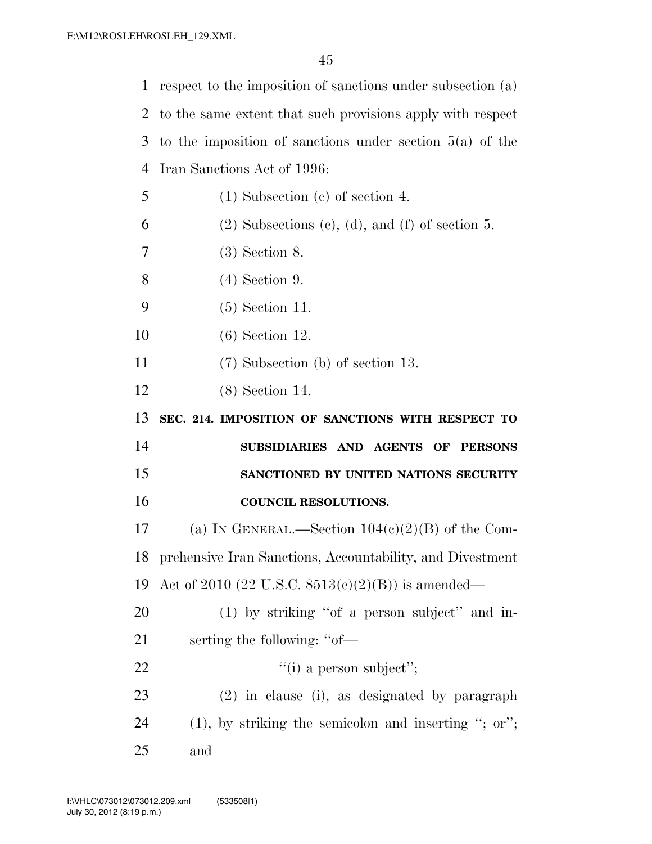| $\mathbf 1$ | respect to the imposition of sanctions under subsection (a)         |
|-------------|---------------------------------------------------------------------|
| 2           | to the same extent that such provisions apply with respect          |
| 3           | to the imposition of sanctions under section $5(a)$ of the          |
| 4           | Iran Sanctions Act of 1996:                                         |
| 5           | $(1)$ Subsection $(e)$ of section 4.                                |
| 6           | $(2)$ Subsections $(c)$ , $(d)$ , and $(f)$ of section 5.           |
| 7           | $(3)$ Section 8.                                                    |
| 8           | $(4)$ Section 9.                                                    |
| 9           | $(5)$ Section 11.                                                   |
| 10          | $(6)$ Section 12.                                                   |
| 11          | $(7)$ Subsection (b) of section 13.                                 |
| 12          | $(8)$ Section 14.                                                   |
|             |                                                                     |
| 13          | SEC. 214. IMPOSITION OF SANCTIONS WITH RESPECT TO                   |
| 14          | SUBSIDIARIES AND AGENTS<br>$\mathbf{O}\mathbf{F}$<br><b>PERSONS</b> |
| 15          | SANCTIONED BY UNITED NATIONS SECURITY                               |
| 16          | <b>COUNCIL RESOLUTIONS.</b>                                         |
| 17          | (a) IN GENERAL.—Section $104(c)(2)(B)$ of the Com-                  |
| 18          | prehensive Iran Sanctions, Accountability, and Divestment           |
| 19          | Act of 2010 (22 U.S.C. $8513(c)(2)(B)$ ) is amended—                |
| 20          | (1) by striking "of a person subject" and in-                       |
| 21          | serting the following: "of—                                         |
| 22          | $"$ (i) a person subject";                                          |
| 23          | $(2)$ in clause (i), as designated by paragraph                     |
| 24          | $(1)$ , by striking the semicolon and inserting "; or";             |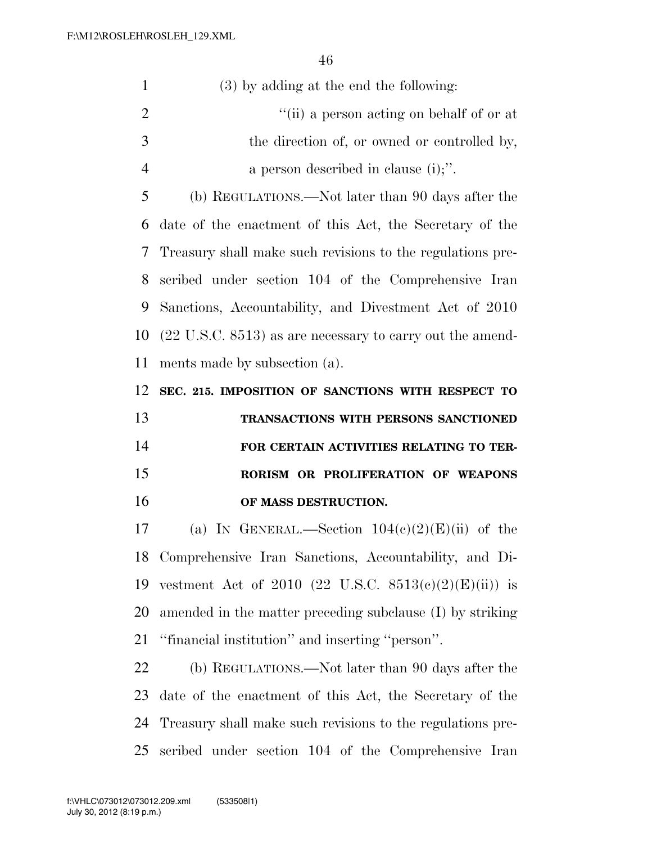| $\mathbf{1}$   | (3) by adding at the end the following:                              |
|----------------|----------------------------------------------------------------------|
| $\overline{2}$ | "(ii) a person acting on behalf of or at                             |
| 3              | the direction of, or owned or controlled by,                         |
| $\overline{4}$ | a person described in clause $(i)$ ;".                               |
| 5              | (b) REGULATIONS.—Not later than 90 days after the                    |
| 6              | date of the enactment of this Act, the Secretary of the              |
| 7              | Treasury shall make such revisions to the regulations pre-           |
| 8              | scribed under section 104 of the Comprehensive Iran                  |
| 9              | Sanctions, Accountability, and Divestment Act of 2010                |
| 10             | $(22 \text{ U.S.C. } 8513)$ as are necessary to carry out the amend- |
| 11             | ments made by subsection (a).                                        |
| 12             | SEC. 215. IMPOSITION OF SANCTIONS WITH RESPECT TO                    |
| 13             | TRANSACTIONS WITH PERSONS SANCTIONED                                 |
| 14             | FOR CERTAIN ACTIVITIES RELATING TO TER-                              |
| 15             | RORISM OR PROLIFERATION OF WEAPONS                                   |
|                |                                                                      |

**OF MASS DESTRUCTION.** 

17 (a) IN GENERAL.—Section  $104(c)(2)(E)(ii)$  of the Comprehensive Iran Sanctions, Accountability, and Di-19 vestment Act of 2010 (22 U.S.C.  $8513(c)(2)(E)(ii)$ ) is amended in the matter preceding subclause (I) by striking ''financial institution'' and inserting ''person''.

 (b) REGULATIONS.—Not later than 90 days after the date of the enactment of this Act, the Secretary of the Treasury shall make such revisions to the regulations pre-scribed under section 104 of the Comprehensive Iran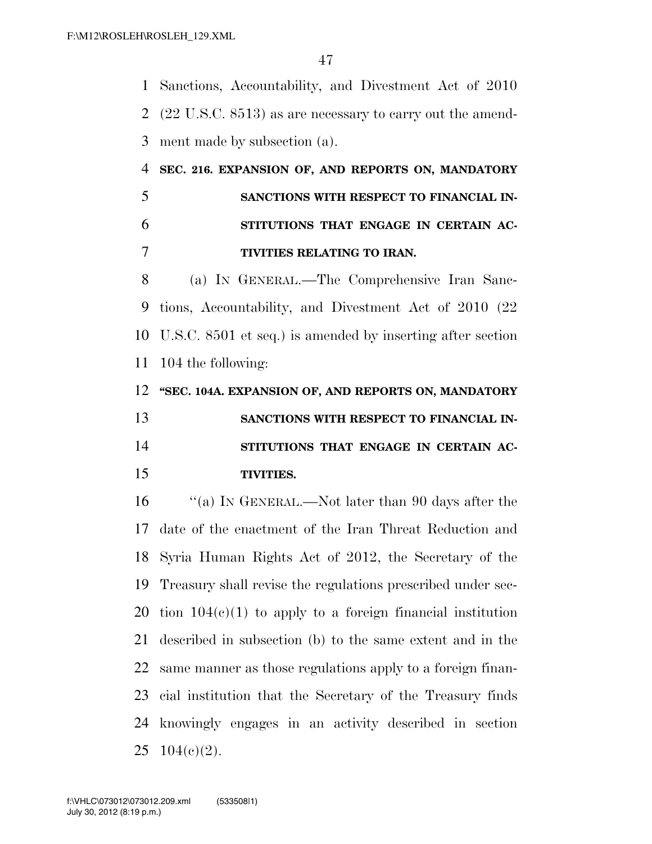Sanctions, Accountability, and Divestment Act of 2010 (22 U.S.C. 8513) as are necessary to carry out the amend-ment made by subsection (a).

# **SEC. 216. EXPANSION OF, AND REPORTS ON, MANDATORY SANCTIONS WITH RESPECT TO FINANCIAL IN- STITUTIONS THAT ENGAGE IN CERTAIN AC-TIVITIES RELATING TO IRAN.**

 (a) IN GENERAL.—The Comprehensive Iran Sanc- tions, Accountability, and Divestment Act of 2010 (22 U.S.C. 8501 et seq.) is amended by inserting after section 104 the following:

 **''SEC. 104A. EXPANSION OF, AND REPORTS ON, MANDATORY SANCTIONS WITH RESPECT TO FINANCIAL IN- STITUTIONS THAT ENGAGE IN CERTAIN AC-TIVITIES.** 

 ''(a) IN GENERAL.—Not later than 90 days after the date of the enactment of the Iran Threat Reduction and Syria Human Rights Act of 2012, the Secretary of the Treasury shall revise the regulations prescribed under sec-20 tion  $104(c)(1)$  to apply to a foreign financial institution described in subsection (b) to the same extent and in the same manner as those regulations apply to a foreign finan- cial institution that the Secretary of the Treasury finds knowingly engages in an activity described in section  $104(e)(2)$ .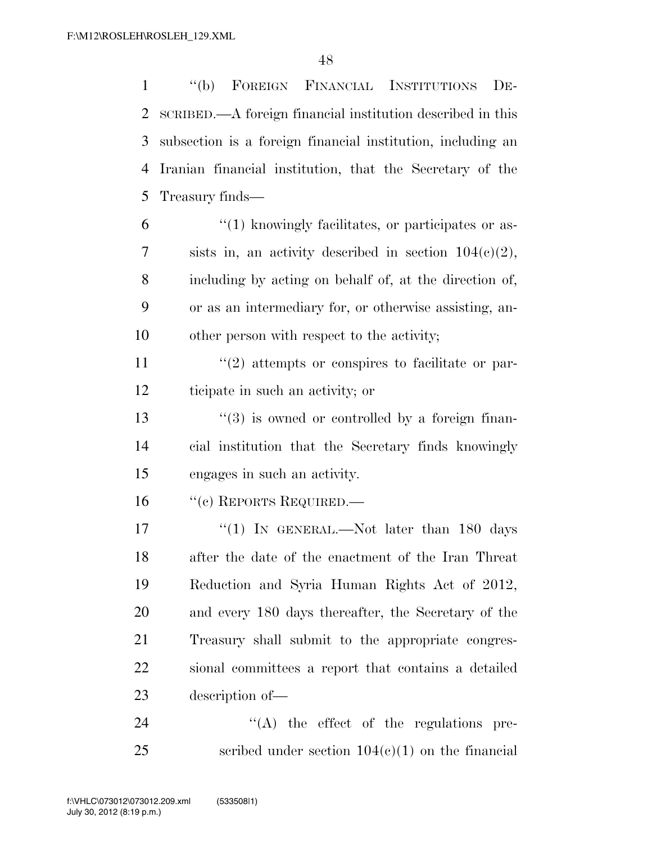''(b) FOREIGN FINANCIAL INSTITUTIONS DE- SCRIBED.—A foreign financial institution described in this subsection is a foreign financial institution, including an Iranian financial institution, that the Secretary of the Treasury finds—

 $\frac{6}{1}$  ''(1) knowingly facilitates, or participates or as-7 sists in, an activity described in section  $104(c)(2)$ , including by acting on behalf of, at the direction of, or as an intermediary for, or otherwise assisting, an-other person with respect to the activity;

11 ''(2) attempts or conspires to facilitate or par-ticipate in such an activity; or

13 ''(3) is owned or controlled by a foreign finan- cial institution that the Secretary finds knowingly engages in such an activity.

16 "(c) REPORTS REQUIRED.—

17 "(1) In GENERAL.—Not later than 180 days after the date of the enactment of the Iran Threat Reduction and Syria Human Rights Act of 2012, and every 180 days thereafter, the Secretary of the Treasury shall submit to the appropriate congres- sional committees a report that contains a detailed description of—

24  $\langle (A)$  the effect of the regulations pre-25 scribed under section  $104(c)(1)$  on the financial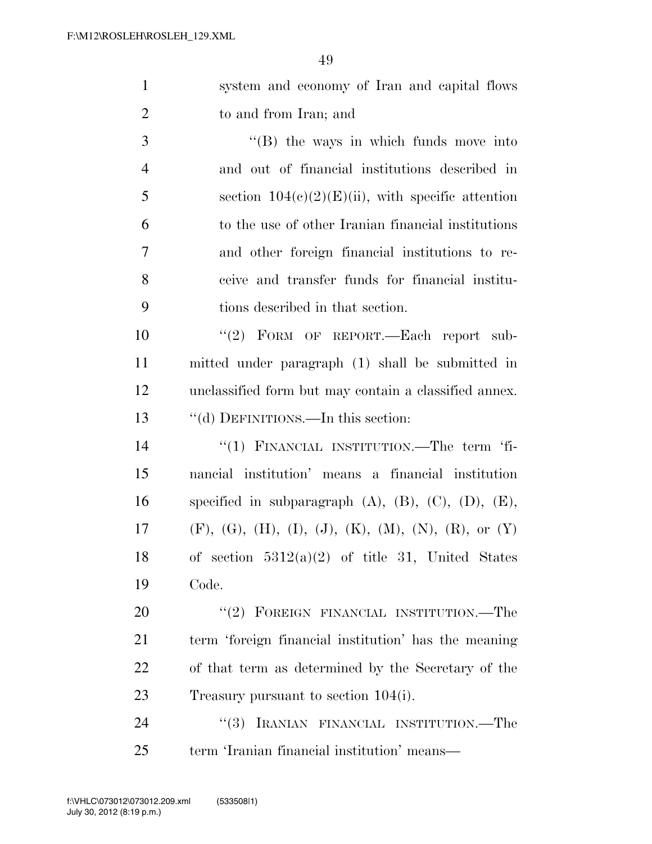| $\mathbf{1}$   | system and economy of Iran and capital flows                                     |
|----------------|----------------------------------------------------------------------------------|
| $\overline{2}$ | to and from Iran; and                                                            |
| 3              | $\lq\lq$ (B) the ways in which funds move into                                   |
| $\overline{4}$ | and out of financial institutions described in                                   |
| 5              | section $104(c)(2)(E)(ii)$ , with specific attention                             |
| 6              | to the use of other Iranian financial institutions                               |
| 7              | and other foreign financial institutions to re-                                  |
| 8              | ceive and transfer funds for financial institu-                                  |
| 9              | tions described in that section.                                                 |
| 10             | "(2) FORM OF REPORT.—Each report sub-                                            |
| 11             | mitted under paragraph (1) shall be submitted in                                 |
| 12             | unclassified form but may contain a classified annex.                            |
| 13             | "(d) DEFINITIONS.—In this section:                                               |
| 14             | "(1) FINANCIAL INSTITUTION.—The term 'fi-                                        |
| 15             | nancial institution' means a financial institution                               |
| 16             | specified in subparagraph $(A)$ , $(B)$ , $(C)$ , $(D)$ , $(E)$ ,                |
| 17             | $(F)$ , $(G)$ , $(H)$ , $(I)$ , $(J)$ , $(K)$ , $(M)$ , $(N)$ , $(R)$ , or $(Y)$ |
| 18             | of section $5312(a)(2)$ of title 31, United States                               |
| 19             | Code.                                                                            |
| 20             | $``(2)$ FOREIGN FINANCIAL INSTITUTION.—The                                       |
| 21             | term 'foreign financial institution' has the meaning                             |
| <u>22</u>      | of that term as determined by the Secretary of the                               |
| 23             | Treasury pursuant to section 104(i).                                             |
| 24             | "(3) IRANIAN FINANCIAL INSTITUTION.—The                                          |

term 'Iranian financial institution' means—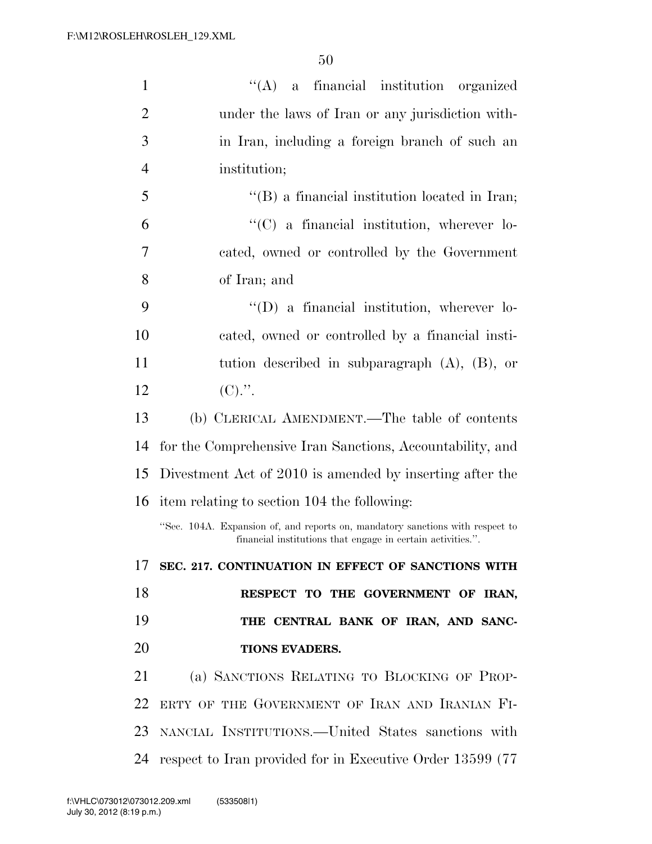| $\mathbf{1}$   | "(A) a financial institution organized                                                                                                       |
|----------------|----------------------------------------------------------------------------------------------------------------------------------------------|
| $\overline{2}$ | under the laws of Iran or any jurisdiction with-                                                                                             |
| 3              | in Iran, including a foreign branch of such an                                                                                               |
| $\overline{4}$ | institution;                                                                                                                                 |
| 5              | $\lq\lq (B)$ a financial institution located in Iran;                                                                                        |
| 6              | $\lq\lq$ (C) a financial institution, wherever lo-                                                                                           |
| 7              | cated, owned or controlled by the Government                                                                                                 |
| 8              | of Iran; and                                                                                                                                 |
| 9              | $\lq\lq$ (D) a financial institution, wherever lo-                                                                                           |
| 10             | cated, owned or controlled by a financial insti-                                                                                             |
| 11             | tution described in subparagraph $(A)$ , $(B)$ , or                                                                                          |
| 12             | $(C).$ ".                                                                                                                                    |
| 13             | (b) CLERICAL AMENDMENT.—The table of contents                                                                                                |
| 14             | for the Comprehensive Iran Sanctions, Accountability, and                                                                                    |
| 15             | Divestment Act of 2010 is amended by inserting after the                                                                                     |
| 16             | item relating to section 104 the following:                                                                                                  |
|                | "Sec. 104A. Expansion of, and reports on, mandatory sanctions with respect to<br>financial institutions that engage in certain activities.". |
|                | 17 SEC. 217. CONTINUATION IN EFFECT OF SANCTIONS WITH                                                                                        |
| 18             | RESPECT TO THE GOVERNMENT OF IRAN,                                                                                                           |
|                |                                                                                                                                              |
| 19             | THE CENTRAL BANK OF IRAN, AND SANC-                                                                                                          |
| 20             | <b>TIONS EVADERS.</b>                                                                                                                        |
| 21             | (a) SANCTIONS RELATING TO BLOCKING OF PROP-                                                                                                  |
| 22             | ERTY OF THE GOVERNMENT OF IRAN AND IRANIAN FI-                                                                                               |
| 23             | NANCIAL INSTITUTIONS.—United States sanctions with                                                                                           |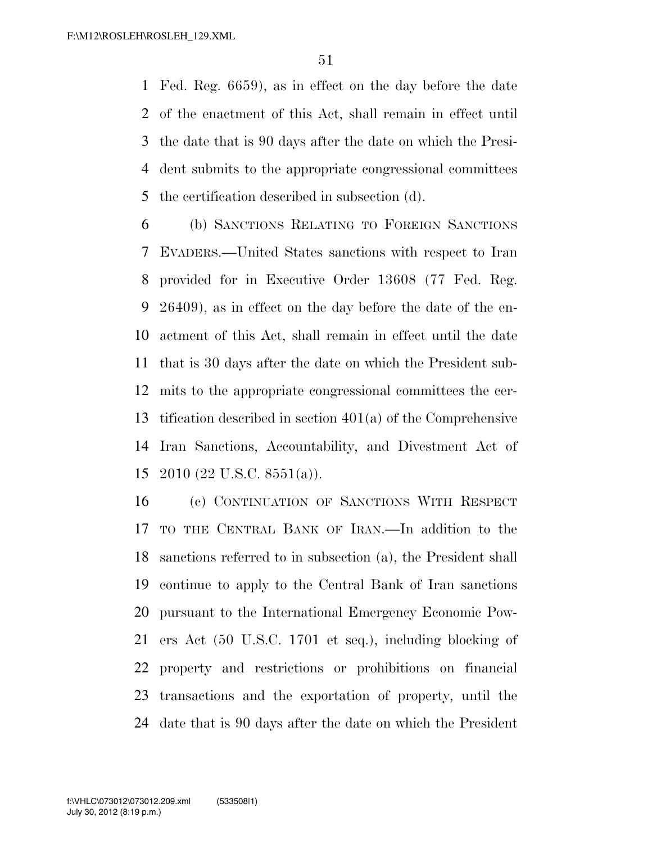Fed. Reg. 6659), as in effect on the day before the date of the enactment of this Act, shall remain in effect until the date that is 90 days after the date on which the Presi- dent submits to the appropriate congressional committees the certification described in subsection (d).

 (b) SANCTIONS RELATING TO FOREIGN SANCTIONS EVADERS.—United States sanctions with respect to Iran provided for in Executive Order 13608 (77 Fed. Reg. 26409), as in effect on the day before the date of the en- actment of this Act, shall remain in effect until the date that is 30 days after the date on which the President sub- mits to the appropriate congressional committees the cer- tification described in section 401(a) of the Comprehensive Iran Sanctions, Accountability, and Divestment Act of 2010 (22 U.S.C. 8551(a)).

 (c) CONTINUATION OF SANCTIONS WITH RESPECT TO THE CENTRAL BANK OF IRAN.—In addition to the sanctions referred to in subsection (a), the President shall continue to apply to the Central Bank of Iran sanctions pursuant to the International Emergency Economic Pow- ers Act (50 U.S.C. 1701 et seq.), including blocking of property and restrictions or prohibitions on financial transactions and the exportation of property, until the date that is 90 days after the date on which the President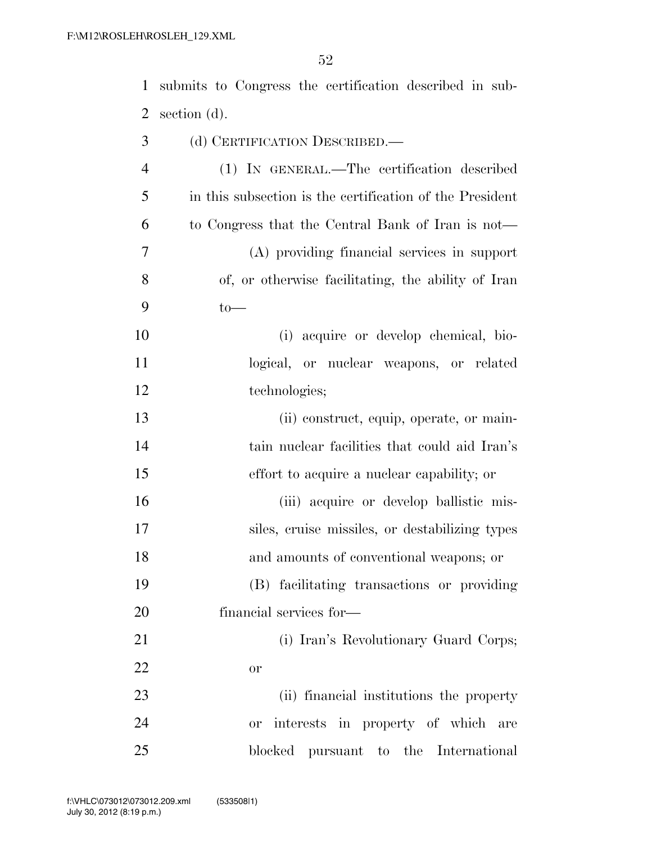| $\mathbf{1}$   | submits to Congress the certification described in sub-  |
|----------------|----------------------------------------------------------|
| $\overline{2}$ | section (d).                                             |
| 3              | (d) CERTIFICATION DESCRIBED.—                            |
| $\overline{4}$ | (1) IN GENERAL.—The certification described              |
| 5              | in this subsection is the certification of the President |
| 6              | to Congress that the Central Bank of Iran is not—        |
| 7              | (A) providing financial services in support              |
| 8              | of, or otherwise facilitating, the ability of Iran       |
| 9              | $to-$                                                    |
| 10             | (i) acquire or develop chemical, bio-                    |
| 11             | logical, or nuclear weapons, or related                  |
| 12             | technologies;                                            |
| 13             | (ii) construct, equip, operate, or main-                 |
| 14             | tain nuclear facilities that could aid Iran's            |
| 15             | effort to acquire a nuclear capability; or               |
| 16             | (iii) acquire or develop ballistic mis-                  |
| 17             | siles, cruise missiles, or destabilizing types           |
| 18             | and amounts of conventional weapons; or                  |

 (B) facilitating transactions or providing financial services for—

 (i) Iran's Revolutionary Guard Corps; or

 (ii) financial institutions the property or interests in property of which are blocked pursuant to the International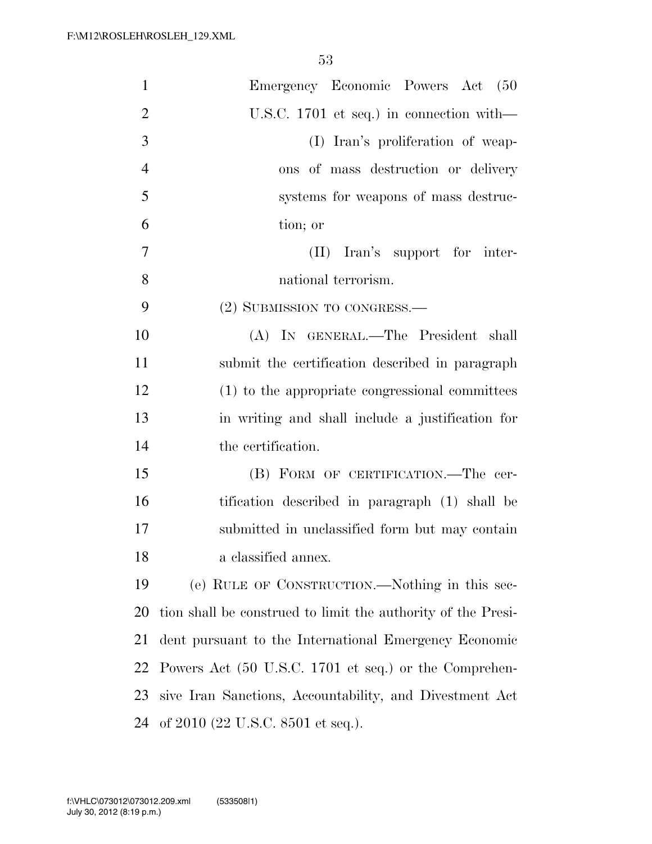| $\mathbf{1}$   | Emergency Economic Powers Act (50                            |
|----------------|--------------------------------------------------------------|
| $\overline{2}$ | U.S.C. 1701 et seq.) in connection with—                     |
| 3              | (I) Iran's proliferation of weap-                            |
| $\overline{4}$ | ons of mass destruction or delivery                          |
| 5              | systems for weapons of mass destruc-                         |
| 6              | tion; or                                                     |
| 7              | Iran's support for inter-<br>(II)                            |
| 8              | national terrorism.                                          |
| 9              | (2) SUBMISSION TO CONGRESS.—                                 |
| 10             | (A) IN GENERAL.—The President shall                          |
| 11             | submit the certification described in paragraph              |
| 12             | (1) to the appropriate congressional committees              |
| 13             | in writing and shall include a justification for             |
| 14             | the certification.                                           |
| 15             | (B) FORM OF CERTIFICATION.—The cer-                          |
| 16             | tification described in paragraph (1) shall be               |
| 17             | submitted in unclassified form but may contain               |
| 18             | a classified annex.                                          |
| 19             | (e) RULE OF CONSTRUCTION.—Nothing in this sec-               |
| <b>20</b>      | tion shall be construed to limit the authority of the Presi- |
| 21             | dent pursuant to the International Emergency Economic        |
| 22             | Powers Act (50 U.S.C. 1701 et seq.) or the Comprehen-        |
| 23             | sive Iran Sanctions, Accountability, and Divestment Act      |
| 24             | of $2010$ (22 U.S.C. 8501 et seq.).                          |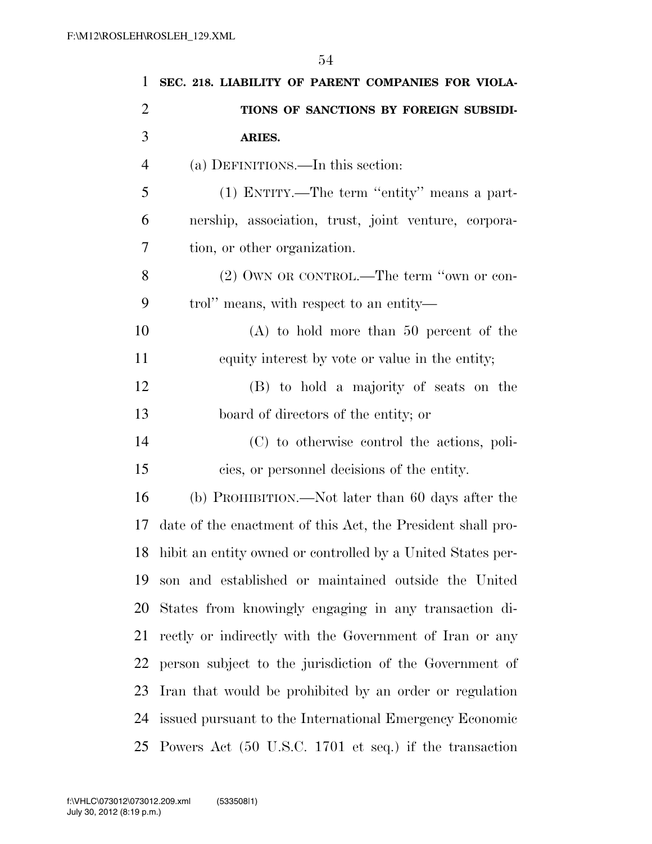| 1              | SEC. 218. LIABILITY OF PARENT COMPANIES FOR VIOLA-          |
|----------------|-------------------------------------------------------------|
| $\overline{2}$ | TIONS OF SANCTIONS BY FOREIGN SUBSIDI-                      |
| 3              | ARIES.                                                      |
| $\overline{4}$ | (a) DEFINITIONS.—In this section:                           |
| 5              | (1) ENTITY.—The term "entity" means a part-                 |
| 6              | nership, association, trust, joint venture, corpora-        |
| 7              | tion, or other organization.                                |
| 8              | (2) OWN OR CONTROL.—The term "own or con-                   |
| 9              | trol" means, with respect to an entity—                     |
| 10             | $(A)$ to hold more than 50 percent of the                   |
| 11             | equity interest by vote or value in the entity;             |
| 12             | (B) to hold a majority of seats on the                      |
| 13             | board of directors of the entity; or                        |
| 14             | (C) to otherwise control the actions, poli-                 |
| 15             | cies, or personnel decisions of the entity.                 |
| 16             | (b) PROHIBITION.—Not later than 60 days after the           |
| 17             | date of the enactment of this Act, the President shall pro- |
| 18             | hibit an entity owned or controlled by a United States per- |
| 19             | son and established or maintained outside the United        |
| 20             | States from knowingly engaging in any transaction di-       |
| 21             | rectly or indirectly with the Government of Iran or any     |
| 22             | person subject to the jurisdiction of the Government of     |
| 23             | Iran that would be prohibited by an order or regulation     |
| 24             | issued pursuant to the International Emergency Economic     |
| 25             | Powers Act (50 U.S.C. 1701 et seq.) if the transaction      |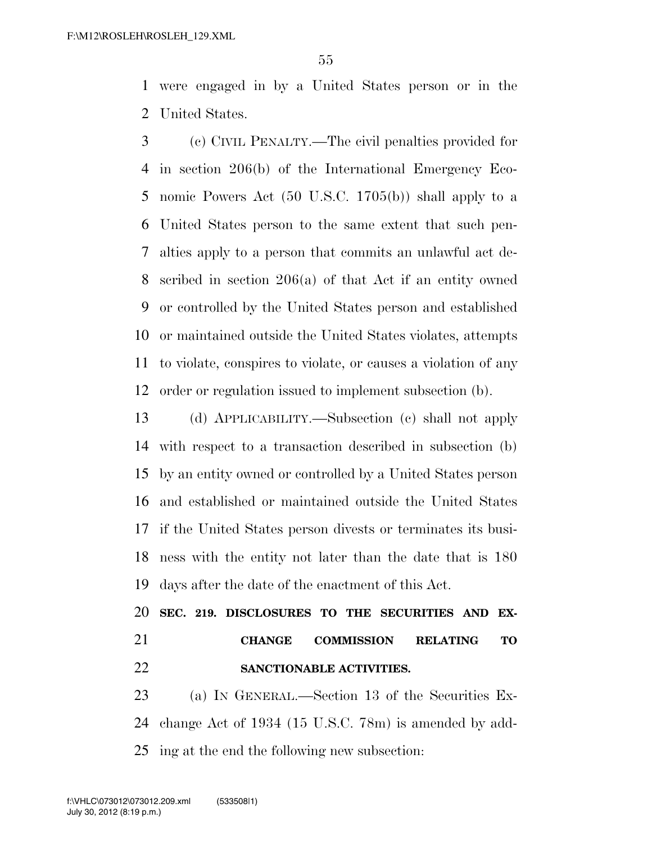were engaged in by a United States person or in the United States.

 (c) CIVIL PENALTY.—The civil penalties provided for in section 206(b) of the International Emergency Eco- nomic Powers Act (50 U.S.C. 1705(b)) shall apply to a United States person to the same extent that such pen- alties apply to a person that commits an unlawful act de- scribed in section 206(a) of that Act if an entity owned or controlled by the United States person and established or maintained outside the United States violates, attempts to violate, conspires to violate, or causes a violation of any order or regulation issued to implement subsection (b).

 (d) APPLICABILITY.—Subsection (c) shall not apply with respect to a transaction described in subsection (b) by an entity owned or controlled by a United States person and established or maintained outside the United States if the United States person divests or terminates its busi- ness with the entity not later than the date that is 180 days after the date of the enactment of this Act.

 **SEC. 219. DISCLOSURES TO THE SECURITIES AND EX- CHANGE COMMISSION RELATING TO SANCTIONABLE ACTIVITIES.** 

23 (a) IN GENERAL.—Section 13 of the Securities Ex- change Act of 1934 (15 U.S.C. 78m) is amended by add-ing at the end the following new subsection: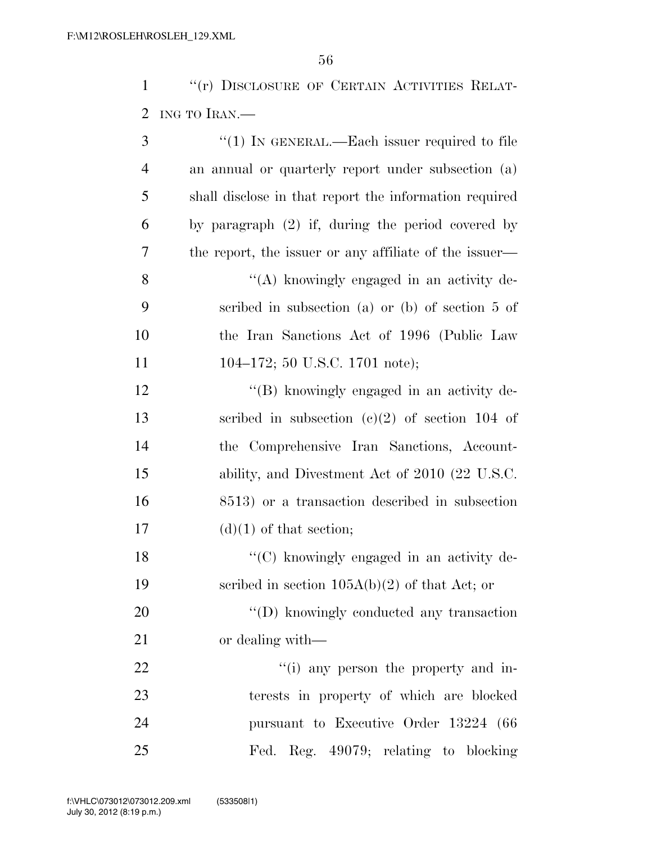1 "(r) DISCLOSURE OF CERTAIN ACTIVITIES RELAT-ING TO IRAN.—

| 3              | "(1) IN GENERAL.—Each issuer required to file          |
|----------------|--------------------------------------------------------|
| $\overline{4}$ | an annual or quarterly report under subsection (a)     |
| 5              | shall disclose in that report the information required |
| 6              | by paragraph (2) if, during the period covered by      |
| 7              | the report, the issuer or any affiliate of the issuer— |
| 8              | "(A) knowingly engaged in an activity de-              |
| 9              | scribed in subsection (a) or (b) of section 5 of       |
| 10             | the Iran Sanctions Act of 1996 (Public Law             |
| 11             | 104–172; 50 U.S.C. 1701 note);                         |
| 12             | "(B) knowingly engaged in an activity de-              |
| 13             | scribed in subsection $(c)(2)$ of section 104 of       |
| 14             | the Comprehensive Iran Sanctions, Account-             |
| 15             | ability, and Divestment Act of 2010 (22 U.S.C.         |
| 16             | 8513) or a transaction described in subsection         |
| 17             | $(d)(1)$ of that section;                              |
| 18             | "(C) knowingly engaged in an activity de-              |
| 19             | scribed in section $105A(b)(2)$ of that Act; or        |
| <b>20</b>      | "(D) knowingly conducted any transaction               |
| 21             | or dealing with—                                       |
| 22             | "(i) any person the property and in-                   |
| 23             | terests in property of which are blocked               |
| 24             | pursuant to Executive Order 13224 (66                  |
| 25             | Fed. Reg. 49079; relating to blocking                  |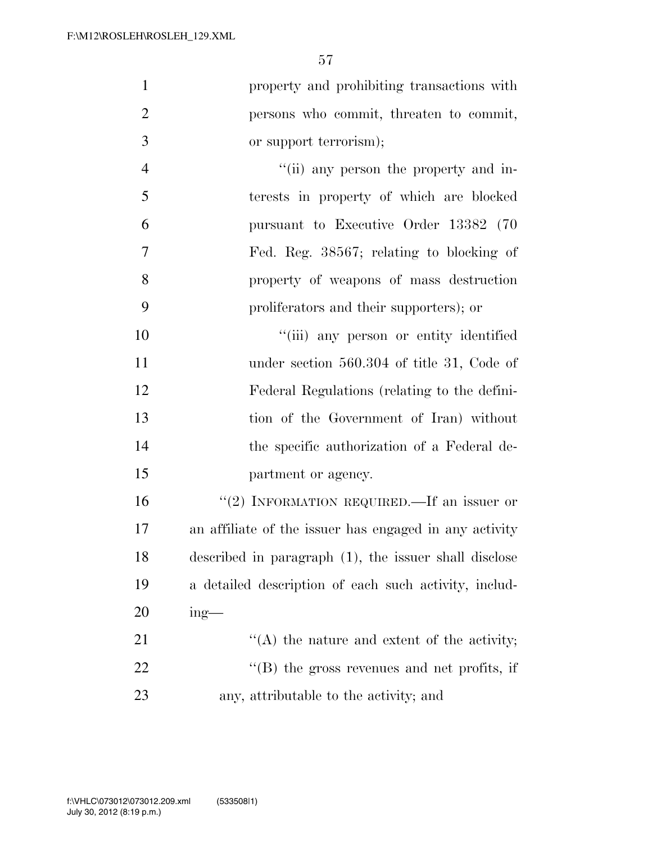| $\mathbf{1}$   | property and prohibiting transactions with             |
|----------------|--------------------------------------------------------|
| $\overline{2}$ | persons who commit, threaten to commit,                |
| 3              | or support terrorism);                                 |
| $\overline{4}$ | "(ii) any person the property and in-                  |
| 5              | terests in property of which are blocked               |
| 6              | pursuant to Executive Order 13382 (70                  |
| 7              | Fed. Reg. 38567; relating to blocking of               |
| 8              | property of weapons of mass destruction                |
| 9              | proliferators and their supporters); or                |
| 10             | "(iii) any person or entity identified                 |
| 11             | under section 560.304 of title 31, Code of             |
| 12             | Federal Regulations (relating to the defini-           |
| 13             | tion of the Government of Iran) without                |
| 14             | the specific authorization of a Federal de-            |
| 15             | partment or agency.                                    |
| 16             | "(2) INFORMATION REQUIRED.—If an issuer or             |
| 17             | an affiliate of the issuer has engaged in any activity |
| 18             | described in paragraph (1), the issuer shall disclose  |
| 19             | a detailed description of each such activity, includ-  |
| 20             | $ing$ —                                                |
| 21             | $\lq\lq$ the nature and extent of the activity;        |
| 22             | $\lq\lq$ (B) the gross revenues and net profits, if    |
|                |                                                        |

any, attributable to the activity; and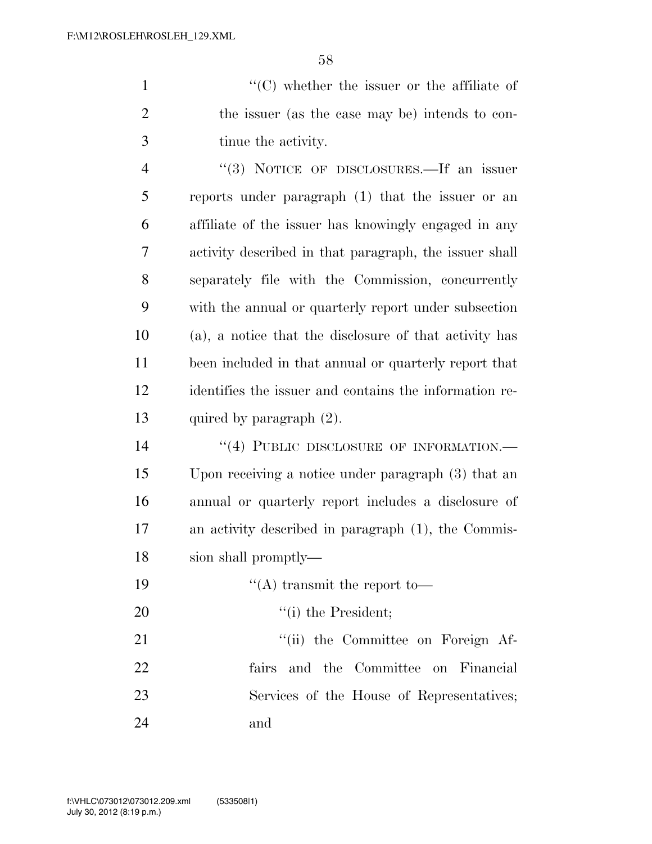''(C) whether the issuer or the affiliate of the issuer (as the case may be) intends to con-tinue the activity.

 ''(3) NOTICE OF DISCLOSURES.—If an issuer reports under paragraph (1) that the issuer or an affiliate of the issuer has knowingly engaged in any activity described in that paragraph, the issuer shall separately file with the Commission, concurrently with the annual or quarterly report under subsection (a), a notice that the disclosure of that activity has been included in that annual or quarterly report that identifies the issuer and contains the information re-quired by paragraph (2).

14 "(4) PUBLIC DISCLOSURE OF INFORMATION.— Upon receiving a notice under paragraph (3) that an annual or quarterly report includes a disclosure of an activity described in paragraph (1), the Commis-sion shall promptly—

 $\frac{1}{2}$   $\frac{1}{2}$  transmit the report to- $'(\text{i})$  the President; 21 ''(ii) the Committee on Foreign Af- fairs and the Committee on Financial Services of the House of Representatives; and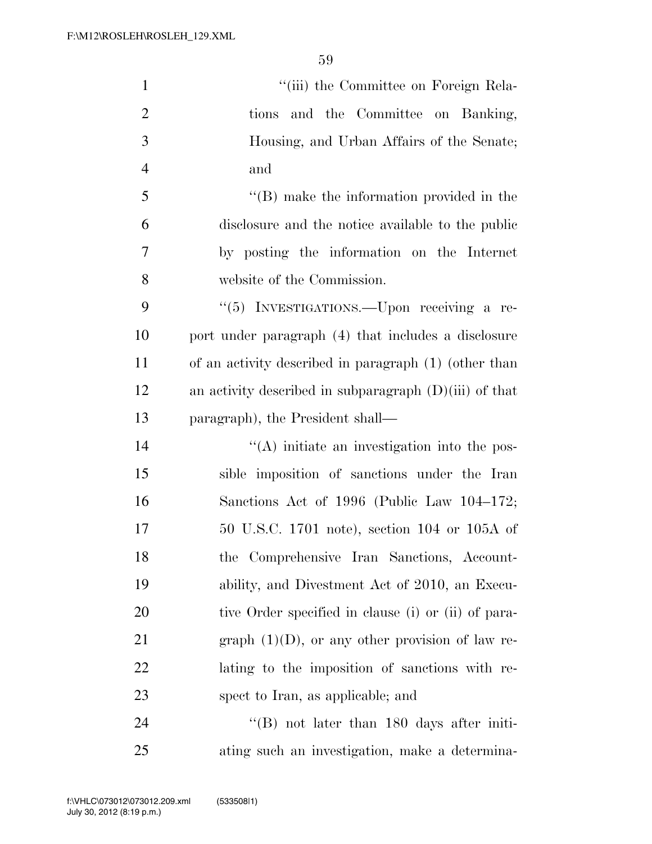| $\mathbf{1}$   | "(iii) the Committee on Foreign Rela-                    |
|----------------|----------------------------------------------------------|
| $\overline{2}$ | tions and the Committee on Banking,                      |
| 3              | Housing, and Urban Affairs of the Senate;                |
| $\overline{4}$ | and                                                      |
| 5              | $\lq\lq$ (B) make the information provided in the        |
| 6              | disclosure and the notice available to the public        |
| 7              | by posting the information on the Internet               |
| 8              | website of the Commission.                               |
| 9              | "(5) INVESTIGATIONS.—Upon receiving a re-                |
| 10             | port under paragraph (4) that includes a disclosure      |
| 11             | of an activity described in paragraph (1) (other than    |
| 12             | an activity described in subparagraph $(D)(iii)$ of that |
| 13             | paragraph), the President shall—                         |
| 14             | "(A) initiate an investigation into the pos-             |
| 15             | sible imposition of sanctions under the Iran             |
| 16             | Sanctions Act of 1996 (Public Law 104–172;               |
| 17             | 50 U.S.C. 1701 note), section 104 or 105A of             |
| 18             | the Comprehensive Iran Sanctions, Account-               |
| 19             | ability, and Divestment Act of 2010, an Execu-           |
| 20             | tive Order specified in clause (i) or (ii) of para-      |
| 21             | graph $(1)(D)$ , or any other provision of law re-       |
| 22             | lating to the imposition of sanctions with re-           |
| 23             | spect to Iran, as applicable; and                        |
| 24             | $\cdot$ (B) not later than 180 days after initi-         |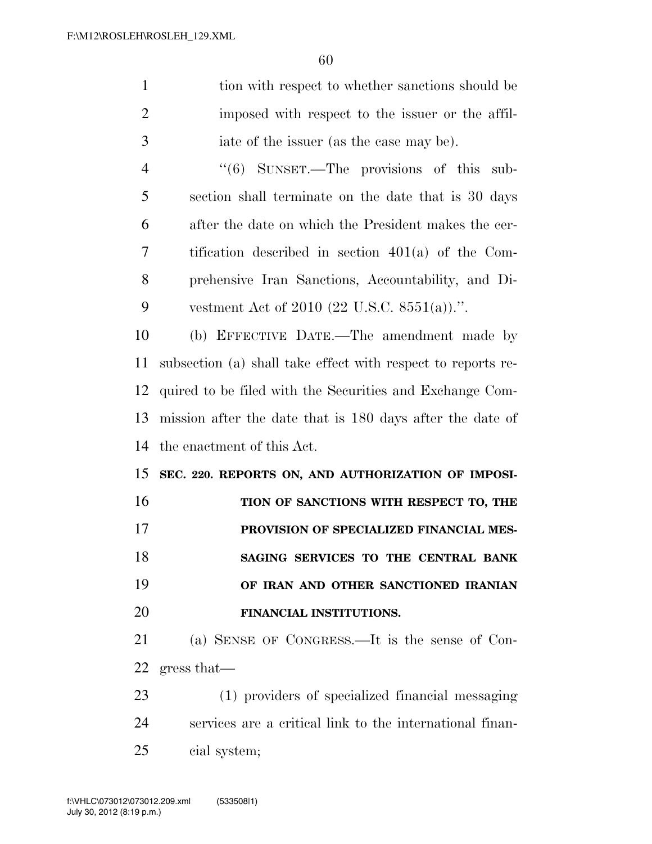| $\mathbf{1}$   | tion with respect to whether sanctions should be             |
|----------------|--------------------------------------------------------------|
| $\overline{c}$ | imposed with respect to the issuer or the affil-             |
| 3              | iate of the issuer (as the case may be).                     |
| $\overline{4}$ | "(6) SUNSET.—The provisions of this sub-                     |
| 5              | section shall terminate on the date that is 30 days          |
| 6              | after the date on which the President makes the cer-         |
| 7              | tification described in section $401(a)$ of the Com-         |
| 8              | prehensive Iran Sanctions, Accountability, and Di-           |
| 9              | vestment Act of 2010 (22 U.S.C. 8551(a)).".                  |
| 10             | (b) EFFECTIVE DATE.—The amendment made by                    |
| 11             | subsection (a) shall take effect with respect to reports re- |
| 12             | quired to be filed with the Securities and Exchange Com-     |
| 13             | mission after the date that is 180 days after the date of    |
| 14             | the enactment of this Act.                                   |
| 15             | SEC. 220. REPORTS ON, AND AUTHORIZATION OF IMPOSI-           |
| 16             | TION OF SANCTIONS WITH RESPECT TO, THE                       |
| 17             | PROVISION OF SPECIALIZED FINANCIAL MES-                      |
| 18             | SAGING SERVICES TO THE CENTRAL BANK                          |
| 19             | OF IRAN AND OTHER SANCTIONED IRANIAN                         |
| 20             | FINANCIAL INSTITUTIONS.                                      |
| 21             | (a) SENSE OF CONGRESS.—It is the sense of Con-               |
| 22             | gress that                                                   |
| 23             | (1) providers of specialized financial messaging             |
| 24             | services are a critical link to the international finan-     |
| 25             | cial system;                                                 |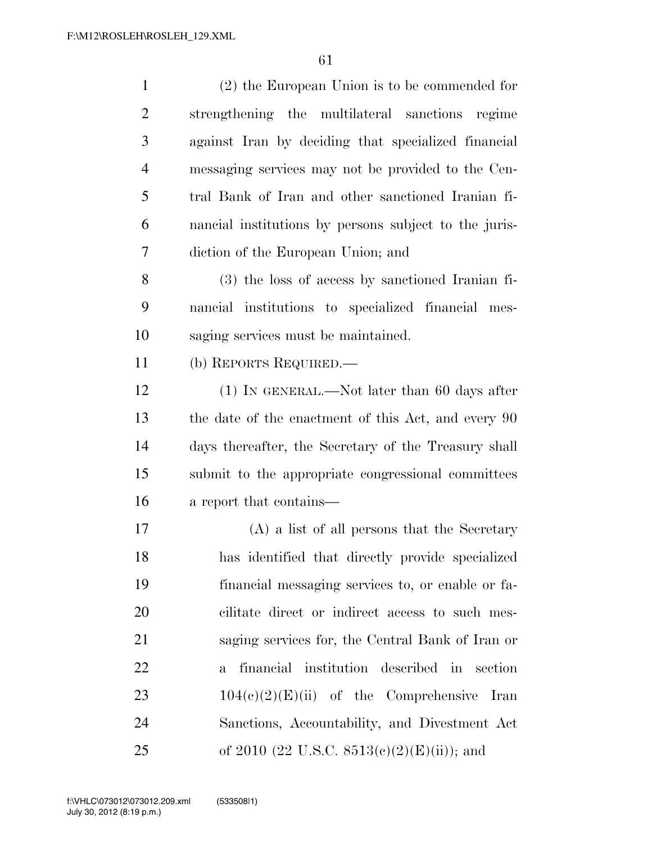| $\mathbf{1}$   | $(2)$ the European Union is to be commended for               |
|----------------|---------------------------------------------------------------|
| $\overline{2}$ | strengthening the multilateral sanctions regime               |
| 3              | against Iran by deciding that specialized financial           |
| $\overline{4}$ | messaging services may not be provided to the Cen-            |
| 5              | tral Bank of Iran and other sanctioned Iranian fi-            |
| 6              | nancial institutions by persons subject to the juris-         |
| 7              | diction of the European Union; and                            |
| 8              | (3) the loss of access by sanctioned Iranian fi-              |
| 9              | nancial institutions to specialized financial mes-            |
| 10             | saging services must be maintained.                           |
| 11             | (b) REPORTS REQUIRED.—                                        |
| 12             | $(1)$ In GENERAL.—Not later than 60 days after                |
| 13             | the date of the enactment of this Act, and every 90           |
| 14             | days thereafter, the Secretary of the Treasury shall          |
| 15             | submit to the appropriate congressional committees            |
| 16             | a report that contains—                                       |
| 17             | (A) a list of all persons that the Secretary                  |
| 18             | has identified that directly provide specialized              |
| 19             | financial messaging services to, or enable or fa-             |
| 20             | cilitate direct or indirect access to such mes-               |
| 21             | saging services for, the Central Bank of Iran or              |
| 22             | financial institution described in<br>section<br>$\mathbf{a}$ |
| 23             | $104(c)(2)(E)(ii)$ of the Comprehensive Iran                  |
| 24             | Sanctions, Accountability, and Divestment Act                 |
| 25             | of 2010 (22 U.S.C. 8513(c)(2)(E)(ii)); and                    |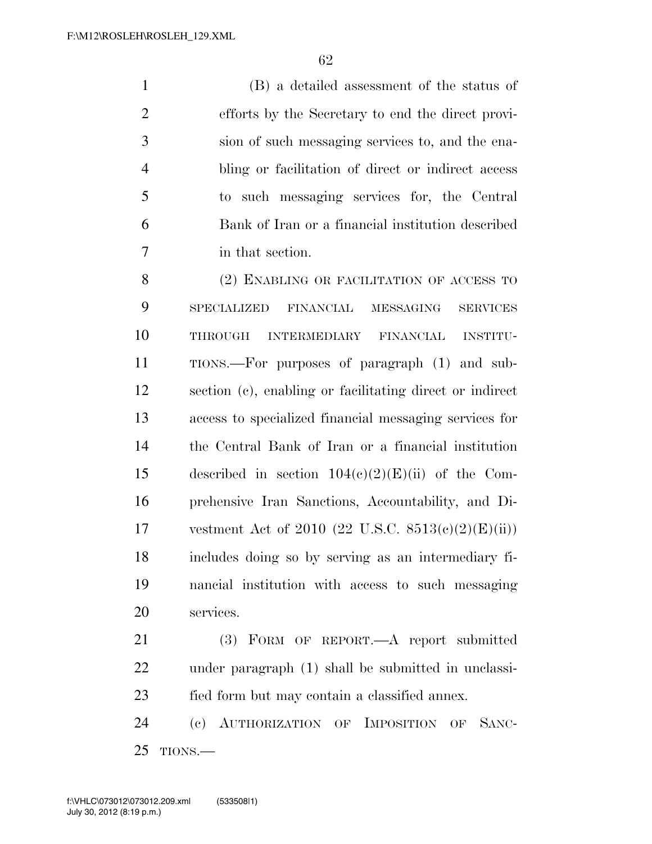(B) a detailed assessment of the status of efforts by the Secretary to end the direct provi- sion of such messaging services to, and the ena- bling or facilitation of direct or indirect access to such messaging services for, the Central Bank of Iran or a financial institution described in that section.

8 (2) ENABLING OR FACILITATION OF ACCESS TO SPECIALIZED FINANCIAL MESSAGING SERVICES THROUGH INTERMEDIARY FINANCIAL INSTITU- TIONS.—For purposes of paragraph (1) and sub- section (c), enabling or facilitating direct or indirect access to specialized financial messaging services for the Central Bank of Iran or a financial institution 15 described in section  $104(c)(2)(E)(ii)$  of the Com- prehensive Iran Sanctions, Accountability, and Di-17 vestment Act of 2010  $(22 \text{ U.S.C. } 8513(c)(2)(E)(ii))$  includes doing so by serving as an intermediary fi- nancial institution with access to such messaging services.

 (3) FORM OF REPORT.—A report submitted under paragraph (1) shall be submitted in unclassi-fied form but may contain a classified annex.

 (c) AUTHORIZATION OF IMPOSITION OF SANC-TIONS.—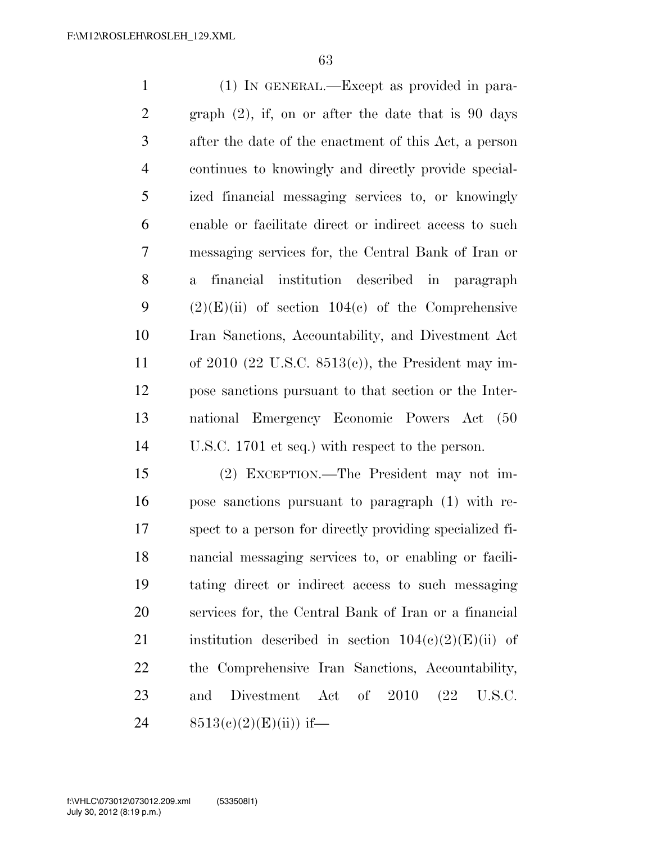(1) IN GENERAL.—Except as provided in para- graph (2), if, on or after the date that is 90 days after the date of the enactment of this Act, a person continues to knowingly and directly provide special- ized financial messaging services to, or knowingly enable or facilitate direct or indirect access to such messaging services for, the Central Bank of Iran or a financial institution described in paragraph  $(2)(E)(ii)$  of section 104(c) of the Comprehensive Iran Sanctions, Accountability, and Divestment Act of 2010 (22 U.S.C. 8513(c)), the President may im- pose sanctions pursuant to that section or the Inter- national Emergency Economic Powers Act (50 U.S.C. 1701 et seq.) with respect to the person.

 (2) EXCEPTION.—The President may not im- pose sanctions pursuant to paragraph (1) with re- spect to a person for directly providing specialized fi- nancial messaging services to, or enabling or facili- tating direct or indirect access to such messaging services for, the Central Bank of Iran or a financial 21 institution described in section  $104(c)(2)(E)(ii)$  of the Comprehensive Iran Sanctions, Accountability, 23 and Divestment Act of 2010 (22 U.S.C.  $8513(c)(2)(E)(ii))$  if—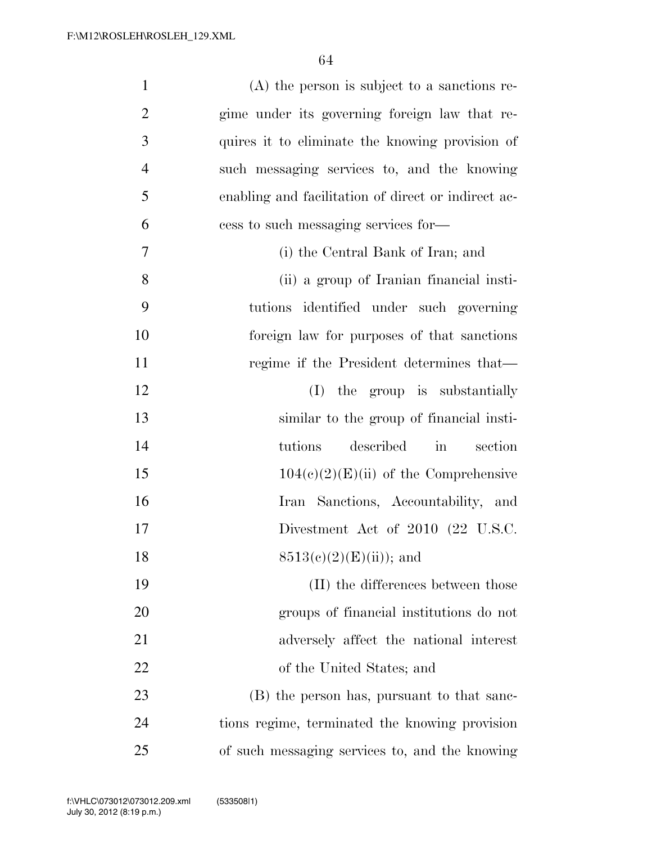| $\mathbf{1}$   | $(A)$ the person is subject to a sanctions re-         |
|----------------|--------------------------------------------------------|
| $\overline{2}$ | gime under its governing foreign law that re-          |
| 3              | quires it to eliminate the knowing provision of        |
| $\overline{4}$ | such messaging services to, and the knowing            |
| 5              | enabling and facilitation of direct or indirect ac-    |
| 6              | cess to such messaging services for—                   |
| $\overline{7}$ | (i) the Central Bank of Iran; and                      |
| 8              | (ii) a group of Iranian financial insti-               |
| 9              | tutions identified under such governing                |
| 10             | foreign law for purposes of that sanctions             |
| 11             | regime if the President determines that—               |
| 12             | (I) the group is substantially                         |
| 13             | similar to the group of financial insti-               |
| 14             | described<br>tutions<br>$\operatorname{in}$<br>section |
| 15             | $104(c)(2)(E)(ii)$ of the Comprehensive                |
| 16             | Iran Sanctions, Accountability, and                    |
| 17             | Divestment Act of 2010 (22 U.S.C.                      |
| 18             | $8513(e)(2)(E)(ii)$ ; and                              |
| 19             | $(II)$ the differences between those                   |
| 20             | groups of financial institutions do not                |
| 21             | adversely affect the national interest                 |
| 22             | of the United States; and                              |
| 23             | (B) the person has, pursuant to that sanc-             |
| 24             | tions regime, terminated the knowing provision         |
| 25             | of such messaging services to, and the knowing         |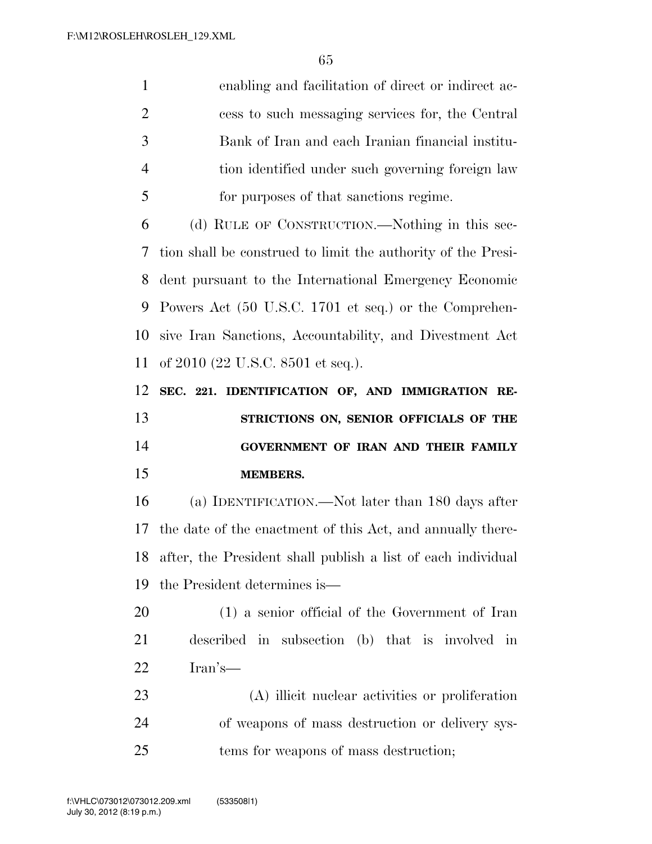|                | enabling and facilitation of direct or indirect ac-            |
|----------------|----------------------------------------------------------------|
| 2              | cess to such messaging services for, the Central               |
| -3             | Bank of Iran and each Iranian financial institu-               |
| $\overline{4}$ | tion identified under such governing foreign law               |
| -5             | for purposes of that sanctions regime.                         |
| 6              | (d) RULE OF CONSTRUCTION.—Nothing in this sec-                 |
|                | 7 tion shall be construed to limit the authority of the Presi- |

 tion shall be construed to limit the authority of the Presi- dent pursuant to the International Emergency Economic Powers Act (50 U.S.C. 1701 et seq.) or the Comprehen- sive Iran Sanctions, Accountability, and Divestment Act of 2010 (22 U.S.C. 8501 et seq.).

 **SEC. 221. IDENTIFICATION OF, AND IMMIGRATION RE- STRICTIONS ON, SENIOR OFFICIALS OF THE GOVERNMENT OF IRAN AND THEIR FAMILY MEMBERS.** 

 (a) IDENTIFICATION.—Not later than 180 days after the date of the enactment of this Act, and annually there- after, the President shall publish a list of each individual the President determines is—

 (1) a senior official of the Government of Iran described in subsection (b) that is involved in Iran's—

 (A) illicit nuclear activities or proliferation of weapons of mass destruction or delivery sys-tems for weapons of mass destruction;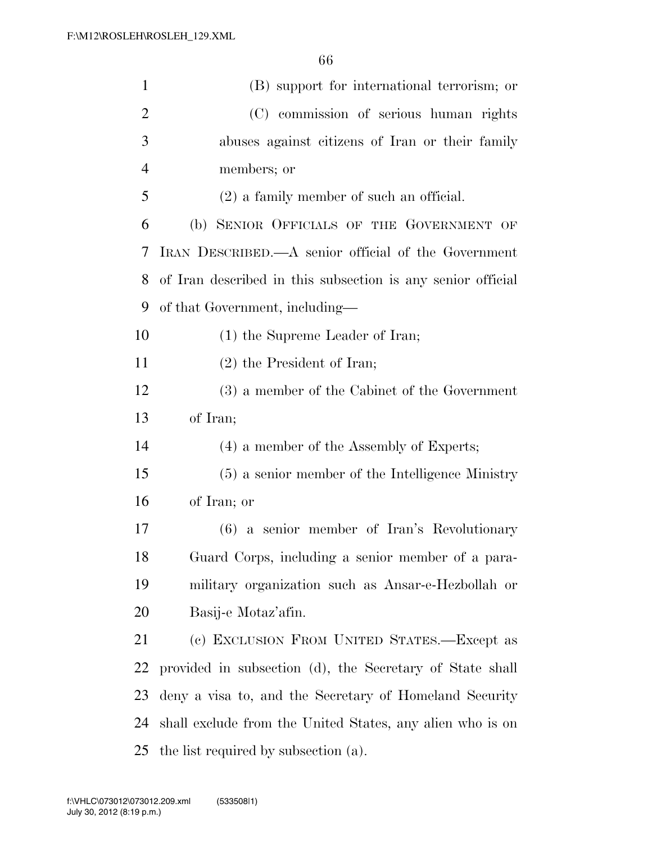| $\mathbf{1}$   | (B) support for international terrorism; or                 |
|----------------|-------------------------------------------------------------|
| $\overline{2}$ | (C) commission of serious human rights                      |
| 3              | abuses against citizens of Iran or their family             |
| $\overline{4}$ | members; or                                                 |
| 5              | $(2)$ a family member of such an official.                  |
| 6              | (b) SENIOR OFFICIALS OF THE GOVERNMENT OF                   |
| 7              | IRAN DESCRIBED.—A senior official of the Government         |
| 8              | of Iran described in this subsection is any senior official |
| 9              | of that Government, including—                              |
| 10             | $(1)$ the Supreme Leader of Iran;                           |
| 11             | $(2)$ the President of Iran;                                |
| 12             | (3) a member of the Cabinet of the Government               |
| 13             | of Iran;                                                    |
| 14             | (4) a member of the Assembly of Experts;                    |
| 15             | (5) a senior member of the Intelligence Ministry            |
| 16             | of Iran; or                                                 |
| 17             | $(6)$ a senior member of Iran's Revolutionary               |
| 18             | Guard Corps, including a senior member of a para-           |
| 19             | military organization such as Ansar-e-Hezbollah or          |
| 20             | Basij-e Motaz'afin.                                         |
| 21             | (c) EXCLUSION FROM UNITED STATES.—Except as                 |
| 22             | provided in subsection (d), the Secretary of State shall    |
| 23             | deny a visa to, and the Secretary of Homeland Security      |
| 24             | shall exclude from the United States, any alien who is on   |
| 25             | the list required by subsection (a).                        |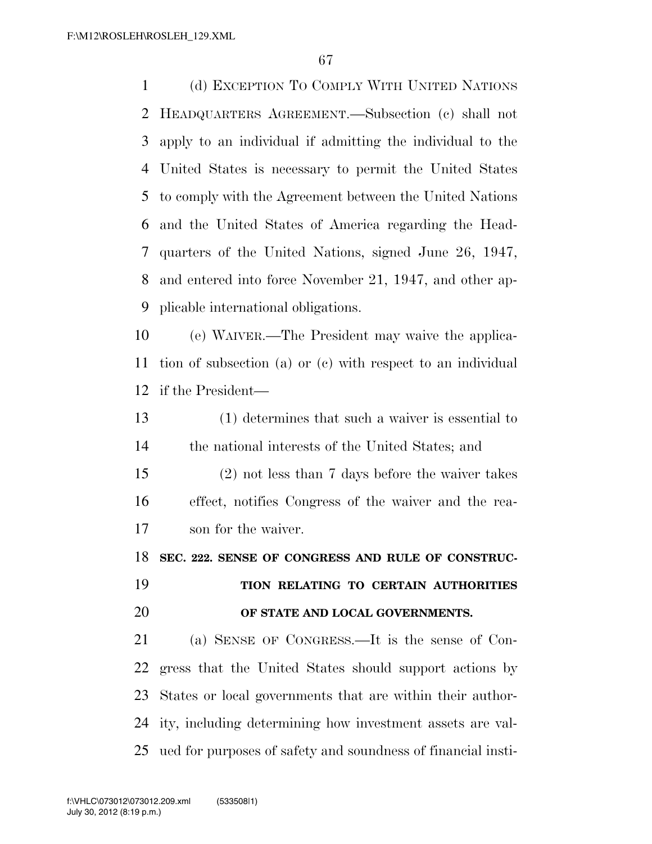(d) EXCEPTION TO COMPLY WITH UNITED NATIONS HEADQUARTERS AGREEMENT.—Subsection (c) shall not apply to an individual if admitting the individual to the United States is necessary to permit the United States to comply with the Agreement between the United Nations and the United States of America regarding the Head- quarters of the United Nations, signed June 26, 1947, and entered into force November 21, 1947, and other ap-plicable international obligations.

 (e) WAIVER.—The President may waive the applica- tion of subsection (a) or (c) with respect to an individual if the President—

 (1) determines that such a waiver is essential to the national interests of the United States; and

 (2) not less than 7 days before the waiver takes effect, notifies Congress of the waiver and the rea-son for the waiver.

**SEC. 222. SENSE OF CONGRESS AND RULE OF CONSTRUC-**

# **TION RELATING TO CERTAIN AUTHORITIES OF STATE AND LOCAL GOVERNMENTS.**

 (a) SENSE OF CONGRESS.—It is the sense of Con- gress that the United States should support actions by States or local governments that are within their author- ity, including determining how investment assets are val-ued for purposes of safety and soundness of financial insti-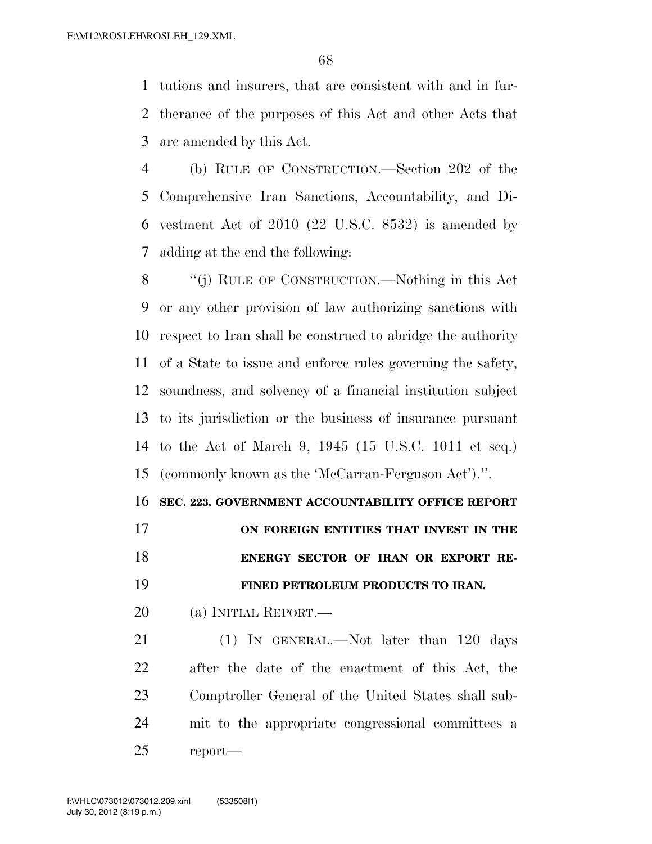tutions and insurers, that are consistent with and in fur- therance of the purposes of this Act and other Acts that are amended by this Act.

 (b) RULE OF CONSTRUCTION.—Section 202 of the Comprehensive Iran Sanctions, Accountability, and Di- vestment Act of 2010 (22 U.S.C. 8532) is amended by adding at the end the following:

 ''(j) RULE OF CONSTRUCTION.—Nothing in this Act or any other provision of law authorizing sanctions with respect to Iran shall be construed to abridge the authority of a State to issue and enforce rules governing the safety, soundness, and solvency of a financial institution subject to its jurisdiction or the business of insurance pursuant to the Act of March 9, 1945 (15 U.S.C. 1011 et seq.) (commonly known as the 'McCarran-Ferguson Act').''.

**SEC. 223. GOVERNMENT ACCOUNTABILITY OFFICE REPORT** 

 **ON FOREIGN ENTITIES THAT INVEST IN THE ENERGY SECTOR OF IRAN OR EXPORT RE-**

**FINED PETROLEUM PRODUCTS TO IRAN.** 

(a) INITIAL REPORT.—

21 (1) IN GENERAL.—Not later than 120 days after the date of the enactment of this Act, the Comptroller General of the United States shall sub- mit to the appropriate congressional committees a report—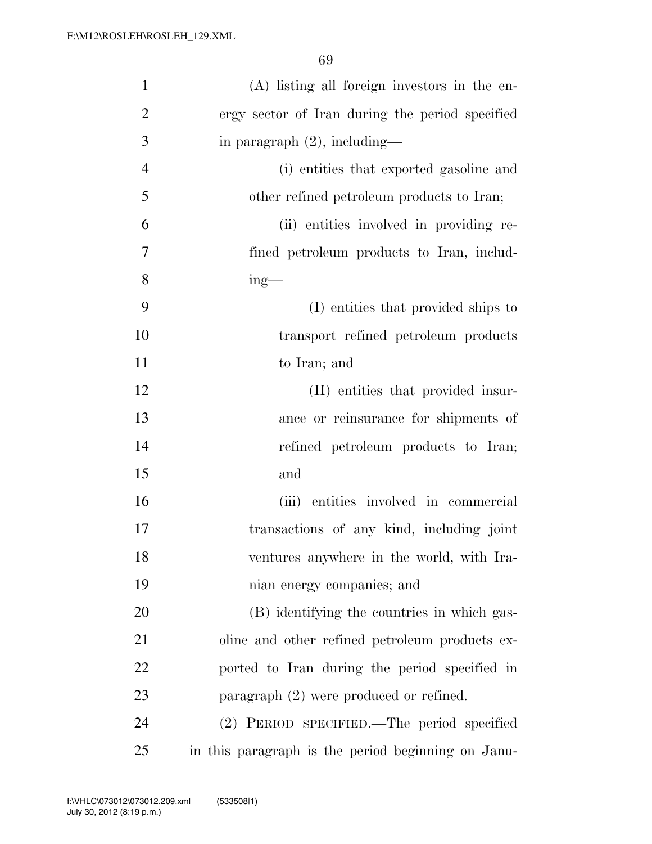| $\mathbf{1}$   | (A) listing all foreign investors in the en-       |
|----------------|----------------------------------------------------|
| $\overline{2}$ | ergy sector of Iran during the period specified    |
| 3              | in paragraph $(2)$ , including—                    |
| $\overline{4}$ | (i) entities that exported gasoline and            |
| 5              | other refined petroleum products to Iran;          |
| 6              | (ii) entities involved in providing re-            |
| 7              | fined petroleum products to Iran, includ-          |
| 8              | $ing$ —                                            |
| 9              | (I) entities that provided ships to                |
| 10             | transport refined petroleum products               |
| 11             | to Iran; and                                       |
| 12             | (II) entities that provided insur-                 |
| 13             | ance or reinsurance for shipments of               |
| 14             | refined petroleum products to Iran;                |
| 15             | and                                                |
| 16             | (iii) entities involved in commercial              |
| 17             | transactions of any kind, including joint          |
| 18             | ventures anywhere in the world, with Ira-          |
| 19             | nian energy companies; and                         |
| 20             | (B) identifying the countries in which gas-        |
| 21             | oline and other refined petroleum products ex-     |
| 22             | ported to Iran during the period specified in      |
| 23             | paragraph $(2)$ were produced or refined.          |
| 24             | (2) PERIOD SPECIFIED.—The period specified         |
| 25             | in this paragraph is the period beginning on Janu- |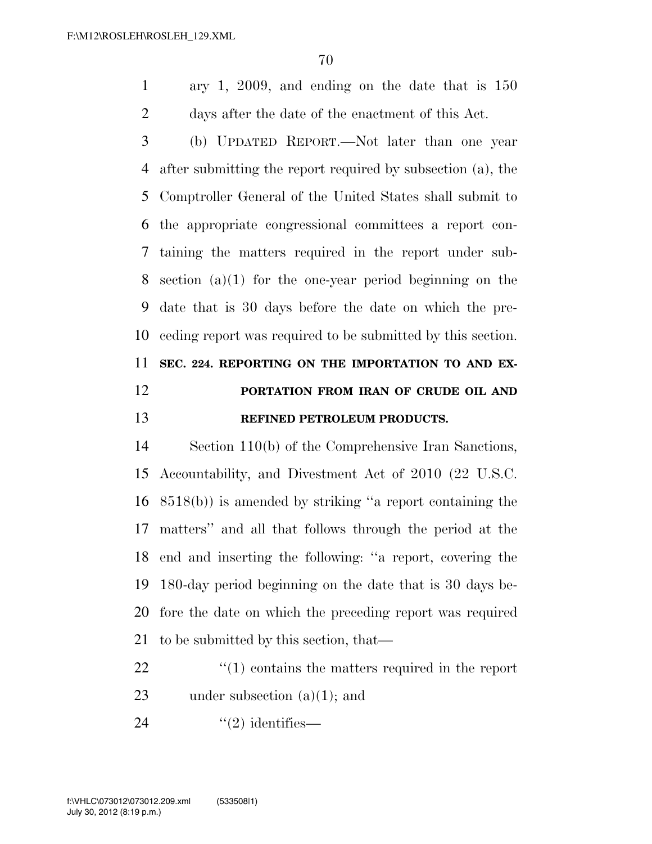ary 1, 2009, and ending on the date that is 150 days after the date of the enactment of this Act.

 (b) UPDATED REPORT.—Not later than one year after submitting the report required by subsection (a), the Comptroller General of the United States shall submit to the appropriate congressional committees a report con- taining the matters required in the report under sub- section (a)(1) for the one-year period beginning on the date that is 30 days before the date on which the pre- ceding report was required to be submitted by this section. **SEC. 224. REPORTING ON THE IMPORTATION TO AND EX- PORTATION FROM IRAN OF CRUDE OIL AND REFINED PETROLEUM PRODUCTS.** 

 Section 110(b) of the Comprehensive Iran Sanctions, Accountability, and Divestment Act of 2010 (22 U.S.C. 8518(b)) is amended by striking ''a report containing the matters'' and all that follows through the period at the end and inserting the following: ''a report, covering the 180-day period beginning on the date that is 30 days be- fore the date on which the preceding report was required to be submitted by this section, that—

22  $\frac{1}{2}$  (1) contains the matters required in the report 23 under subsection  $(a)(1)$ ; and

24  $\qquad(2)$  identifies—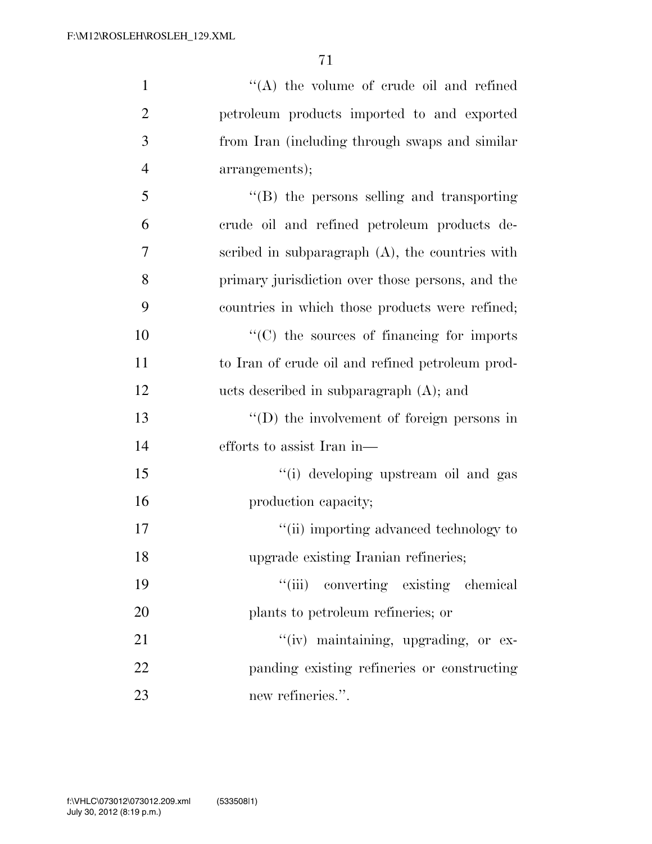| $\mathbf{1}$   | $\lq\lq$ the volume of crude oil and refined       |
|----------------|----------------------------------------------------|
| $\overline{2}$ | petroleum products imported to and exported        |
| 3              | from Iran (including through swaps and similar     |
| $\overline{4}$ | arrangements);                                     |
| 5              | $\lq\lq$ the persons selling and transporting      |
| 6              | crude oil and refined petroleum products de-       |
| $\overline{7}$ | scribed in subparagraph $(A)$ , the countries with |
| 8              | primary jurisdiction over those persons, and the   |
| 9              | countries in which those products were refined;    |
| 10             | "(C) the sources of financing for imports          |
| 11             | to Iran of crude oil and refined petroleum prod-   |
| 12             | ucts described in subparagraph $(A)$ ; and         |
| 13             | $\lq\lq$ the involvement of foreign persons in     |
| 14             | efforts to assist Iran in—                         |
| 15             | "(i) developing upstream oil and gas               |
| 16             | production capacity;                               |
| 17             | "(ii) importing advanced technology to             |
| 18             | upgrade existing Iranian refineries;               |
| 19             | "(iii) converting existing chemical                |
| 20             | plants to petroleum refineries; or                 |
| 21             | "(iv) maintaining, upgrading, or ex-               |
| 22             | panding existing refineries or constructing        |
| 23             | new refineries.".                                  |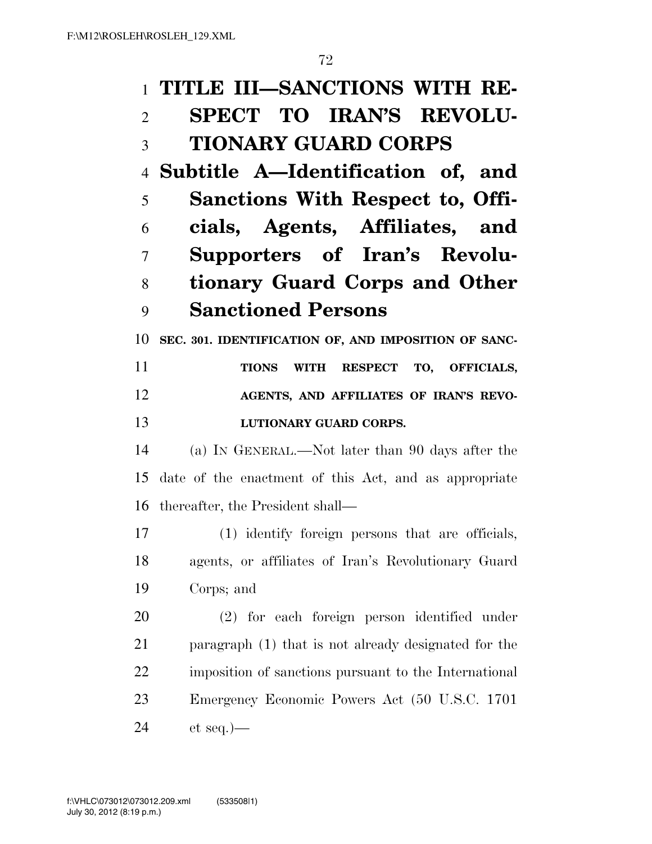#### **TITLE III—SANCTIONS WITH RE-**

### **SPECT TO IRAN'S REVOLU-TIONARY GUARD CORPS**

 **Subtitle A—Identification of, and Sanctions With Respect to, Offi- cials, Agents, Affiliates, and Supporters of Iran's Revolu- tionary Guard Corps and Other Sanctioned Persons** 

**SEC. 301. IDENTIFICATION OF, AND IMPOSITION OF SANC-**

 **TIONS WITH RESPECT TO, OFFICIALS, AGENTS, AND AFFILIATES OF IRAN'S REVO-LUTIONARY GUARD CORPS.** 

 (a) IN GENERAL.—Not later than 90 days after the date of the enactment of this Act, and as appropriate thereafter, the President shall—

 (1) identify foreign persons that are officials, agents, or affiliates of Iran's Revolutionary Guard Corps; and

 (2) for each foreign person identified under paragraph (1) that is not already designated for the imposition of sanctions pursuant to the International Emergency Economic Powers Act (50 U.S.C. 1701 et seq.)—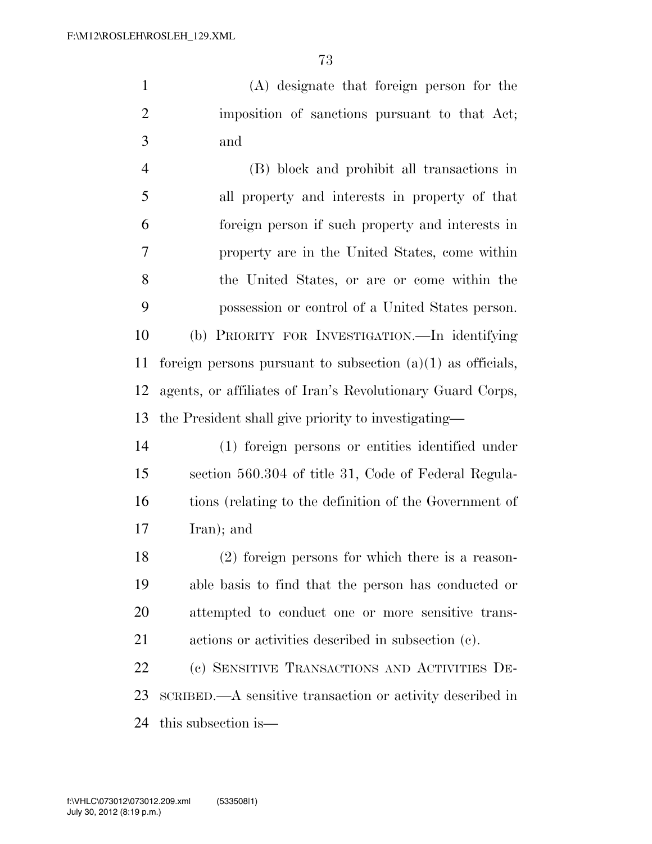(A) designate that foreign person for the imposition of sanctions pursuant to that Act; and

 (B) block and prohibit all transactions in all property and interests in property of that foreign person if such property and interests in property are in the United States, come within the United States, or are or come within the possession or control of a United States person. (b) PRIORITY FOR INVESTIGATION.—In identifying 11 foreign persons pursuant to subsection  $(a)(1)$  as officials, agents, or affiliates of Iran's Revolutionary Guard Corps, the President shall give priority to investigating—

 (1) foreign persons or entities identified under section 560.304 of title 31, Code of Federal Regula- tions (relating to the definition of the Government of Iran); and

 (2) foreign persons for which there is a reason- able basis to find that the person has conducted or attempted to conduct one or more sensitive trans-actions or activities described in subsection (c).

 (c) SENSITIVE TRANSACTIONS AND ACTIVITIES DE- SCRIBED.—A sensitive transaction or activity described in this subsection is—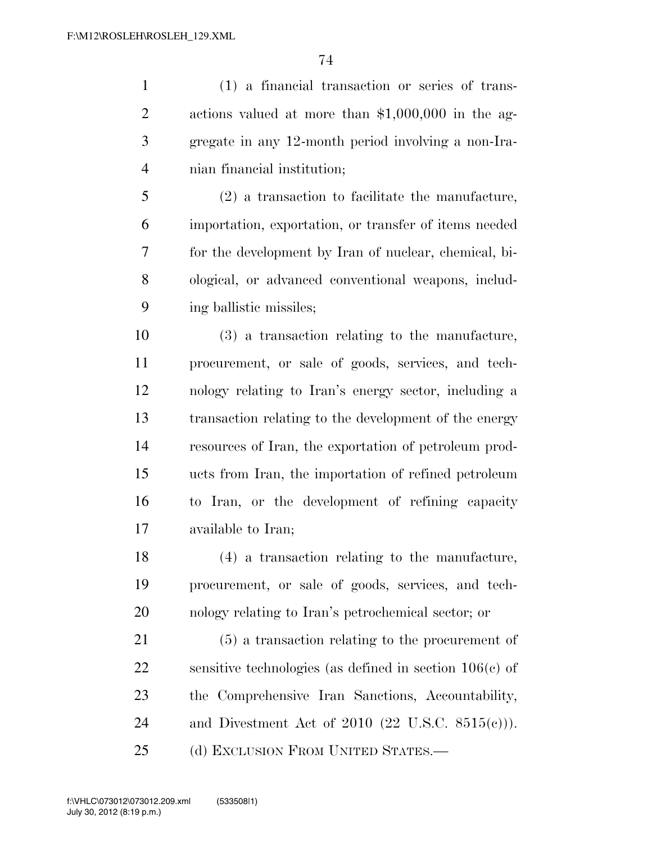(1) a financial transaction or series of trans- actions valued at more than \$1,000,000 in the ag- gregate in any 12-month period involving a non-Ira-nian financial institution;

 (2) a transaction to facilitate the manufacture, importation, exportation, or transfer of items needed for the development by Iran of nuclear, chemical, bi- ological, or advanced conventional weapons, includ-ing ballistic missiles;

 (3) a transaction relating to the manufacture, procurement, or sale of goods, services, and tech- nology relating to Iran's energy sector, including a transaction relating to the development of the energy resources of Iran, the exportation of petroleum prod- ucts from Iran, the importation of refined petroleum to Iran, or the development of refining capacity available to Iran;

 (4) a transaction relating to the manufacture, procurement, or sale of goods, services, and tech-nology relating to Iran's petrochemical sector; or

 (5) a transaction relating to the procurement of sensitive technologies (as defined in section 106(c) of the Comprehensive Iran Sanctions, Accountability, and Divestment Act of 2010 (22 U.S.C. 8515(c))). 25 (d) EXCLUSION FROM UNITED STATES.—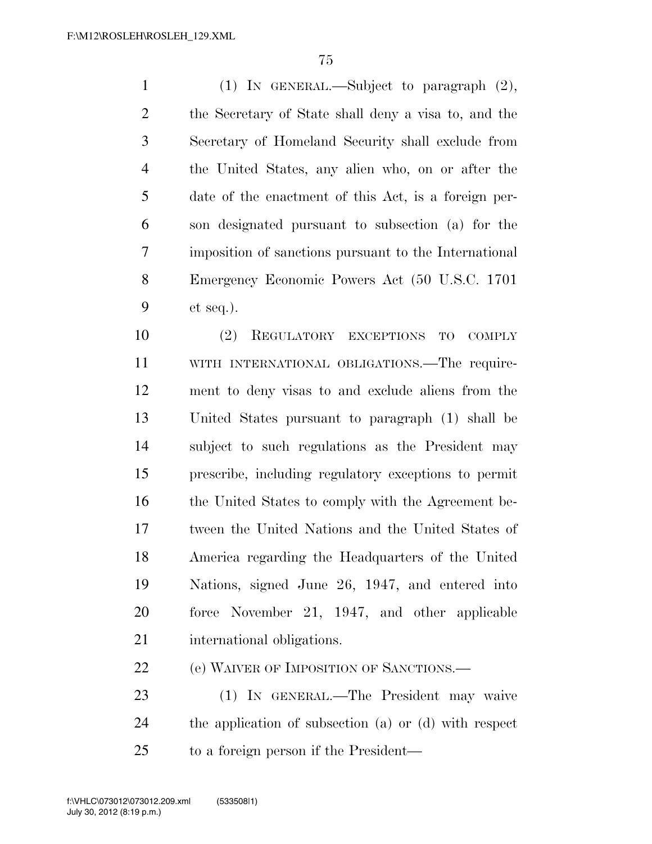(1) IN GENERAL.—Subject to paragraph (2), the Secretary of State shall deny a visa to, and the Secretary of Homeland Security shall exclude from the United States, any alien who, on or after the date of the enactment of this Act, is a foreign per- son designated pursuant to subsection (a) for the imposition of sanctions pursuant to the International Emergency Economic Powers Act (50 U.S.C. 1701 et seq.).

 (2) REGULATORY EXCEPTIONS TO COMPLY WITH INTERNATIONAL OBLIGATIONS.—The require- ment to deny visas to and exclude aliens from the United States pursuant to paragraph (1) shall be subject to such regulations as the President may prescribe, including regulatory exceptions to permit the United States to comply with the Agreement be- tween the United Nations and the United States of America regarding the Headquarters of the United Nations, signed June 26, 1947, and entered into force November 21, 1947, and other applicable international obligations.

(e) WAIVER OF IMPOSITION OF SANCTIONS.—

 (1) IN GENERAL.—The President may waive the application of subsection (a) or (d) with respect to a foreign person if the President—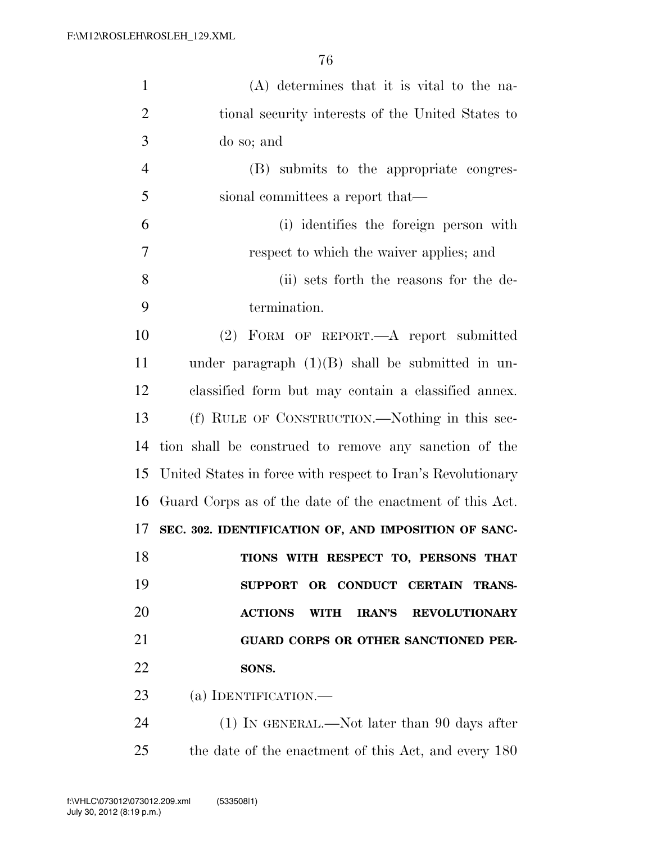| $\mathbf{1}$   | $(A)$ determines that it is vital to the na-                    |
|----------------|-----------------------------------------------------------------|
| $\overline{2}$ | tional security interests of the United States to               |
| 3              | do so; and                                                      |
| $\overline{4}$ | (B) submits to the appropriate congres-                         |
| 5              | sional committees a report that—                                |
| 6              | (i) identifies the foreign person with                          |
| 7              | respect to which the waiver applies; and                        |
| 8              | (ii) sets forth the reasons for the de-                         |
| 9              | termination.                                                    |
| 10             | (2) FORM OF REPORT.—A report submitted                          |
| 11             | under paragraph $(1)(B)$ shall be submitted in un-              |
| 12             | classified form but may contain a classified annex.             |
| 13             | (f) RULE OF CONSTRUCTION.—Nothing in this sec-                  |
| 14             | tion shall be construed to remove any sanction of the           |
| 15             | United States in force with respect to Iran's Revolutionary     |
| 16             | Guard Corps as of the date of the enactment of this Act.        |
| 17             | SEC. 302. IDENTIFICATION OF, AND IMPOSITION OF SANC-            |
| 18             | TIONS WITH RESPECT TO, PERSONS THAT                             |
| 19             | OR CONDUCT CERTAIN TRANS-<br><b>SUPPORT</b>                     |
| 20             | <b>ACTIONS</b><br><b>IRAN'S</b><br>WITH<br><b>REVOLUTIONARY</b> |
| 21             | GUARD CORPS OR OTHER SANCTIONED PER-                            |
| 22             | SONS.                                                           |
| 23             | (a) IDENTIFICATION.                                             |
| 24             | $(1)$ In GENERAL.—Not later than 90 days after                  |
| 25             | the date of the enactment of this Act, and every 180            |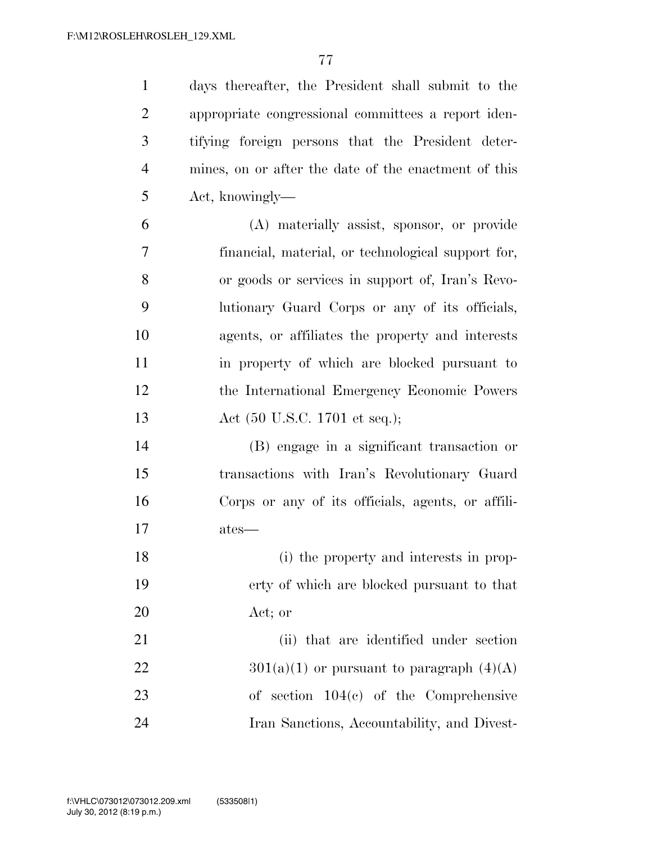days thereafter, the President shall submit to the appropriate congressional committees a report iden- tifying foreign persons that the President deter- mines, on or after the date of the enactment of this Act, knowingly—

- (A) materially assist, sponsor, or provide financial, material, or technological support for, or goods or services in support of, Iran's Revo- lutionary Guard Corps or any of its officials, agents, or affiliates the property and interests in property of which are blocked pursuant to the International Emergency Economic Powers Act (50 U.S.C. 1701 et seq.);
- (B) engage in a significant transaction or transactions with Iran's Revolutionary Guard Corps or any of its officials, agents, or affili-ates—
- (i) the property and interests in prop- erty of which are blocked pursuant to that Act; or

21 (ii) that are identified under section  $301(a)(1)$  or pursuant to paragraph  $(4)(A)$  of section 104(c) of the Comprehensive Iran Sanctions, Accountability, and Divest-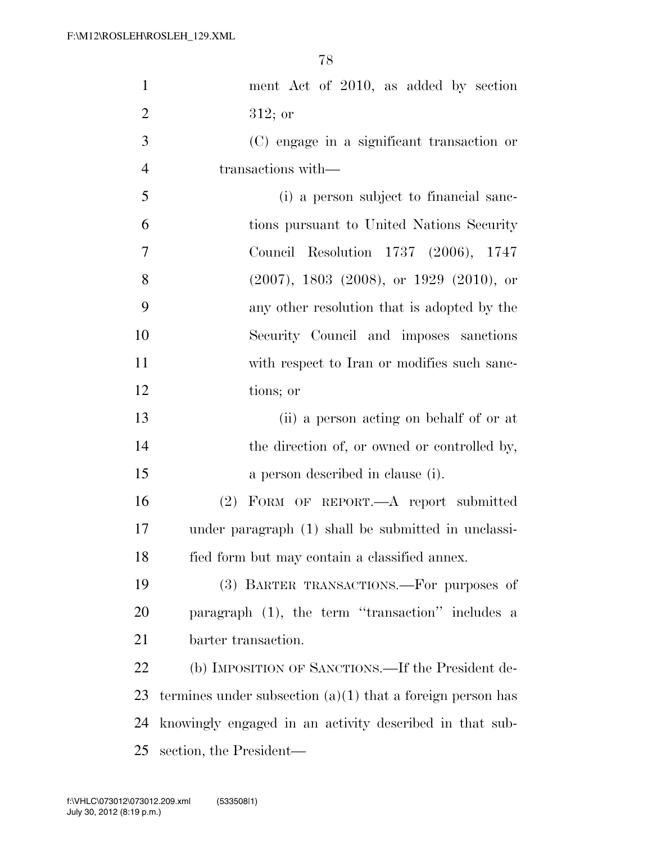| $\mathbf{1}$   | ment Act of 2010, as added by section                        |
|----------------|--------------------------------------------------------------|
| $\overline{2}$ | $312;$ or                                                    |
| $\mathfrak{Z}$ | (C) engage in a significant transaction or                   |
| $\overline{4}$ | transactions with—                                           |
| 5              | (i) a person subject to financial sanc-                      |
| 6              | tions pursuant to United Nations Security                    |
| $\tau$         | Council Resolution 1737 (2006), 1747                         |
| 8              | $(2007)$ , 1803 $(2008)$ , or 1929 $(2010)$ , or             |
| 9              | any other resolution that is adopted by the                  |
| 10             | Security Council and imposes sanctions                       |
| 11             | with respect to Iran or modifies such sanc-                  |
| 12             | tions; or                                                    |
| 13             | (ii) a person acting on behalf of or at                      |
| 14             | the direction of, or owned or controlled by,                 |
| 15             | a person described in clause (i).                            |
| 16             | (2) FORM OF REPORT.—A report submitted                       |
| $17\,$         | under paragraph (1) shall be submitted in unclassi-          |
| 18             | fied form but may contain a classified annex.                |
| 19             | (3) BARTER TRANSACTIONS.—For purposes of                     |
| 20             | paragraph (1), the term "transaction" includes a             |
| 21             | barter transaction.                                          |
| 22             | (b) IMPOSITION OF SANCTIONS.—If the President de-            |
| 23             | termines under subsection $(a)(1)$ that a foreign person has |
| 24             | knowingly engaged in an activity described in that sub-      |
| 25             | section, the President—                                      |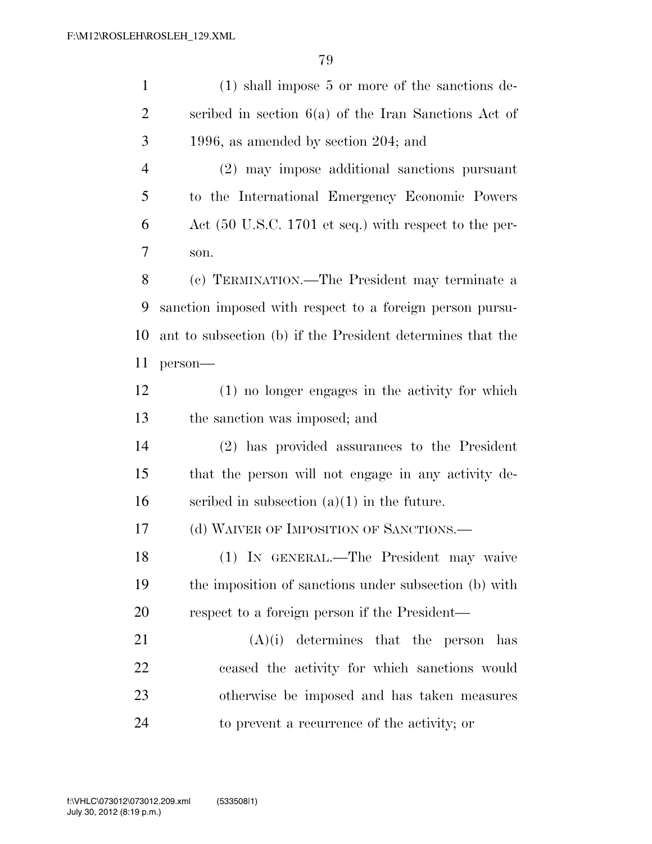| $\mathbf{1}$   | $(1)$ shall impose 5 or more of the sanctions de-                        |
|----------------|--------------------------------------------------------------------------|
| $\overline{2}$ | scribed in section $6(a)$ of the Iran Sanctions Act of                   |
| 3              | 1996, as amended by section $204$ ; and                                  |
| $\overline{4}$ | (2) may impose additional sanctions pursuant                             |
| 5              | to the International Emergency Economic Powers                           |
| 6              | Act $(50 \text{ U.S.C. } 1701 \text{ et seq.})$ with respect to the per- |
| 7              | son.                                                                     |
| 8              | (c) TERMINATION.—The President may terminate a                           |
| 9              | sanction imposed with respect to a foreign person pursu-                 |
| 10             | ant to subsection (b) if the President determines that the               |
| 11             | person-                                                                  |
| 12             | (1) no longer engages in the activity for which                          |
| 13             | the sanction was imposed; and                                            |
| 14             | (2) has provided assurances to the President                             |
| 15             | that the person will not engage in any activity de-                      |
| 16             | scribed in subsection $(a)(1)$ in the future.                            |
| 17             | (d) WAIVER OF IMPOSITION OF SANCTIONS.—                                  |
| 18             | (1) IN GENERAL.—The President may waive                                  |
| 19             | the imposition of sanctions under subsection (b) with                    |
| 20             | respect to a foreign person if the President—                            |
| 21             | determines that the person<br>(A)(i)<br>has                              |
| 22             | ceased the activity for which sanctions would                            |
| 23             | otherwise be imposed and has taken measures                              |
| 24             | to prevent a recurrence of the activity; or                              |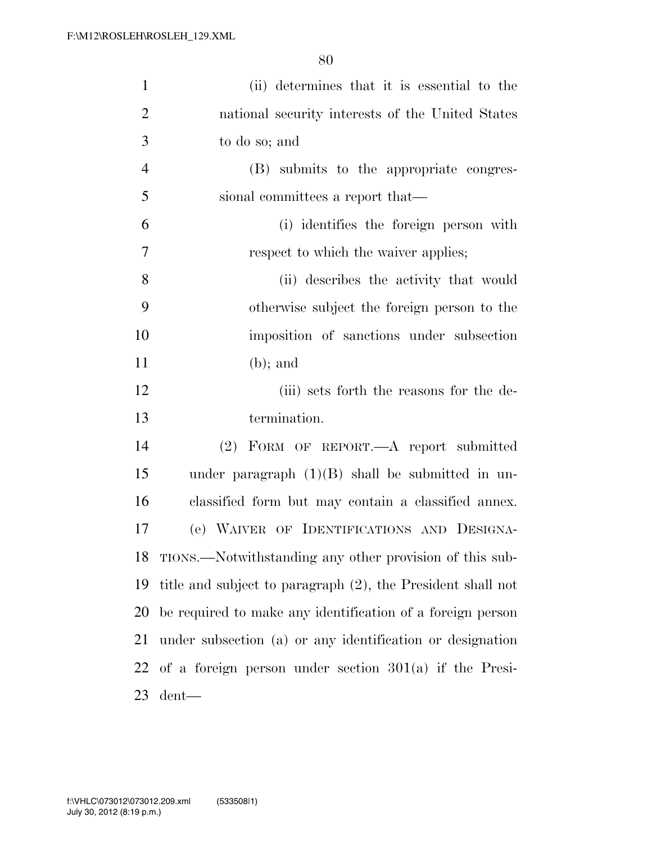| $\mathbf{1}$   | (ii) determines that it is essential to the                 |
|----------------|-------------------------------------------------------------|
| $\overline{2}$ | national security interests of the United States            |
| 3              | to do so; and                                               |
| $\overline{4}$ | (B) submits to the appropriate congres-                     |
| 5              | sional committees a report that—                            |
| 6              | (i) identifies the foreign person with                      |
| $\overline{7}$ | respect to which the waiver applies;                        |
| 8              | (ii) describes the activity that would                      |
| 9              | otherwise subject the foreign person to the                 |
| 10             | imposition of sanctions under subsection                    |
| 11             | $(b)$ ; and                                                 |
| 12             | (iii) sets forth the reasons for the de-                    |
| 13             | termination.                                                |
| 14             | (2) FORM OF REPORT.—A report submitted                      |
| 15             | under paragraph $(1)(B)$ shall be submitted in un-          |
| 16             | classified form but may contain a classified annex.         |
| 17             | (e) WAIVER OF IDENTIFICATIONS AND DESIGNA-                  |
|                | 18 TIONS.—Notwithstanding any other provision of this sub-  |
| 19             | title and subject to paragraph (2), the President shall not |
| 20             | be required to make any identification of a foreign person  |
| 21             | under subsection (a) or any identification or designation   |
|                | 22 of a foreign person under section $301(a)$ if the Presi- |
| 23             | dent—                                                       |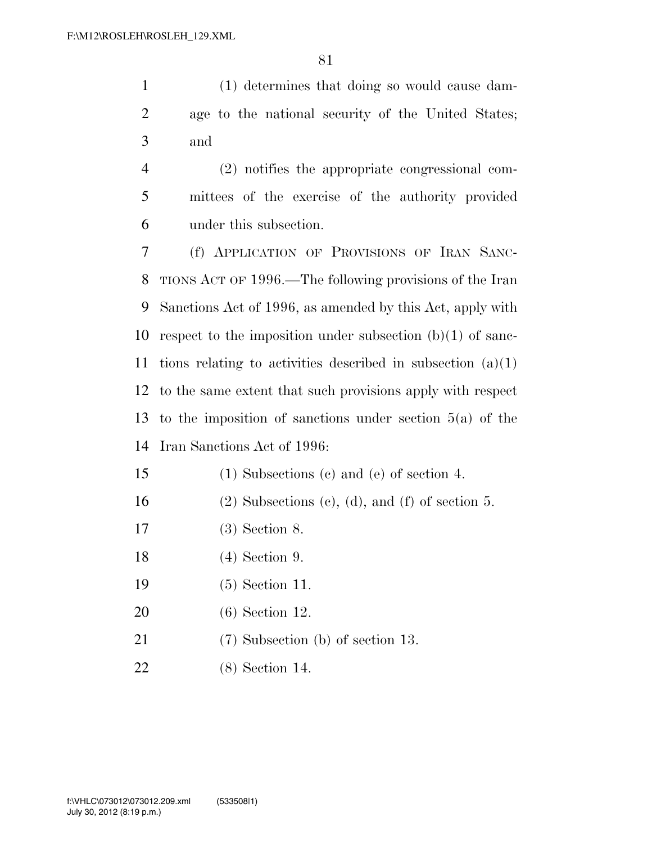(1) determines that doing so would cause dam- age to the national security of the United States; and

 (2) notifies the appropriate congressional com- mittees of the exercise of the authority provided under this subsection.

 (f) APPLICATION OF PROVISIONS OF IRAN SANC- TIONS ACT OF 1996.—The following provisions of the Iran Sanctions Act of 1996, as amended by this Act, apply with respect to the imposition under subsection (b)(1) of sanc- tions relating to activities described in subsection (a)(1) to the same extent that such provisions apply with respect to the imposition of sanctions under section 5(a) of the Iran Sanctions Act of 1996:

- (1) Subsections (c) and (e) of section 4.
- 16 (2) Subsections (c), (d), and (f) of section 5.
- (3) Section 8.
- (4) Section 9.
- (5) Section 11.
- (6) Section 12.
- 21 (7) Subsection (b) of section 13.
- (8) Section 14.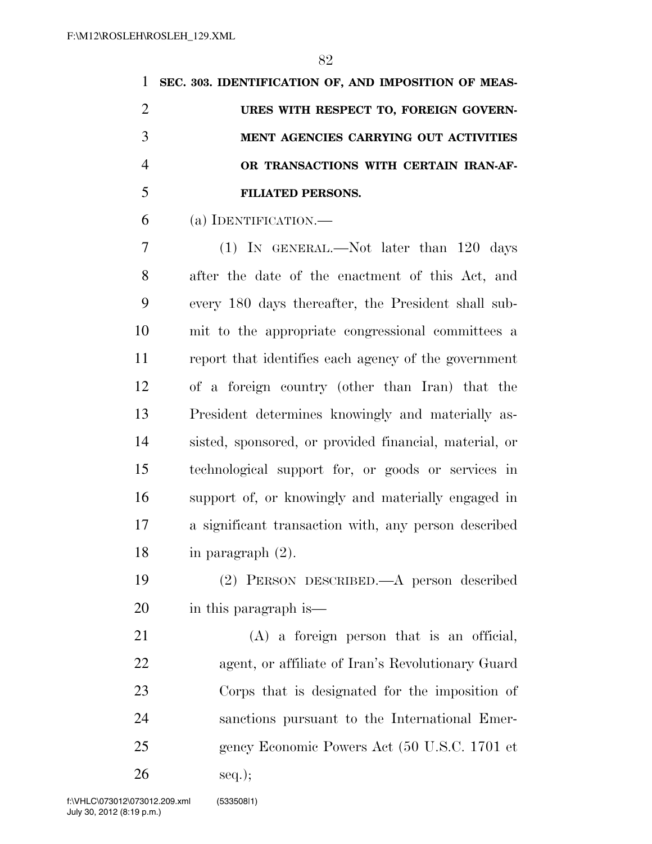|                | SEC. 303. IDENTIFICATION OF, AND IMPOSITION OF MEAS- |
|----------------|------------------------------------------------------|
| $\overline{2}$ | URES WITH RESPECT TO, FOREIGN GOVERN-                |
|                | MENT AGENCIES CARRYING OUT ACTIVITIES                |
| $\overline{4}$ | OR TRANSACTIONS WITH CERTAIN IRAN-AF-                |
| 5              | <b>FILIATED PERSONS.</b>                             |

(a) IDENTIFICATION.—

 (1) IN GENERAL.—Not later than 120 days after the date of the enactment of this Act, and every 180 days thereafter, the President shall sub- mit to the appropriate congressional committees a report that identifies each agency of the government of a foreign country (other than Iran) that the President determines knowingly and materially as- sisted, sponsored, or provided financial, material, or technological support for, or goods or services in support of, or knowingly and materially engaged in a significant transaction with, any person described in paragraph (2).

 (2) PERSON DESCRIBED.—A person described in this paragraph is—

 (A) a foreign person that is an official, agent, or affiliate of Iran's Revolutionary Guard Corps that is designated for the imposition of sanctions pursuant to the International Emer-gency Economic Powers Act (50 U.S.C. 1701 et

seq.);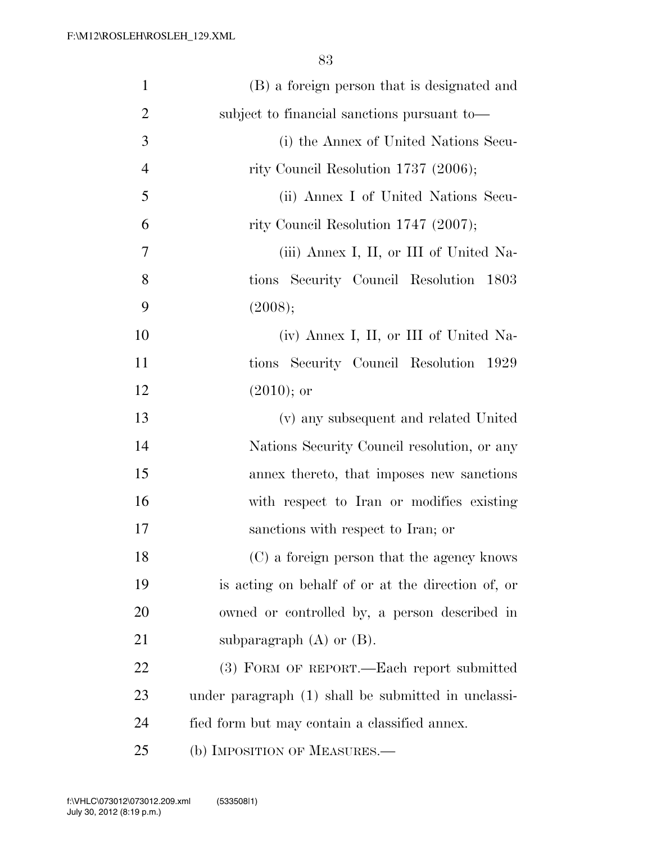| $\mathbf{1}$   | (B) a foreign person that is designated and         |
|----------------|-----------------------------------------------------|
| $\overline{2}$ | subject to financial sanctions pursuant to-         |
| 3              | (i) the Annex of United Nations Secu-               |
| $\overline{4}$ | rity Council Resolution 1737 (2006);                |
| 5              | (ii) Annex I of United Nations Secu-                |
| 6              | rity Council Resolution 1747 (2007);                |
| 7              | (iii) Annex I, II, or III of United Na-             |
| 8              | tions Security Council Resolution 1803              |
| 9              | (2008);                                             |
| 10             | (iv) Annex I, II, or III of United Na-              |
| 11             | tions Security Council Resolution 1929              |
| 12             | $(2010);$ or                                        |
| 13             | (v) any subsequent and related United               |
| 14             | Nations Security Council resolution, or any         |
| 15             | annex thereto, that imposes new sanctions           |
| 16             | with respect to Iran or modifies existing           |
| 17             | sanctions with respect to Iran; or                  |
| 18             | (C) a foreign person that the agency knows          |
| 19             | is acting on behalf of or at the direction of, or   |
| 20             | owned or controlled by, a person described in       |
| 21             | subparagraph $(A)$ or $(B)$ .                       |
| 22             | (3) FORM OF REPORT.—Each report submitted           |
| 23             | under paragraph (1) shall be submitted in unclassi- |
| 24             | fied form but may contain a classified annex.       |
| 25             | (b) IMPOSITION OF MEASURES.-                        |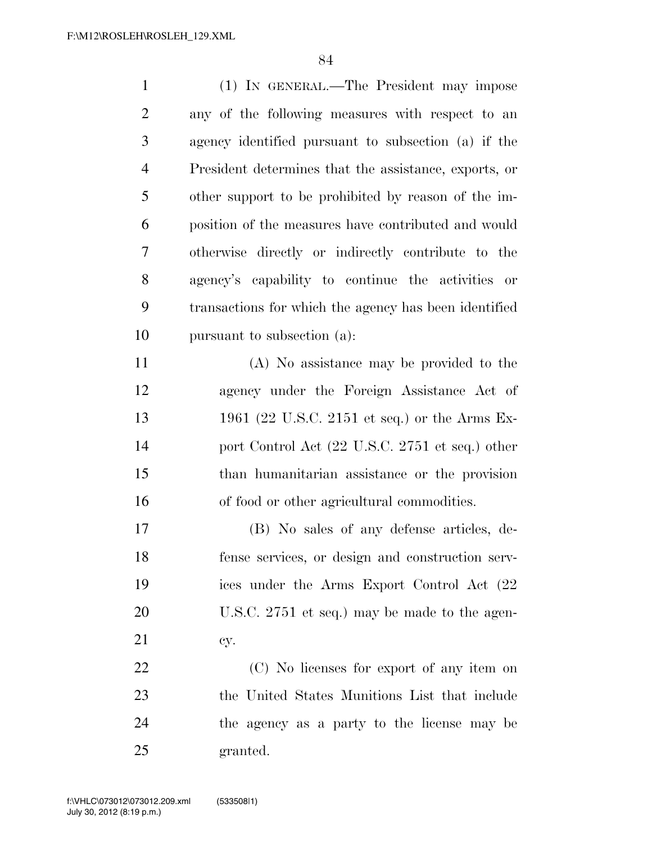| $\mathbf{1}$   | (1) IN GENERAL.—The President may impose              |
|----------------|-------------------------------------------------------|
| $\overline{2}$ | any of the following measures with respect to an      |
| 3              | agency identified pursuant to subsection (a) if the   |
| $\overline{4}$ | President determines that the assistance, exports, or |
| 5              | other support to be prohibited by reason of the im-   |
| 6              | position of the measures have contributed and would   |
| 7              | otherwise directly or indirectly contribute to the    |
| 8              | agency's capability to continue the activities or     |
| 9              | transactions for which the agency has been identified |
| 10             | pursuant to subsection (a):                           |
| 11             | (A) No assistance may be provided to the              |
| 12             | agency under the Foreign Assistance Act of            |
| 13             | 1961 (22 U.S.C. 2151 et seq.) or the Arms Ex-         |
| 14             | port Control Act (22 U.S.C. 2751 et seq.) other       |
| 15             | than humanitarian assistance or the provision         |
| 16             | of food or other agricultural commodities.            |
| 17             | (B) No sales of any defense articles, de-             |
| 18             | fense services, or design and construction serv-      |
| 19             | ices under the Arms Export Control Act (22)           |
| 20             | U.S.C. 2751 et seq.) may be made to the agen-         |
| 21             | cy.                                                   |
| 22             | (C) No licenses for export of any item on             |
| 23             | the United States Munitions List that include         |
| 24             | the agency as a party to the license may be           |
| 25             | granted.                                              |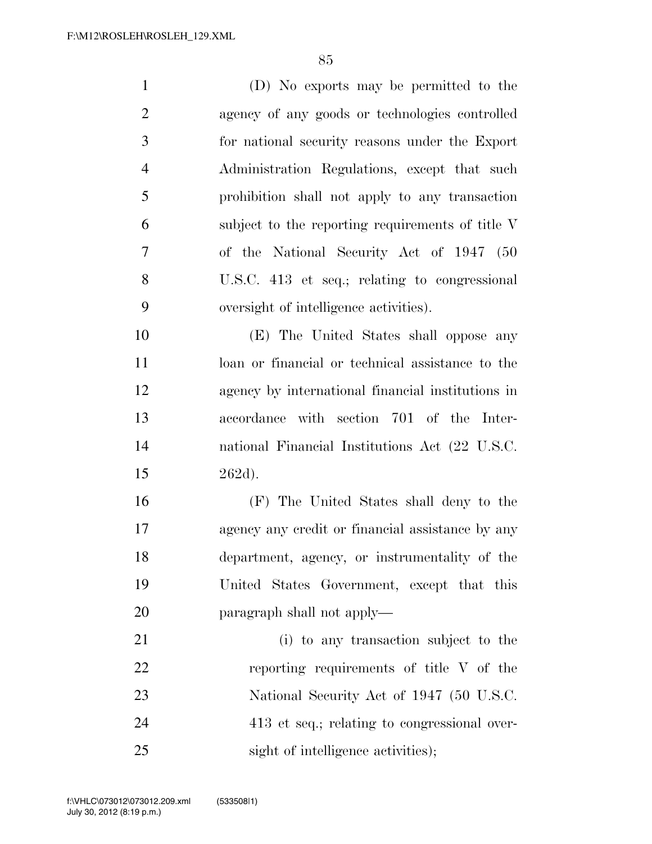(D) No exports may be permitted to the agency of any goods or technologies controlled for national security reasons under the Export Administration Regulations, except that such prohibition shall not apply to any transaction subject to the reporting requirements of title V of the National Security Act of 1947 (50 U.S.C. 413 et seq.; relating to congressional oversight of intelligence activities). (E) The United States shall oppose any loan or financial or technical assistance to the agency by international financial institutions in accordance with section 701 of the Inter-national Financial Institutions Act (22 U.S.C.

262d).

 (F) The United States shall deny to the agency any credit or financial assistance by any department, agency, or instrumentality of the United States Government, except that this paragraph shall not apply—

 (i) to any transaction subject to the reporting requirements of title V of the 23 National Security Act of 1947 (50 U.S.C. 413 et seq.; relating to congressional over-25 sight of intelligence activities);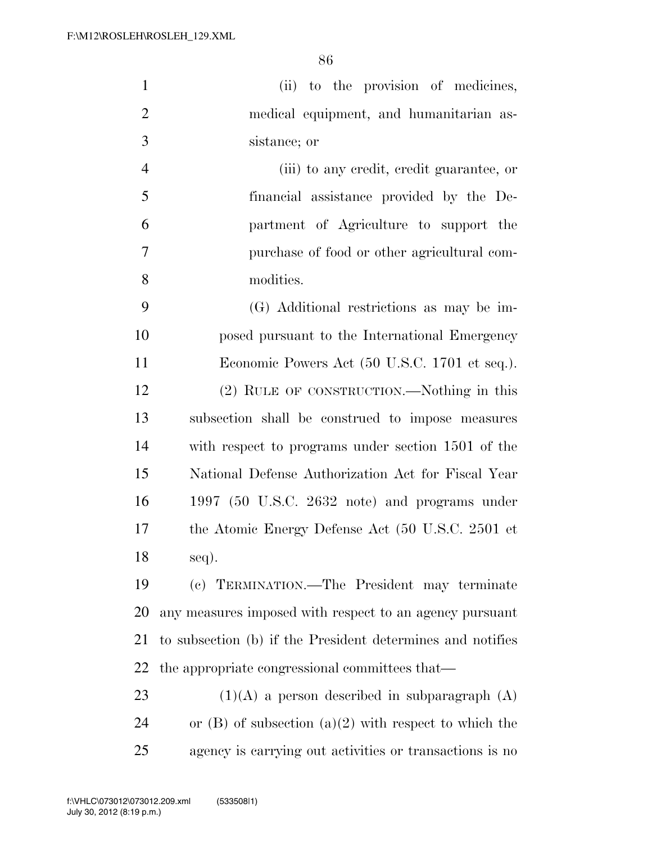| $\mathbf{1}$   | (ii) to the provision of medicines,                        |
|----------------|------------------------------------------------------------|
| $\overline{2}$ | medical equipment, and humanitarian as-                    |
| 3              | sistance; or                                               |
| $\overline{4}$ | (iii) to any credit, credit guarantee, or                  |
| 5              | financial assistance provided by the De-                   |
| 6              | partment of Agriculture to support the                     |
| 7              | purchase of food or other agricultural com-                |
| 8              | modities.                                                  |
| 9              | (G) Additional restrictions as may be im-                  |
| 10             | posed pursuant to the International Emergency              |
| 11             | Economic Powers Act (50 U.S.C. 1701 et seq.).              |
| 12             | (2) RULE OF CONSTRUCTION.—Nothing in this                  |
| 13             | subsection shall be construed to impose measures           |
| 14             | with respect to programs under section 1501 of the         |
| 15             | National Defense Authorization Act for Fiscal Year         |
| 16             | 1997 (50 U.S.C. $2632$ note) and programs under            |
| 17             | the Atomic Energy Defense Act (50 U.S.C. 2501 et           |
| 18             | seq).                                                      |
| 19             | (c) TERMINATION.—The President may terminate               |
| 20             | any measures imposed with respect to an agency pursuant    |
| 21             | to subsection (b) if the President determines and notifies |
| 22             | the appropriate congressional committees that—             |
| 23             | $(1)(A)$ a person described in subparagraph $(A)$          |

24 or  $(B)$  of subsection  $(a)(2)$  with respect to which the agency is carrying out activities or transactions is no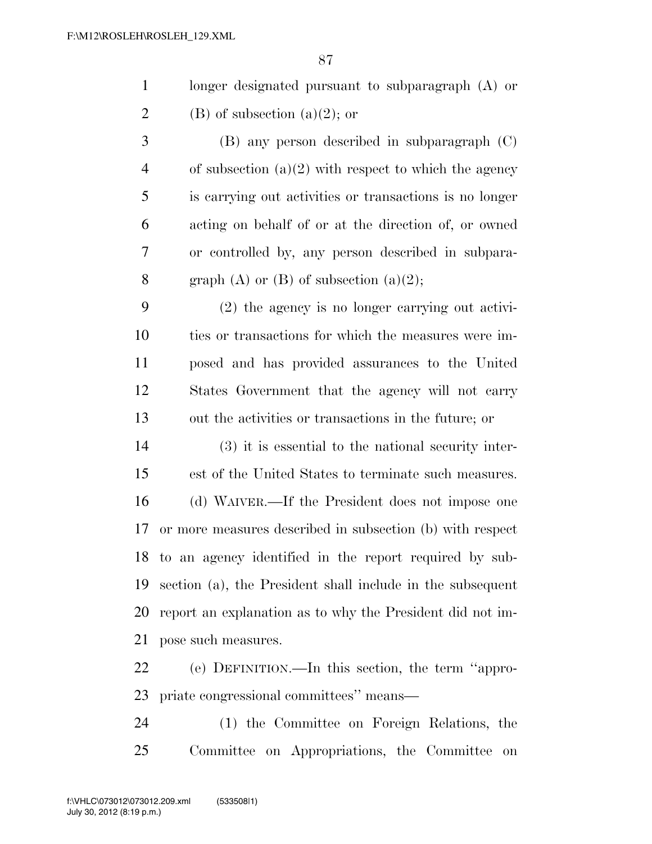| longer designated pursuant to subparagraph $(A)$ or |
|-----------------------------------------------------|
| $(B)$ of subsection $(a)(2)$ ; or                   |

 (B) any person described in subparagraph (C) 4 of subsection  $(a)(2)$  with respect to which the agency is carrying out activities or transactions is no longer acting on behalf of or at the direction of, or owned or controlled by, any person described in subpara-8 graph (A) or (B) of subsection  $(a)(2)$ ;

 (2) the agency is no longer carrying out activi- ties or transactions for which the measures were im- posed and has provided assurances to the United States Government that the agency will not carry out the activities or transactions in the future; or

 (3) it is essential to the national security inter- est of the United States to terminate such measures. (d) WAIVER.—If the President does not impose one or more measures described in subsection (b) with respect to an agency identified in the report required by sub- section (a), the President shall include in the subsequent report an explanation as to why the President did not im-pose such measures.

 (e) DEFINITION.—In this section, the term ''appro-priate congressional committees'' means—

 (1) the Committee on Foreign Relations, the Committee on Appropriations, the Committee on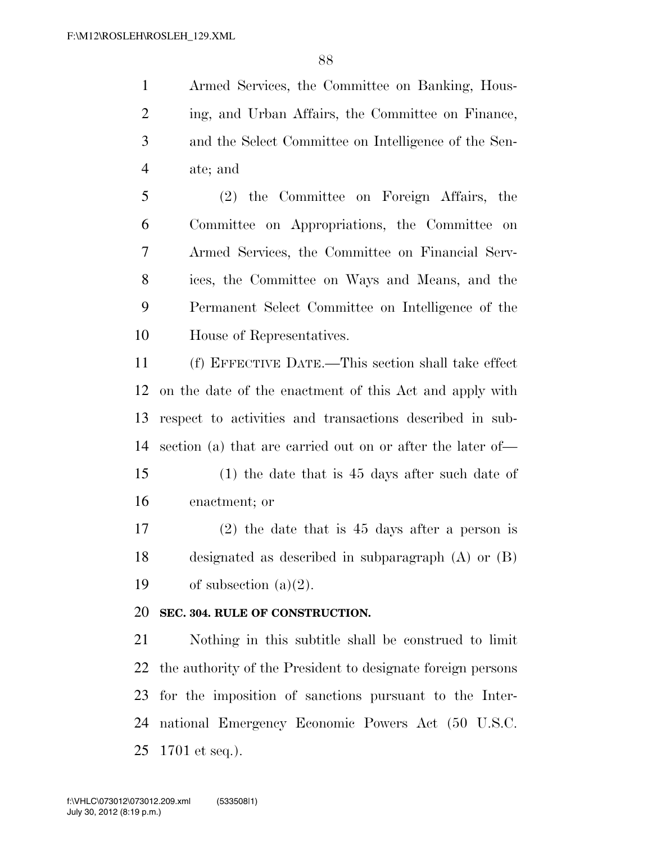Armed Services, the Committee on Banking, Hous- ing, and Urban Affairs, the Committee on Finance, and the Select Committee on Intelligence of the Sen-ate; and

 (2) the Committee on Foreign Affairs, the Committee on Appropriations, the Committee on Armed Services, the Committee on Financial Serv- ices, the Committee on Ways and Means, and the Permanent Select Committee on Intelligence of the House of Representatives.

 (f) EFFECTIVE DATE.—This section shall take effect on the date of the enactment of this Act and apply with respect to activities and transactions described in sub-section (a) that are carried out on or after the later of—

 (1) the date that is 45 days after such date of enactment; or

 (2) the date that is 45 days after a person is designated as described in subparagraph (A) or (B) 19 of subsection  $(a)(2)$ .

#### **SEC. 304. RULE OF CONSTRUCTION.**

 Nothing in this subtitle shall be construed to limit the authority of the President to designate foreign persons for the imposition of sanctions pursuant to the Inter- national Emergency Economic Powers Act (50 U.S.C. 1701 et seq.).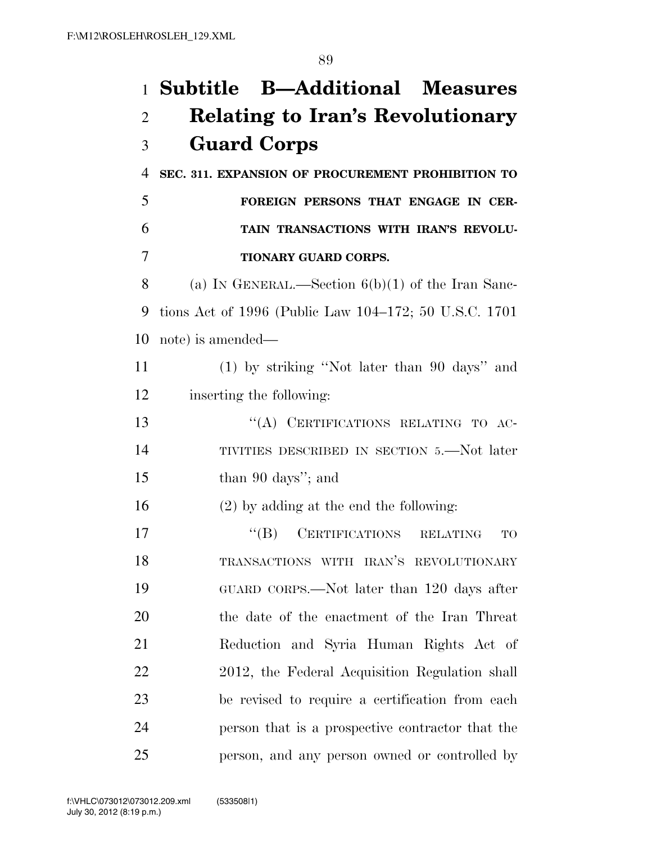# **Subtitle B—Additional Measures Relating to Iran's Revolutionary Guard Corps**

**SEC. 311. EXPANSION OF PROCUREMENT PROHIBITION TO** 

### **FOREIGN PERSONS THAT ENGAGE IN CER- TAIN TRANSACTIONS WITH IRAN'S REVOLU-TIONARY GUARD CORPS.**

 (a) IN GENERAL.—Section 6(b)(1) of the Iran Sanc- tions Act of 1996 (Public Law 104–172; 50 U.S.C. 1701 note) is amended—

 (1) by striking ''Not later than 90 days'' and inserting the following:

13 "(A) CERTIFICATIONS RELATING TO AC- TIVITIES DESCRIBED IN SECTION 5.—Not later 15 than 90 days''; and

(2) by adding at the end the following:

17 "(B) CERTIFICATIONS RELATING TO TRANSACTIONS WITH IRAN'S REVOLUTIONARY GUARD CORPS.—Not later than 120 days after the date of the enactment of the Iran Threat Reduction and Syria Human Rights Act of 2012, the Federal Acquisition Regulation shall be revised to require a certification from each person that is a prospective contractor that the person, and any person owned or controlled by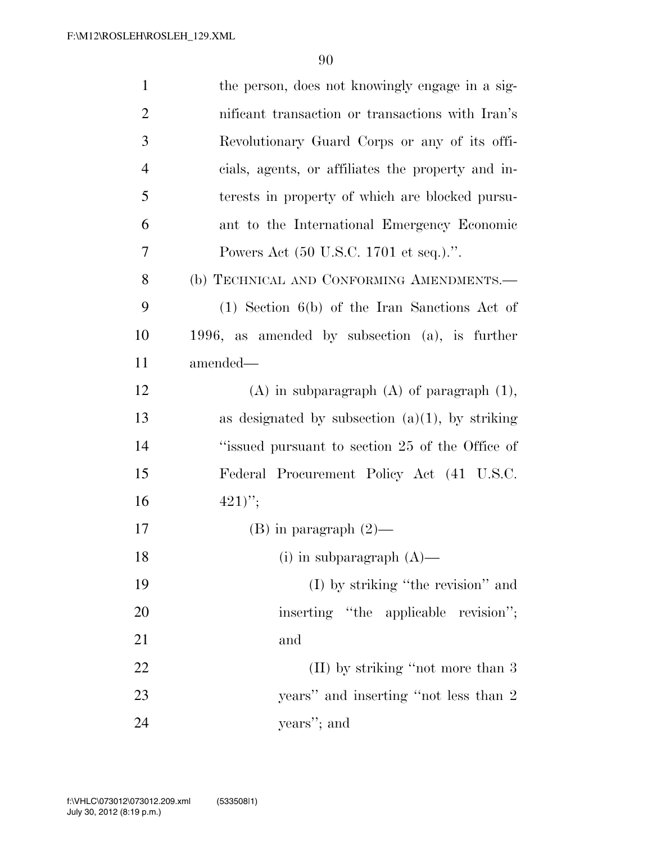| $\mathbf{1}$   | the person, does not knowingly engage in a sig-    |
|----------------|----------------------------------------------------|
| $\overline{2}$ | nificant transaction or transactions with Iran's   |
| 3              | Revolutionary Guard Corps or any of its offi-      |
| $\overline{4}$ | cials, agents, or affiliates the property and in-  |
| 5              | terests in property of which are blocked pursu-    |
| 6              | ant to the International Emergency Economic        |
| 7              | Powers Act (50 U.S.C. 1701 et seq.).".             |
| 8              | (b) TECHNICAL AND CONFORMING AMENDMENTS.-          |
| 9              | $(1)$ Section 6(b) of the Iran Sanctions Act of    |
| 10             | 1996, as amended by subsection $(a)$ , is further  |
| 11             | amended—                                           |
| 12             | $(A)$ in subparagraph $(A)$ of paragraph $(1)$ ,   |
| 13             | as designated by subsection $(a)(1)$ , by striking |
| 14             | "issued pursuant to section 25 of the Office of    |
| 15             | Federal Procurement Policy Act (41 U.S.C.          |
| 16             | $(421)$ ";                                         |
| 17             | $(B)$ in paragraph $(2)$ —                         |
| 18             | (i) in subparagraph $(A)$ —                        |
| 19             | (I) by striking "the revision" and                 |
| 20             | inserting "the applicable revision";               |
| 21             | and                                                |
| 22             | $(II)$ by striking "not more than 3                |
| 23             | years" and inserting "not less than 2              |
| 24             | years"; and                                        |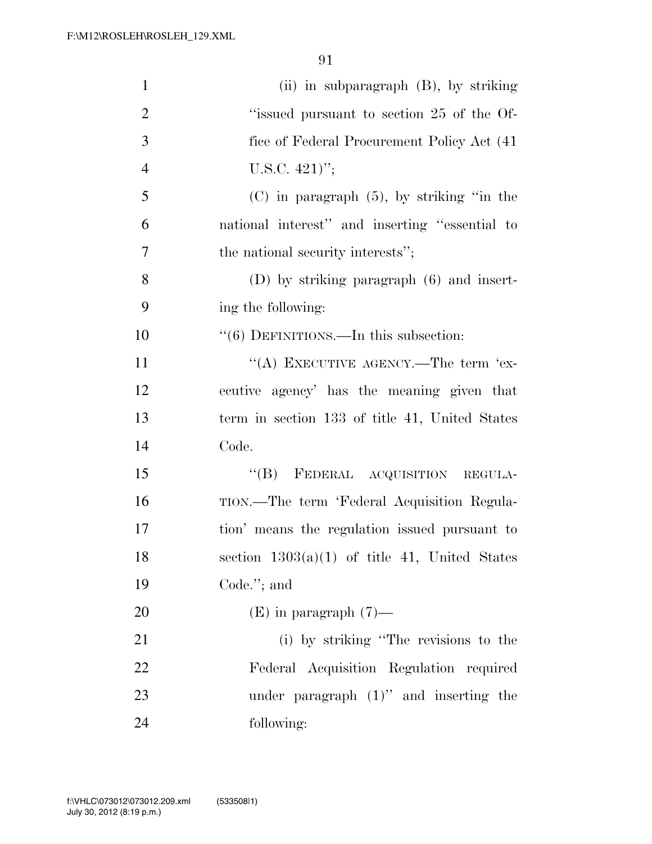| $\mathbf{1}$   | (ii) in subparagraph $(B)$ , by striking          |
|----------------|---------------------------------------------------|
| $\overline{2}$ | "issued pursuant to section 25 of the Of-         |
| 3              | fice of Federal Procurement Policy Act (41)       |
| $\overline{4}$ | U.S.C. $421$ <sup>"</sup> ;                       |
| 5              | $(C)$ in paragraph $(5)$ , by striking "in the    |
| 6              | national interest" and inserting "essential to    |
| 7              | the national security interests";                 |
| 8              | $(D)$ by striking paragraph $(6)$ and insert-     |
| 9              | ing the following:                                |
| 10             | $\cdot\cdot$ (6) DEFINITIONS.—In this subsection: |
| 11             | "(A) EXECUTIVE AGENCY.—The term 'ex-              |
| 12             | ecutive agency' has the meaning given that        |
| 13             | term in section 133 of title 41, United States    |
| 14             | Code.                                             |
| 15             | "(B) FEDERAL ACQUISITION REGULA-                  |
| 16             | TION.—The term 'Federal Acquisition Regula-       |
| 17             | tion' means the regulation issued pursuant to     |
| 18             | section $1303(a)(1)$ of title 41, United States   |
| 19             | Code."; and                                       |
| <b>20</b>      | $(E)$ in paragraph $(7)$ —                        |
| 21             | (i) by striking "The revisions to the             |
| 22             | Federal Acquisition Regulation required           |
| 23             | under paragraph $(1)$ " and inserting the         |
| 24             | following:                                        |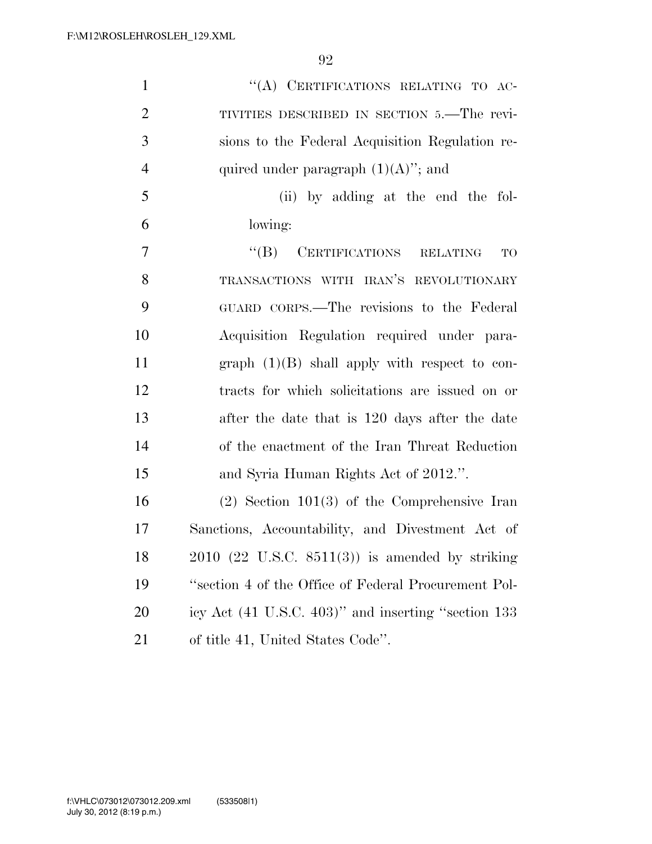| $\mathbf{1}$   | "(A) CERTIFICATIONS RELATING TO AC-                          |
|----------------|--------------------------------------------------------------|
| $\overline{2}$ | TIVITIES DESCRIBED IN SECTION 5.—The revi-                   |
| 3              | sions to the Federal Acquisition Regulation re-              |
| $\overline{4}$ | quired under paragraph $(1)(A)$ "; and                       |
| 5              | (ii) by adding at the end the fol-                           |
| 6              | lowing:                                                      |
| $\overline{7}$ | "(B) CERTIFICATIONS RELATING<br>TO                           |
| 8              | TRANSACTIONS WITH IRAN'S REVOLUTIONARY                       |
| 9              | GUARD CORPS.—The revisions to the Federal                    |
| 10             | Acquisition Regulation required under para-                  |
| 11             | graph $(1)(B)$ shall apply with respect to con-              |
| 12             | tracts for which solicitations are issued on or              |
| 13             | after the date that is 120 days after the date               |
| 14             | of the enactment of the Iran Threat Reduction                |
| 15             | and Syria Human Rights Act of 2012.".                        |
| 16             | $(2)$ Section 101 $(3)$ of the Comprehensive Iran            |
| 17             | Sanctions, Accountability, and Divestment Act of             |
| 18             | $2010$ $(22 \text{ U.S.C. } 8511(3))$ is amended by striking |
| 19             | "section 4 of the Office of Federal Procurement Pol-         |
| 20             | icy Act (41 U.S.C. 403)" and inserting "section 133          |
| 21             | of title 41, United States Code".                            |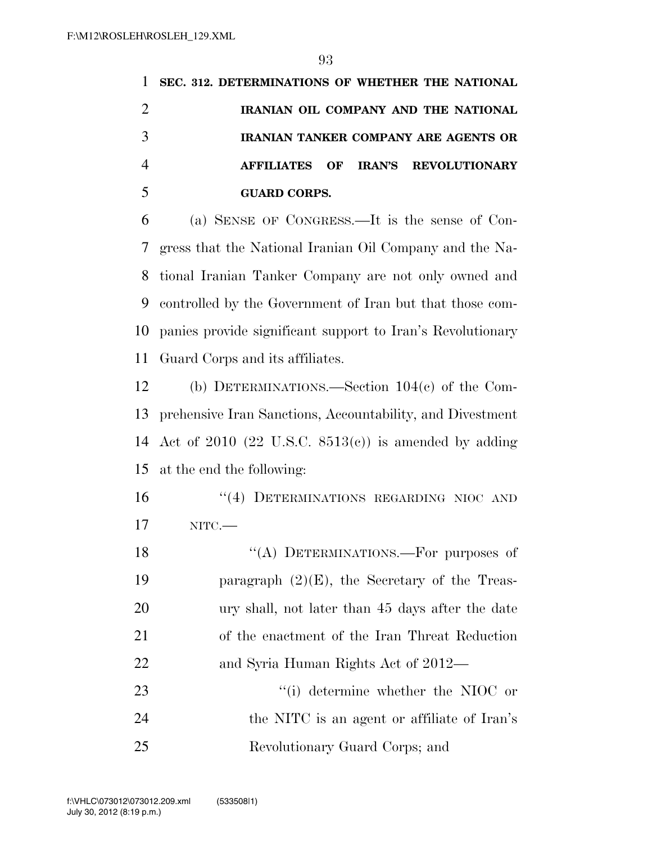| SEC. 312. DETERMINATIONS OF WHETHER THE NATIONAL |
|--------------------------------------------------|
| IRANIAN OIL COMPANY AND THE NATIONAL             |
| <b>IRANIAN TANKER COMPANY ARE AGENTS OR</b>      |
| AFFILIATES OF IRAN'S REVOLUTIONARY               |
| <b>GUARD CORPS.</b>                              |
|                                                  |

 (a) SENSE OF CONGRESS.—It is the sense of Con- gress that the National Iranian Oil Company and the Na- tional Iranian Tanker Company are not only owned and controlled by the Government of Iran but that those com- panies provide significant support to Iran's Revolutionary Guard Corps and its affiliates.

 (b) DETERMINATIONS.—Section 104(c) of the Com- prehensive Iran Sanctions, Accountability, and Divestment Act of 2010 (22 U.S.C. 8513(c)) is amended by adding at the end the following:

16 "(4) DETERMINATIONS REGARDING NIOC AND NITC.—

18 "(A) DETERMINATIONS.—For purposes of 19 paragraph  $(2)(E)$ , the Secretary of the Treas- ury shall, not later than 45 days after the date of the enactment of the Iran Threat Reduction 22 and Syria Human Rights Act of 2012— 23 ''(i) determine whether the NIOC or the NITC is an agent or affiliate of Iran's Revolutionary Guard Corps; and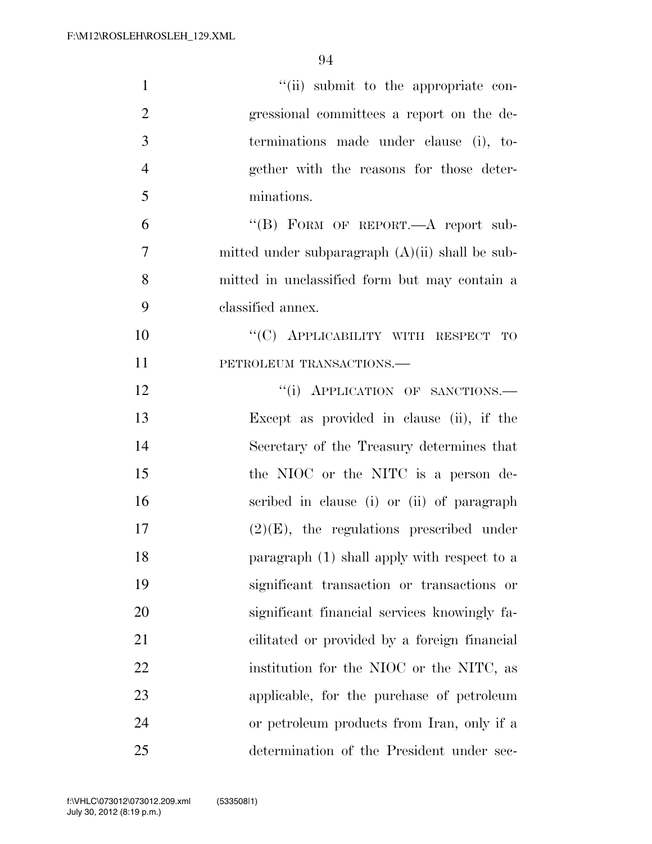| $\mathbf{1}$   | "(ii) submit to the appropriate con-              |
|----------------|---------------------------------------------------|
| $\overline{2}$ | gressional committees a report on the de-         |
| 3              | terminations made under clause (i), to-           |
| $\overline{4}$ | gether with the reasons for those deter-          |
| 5              | minations.                                        |
| 6              | "(B) FORM OF REPORT.— $A$ report sub-             |
| 7              | mitted under subparagraph $(A)(ii)$ shall be sub- |
| 8              | mitted in unclassified form but may contain a     |
| 9              | classified annex.                                 |
| 10             | "(C) APPLICABILITY WITH RESPECT TO                |
| 11             | PETROLEUM TRANSACTIONS.-                          |
| 12             | "(i) APPLICATION OF SANCTIONS.-                   |
| 13             | Except as provided in clause (ii), if the         |
| 14             | Secretary of the Treasury determines that         |
| 15             | the NIOC or the NITC is a person de-              |
| 16             | scribed in clause (i) or (ii) of paragraph        |
| 17             | $(2)(E)$ , the regulations prescribed under       |
| 18             | paragraph (1) shall apply with respect to a       |
| 19             | significant transaction or transactions or        |
| 20             | significant financial services knowingly fa-      |
| 21             | cilitated or provided by a foreign financial      |
| 22             | institution for the NIOC or the NITC, as          |
| 23             | applicable, for the purchase of petroleum         |
| 24             | or petroleum products from Iran, only if a        |
| 25             | determination of the President under sec-         |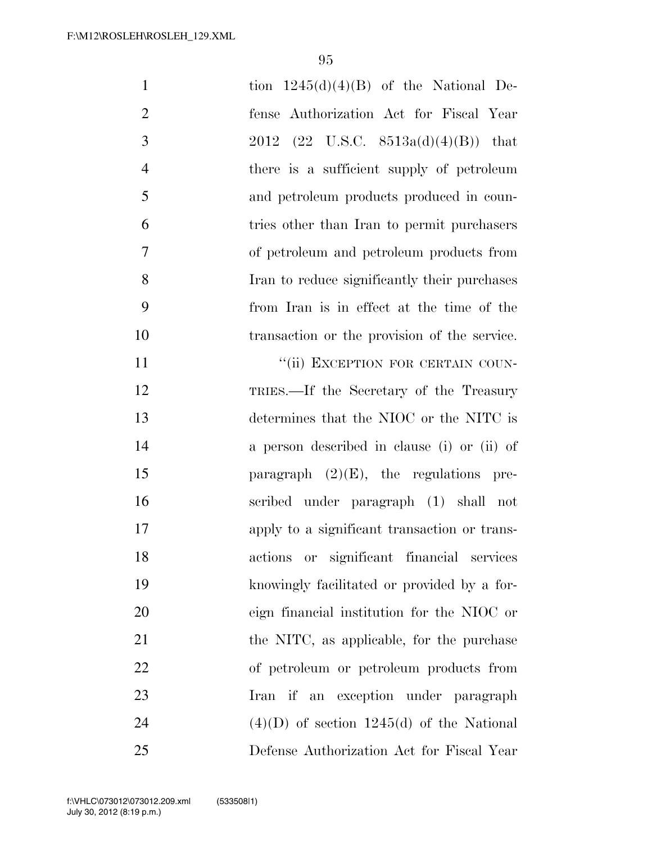| $\mathbf{1}$   | tion $1245(d)(4)(B)$ of the National De-     |
|----------------|----------------------------------------------|
| $\overline{2}$ | fense Authorization Act for Fiscal Year      |
| 3              | 2012 (22 U.S.C. $8513a(d)(4)(B)$ ) that      |
| $\overline{4}$ | there is a sufficient supply of petroleum    |
| 5              | and petroleum products produced in coun-     |
| 6              | tries other than Iran to permit purchasers   |
| 7              | of petroleum and petroleum products from     |
| 8              | Iran to reduce significantly their purchases |
| 9              | from Iran is in effect at the time of the    |
| 10             | transaction or the provision of the service. |
| 11             | "(ii) EXCEPTION FOR CERTAIN COUN-            |
| 12             | TRIES.—If the Secretary of the Treasury      |
| 13             | determines that the NIOC or the NITC is      |
| 14             | a person described in clause (i) or (ii) of  |
| 15             | paragraph $(2)(E)$ , the regulations pre-    |
| 16             | scribed under paragraph (1) shall not        |
| 17             | apply to a significant transaction or trans- |
| 18             | actions or significant financial services    |
| 19             | knowingly facilitated or provided by a for-  |
| 20             | eign financial institution for the NIOC or   |
| 21             | the NITC, as applicable, for the purchase    |
| 22             | of petroleum or petroleum products from      |
| 23             | Iran if an exception under paragraph         |
| 24             | $(4)(D)$ of section 1245(d) of the National  |
| 25             | Defense Authorization Act for Fiscal Year    |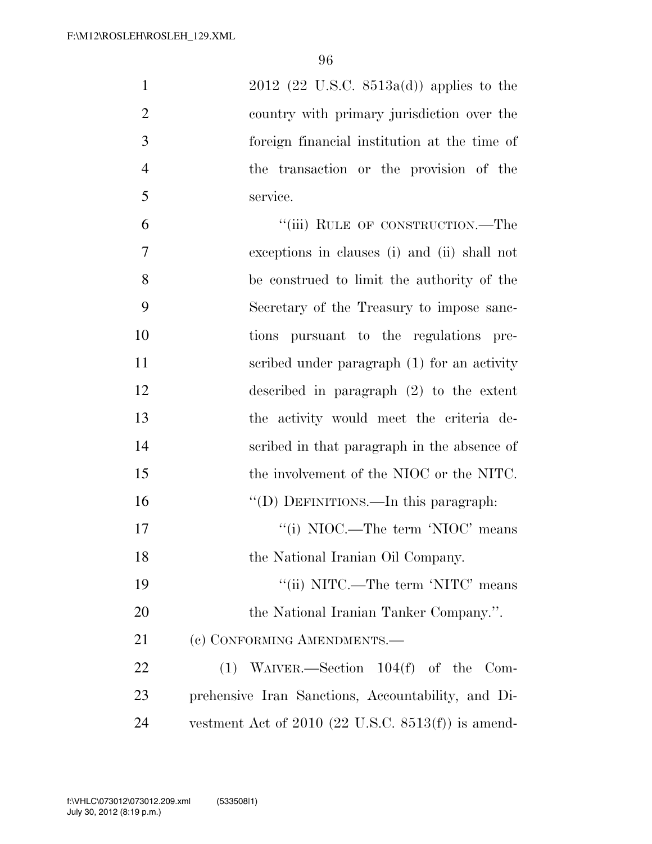2012 (22 U.S.C. 8513a(d)) applies to the country with primary jurisdiction over the foreign financial institution at the time of the transaction or the provision of the service.

6 "(iii) RULE OF CONSTRUCTION.—The exceptions in clauses (i) and (ii) shall not be construed to limit the authority of the Secretary of the Treasury to impose sanc- tions pursuant to the regulations pre- scribed under paragraph (1) for an activity described in paragraph (2) to the extent the activity would meet the criteria de- scribed in that paragraph in the absence of 15 the involvement of the NIOC or the NITC. 16 "(D) DEFINITIONS.—In this paragraph: 17 ''(i) NIOC.—The term 'NIOC' means 18 the National Iranian Oil Company. 19 ''(ii) NITC.—The term 'NITC' means 20 the National Iranian Tanker Company.". 21 (c) CONFORMING AMENDMENTS.— (1) WAIVER.—Section 104(f) of the Com- prehensive Iran Sanctions, Accountability, and Di-vestment Act of 2010 (22 U.S.C. 8513(f)) is amend-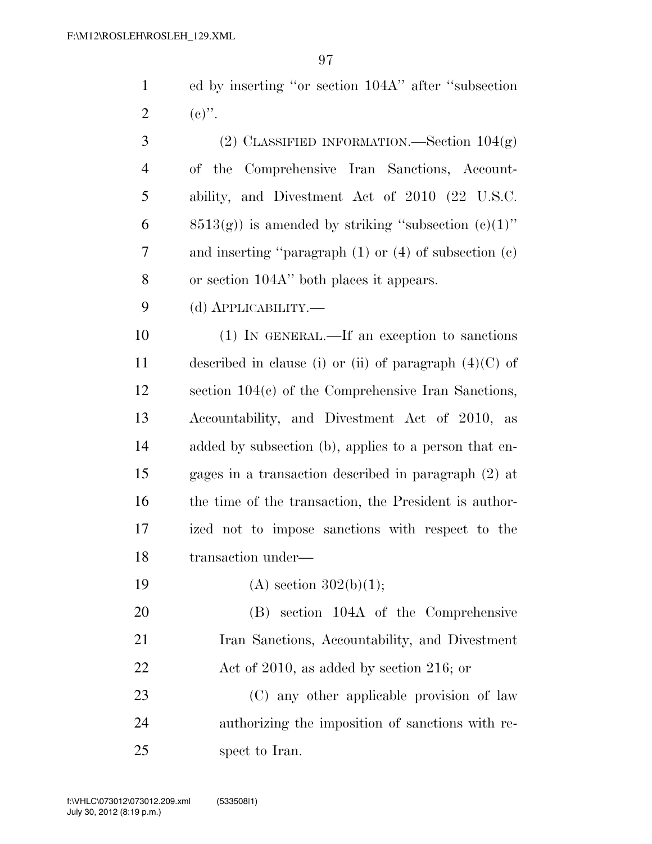| $\mathbf{1}$   | ed by inserting "or section 104A" after "subsection         |
|----------------|-------------------------------------------------------------|
| $\overline{2}$ | $(e)$ ".                                                    |
| 3              | (2) CLASSIFIED INFORMATION.—Section $104(g)$                |
| $\overline{4}$ | Comprehensive Iran Sanctions, Account-<br>of the            |
| 5              | ability, and Divestment Act of 2010 (22 U.S.C.              |
| 6              | $(8513(g))$ is amended by striking "subsection $(e)(1)$ "   |
| 7              | and inserting "paragraph $(1)$ or $(4)$ of subsection $(c)$ |
| 8              | or section 104A" both places it appears.                    |
| 9              | (d) <b>АРР</b> ЫСАВШТҮ.—                                    |
| 10             | (1) IN GENERAL.—If an exception to sanctions                |
| 11             | described in clause (i) or (ii) of paragraph $(4)(C)$ of    |
| 12             | section $104(c)$ of the Comprehensive Iran Sanctions,       |
| 13             | Accountability, and Divestment Act of 2010,<br>as           |
| 14             | added by subsection (b), applies to a person that en-       |
| 15             | gages in a transaction described in paragraph (2) at        |
| 16             | the time of the transaction, the President is author-       |
| 17             | ized not to impose sanctions with respect to the            |
| 18             | transaction under-                                          |
| 19             | (A) section $302(b)(1)$ ;                                   |
| 20             | (B) section 104A of the Comprehensive                       |
| 21             | Iran Sanctions, Accountability, and Divestment              |
| 22             | Act of 2010, as added by section 216; or                    |
| 23             | (C) any other applicable provision of law                   |
| 24             | authorizing the imposition of sanctions with re-            |

25 spect to Iran.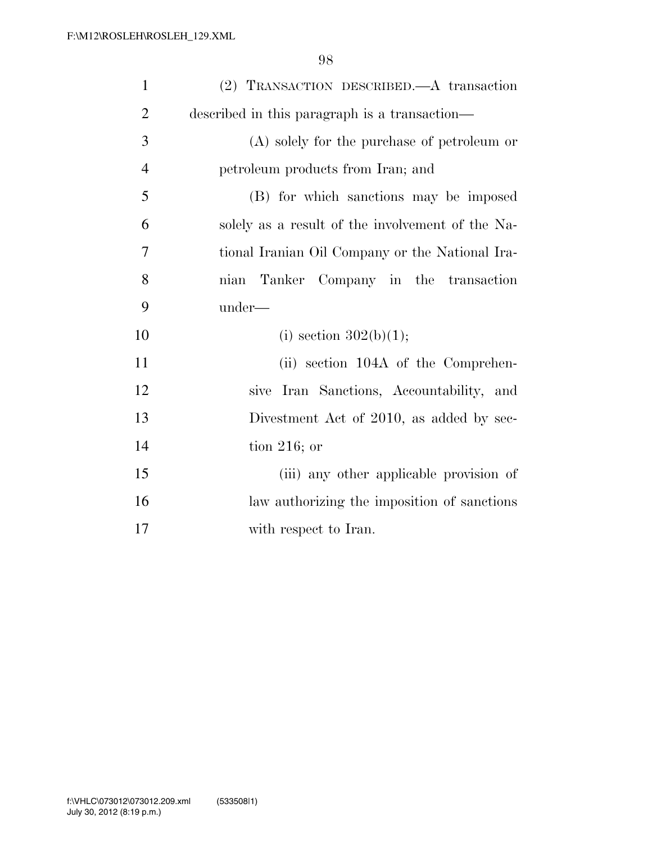| $\mathbf{1}$   | (2) TRANSACTION DESCRIBED.—A transaction         |
|----------------|--------------------------------------------------|
| $\overline{2}$ | described in this paragraph is a transaction—    |
| 3              | (A) solely for the purchase of petroleum or      |
| $\overline{4}$ | petroleum products from Iran; and                |
| 5              | (B) for which sanctions may be imposed           |
| 6              | solely as a result of the involvement of the Na- |
| $\overline{7}$ | tional Iranian Oil Company or the National Ira-  |
| 8              | nian Tanker Company in the transaction           |
| 9              | under—                                           |
| 10             | (i) section $302(b)(1)$ ;                        |
| 11             | (ii) section 104A of the Comprehen-              |
| 12             | sive Iran Sanctions, Accountability, and         |
| 13             | Divestment Act of 2010, as added by sec-         |
| 14             | tion 216; or                                     |
| 15             | (iii) any other applicable provision of          |
| 16             | law authorizing the imposition of sanctions      |
| 17             | with respect to Iran.                            |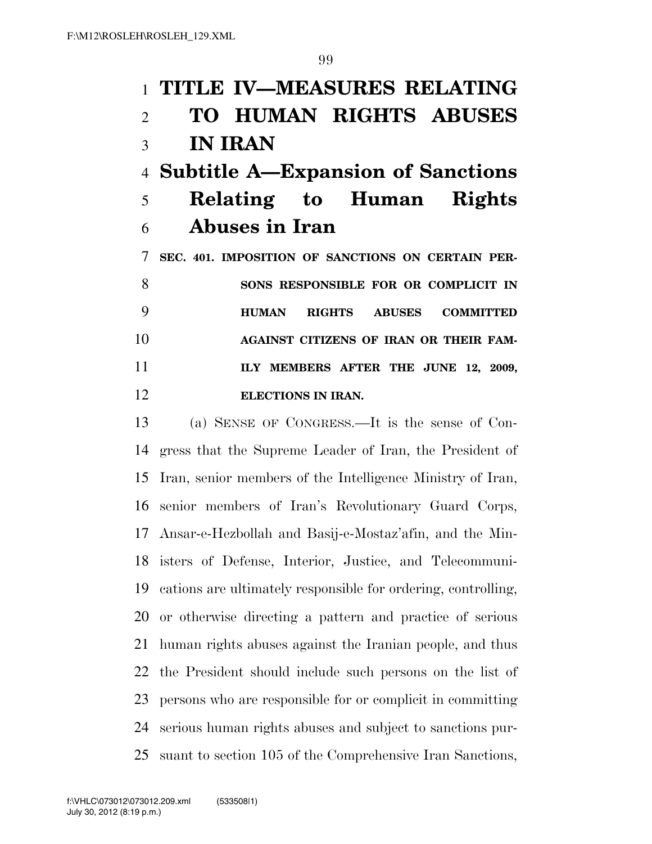### **TITLE IV—MEASURES RELATING**

## **TO HUMAN RIGHTS ABUSES IN IRAN**

### **Subtitle A—Expansion of Sanctions**

### **Relating to Human Rights Abuses in Iran**

 **SEC. 401. IMPOSITION OF SANCTIONS ON CERTAIN PER- SONS RESPONSIBLE FOR OR COMPLICIT IN HUMAN RIGHTS ABUSES COMMITTED AGAINST CITIZENS OF IRAN OR THEIR FAM- ILY MEMBERS AFTER THE JUNE 12, 2009, ELECTIONS IN IRAN.** 

 (a) SENSE OF CONGRESS.—It is the sense of Con- gress that the Supreme Leader of Iran, the President of Iran, senior members of the Intelligence Ministry of Iran, senior members of Iran's Revolutionary Guard Corps, Ansar-e-Hezbollah and Basij-e-Mostaz'afin, and the Min- isters of Defense, Interior, Justice, and Telecommuni- cations are ultimately responsible for ordering, controlling, or otherwise directing a pattern and practice of serious human rights abuses against the Iranian people, and thus the President should include such persons on the list of persons who are responsible for or complicit in committing serious human rights abuses and subject to sanctions pur-suant to section 105 of the Comprehensive Iran Sanctions,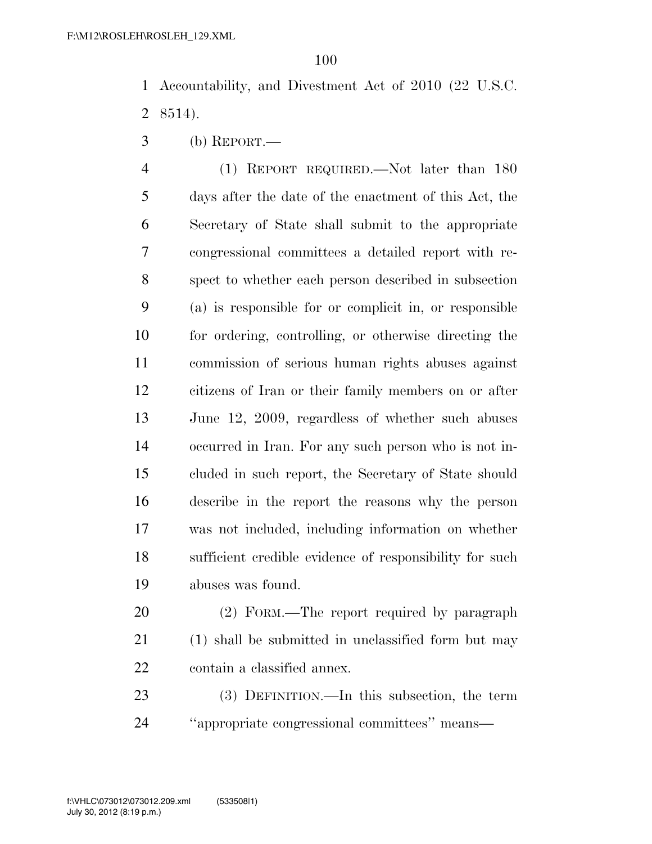Accountability, and Divestment Act of 2010 (22 U.S.C. 8514).

(b) REPORT.—

 (1) REPORT REQUIRED.—Not later than 180 days after the date of the enactment of this Act, the Secretary of State shall submit to the appropriate congressional committees a detailed report with re- spect to whether each person described in subsection (a) is responsible for or complicit in, or responsible for ordering, controlling, or otherwise directing the commission of serious human rights abuses against citizens of Iran or their family members on or after June 12, 2009, regardless of whether such abuses occurred in Iran. For any such person who is not in- cluded in such report, the Secretary of State should describe in the report the reasons why the person was not included, including information on whether sufficient credible evidence of responsibility for such abuses was found.

 (2) FORM.—The report required by paragraph (1) shall be submitted in unclassified form but may contain a classified annex.

 (3) DEFINITION.—In this subsection, the term ''appropriate congressional committees'' means—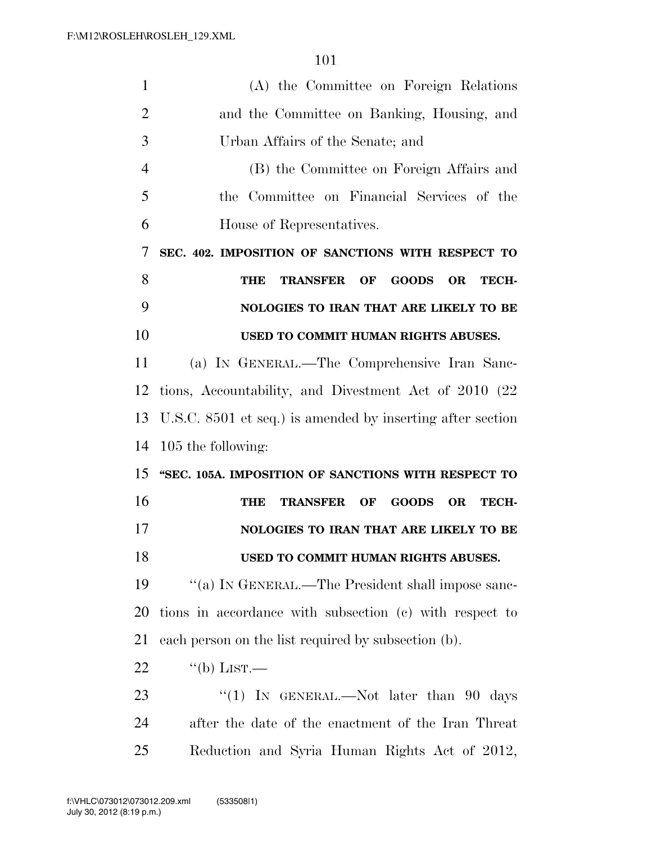| 1              | (A) the Committee on Foreign Relations                                    |
|----------------|---------------------------------------------------------------------------|
| $\overline{2}$ | and the Committee on Banking, Housing, and                                |
| 3              | Urban Affairs of the Senate; and                                          |
| 4              | (B) the Committee on Foreign Affairs and                                  |
| 5              | the Committee on Financial Services of the                                |
| 6              | House of Representatives.                                                 |
| 7              | SEC. 402. IMPOSITION OF SANCTIONS WITH RESPECT TO                         |
| 8              | <b>TRANSFER OF</b><br><b>GOODS</b><br><b>OR</b><br>THE<br>TECH-           |
| 9              | NOLOGIES TO IRAN THAT ARE LIKELY TO BE                                    |
| 10             | USED TO COMMIT HUMAN RIGHTS ABUSES.                                       |
| 11             | (a) IN GENERAL.—The Comprehensive Iran Sanc-                              |
| 12             | tions, Accountability, and Divestment Act of 2010 (22)                    |
| 13             | U.S.C. 8501 et seq.) is amended by inserting after section                |
| 14             | 105 the following:                                                        |
| 15             | "SEC. 105A. IMPOSITION OF SANCTIONS WITH RESPECT TO                       |
| 16             | <b>TRANSFER</b><br><b>GOODS</b><br>OF<br><b>OR</b><br><b>TECH-</b><br>THE |
| 17             | NOLOGIES TO IRAN THAT ARE LIKELY TO BE                                    |
| 18             | USED TO COMMIT HUMAN RIGHTS ABUSES.                                       |
| 19             | "(a) IN GENERAL.—The President shall impose sanc-                         |
| 20             | tions in accordance with subsection (c) with respect to                   |
| 21             | each person on the list required by subsection (b).                       |
| <u>22</u>      | $\lq\lq(b)$ LIST.—                                                        |
| 23             | "(1) IN GENERAL.—Not later than $90$ days                                 |
| 24             | after the date of the enactment of the Iran Threat                        |
| 25             | Reduction and Syria Human Rights Act of 2012,                             |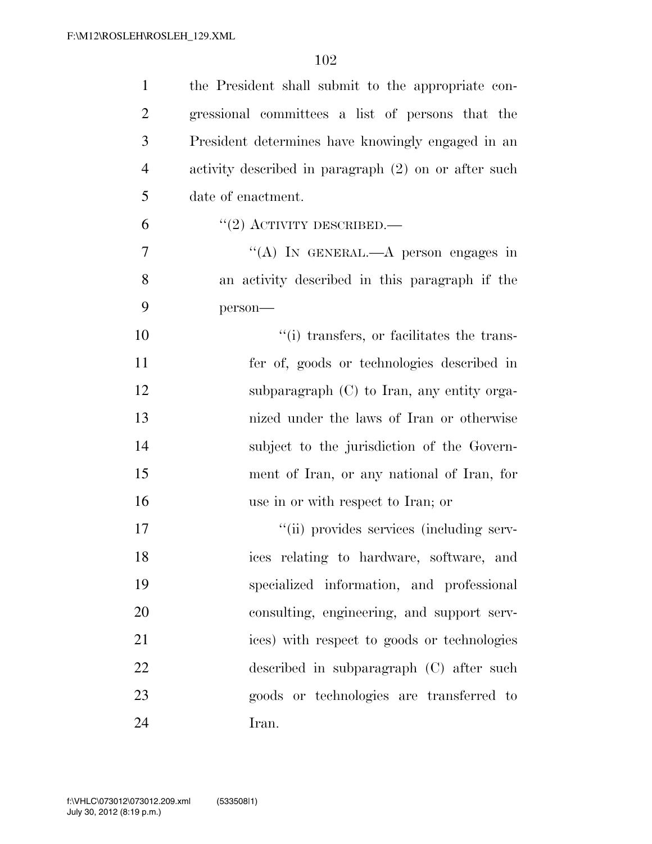| $\mathbf{1}$   | the President shall submit to the appropriate con-   |
|----------------|------------------------------------------------------|
| $\overline{2}$ | gressional committees a list of persons that the     |
| 3              | President determines have knowingly engaged in an    |
| $\overline{4}$ | activity described in paragraph (2) on or after such |
| 5              | date of enactment.                                   |
| 6              | $``(2)$ ACTIVITY DESCRIBED.—                         |
| $\overline{7}$ | "(A) IN GENERAL.—A person engages in                 |
| 8              | an activity described in this paragraph if the       |
| 9              | person-                                              |
| 10             | "(i) transfers, or facilitates the trans-            |
| 11             | fer of, goods or technologies described in           |
| 12             | subparagraph $(C)$ to Iran, any entity orga-         |
| 13             | nized under the laws of Iran or otherwise            |
| 14             | subject to the jurisdiction of the Govern-           |
| 15             | ment of Iran, or any national of Iran, for           |
| 16             | use in or with respect to Iran; or                   |
| 17             | "(ii) provides services (including serv-             |
| 18             | ices relating to hardware, software, and             |
| 19             | specialized information, and professional            |
| 20             | consulting, engineering, and support serv-           |
| 21             | ices) with respect to goods or technologies          |
| 22             | described in subparagraph (C) after such             |
| 23             | goods or technologies are transferred to             |
| 24             | Iran.                                                |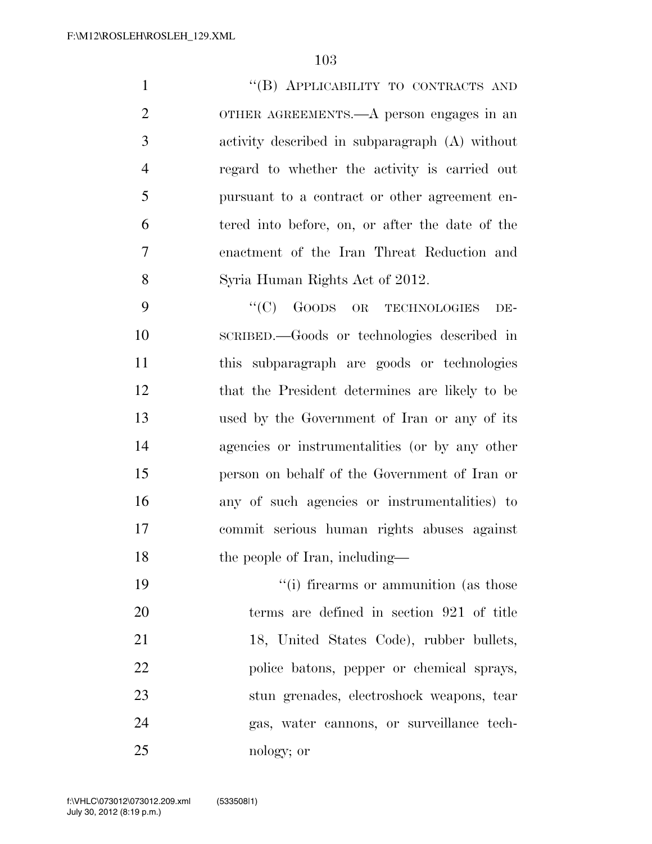1 "(B) APPLICABILITY TO CONTRACTS AND OTHER AGREEMENTS.—A person engages in an activity described in subparagraph (A) without regard to whether the activity is carried out pursuant to a contract or other agreement en- tered into before, on, or after the date of the enactment of the Iran Threat Reduction and Syria Human Rights Act of 2012.

9 "(C) GOODS OR TECHNOLOGIES DE- SCRIBED.—Goods or technologies described in this subparagraph are goods or technologies that the President determines are likely to be used by the Government of Iran or any of its agencies or instrumentalities (or by any other person on behalf of the Government of Iran or any of such agencies or instrumentalities) to commit serious human rights abuses against 18 the people of Iran, including—

 $\frac{1}{2}$  (i) firearms or ammunition (as those terms are defined in section 921 of title 21 18, United States Code), rubber bullets, police batons, pepper or chemical sprays, stun grenades, electroshock weapons, tear gas, water cannons, or surveillance tech-nology; or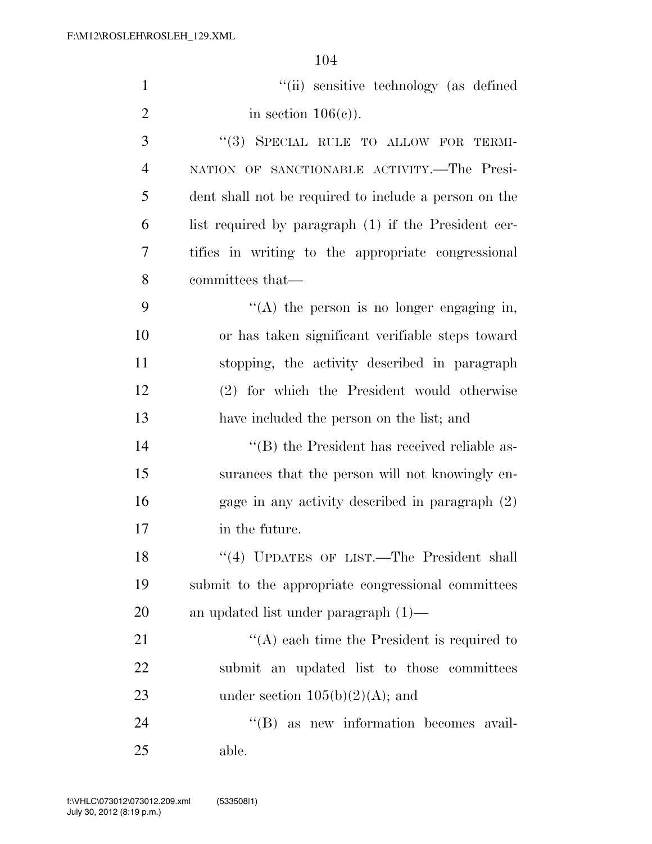| $\mathbf{1}$   | "(ii) sensitive technology (as defined                |
|----------------|-------------------------------------------------------|
| $\overline{2}$ | in section $106(c)$ ).                                |
| 3              | "(3) SPECIAL RULE TO ALLOW FOR TERMI-                 |
| $\overline{4}$ | NATION OF SANCTIONABLE ACTIVITY. The Presi-           |
| 5              | dent shall not be required to include a person on the |
| 6              | list required by paragraph (1) if the President cer-  |
| 7              | tifies in writing to the appropriate congressional    |
| 8              | committees that—                                      |
| 9              | "(A) the person is no longer engaging in,             |
| 10             | or has taken significant verifiable steps toward      |
| 11             | stopping, the activity described in paragraph         |
| 12             | (2) for which the President would otherwise           |
| 13             | have included the person on the list; and             |
| 14             | "(B) the President has received reliable as-          |
| 15             | surances that the person will not knowingly en-       |
| 16             | gage in any activity described in paragraph $(2)$     |
| 17             | in the future.                                        |
| 18             | "(4) UPDATES OF LIST.—The President shall             |
| 19             | submit to the appropriate congressional committees    |
| 20             | an updated list under paragraph $(1)$ —               |
| 21             | "(A) each time the President is required to           |
| 22             | submit an updated list to those committees            |
| 23             | under section $105(b)(2)(A)$ ; and                    |
| 24             | $\lq\lq$ (B) as new information becomes avail-        |
| 25             | able.                                                 |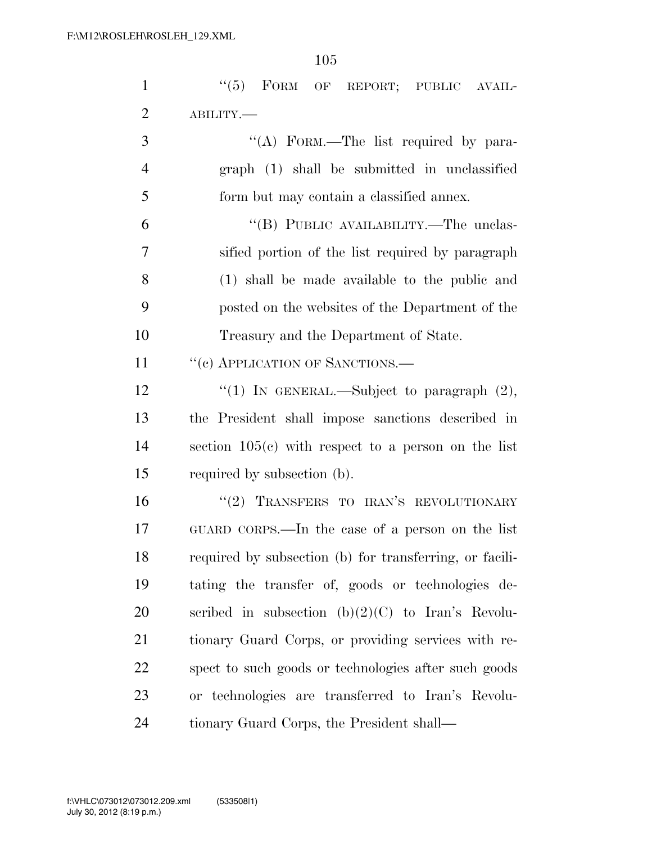| $\mathbf{1}$   | "(5) FORM OF REPORT; PUBLIC AVAIL-                      |
|----------------|---------------------------------------------------------|
| $\overline{2}$ | ABILITY.-                                               |
| 3              | "(A) FORM.—The list required by para-                   |
| $\overline{4}$ | graph (1) shall be submitted in unclassified            |
| 5              | form but may contain a classified annex.                |
| 6              | "(B) PUBLIC AVAILABILITY.—The unclas-                   |
| 7              | sified portion of the list required by paragraph        |
| 8              | (1) shall be made available to the public and           |
| 9              | posted on the websites of the Department of the         |
| 10             | Treasury and the Department of State.                   |
| 11             | "(c) APPLICATION OF SANCTIONS.—                         |
| 12             | "(1) IN GENERAL.—Subject to paragraph $(2)$ ,           |
| 13             | the President shall impose sanctions described in       |
| 14             | section $105(c)$ with respect to a person on the list   |
| 15             | required by subsection (b).                             |
| 16             | "(2) TRANSFERS TO IRAN'S REVOLUTIONARY                  |
| 17             | GUARD CORPS.—In the case of a person on the list        |
| 18             | required by subsection (b) for transferring, or facili- |
| 19             | tating the transfer of, goods or technologies de-       |
| 20             | scribed in subsection $(b)(2)(C)$ to Iran's Revolu-     |
| 21             | tionary Guard Corps, or providing services with re-     |
| 22             | spect to such goods or technologies after such goods    |
| 23             | or technologies are transferred to Iran's Revolu-       |
| 24             | tionary Guard Corps, the President shall—               |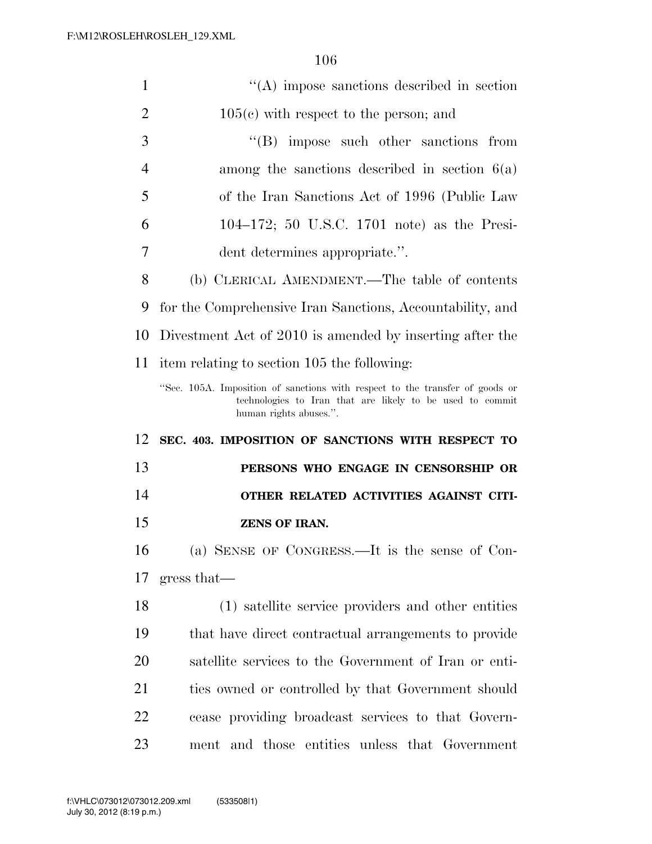| $\mathbf{1}$   | $\lq\lq$ impose sanctions described in section                                                                                            |
|----------------|-------------------------------------------------------------------------------------------------------------------------------------------|
| $\overline{2}$ | $105(c)$ with respect to the person; and                                                                                                  |
| 3              | $\lq\lq$ impose such other sanctions from                                                                                                 |
| $\overline{4}$ | among the sanctions described in section $6(a)$                                                                                           |
| 5              | of the Iran Sanctions Act of 1996 (Public Law                                                                                             |
| 6              | 104–172; 50 U.S.C. 1701 note) as the Presi-                                                                                               |
| 7              | dent determines appropriate.".                                                                                                            |
| 8              | (b) CLERICAL AMENDMENT.—The table of contents                                                                                             |
| 9              | for the Comprehensive Iran Sanctions, Accountability, and                                                                                 |
| 10             | Divestment Act of 2010 is amended by inserting after the                                                                                  |
| 11             | item relating to section 105 the following:                                                                                               |
|                | "Sec. 105A. Imposition of sanctions with respect to the transfer of goods or<br>technologies to Iran that are likely to be used to commit |
|                | human rights abuses.".                                                                                                                    |
| 12             | SEC. 403. IMPOSITION OF SANCTIONS WITH RESPECT TO                                                                                         |
| 13             | PERSONS WHO ENGAGE IN CENSORSHIP OR                                                                                                       |
| 14             | OTHER RELATED ACTIVITIES AGAINST CITI-                                                                                                    |
| 15             | <b>ZENS OF IRAN.</b>                                                                                                                      |
| 16             | (a) SENSE OF CONGRESS.—It is the sense of Con-                                                                                            |
| 17             | gress that                                                                                                                                |
| 18             | (1) satellite service providers and other entities                                                                                        |
| 19             | that have direct contractual arrangements to provide                                                                                      |
| 20             | satellite services to the Government of Iran or enti-                                                                                     |
| 21             | ties owned or controlled by that Government should                                                                                        |
| 22             | cease providing broadcast services to that Govern-                                                                                        |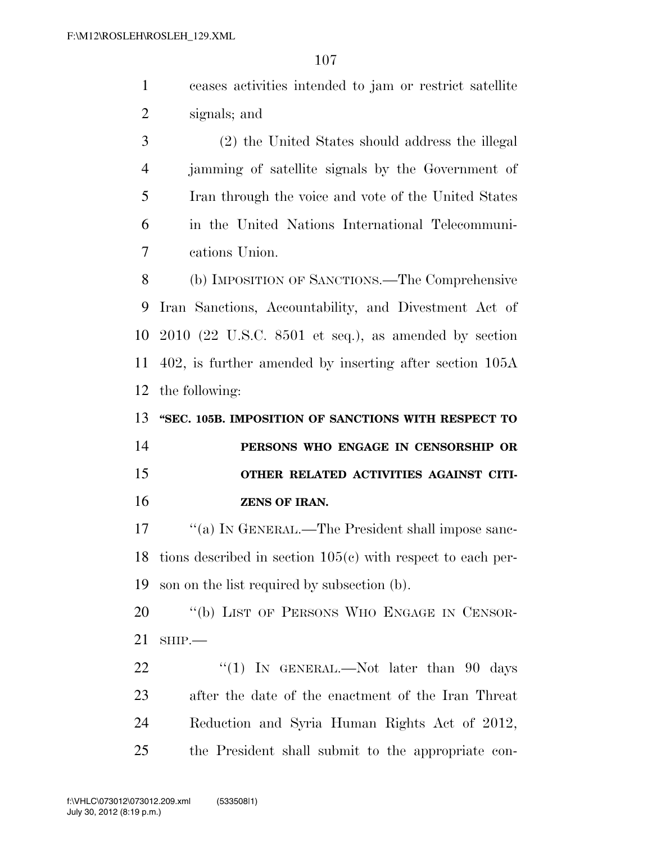|                | ceases activities intended to jam or restrict satellite |
|----------------|---------------------------------------------------------|
| $\overline{2}$ | signals; and                                            |

 (2) the United States should address the illegal jamming of satellite signals by the Government of Iran through the voice and vote of the United States in the United Nations International Telecommuni-cations Union.

 (b) IMPOSITION OF SANCTIONS.—The Comprehensive Iran Sanctions, Accountability, and Divestment Act of 2010 (22 U.S.C. 8501 et seq.), as amended by section 402, is further amended by inserting after section 105A the following:

 **''SEC. 105B. IMPOSITION OF SANCTIONS WITH RESPECT TO PERSONS WHO ENGAGE IN CENSORSHIP OR OTHER RELATED ACTIVITIES AGAINST CITI-ZENS OF IRAN.** 

17 ""(a) IN GENERAL.—The President shall impose sanc- tions described in section 105(c) with respect to each per-son on the list required by subsection (b).

20 "(b) LIST OF PERSONS WHO ENGAGE IN CENSOR-SHIP.—

22 "(1) IN GENERAL.—Not later than 90 days after the date of the enactment of the Iran Threat Reduction and Syria Human Rights Act of 2012, the President shall submit to the appropriate con-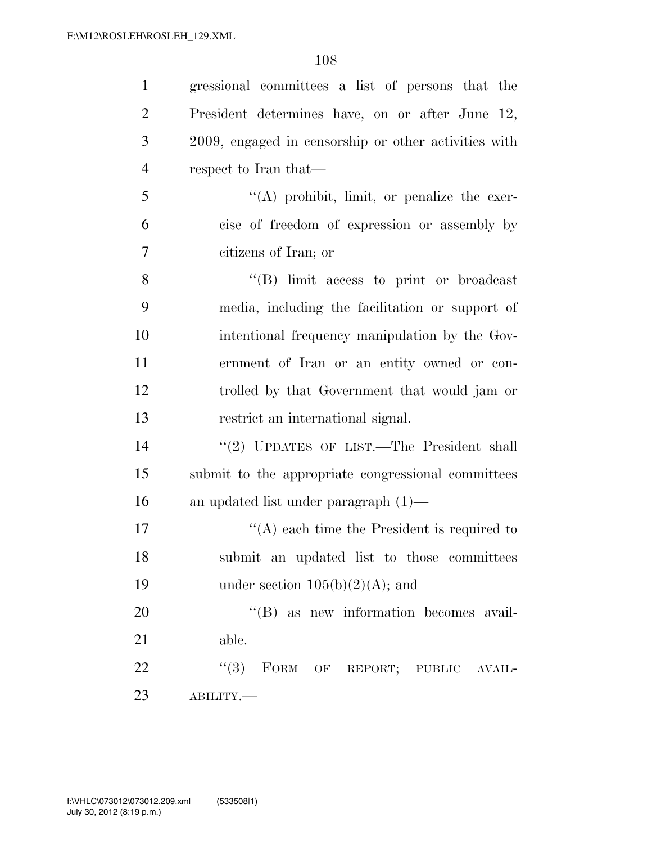| $\mathbf{1}$   | gressional committees a list of persons that the     |
|----------------|------------------------------------------------------|
| $\overline{2}$ | President determines have, on or after June 12,      |
| 3              | 2009, engaged in censorship or other activities with |
| $\overline{4}$ | respect to Iran that—                                |
| 5              | $\lq\lq$ prohibit, limit, or penalize the exer-      |
| 6              | cise of freedom of expression or assembly by         |
| $\overline{7}$ | citizens of Iran; or                                 |
| 8              | $\lq\lq$ . If limit access to print or broadcast     |
| 9              | media, including the facilitation or support of      |
| 10             | intentional frequency manipulation by the Gov-       |
| 11             | ernment of Iran or an entity owned or con-           |
| 12             | trolled by that Government that would jam or         |
| 13             | restrict an international signal.                    |
| 14             | "(2) UPDATES OF LIST.—The President shall            |
| 15             | submit to the appropriate congressional committees   |
| 16             | an updated list under paragraph $(1)$ —              |
| 17             | $\lq\lq$ each time the President is required to      |
| 18             | submit an updated list to those committees           |
| 19             | under section $105(b)(2)(A)$ ; and                   |
| 20             | "(B) as new information becomes avail-               |
| 21             | able.                                                |
| 22             | "(3) FORM OF REPORT; PUBLIC AVAIL-                   |
| 23             | ABILITY.                                             |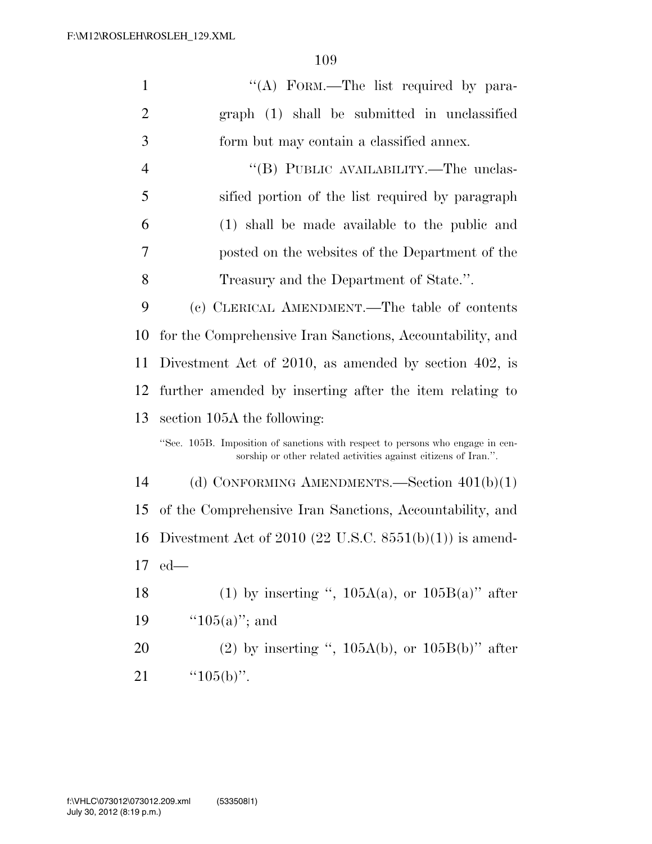| $\mathbf{1}$   | "(A) FORM.—The list required by para-                                                                                                             |
|----------------|---------------------------------------------------------------------------------------------------------------------------------------------------|
| $\overline{2}$ | graph (1) shall be submitted in unclassified                                                                                                      |
| 3              | form but may contain a classified annex.                                                                                                          |
| $\overline{4}$ | "(B) PUBLIC AVAILABILITY.—The unclas-                                                                                                             |
| 5              | sified portion of the list required by paragraph                                                                                                  |
| 6              | (1) shall be made available to the public and                                                                                                     |
| 7              | posted on the websites of the Department of the                                                                                                   |
| 8              | Treasury and the Department of State.".                                                                                                           |
| 9              | (c) CLERICAL AMENDMENT.—The table of contents                                                                                                     |
| 10             | for the Comprehensive Iran Sanctions, Accountability, and                                                                                         |
| 11             | Divestment Act of 2010, as amended by section 402, is                                                                                             |
| 12             | further amended by inserting after the item relating to                                                                                           |
| 13             | section 105A the following:                                                                                                                       |
|                | "Sec. 105B. Imposition of sanctions with respect to persons who engage in cen-<br>sorship or other related activities against citizens of Iran.". |
| 14             | (d) CONFORMING AMENDMENTS.—Section $401(b)(1)$                                                                                                    |
| 15             | of the Comprehensive Iran Sanctions, Accountability, and                                                                                          |
| 16             | Divestment Act of 2010 (22 U.S.C. $8551(b)(1)$ ) is amend-                                                                                        |
| 17             | $ed$ —                                                                                                                                            |
| 18             | (1) by inserting ", $105A(a)$ , or $105B(a)$ " after                                                                                              |
| 19             | " $105(a)$ "; and                                                                                                                                 |
| 20             | (2) by inserting ", $105A(b)$ , or $105B(b)$ " after                                                                                              |
| 21             | " $105(b)$ ".                                                                                                                                     |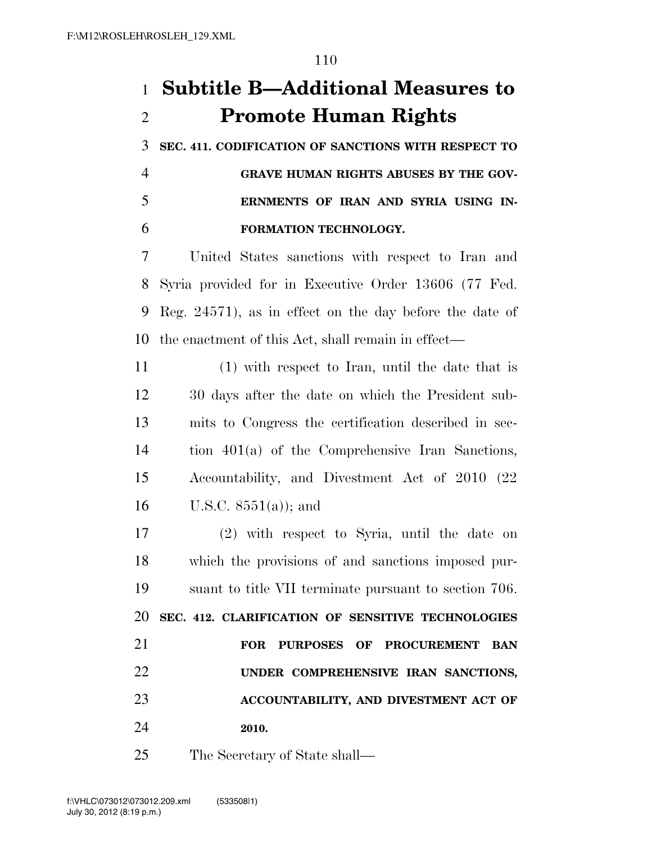## **Subtitle B—Additional Measures to Promote Human Rights**

 **SEC. 411. CODIFICATION OF SANCTIONS WITH RESPECT TO GRAVE HUMAN RIGHTS ABUSES BY THE GOV-ERNMENTS OF IRAN AND SYRIA USING IN-**

#### **FORMATION TECHNOLOGY.**

 United States sanctions with respect to Iran and Syria provided for in Executive Order 13606 (77 Fed. Reg. 24571), as in effect on the day before the date of the enactment of this Act, shall remain in effect—

 (1) with respect to Iran, until the date that is 30 days after the date on which the President sub- mits to Congress the certification described in sec- tion 401(a) of the Comprehensive Iran Sanctions, Accountability, and Divestment Act of 2010 (22 16 U.S.C.  $8551(a)$ ; and

 (2) with respect to Syria, until the date on which the provisions of and sanctions imposed pur- suant to title VII terminate pursuant to section 706. **SEC. 412. CLARIFICATION OF SENSITIVE TECHNOLOGIES FOR PURPOSES OF PROCUREMENT BAN UNDER COMPREHENSIVE IRAN SANCTIONS, ACCOUNTABILITY, AND DIVESTMENT ACT OF 2010.** 

The Secretary of State shall—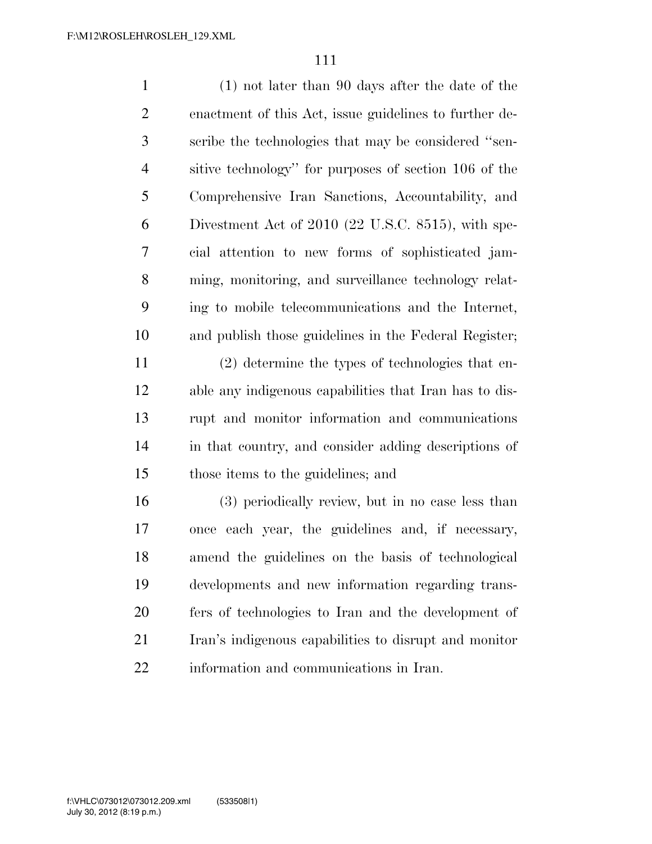| $\mathbf{1}$   | $(1)$ not later than 90 days after the date of the     |
|----------------|--------------------------------------------------------|
| $\overline{2}$ | enactment of this Act, issue guidelines to further de- |
| 3              | scribe the technologies that may be considered "sen-   |
| $\overline{4}$ | sitive technology" for purposes of section 106 of the  |
| 5              | Comprehensive Iran Sanctions, Accountability, and      |
| 6              | Divestment Act of 2010 (22 U.S.C. 8515), with spe-     |
| 7              | cial attention to new forms of sophisticated jam-      |
| 8              | ming, monitoring, and surveillance technology relat-   |
| 9              | ing to mobile telecommunications and the Internet,     |
| 10             | and publish those guidelines in the Federal Register;  |
| 11             | (2) determine the types of technologies that en-       |
| 12             | able any indigenous capabilities that Iran has to dis- |
| 13             | rupt and monitor information and communications        |
| 14             | in that country, and consider adding descriptions of   |
| 15             | those items to the guidelines; and                     |
| 16             | (3) periodically review, but in no case less than      |
| 17             | once each year, the guidelines and, if necessary,      |
| 18             | amend the guidelines on the basis of technological     |
| 19             | developments and new information regarding trans-      |
| 20             | fers of technologies to Iran and the development of    |
| 21             | Iran's indigenous capabilities to disrupt and monitor  |
| 22             | information and communications in Iran.                |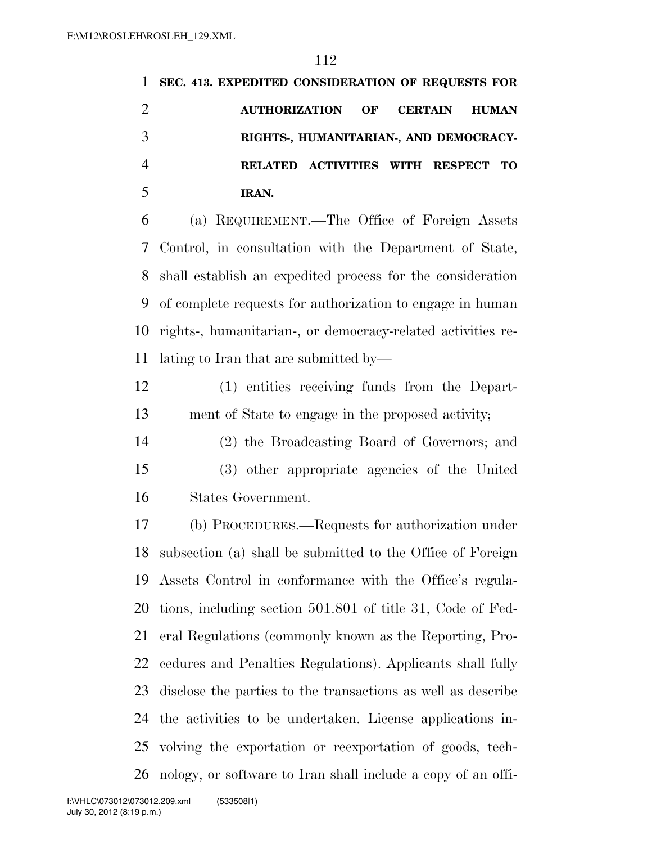| 1              | SEC. 413. EXPEDITED CONSIDERATION OF REQUESTS FOR             |
|----------------|---------------------------------------------------------------|
| $\overline{2}$ | <b>AUTHORIZATION</b><br>OF<br><b>CERTAIN</b><br><b>HUMAN</b>  |
| 3              | RIGHTS-, HUMANITARIAN-, AND DEMOCRACY-                        |
| $\overline{4}$ | RELATED ACTIVITIES WITH RESPECT TO                            |
| 5              | IRAN.                                                         |
| 6              | (a) REQUIREMENT.—The Office of Foreign Assets                 |
| 7              | Control, in consultation with the Department of State,        |
| 8              | shall establish an expedited process for the consideration    |
| 9              | of complete requests for authorization to engage in human     |
| 10             | rights-, humanitarian-, or democracy-related activities re-   |
| 11             | lating to Iran that are submitted by—                         |
| 12             | (1) entities receiving funds from the Depart-                 |
| 13             | ment of State to engage in the proposed activity;             |
| 14             | (2) the Broadcasting Board of Governors; and                  |
| 15             | (3) other appropriate agencies of the United                  |
| 16             | States Government.                                            |
| 17             | (b) PROCEDURES.—Requests for authorization under              |
|                | 18 subsection (a) shall be submitted to the Office of Foreign |
| 19             | Assets Control in conformance with the Office's regula-       |
| 20             | tions, including section 501.801 of title 31, Code of Fed-    |
| 21             | eral Regulations (commonly known as the Reporting, Pro-       |
| 22             | cedures and Penalties Regulations). Applicants shall fully    |
| 23             | disclose the parties to the transactions as well as describe  |

the activities to be undertaken. License applications in-

volving the exportation or reexportation of goods, tech-

nology, or software to Iran shall include a copy of an offi-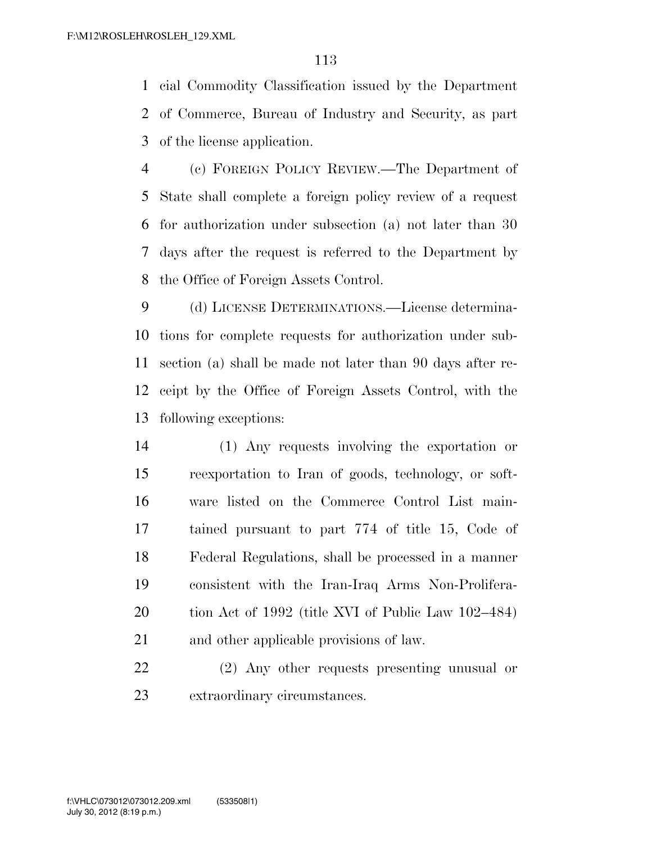cial Commodity Classification issued by the Department of Commerce, Bureau of Industry and Security, as part of the license application.

 (c) FOREIGN POLICY REVIEW.—The Department of State shall complete a foreign policy review of a request for authorization under subsection (a) not later than 30 days after the request is referred to the Department by the Office of Foreign Assets Control.

 (d) LICENSE DETERMINATIONS.—License determina- tions for complete requests for authorization under sub- section (a) shall be made not later than 90 days after re- ceipt by the Office of Foreign Assets Control, with the following exceptions:

 (1) Any requests involving the exportation or reexportation to Iran of goods, technology, or soft- ware listed on the Commerce Control List main- tained pursuant to part 774 of title 15, Code of Federal Regulations, shall be processed in a manner consistent with the Iran-Iraq Arms Non-Prolifera- tion Act of 1992 (title XVI of Public Law 102–484) and other applicable provisions of law.

 (2) Any other requests presenting unusual or extraordinary circumstances.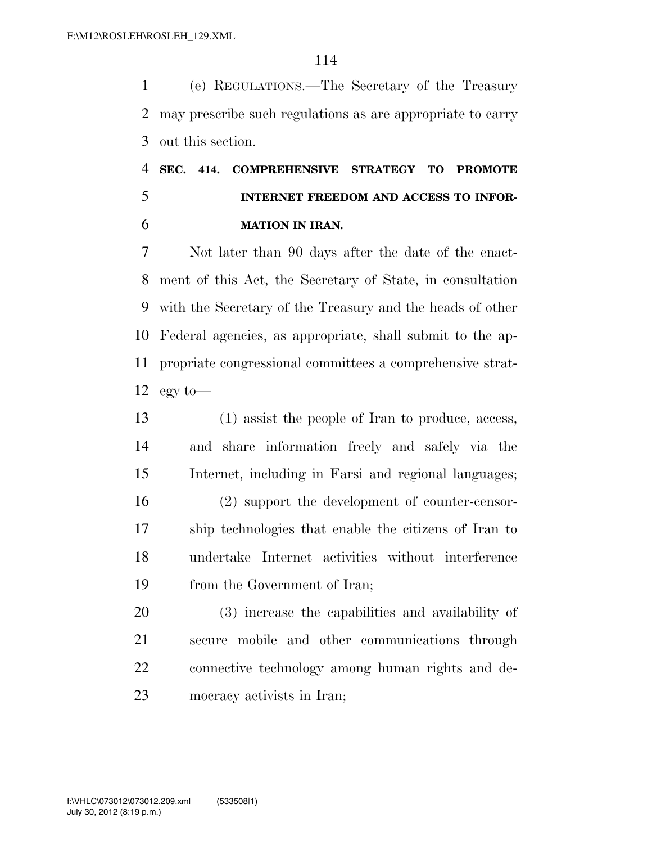(e) REGULATIONS.—The Secretary of the Treasury may prescribe such regulations as are appropriate to carry out this section.

### **SEC. 414. COMPREHENSIVE STRATEGY TO PROMOTE INTERNET FREEDOM AND ACCESS TO INFOR-MATION IN IRAN.**

 Not later than 90 days after the date of the enact- ment of this Act, the Secretary of State, in consultation with the Secretary of the Treasury and the heads of other Federal agencies, as appropriate, shall submit to the ap- propriate congressional committees a comprehensive strat-12 egy to—

 (1) assist the people of Iran to produce, access, and share information freely and safely via the Internet, including in Farsi and regional languages; (2) support the development of counter-censor- ship technologies that enable the citizens of Iran to undertake Internet activities without interference from the Government of Iran;

 (3) increase the capabilities and availability of secure mobile and other communications through connective technology among human rights and de-mocracy activists in Iran;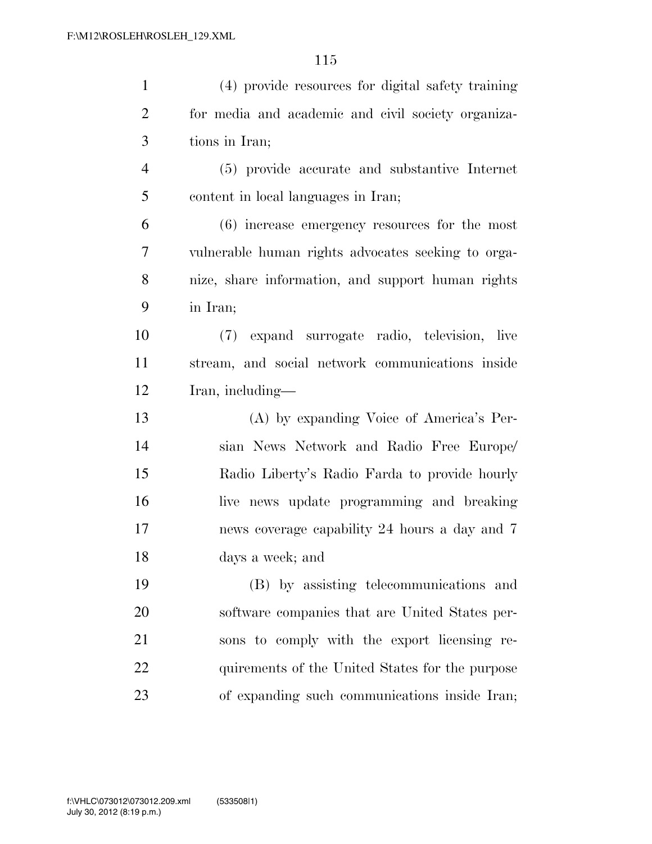| $\mathbf{1}$   | (4) provide resources for digital safety training  |
|----------------|----------------------------------------------------|
| $\overline{2}$ | for media and academic and civil society organiza- |
| 3              | tions in Iran;                                     |
| $\overline{4}$ | (5) provide accurate and substantive Internet      |
| 5              | content in local languages in Iran;                |
| 6              | (6) increase emergency resources for the most      |
| 7              | vulnerable human rights advocates seeking to orga- |
| 8              | nize, share information, and support human rights  |
| 9              | in Iran;                                           |
| 10             | (7) expand surrogate radio, television, live       |
| 11             | stream, and social network communications inside   |
| 12             | Iran, including—                                   |
| 13             | (A) by expanding Voice of America's Per-           |
| 14             | sian News Network and Radio Free Europe/           |
| 15             | Radio Liberty's Radio Farda to provide hourly      |
| 16             | live news update programming and breaking          |
| 17             | news coverage capability 24 hours a day and 7      |
| 18             | days a week; and                                   |
| 19             | (B) by assisting telecommunications and            |
| 20             | software companies that are United States per-     |
| 21             | sons to comply with the export licensing re-       |
| 22             | quirements of the United States for the purpose    |
| 23             | of expanding such communications inside Iran;      |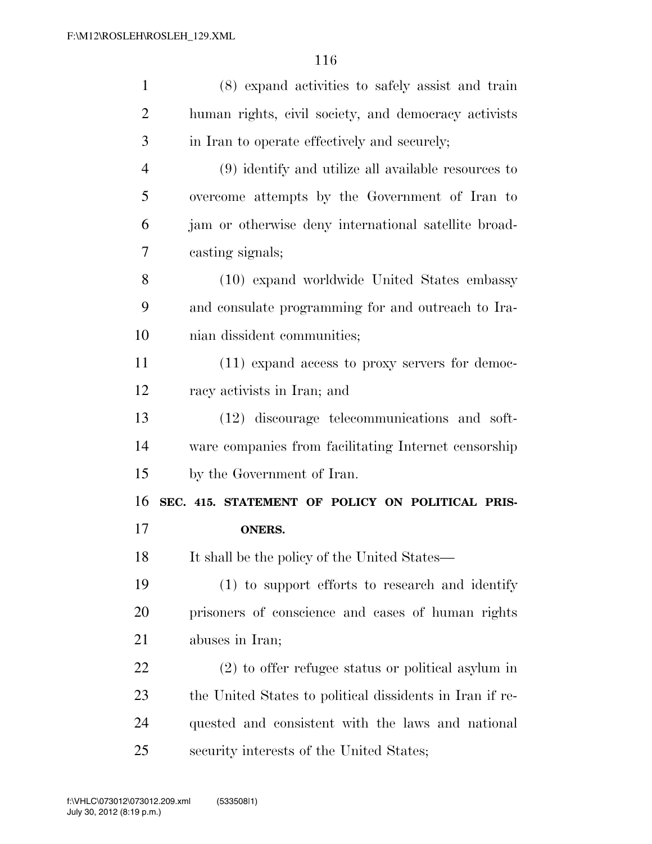| $\mathbf{1}$   | (8) expand activities to safely assist and train         |
|----------------|----------------------------------------------------------|
| 2              | human rights, civil society, and democracy activists     |
| 3              | in Iran to operate effectively and securely;             |
| $\overline{4}$ | (9) identify and utilize all available resources to      |
| 5              | overcome attempts by the Government of Iran to           |
| 6              | jam or otherwise deny international satellite broad-     |
| 7              | casting signals;                                         |
| 8              | (10) expand worldwide United States embassy              |
| 9              | and consulate programming for and outreach to Ira-       |
| 10             | nian dissident communities;                              |
| 11             | $(11)$ expand access to proxy servers for democ-         |
| 12             | racy activists in Iran; and                              |
| 13             | (12) discourage telecommunications and soft-             |
| 14             | ware companies from facilitating Internet censorship     |
| 15             | by the Government of Iran.                               |
| 16             | SEC. 415. STATEMENT OF POLICY ON POLITICAL PRIS-         |
| 17             | <b>ONERS.</b>                                            |
| 18             | It shall be the policy of the United States—             |
| 19             | (1) to support efforts to research and identify          |
| 20             | prisoners of conscience and cases of human rights        |
| 21             | abuses in Iran;                                          |
| 22             | $(2)$ to offer refugee status or political asylum in     |
| 23             | the United States to political dissidents in Iran if re- |
| 24             | quested and consistent with the laws and national        |
| 25             | security interests of the United States;                 |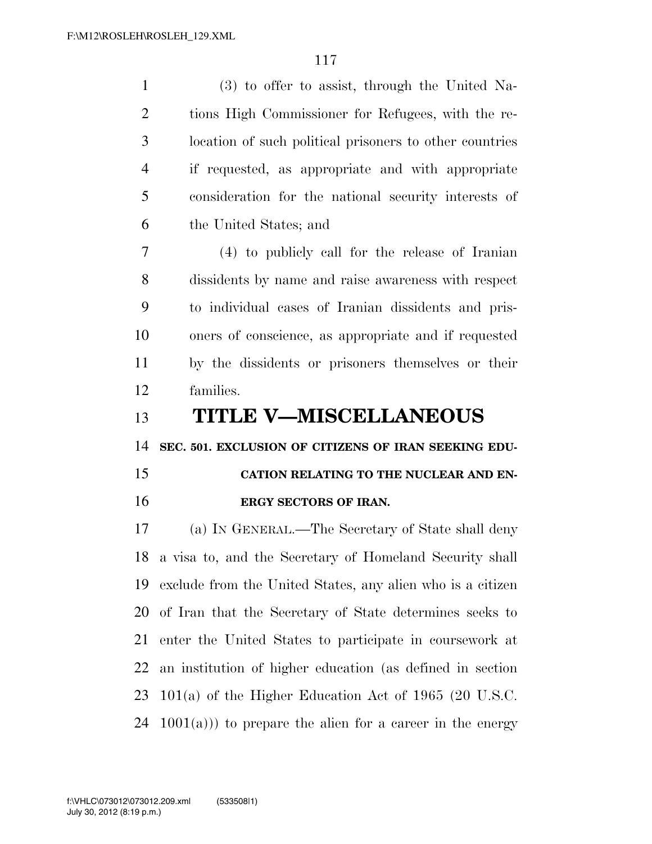(3) to offer to assist, through the United Na- tions High Commissioner for Refugees, with the re- location of such political prisoners to other countries if requested, as appropriate and with appropriate consideration for the national security interests of the United States; and (4) to publicly call for the release of Iranian dissidents by name and raise awareness with respect to individual cases of Iranian dissidents and pris- oners of conscience, as appropriate and if requested by the dissidents or prisoners themselves or their families. **TITLE V—MISCELLANEOUS SEC. 501. EXCLUSION OF CITIZENS OF IRAN SEEKING EDU- CATION RELATING TO THE NUCLEAR AND EN- ERGY SECTORS OF IRAN.**  (a) IN GENERAL.—The Secretary of State shall deny a visa to, and the Secretary of Homeland Security shall exclude from the United States, any alien who is a citizen of Iran that the Secretary of State determines seeks to enter the United States to participate in coursework at an institution of higher education (as defined in section

 101(a) of the Higher Education Act of 1965 (20 U.S.C. 24  $1001(a)$ ) to prepare the alien for a career in the energy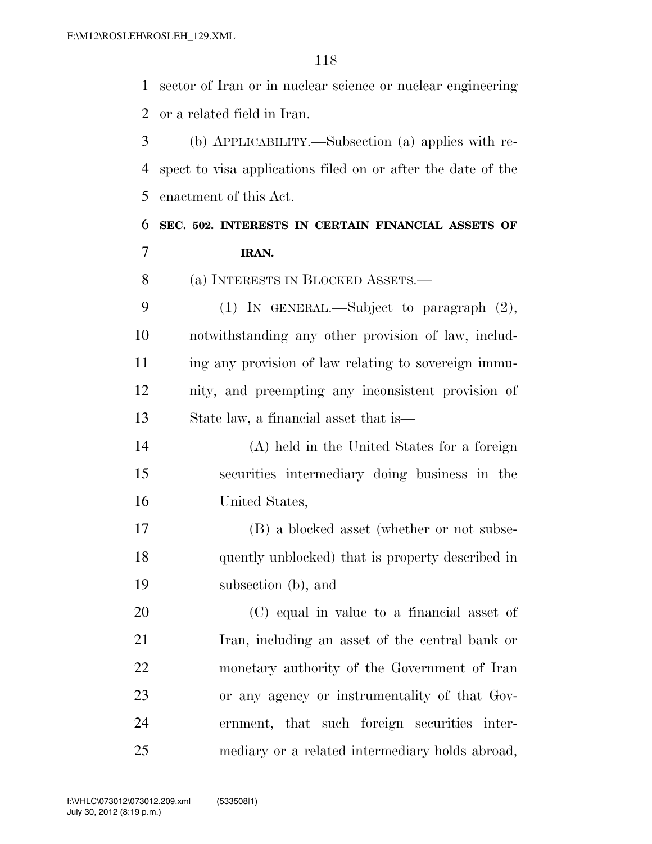sector of Iran or in nuclear science or nuclear engineering or a related field in Iran. (b) APPLICABILITY.—Subsection (a) applies with re- spect to visa applications filed on or after the date of the enactment of this Act. **SEC. 502. INTERESTS IN CERTAIN FINANCIAL ASSETS OF IRAN.**  (a) INTERESTS IN BLOCKED ASSETS.— (1) IN GENERAL.—Subject to paragraph (2), notwithstanding any other provision of law, includ-11 ing any provision of law relating to sovereign immu- nity, and preempting any inconsistent provision of State law, a financial asset that is— (A) held in the United States for a foreign securities intermediary doing business in the United States, (B) a blocked asset (whether or not subse-quently unblocked) that is property described in

 (C) equal in value to a financial asset of Iran, including an asset of the central bank or monetary authority of the Government of Iran or any agency or instrumentality of that Gov- ernment, that such foreign securities inter-mediary or a related intermediary holds abroad,

subsection (b), and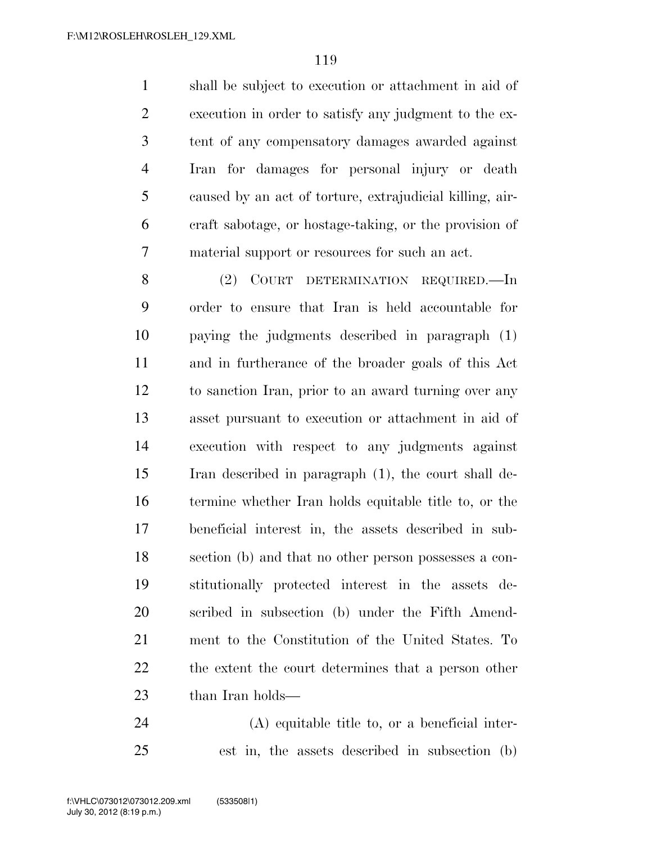shall be subject to execution or attachment in aid of execution in order to satisfy any judgment to the ex- tent of any compensatory damages awarded against Iran for damages for personal injury or death caused by an act of torture, extrajudicial killing, air- craft sabotage, or hostage-taking, or the provision of material support or resources for such an act.

8 (2) COURT DETERMINATION REQUIRED. In order to ensure that Iran is held accountable for paying the judgments described in paragraph (1) and in furtherance of the broader goals of this Act to sanction Iran, prior to an award turning over any asset pursuant to execution or attachment in aid of execution with respect to any judgments against Iran described in paragraph (1), the court shall de- termine whether Iran holds equitable title to, or the beneficial interest in, the assets described in sub- section (b) and that no other person possesses a con- stitutionally protected interest in the assets de- scribed in subsection (b) under the Fifth Amend- ment to the Constitution of the United States. To the extent the court determines that a person other 23 than Iran holds—

(A) equitable title to, or a beneficial inter-

est in, the assets described in subsection (b)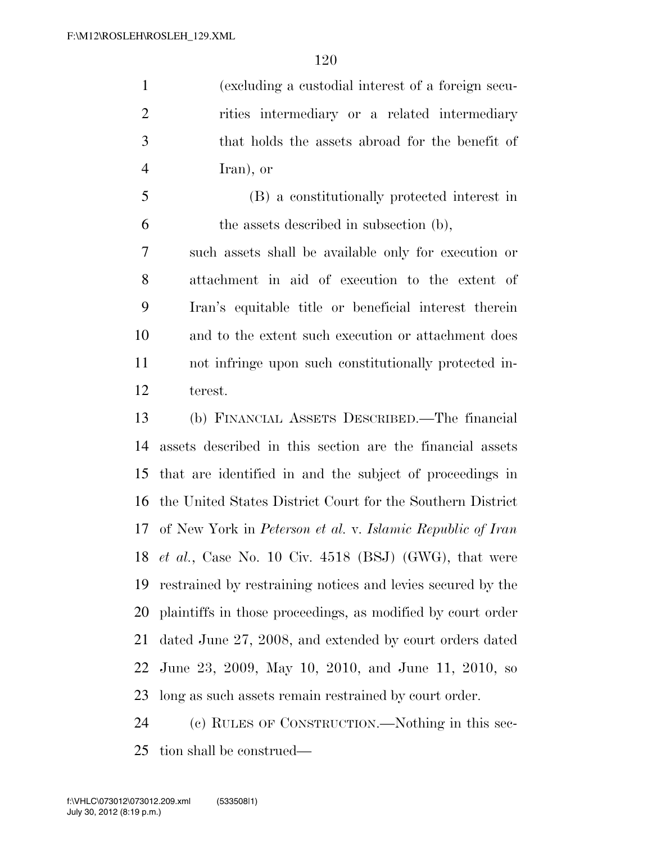(excluding a custodial interest of a foreign secu- rities intermediary or a related intermediary that holds the assets abroad for the benefit of Iran), or

 (B) a constitutionally protected interest in the assets described in subsection (b),

 such assets shall be available only for execution or attachment in aid of execution to the extent of Iran's equitable title or beneficial interest therein and to the extent such execution or attachment does not infringe upon such constitutionally protected in-terest.

 (b) FINANCIAL ASSETS DESCRIBED.—The financial assets described in this section are the financial assets that are identified in and the subject of proceedings in the United States District Court for the Southern District of New York in *Peterson et al.* v. *Islamic Republic of Iran et al.*, Case No. 10 Civ. 4518 (BSJ) (GWG), that were restrained by restraining notices and levies secured by the plaintiffs in those proceedings, as modified by court order dated June 27, 2008, and extended by court orders dated June 23, 2009, May 10, 2010, and June 11, 2010, so long as such assets remain restrained by court order.

 (c) RULES OF CONSTRUCTION.—Nothing in this sec-tion shall be construed—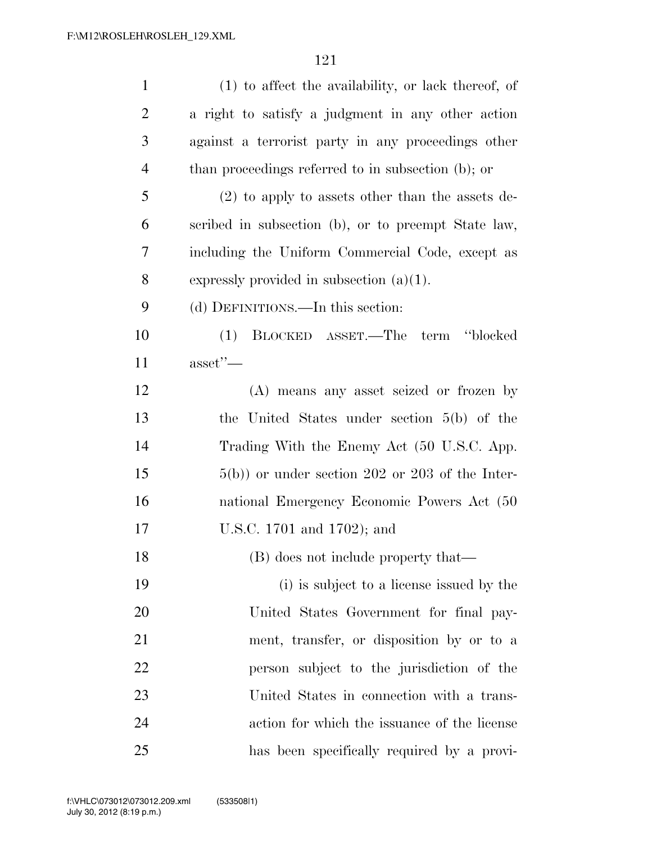| $\mathbf{1}$   | $(1)$ to affect the availability, or lack thereof, of |
|----------------|-------------------------------------------------------|
| $\overline{2}$ | a right to satisfy a judgment in any other action     |
| 3              | against a terrorist party in any proceedings other    |
| $\overline{4}$ | than proceedings referred to in subsection (b); or    |
| 5              | $(2)$ to apply to assets other than the assets de-    |
| 6              | scribed in subsection (b), or to preempt State law,   |
| 7              | including the Uniform Commercial Code, except as      |
| 8              | expressly provided in subsection $(a)(1)$ .           |
| 9              | (d) DEFINITIONS.—In this section:                     |
| 10             | term "blocked"<br>BLOCKED ASSET.—The<br>(1)           |
| 11             | $\text{asset}$ "—                                     |
| 12             | (A) means any asset seized or frozen by               |
| 13             | the United States under section $5(b)$ of the         |
| 14             | Trading With the Enemy Act (50 U.S.C. App.            |
| 15             | $5(b)$ or under section 202 or 203 of the Inter-      |
| 16             | national Emergency Economic Powers Act (50            |
| 17             | U.S.C. 1701 and 1702); and                            |
| 18             | (B) does not include property that—                   |
| 19             | (i) is subject to a license issued by the             |
| 20             | United States Government for final pay-               |
| 21             | ment, transfer, or disposition by or to a             |
| 22             | person subject to the jurisdiction of the             |
| 23             | United States in connection with a trans-             |
| 24             | action for which the issuance of the license          |
| 25             | has been specifically required by a provi-            |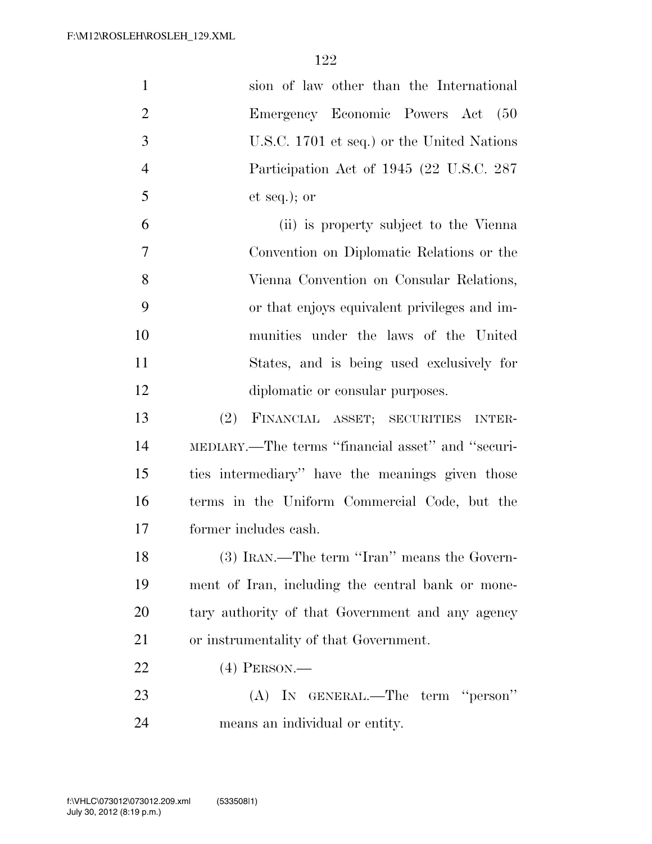| $\mathbf{1}$   | sion of law other than the International          |
|----------------|---------------------------------------------------|
| $\overline{2}$ | Emergency Economic Powers Act (50                 |
| $\mathfrak{Z}$ | U.S.C. 1701 et seq.) or the United Nations        |
| $\overline{4}$ | Participation Act of 1945 (22 U.S.C. 287          |
| 5              | $et seq.);$ or                                    |
| 6              | (ii) is property subject to the Vienna            |
| 7              | Convention on Diplomatic Relations or the         |
| 8              | Vienna Convention on Consular Relations,          |
| 9              | or that enjoys equivalent privileges and im-      |
| 10             | munities under the laws of the United             |
| 11             | States, and is being used exclusively for         |
| 12             | diplomatic or consular purposes.                  |
| 13             | FINANCIAL ASSET; SECURITIES INTER-<br>(2)         |
| 14             | MEDIARY.—The terms "financial asset" and "securi- |
| 15             | ties intermediary" have the meanings given those  |
| 16             | terms in the Uniform Commercial Code, but the     |
| 17             | former includes cash.                             |
| 18             | (3) IRAN.—The term "Iran" means the Govern-       |
| 19             | ment of Iran, including the central bank or mone- |
| 20             | tary authority of that Government and any agency  |
| 21             | or instrumentality of that Government.            |
| 22             | $(4)$ PERSON.—                                    |
| 23             | (A) IN GENERAL.—The term "person"                 |
| 24             | means an individual or entity.                    |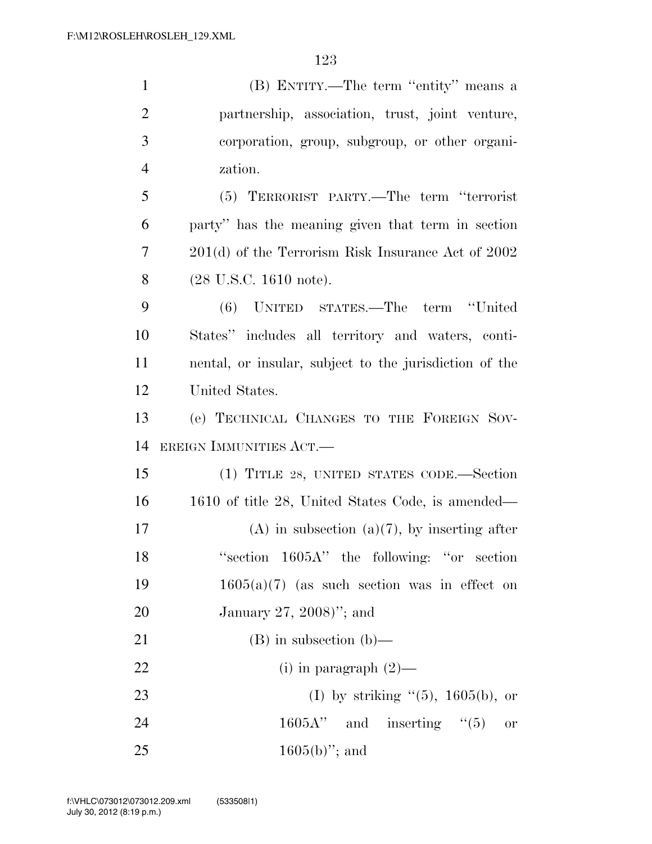| $\mathbf{1}$   | (B) ENTITY.—The term "entity" means a                  |
|----------------|--------------------------------------------------------|
| $\overline{2}$ | partnership, association, trust, joint venture,        |
| 3              | corporation, group, subgroup, or other organi-         |
| $\overline{4}$ | zation.                                                |
| 5              | (5) TERRORIST PARTY.—The term "terrorist               |
| 6              | party" has the meaning given that term in section      |
| 7              | 201(d) of the Terrorism Risk Insurance Act of 2002     |
| 8              | $(28 \text{ U.S.C. } 1610 \text{ note}).$              |
| 9              | term "United<br>UNITED STATES.—The<br>(6)              |
| 10             | States" includes all territory and waters, conti-      |
| 11             | nental, or insular, subject to the jurisdiction of the |
| 12             | United States.                                         |
| 13             | (e) TECHNICAL CHANGES TO THE FOREIGN SOV-              |
| 14             | EREIGN IMMUNITIES ACT.                                 |
| 15             | (1) TITLE 28, UNITED STATES CODE.—Section              |
| 16             | 1610 of title 28, United States Code, is amended—      |
| 17             | $(A)$ in subsection $(a)(7)$ , by inserting after      |
| 18             | "section 1605A" the following: "or section"            |
| 19             | $1605(a)(7)$ (as such section was in effect on         |
| 20             | January 27, 2008)"; and                                |
| 21             | $(B)$ in subsection $(b)$ —                            |
| 22             | (i) in paragraph $(2)$ —                               |
| 23             | (I) by striking $(5)$ , 1605(b), or                    |
| 24             | $1605A''$ and inserting "(5)<br><b>or</b>              |
| 25             | $1605(b)$ "; and                                       |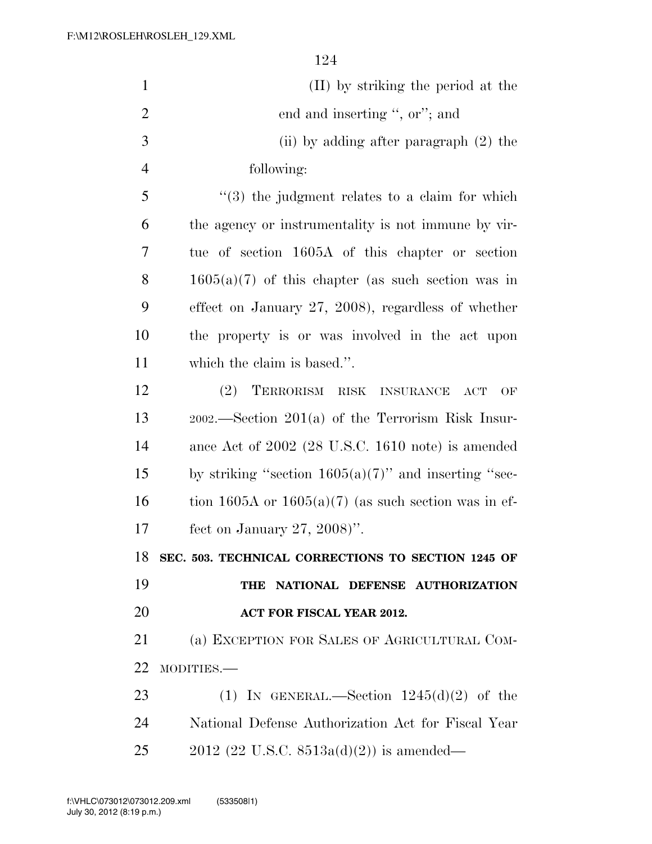| $\mathbf{1}$   | (II) by striking the period at the                                     |
|----------------|------------------------------------------------------------------------|
| $\overline{2}$ | end and inserting ", or"; and                                          |
| 3              | (ii) by adding after paragraph (2) the                                 |
| $\overline{4}$ | following:                                                             |
| 5              | $(3)$ the judgment relates to a claim for which                        |
| 6              | the agency or instrumentality is not immune by vir-                    |
| 7              | tue of section 1605A of this chapter or section                        |
| 8              | $1605(a)(7)$ of this chapter (as such section was in                   |
| 9              | effect on January 27, 2008), regardless of whether                     |
| 10             | the property is or was involved in the act upon                        |
| 11             | which the claim is based.".                                            |
| 12             | (2)<br>TERRORISM RISK INSURANCE<br>ACT<br>OF                           |
| 13             | $2002$ . Section $201(a)$ of the Terrorism Risk Insur-                 |
| 14             | ance Act of $2002$ $(28 \text{ U.S.C. } 1610 \text{ note})$ is amended |
| 15             | by striking "section $1605(a)(7)$ " and inserting "sec-                |
| 16             | tion 1605A or $1605(a)(7)$ (as such section was in ef-                 |
| 17             | fect on January 27, 2008)".                                            |
| 18             | SEC. 503. TECHNICAL CORRECTIONS TO SECTION 1245 OF                     |
| 19             | NATIONAL DEFENSE AUTHORIZATION<br>THE                                  |
| 20             | ACT FOR FISCAL YEAR 2012.                                              |
| 21             | (a) EXCEPTION FOR SALES OF AGRICULTURAL COM-                           |
| 22             | MODITIES.-                                                             |
| 23             | (1) IN GENERAL.—Section $1245(d)(2)$ of the                            |
| 24             | National Defense Authorization Act for Fiscal Year                     |
| 25             | $2012$ (22 U.S.C. 8513a(d)(2)) is amended—                             |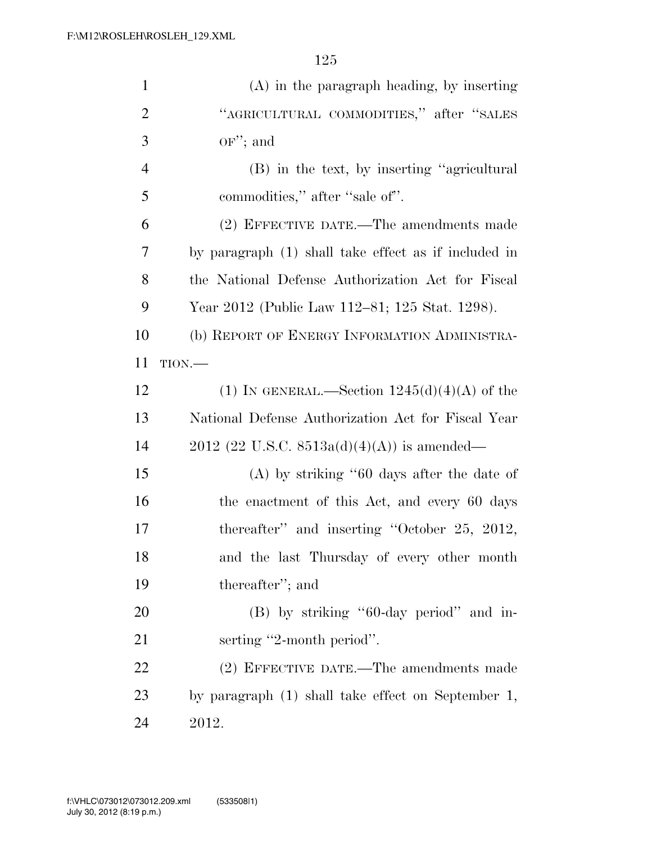| $\mathbf{1}$   | $(A)$ in the paragraph heading, by inserting         |
|----------------|------------------------------------------------------|
| $\overline{2}$ | "AGRICULTURAL COMMODITIES," after "SALES             |
| 3              | $OF$ ; and                                           |
| $\overline{4}$ | (B) in the text, by inserting "agricultural          |
| 5              | commodities," after "sale of".                       |
| 6              | (2) EFFECTIVE DATE.—The amendments made              |
| 7              | by paragraph (1) shall take effect as if included in |
| 8              | the National Defense Authorization Act for Fiscal    |
| 9              | Year 2012 (Public Law 112-81; 125 Stat. 1298).       |
| 10             | (b) REPORT OF ENERGY INFORMATION ADMINISTRA-         |
| 11             | TION.                                                |
| 12             | (1) IN GENERAL.—Section $1245(d)(4)(A)$ of the       |
| 13             | National Defense Authorization Act for Fiscal Year   |
| 14             | $2012$ (22 U.S.C. 8513a(d)(4)(A)) is amended—        |
| 15             | $(A)$ by striking "60 days after the date of         |
| 16             | the enactment of this Act, and every 60 days         |
| 17             | thereafter" and inserting "October 25, 2012,         |
| 18             | and the last Thursday of every other month           |
| 19             | thereafter"; and                                     |
| 20             | (B) by striking "60-day period" and in-              |
| 21             | serting "2-month period".                            |
| 22             | (2) EFFECTIVE DATE.—The amendments made              |
| 23             | by paragraph (1) shall take effect on September 1,   |
| 24             | 2012.                                                |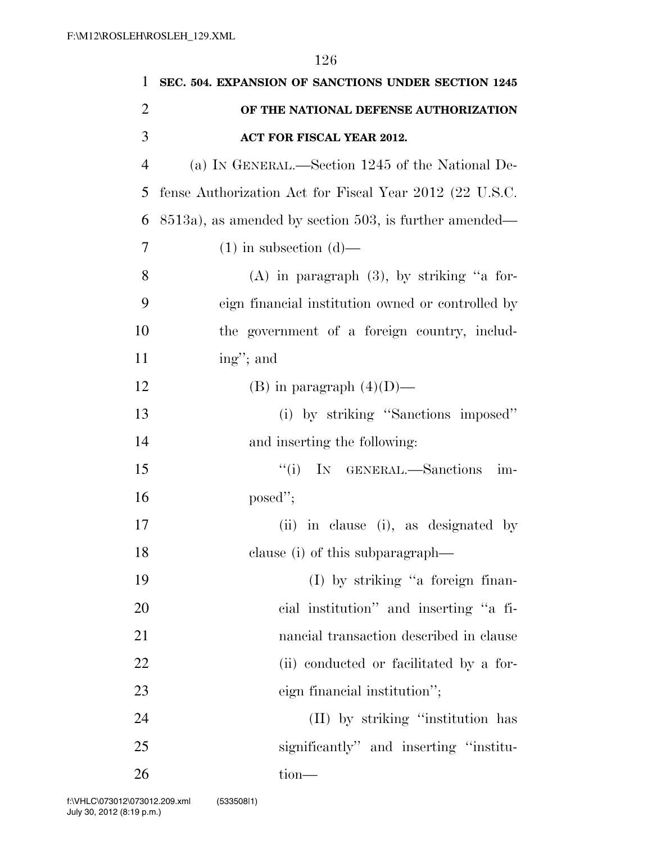| 1              | SEC. 504. EXPANSION OF SANCTIONS UNDER SECTION 1245     |
|----------------|---------------------------------------------------------|
| $\overline{2}$ | OF THE NATIONAL DEFENSE AUTHORIZATION                   |
| 3              | ACT FOR FISCAL YEAR 2012.                               |
| $\overline{4}$ | (a) IN GENERAL.—Section 1245 of the National De-        |
| 5              | fense Authorization Act for Fiscal Year 2012 (22 U.S.C. |
| 6              | 8513a), as amended by section 503, is further amended—  |
| 7              | $(1)$ in subsection $(d)$ —                             |
| 8              | $(A)$ in paragraph $(3)$ , by striking "a for-          |
| 9              | eign financial institution owned or controlled by       |
| 10             | the government of a foreign country, includ-            |
| 11             | ing"; and                                               |
| 12             | (B) in paragraph $(4)(D)$ —                             |
| 13             | (i) by striking "Sanctions imposed"                     |
| 14             | and inserting the following:                            |
| 15             | ``(i)<br>IN GENERAL.-Sanctions<br>im-                   |
| 16             | posed";                                                 |
| 17             | (ii) in clause (i), as designated by                    |
| 18             | clause (i) of this subparagraph—                        |
| 19             | (I) by striking "a foreign finan-                       |
| 20             | cial institution" and inserting "a fi-                  |
| 21             | nancial transaction described in clause                 |
| 22             | (ii) conducted or facilitated by a for-                 |
| 23             | eign financial institution";                            |
| 24             | (II) by striking "institution has                       |
| 25             | significantly" and inserting "institu-                  |
| 26             | tion-                                                   |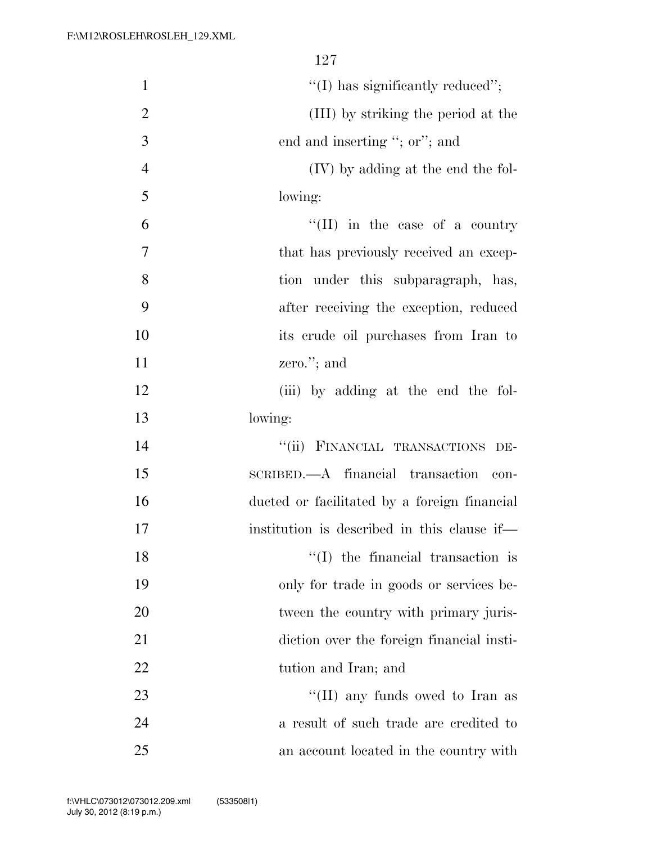| $\mathbf{1}$   | $"(I)$ has significantly reduced";           |
|----------------|----------------------------------------------|
| $\overline{2}$ | (III) by striking the period at the          |
| $\mathfrak{Z}$ | end and inserting "; or"; and                |
| $\overline{4}$ | (IV) by adding at the end the fol-           |
| 5              | lowing:                                      |
| 6              | "(II) in the case of a country               |
| $\tau$         | that has previously received an excep-       |
| 8              | tion under this subparagraph, has,           |
| 9              | after receiving the exception, reduced       |
| 10             | its crude oil purchases from Iran to         |
| 11             | zero."; and                                  |
| 12             | (iii) by adding at the end the fol-          |
| 13             | lowing:                                      |
| 14             | "(ii) FINANCIAL TRANSACTIONS DE-             |
| 15             | SCRIBED.—A financial transaction<br>con-     |
| 16             | ducted or facilitated by a foreign financial |
| 17             | institution is described in this clause if—  |
| 18             | $\lq\lq$ (I) the financial transaction is    |
| 19             | only for trade in goods or services be-      |
| 20             | tween the country with primary juris-        |
| 21             | diction over the foreign financial insti-    |
| 22             | tution and Iran; and                         |
| 23             | $\lq\lq$ (II) any funds owed to Iran as      |
| 24             | a result of such trade are credited to       |
| 25             | an account located in the country with       |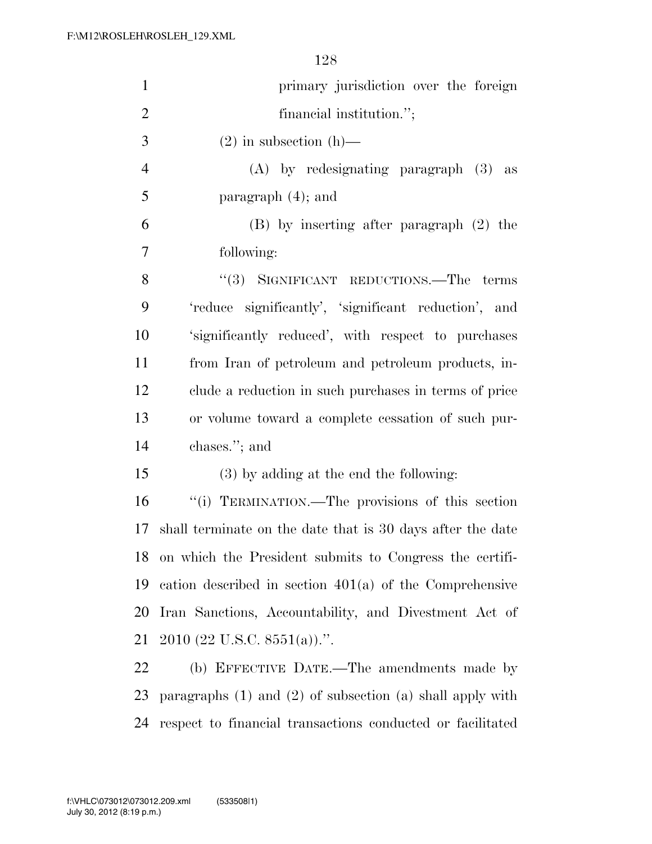| $\mathbf{1}$   | primary jurisdiction over the foreign                           |
|----------------|-----------------------------------------------------------------|
| $\overline{2}$ | financial institution.";                                        |
| 3              | $(2)$ in subsection $(h)$ —                                     |
| $\overline{4}$ | $(A)$ by redesignating paragraph $(3)$ as                       |
| 5              | paragraph $(4)$ ; and                                           |
| 6              | (B) by inserting after paragraph (2) the                        |
| 7              | following:                                                      |
| 8              | "(3) SIGNIFICANT REDUCTIONS.—The terms                          |
| 9              | 'reduce significantly', 'significant reduction', and            |
| 10             | 'significantly reduced', with respect to purchases              |
| 11             | from Iran of petroleum and petroleum products, in-              |
| 12             | clude a reduction in such purchases in terms of price           |
| 13             | or volume toward a complete cessation of such pur-              |
| 14             | chases."; and                                                   |
| 15             | (3) by adding at the end the following:                         |
| 16             | "(i) TERMINATION.—The provisions of this section                |
| 17             | shall terminate on the date that is 30 days after the date      |
| 18             | on which the President submits to Congress the certifi-         |
| 19             | cation described in section $401(a)$ of the Comprehensive       |
| 20             | Iran Sanctions, Accountability, and Divestment Act of           |
| 21             | $2010$ (22 U.S.C. 8551(a)).".                                   |
| <u>22</u>      | (b) EFFECTIVE DATE.—The amendments made by                      |
| 23             | paragraphs $(1)$ and $(2)$ of subsection $(a)$ shall apply with |

respect to financial transactions conducted or facilitated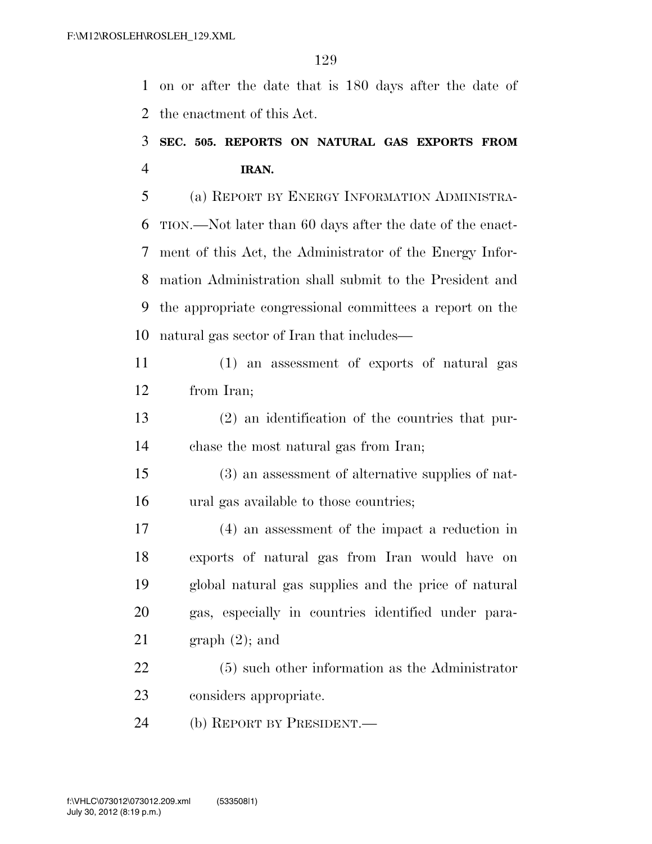on or after the date that is 180 days after the date of the enactment of this Act.

#### **SEC. 505. REPORTS ON NATURAL GAS EXPORTS FROM IRAN.**

 (a) REPORT BY ENERGY INFORMATION ADMINISTRA- TION.—Not later than 60 days after the date of the enact- ment of this Act, the Administrator of the Energy Infor- mation Administration shall submit to the President and the appropriate congressional committees a report on the natural gas sector of Iran that includes—

 (1) an assessment of exports of natural gas from Iran;

 (2) an identification of the countries that pur-chase the most natural gas from Iran;

 (3) an assessment of alternative supplies of nat-ural gas available to those countries;

 (4) an assessment of the impact a reduction in exports of natural gas from Iran would have on global natural gas supplies and the price of natural gas, especially in countries identified under para-21 graph  $(2)$ ; and

 (5) such other information as the Administrator considers appropriate.

(b) REPORT BY PRESIDENT.—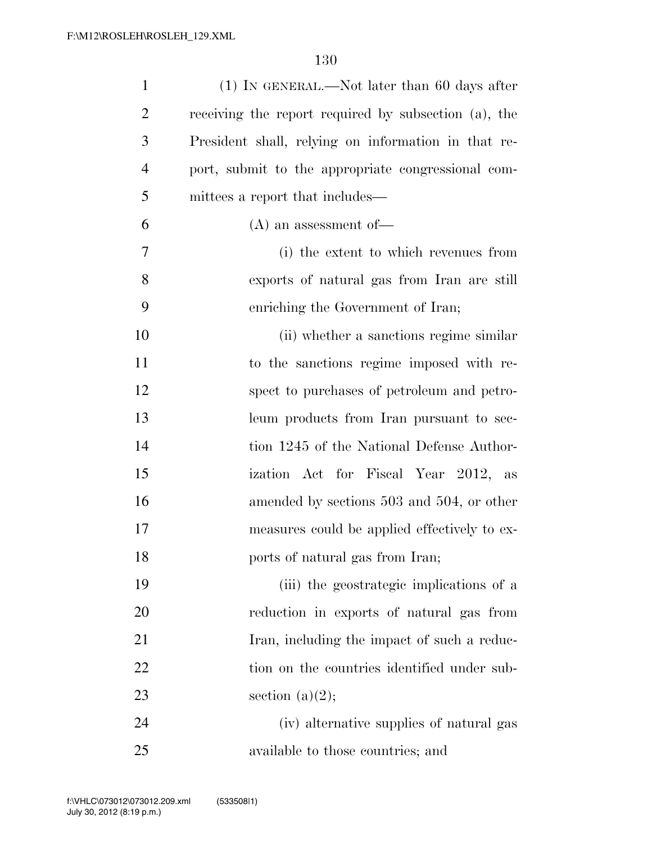| $\mathbf{1}$   | $(1)$ In GENERAL.—Not later than 60 days after       |
|----------------|------------------------------------------------------|
| $\overline{2}$ | receiving the report required by subsection (a), the |
| 3              | President shall, relying on information in that re-  |
| $\overline{4}$ | port, submit to the appropriate congressional com-   |
| 5              | mittees a report that includes—                      |
| 6              | $(A)$ an assessment of —                             |
| 7              | (i) the extent to which revenues from                |
| 8              | exports of natural gas from Iran are still           |
| 9              | enriching the Government of Iran;                    |
| 10             | (ii) whether a sanctions regime similar              |
| 11             | to the sanctions regime imposed with re-             |
| 12             | spect to purchases of petroleum and petro-           |
| 13             | leum products from Iran pursuant to sec-             |
| 14             | tion 1245 of the National Defense Author-            |
| 15             | ization Act for Fiscal Year 2012, as                 |
| 16             | amended by sections 503 and 504, or other            |
| 17             | measures could be applied effectively to ex-         |
| 18             | ports of natural gas from Iran;                      |
| 19             | (iii) the geostrategic implications of a             |
| 20             | reduction in exports of natural gas from             |
| 21             | Iran, including the impact of such a reduc-          |
| 22             | tion on the countries identified under sub-          |
| 23             | section $(a)(2);$                                    |
| 24             | (iv) alternative supplies of natural gas             |
| 25             | available to those countries; and                    |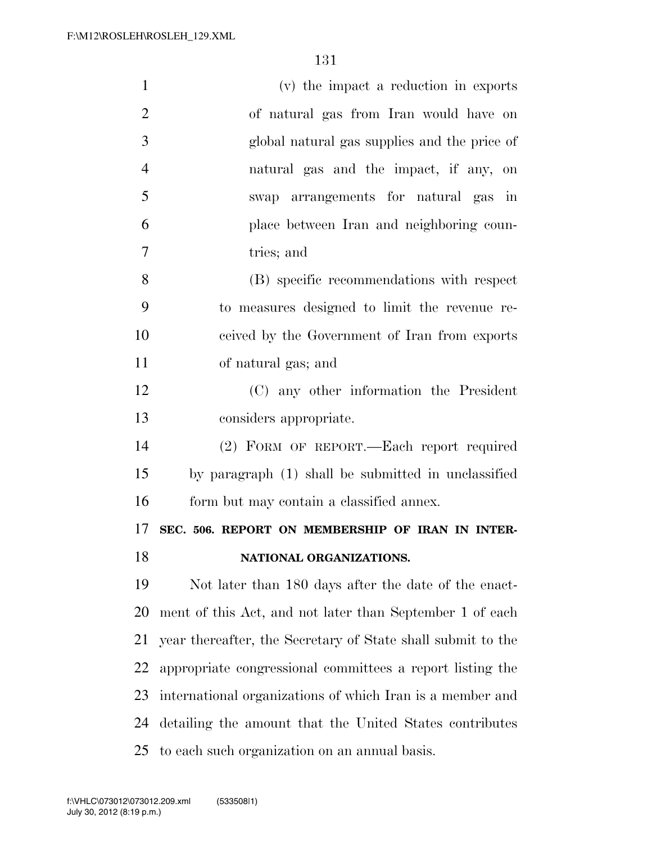| $\mathbf{1}$   | (v) the impact a reduction in exports                       |
|----------------|-------------------------------------------------------------|
| $\overline{2}$ | of natural gas from Iran would have on                      |
| 3              | global natural gas supplies and the price of                |
| $\overline{4}$ | natural gas and the impact, if any, on                      |
| 5              | swap arrangements for natural gas in                        |
| 6              | place between Iran and neighboring coun-                    |
| 7              | tries; and                                                  |
| 8              | (B) specific recommendations with respect                   |
| 9              | to measures designed to limit the revenue re-               |
| 10             | ceived by the Government of Iran from exports               |
| 11             | of natural gas; and                                         |
| 12             | (C) any other information the President                     |
| 13             | considers appropriate.                                      |
| 14             | (2) FORM OF REPORT.—Each report required                    |
| 15             | by paragraph (1) shall be submitted in unclassified         |
| 16             | form but may contain a classified annex.                    |
| 17             | SEC. 506. REPORT ON MEMBERSHIP OF IRAN IN INTER-            |
| 18             | NATIONAL ORGANIZATIONS.                                     |
| 19             | Not later than 180 days after the date of the enact-        |
| 20             | ment of this Act, and not later than September 1 of each    |
| 21             | year thereafter, the Secretary of State shall submit to the |
| 22             | appropriate congressional committees a report listing the   |
| 23             | international organizations of which Iran is a member and   |
| 24             | detailing the amount that the United States contributes     |
| 25             | to each such organization on an annual basis.               |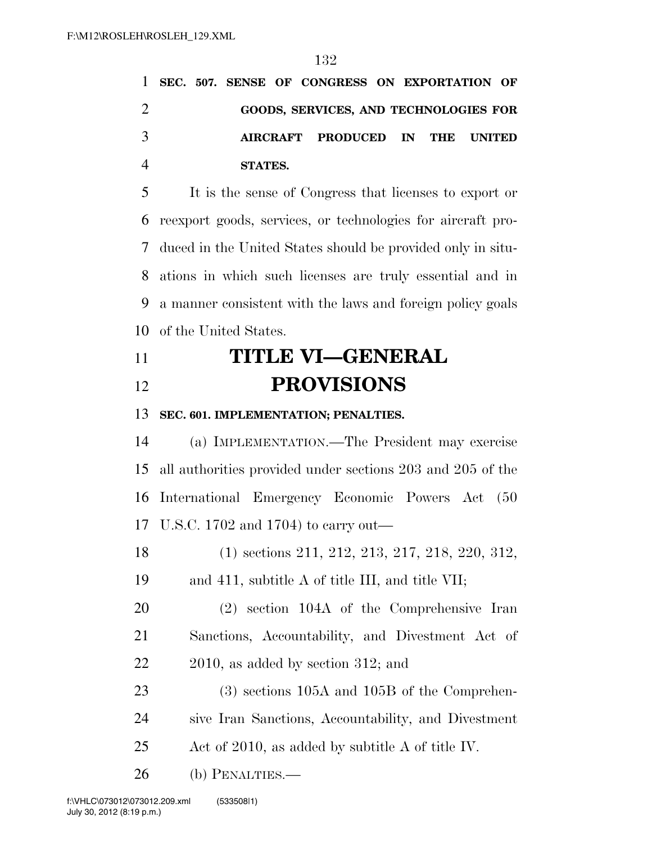|                |  |         | 1 SEC. 507. SENSE OF CONGRESS ON EXPORTATION OF |  |  |  |
|----------------|--|---------|-------------------------------------------------|--|--|--|
| $\overline{2}$ |  |         | GOODS, SERVICES, AND TECHNOLOGIES FOR           |  |  |  |
| 3              |  |         | AIRCRAFT PRODUCED IN THE UNITED                 |  |  |  |
| $\overline{4}$ |  | STATES. |                                                 |  |  |  |

 It is the sense of Congress that licenses to export or reexport goods, services, or technologies for aircraft pro- duced in the United States should be provided only in situ- ations in which such licenses are truly essential and in a manner consistent with the laws and foreign policy goals of the United States.

## **TITLE VI—GENERAL PROVISIONS**

**SEC. 601. IMPLEMENTATION; PENALTIES.** 

 (a) IMPLEMENTATION.—The President may exercise all authorities provided under sections 203 and 205 of the International Emergency Economic Powers Act (50 U.S.C. 1702 and 1704) to carry out—

(1) sections 211, 212, 213, 217, 218, 220, 312,

and 411, subtitle A of title III, and title VII;

 (2) section 104A of the Comprehensive Iran Sanctions, Accountability, and Divestment Act of 2010, as added by section 312; and

23 (3) sections 105A and 105B of the Comprehen- sive Iran Sanctions, Accountability, and Divestment Act of 2010, as added by subtitle A of title IV.

(b) PENALTIES.—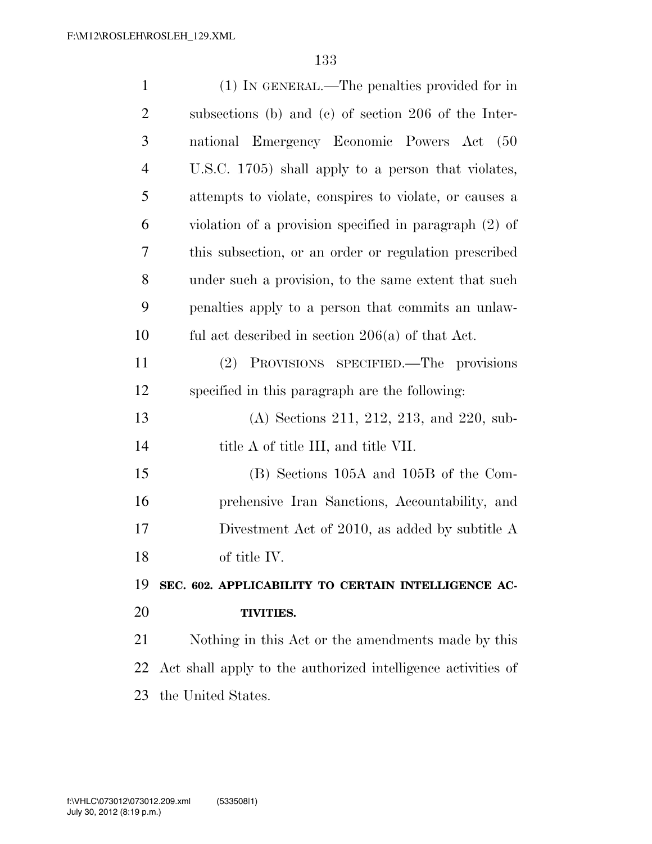| $\mathbf{1}$   | (1) IN GENERAL.—The penalties provided for in                |
|----------------|--------------------------------------------------------------|
| $\overline{2}$ | subsections (b) and (c) of section 206 of the Inter-         |
| 3              | national Emergency Economic Powers Act<br>(50)               |
| $\overline{4}$ | U.S.C. 1705) shall apply to a person that violates,          |
| 5              | attempts to violate, conspires to violate, or causes a       |
| 6              | violation of a provision specified in paragraph $(2)$ of     |
| 7              | this subsection, or an order or regulation prescribed        |
| 8              | under such a provision, to the same extent that such         |
| 9              | penalties apply to a person that commits an unlaw-           |
| 10             | ful act described in section $206(a)$ of that Act.           |
| 11             | (2) PROVISIONS SPECIFIED.—The provisions                     |
| 12             | specified in this paragraph are the following:               |
| 13             | (A) Sections 211, 212, 213, and 220, sub-                    |
| 14             | title A of title III, and title VII.                         |
| 15             | (B) Sections 105A and 105B of the Com-                       |
| 16             | prehensive Iran Sanctions, Accountability, and               |
| 17             | Divestment Act of 2010, as added by subtitle A               |
| 18             | of title IV.                                                 |
| 19             | SEC. 602. APPLICABILITY TO CERTAIN INTELLIGENCE AC-          |
| 20             | TIVITIES.                                                    |
| 21             | Nothing in this Act or the amendments made by this           |
| 22             | Act shall apply to the authorized intelligence activities of |
| 23             | the United States.                                           |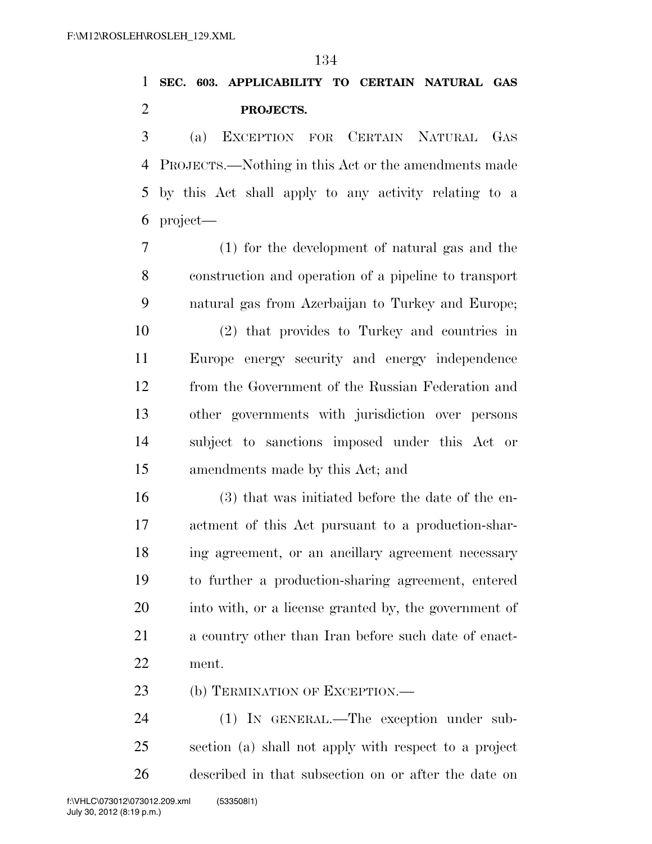### **SEC. 603. APPLICABILITY TO CERTAIN NATURAL GAS PROJECTS.**

 (a) EXCEPTION FOR CERTAIN NATURAL GAS PROJECTS.—Nothing in this Act or the amendments made by this Act shall apply to any activity relating to a project—

 (1) for the development of natural gas and the construction and operation of a pipeline to transport natural gas from Azerbaijan to Turkey and Europe;

 (2) that provides to Turkey and countries in Europe energy security and energy independence from the Government of the Russian Federation and other governments with jurisdiction over persons subject to sanctions imposed under this Act or amendments made by this Act; and

 (3) that was initiated before the date of the en- actment of this Act pursuant to a production-shar- ing agreement, or an ancillary agreement necessary to further a production-sharing agreement, entered into with, or a license granted by, the government of a country other than Iran before such date of enact-ment.

23 (b) TERMINATION OF EXCEPTION.—

 (1) IN GENERAL.—The exception under sub- section (a) shall not apply with respect to a project described in that subsection on or after the date on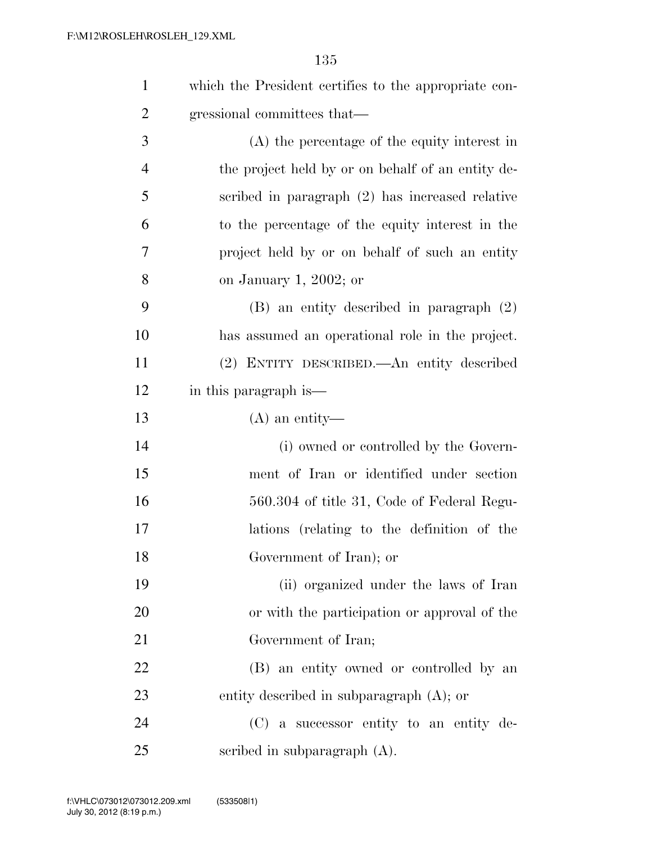| $\mathbf{1}$   | which the President certifies to the appropriate con- |
|----------------|-------------------------------------------------------|
| $\overline{2}$ | gressional committees that—                           |
| 3              | (A) the percentage of the equity interest in          |
| $\overline{4}$ | the project held by or on behalf of an entity de-     |
| 5              | scribed in paragraph (2) has increased relative       |
| 6              | to the percentage of the equity interest in the       |
| $\overline{7}$ | project held by or on behalf of such an entity        |
| 8              | on January 1, 2002; or                                |
| 9              | $(B)$ an entity described in paragraph $(2)$          |
| 10             | has assumed an operational role in the project.       |
| 11             | (2) ENTITY DESCRIBED.—An entity described             |
| 12             | in this paragraph is—                                 |
| 13             | $(A)$ an entity-                                      |
| 14             | (i) owned or controlled by the Govern-                |
| 15             | ment of Iran or identified under section              |
| 16             | 560.304 of title 31, Code of Federal Regu-            |
| 17             | lations (relating to the definition of the            |
| 18             | Government of Iran); or                               |
| 19             | (ii) organized under the laws of Iran                 |
| 20             | or with the participation or approval of the          |
| 21             | Government of Iran;                                   |
| 22             | (B) an entity owned or controlled by an               |
| 23             | entity described in subparagraph $(A)$ ; or           |
| 24             | (C) a successor entity to an entity de-               |
| 25             | scribed in subparagraph $(A)$ .                       |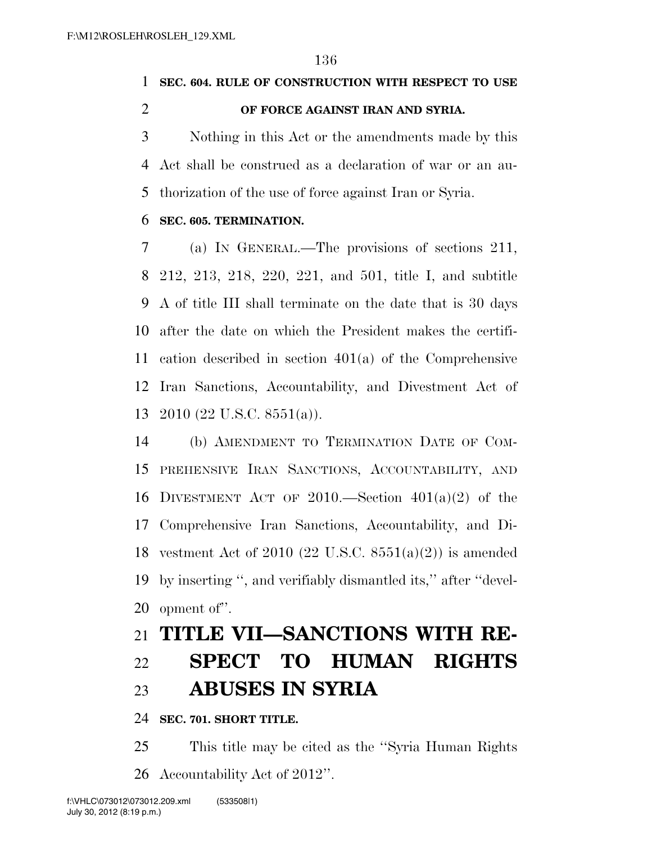### **SEC. 604. RULE OF CONSTRUCTION WITH RESPECT TO USE**

#### **OF FORCE AGAINST IRAN AND SYRIA.**

 Nothing in this Act or the amendments made by this Act shall be construed as a declaration of war or an au-thorization of the use of force against Iran or Syria.

#### **SEC. 605. TERMINATION.**

 (a) IN GENERAL.—The provisions of sections 211, 212, 213, 218, 220, 221, and 501, title I, and subtitle A of title III shall terminate on the date that is 30 days after the date on which the President makes the certifi- cation described in section 401(a) of the Comprehensive Iran Sanctions, Accountability, and Divestment Act of 2010 (22 U.S.C. 8551(a)).

 (b) AMENDMENT TO TERMINATION DATE OF COM- PREHENSIVE IRAN SANCTIONS, ACCOUNTABILITY, AND 16 DIVESTMENT ACT OF 2010.—Section  $401(a)(2)$  of the Comprehensive Iran Sanctions, Accountability, and Di- vestment Act of 2010 (22 U.S.C. 8551(a)(2)) is amended by inserting '', and verifiably dismantled its,'' after ''devel-opment of''.

### **TITLE VII—SANCTIONS WITH RE-**

# **SPECT TO HUMAN RIGHTS ABUSES IN SYRIA**

#### **SEC. 701. SHORT TITLE.**

 This title may be cited as the ''Syria Human Rights Accountability Act of 2012''.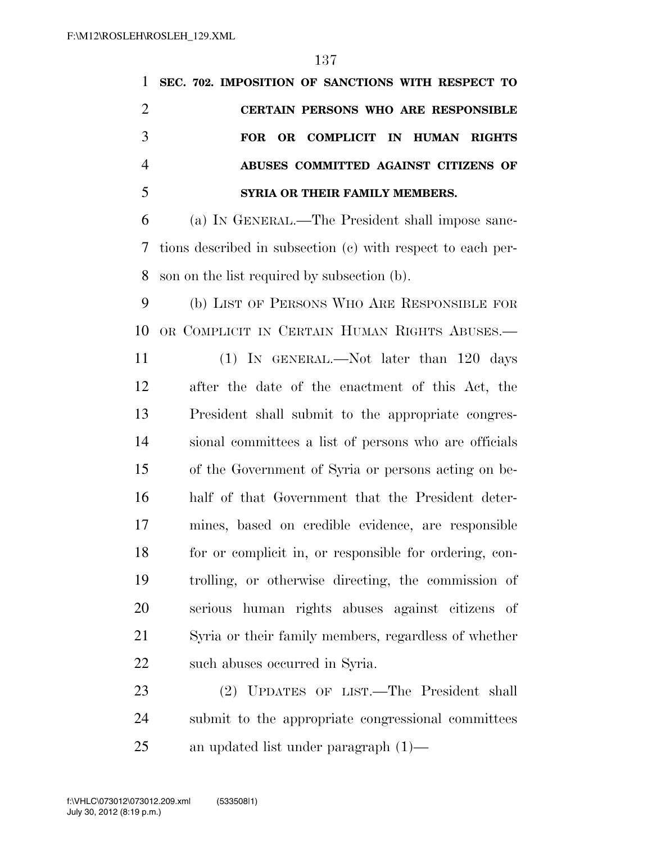**SEC. 702. IMPOSITION OF SANCTIONS WITH RESPECT TO CERTAIN PERSONS WHO ARE RESPONSIBLE FOR OR COMPLICIT IN HUMAN RIGHTS ABUSES COMMITTED AGAINST CITIZENS OF SYRIA OR THEIR FAMILY MEMBERS.**  (a) IN GENERAL.—The President shall impose sanc- tions described in subsection (c) with respect to each per- son on the list required by subsection (b). (b) LIST OF PERSONS WHO ARE RESPONSIBLE FOR OR COMPLICIT IN CERTAIN HUMAN RIGHTS ABUSES.— (1) IN GENERAL.—Not later than 120 days after the date of the enactment of this Act, the President shall submit to the appropriate congres- sional committees a list of persons who are officials of the Government of Syria or persons acting on be- half of that Government that the President deter- mines, based on credible evidence, are responsible for or complicit in, or responsible for ordering, con- trolling, or otherwise directing, the commission of serious human rights abuses against citizens of Syria or their family members, regardless of whether such abuses occurred in Syria. (2) UPDATES OF LIST.—The President shall

 submit to the appropriate congressional committees an updated list under paragraph (1)—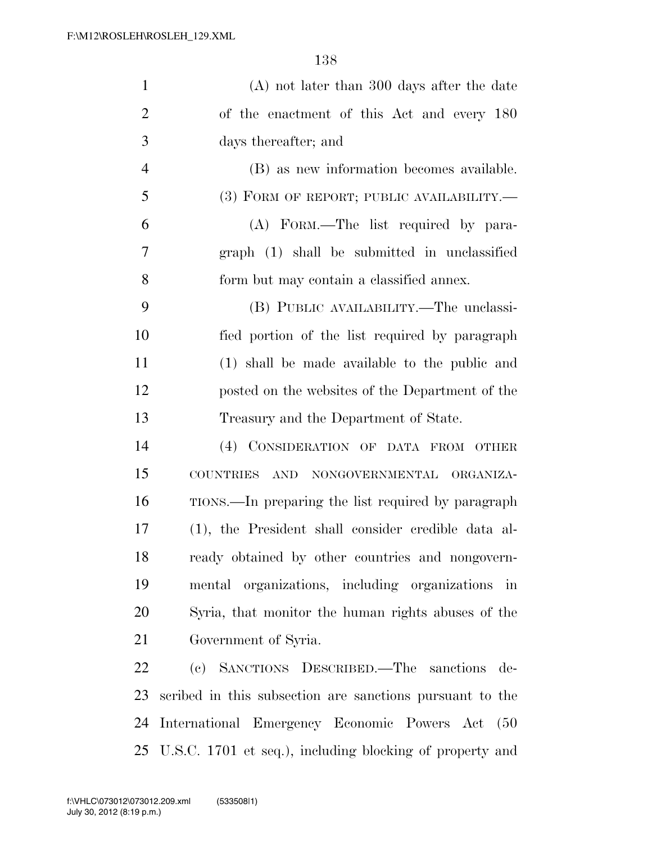| $\mathbf{1}$   | $(A)$ not later than 300 days after the date             |
|----------------|----------------------------------------------------------|
| $\overline{2}$ | of the enactment of this Act and every 180               |
| 3              | days thereafter; and                                     |
| $\overline{4}$ | (B) as new information becomes available.                |
| 5              | $(3)$ FORM OF REPORT; PUBLIC AVAILABILITY.—              |
| 6              | (A) FORM.—The list required by para-                     |
| 7              | graph (1) shall be submitted in unclassified             |
| 8              | form but may contain a classified annex.                 |
| 9              | (B) PUBLIC AVAILABILITY.—The unclassi-                   |
| 10             | fied portion of the list required by paragraph           |
| 11             | (1) shall be made available to the public and            |
| 12             | posted on the websites of the Department of the          |
| 13             | Treasury and the Department of State.                    |
| 14             | (4) CONSIDERATION OF DATA FROM OTHER                     |
| 15             | <b>COUNTRIES</b><br>AND NONGOVERNMENTAL ORGANIZA-        |
| 16             | TIONS.—In preparing the list required by paragraph       |
| 17             | (1), the President shall consider credible data al-      |
| 18             | ready obtained by other countries and nongovern-         |
| 19             | mental organizations, including organizations in         |
| 20             | Syria, that monitor the human rights abuses of the       |
| 21             | Government of Syria.                                     |
| 22             | (c) SANCTIONS DESCRIBED.—The sanctions de-               |
| 23             | scribed in this subsection are sanctions pursuant to the |
| 24             | International Emergency Economic Powers Act<br>(50)      |

U.S.C. 1701 et seq.), including blocking of property and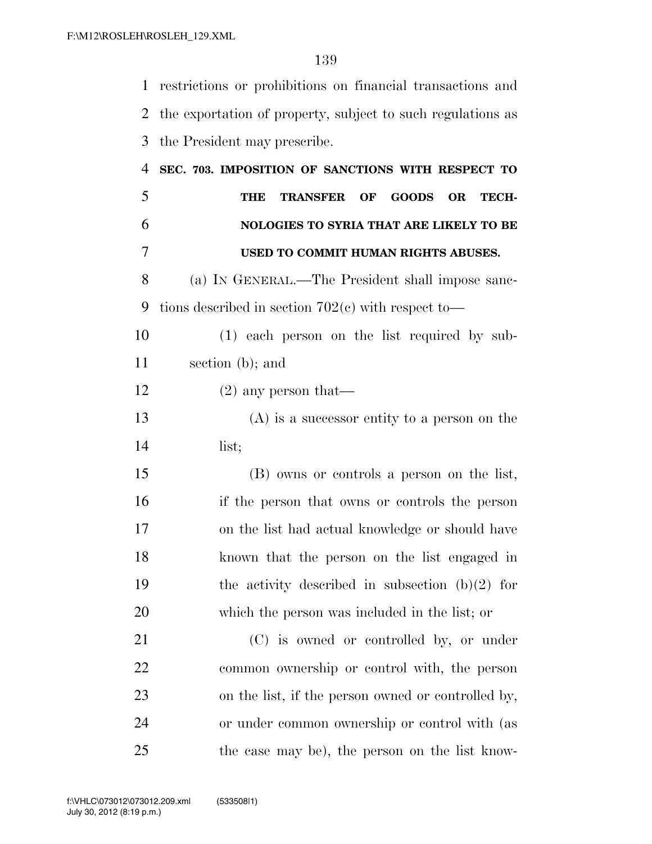restrictions or prohibitions on financial transactions and the exportation of property, subject to such regulations as the President may prescribe. **SEC. 703. IMPOSITION OF SANCTIONS WITH RESPECT TO THE TRANSFER OF GOODS OR TECH- NOLOGIES TO SYRIA THAT ARE LIKELY TO BE USED TO COMMIT HUMAN RIGHTS ABUSES.**  (a) IN GENERAL.—The President shall impose sanc- tions described in section 702(c) with respect to— (1) each person on the list required by sub- section (b); and (2) any person that— (A) is a successor entity to a person on the list; (B) owns or controls a person on the list, if the person that owns or controls the person on the list had actual knowledge or should have known that the person on the list engaged in

19 the activity described in subsection  $(b)(2)$  for which the person was included in the list; or (C) is owned or controlled by, or under

 common ownership or control with, the person on the list, if the person owned or controlled by, or under common ownership or control with (as the case may be), the person on the list know-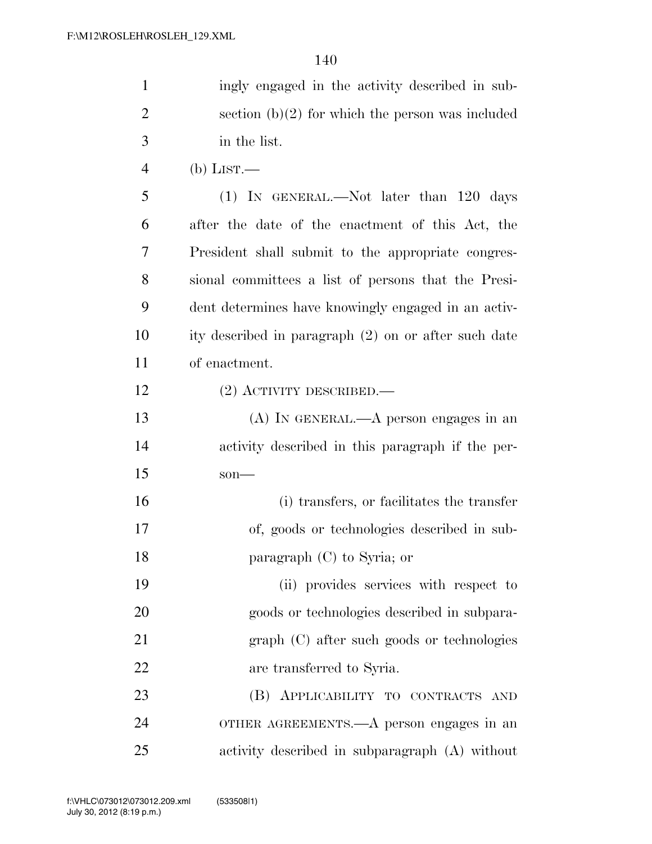| $\mathbf{1}$   | ingly engaged in the activity described in sub-      |
|----------------|------------------------------------------------------|
| $\overline{2}$ | section $(b)(2)$ for which the person was included   |
| 3              | in the list.                                         |
| $\overline{4}$ | $(b)$ LIST.—                                         |
| 5              | $(1)$ In GENERAL.—Not later than 120 days            |
| 6              | after the date of the enactment of this Act, the     |
| 7              | President shall submit to the appropriate congres-   |
| 8              | sional committees a list of persons that the Presi-  |
| 9              | dent determines have knowingly engaged in an activ-  |
| 10             | ity described in paragraph (2) on or after such date |
| 11             | of enactment.                                        |
| 12             | $(2)$ ACTIVITY DESCRIBED.—                           |
| 13             | $(A)$ In GENERAL.—A person engages in an             |
| 14             | activity described in this paragraph if the per-     |
| 15             | $son$ —                                              |
| 16             | (i) transfers, or facilitates the transfer           |
| 17             | of, goods or technologies described in sub-          |
| 18             | paragraph $(C)$ to Syria; or                         |

 (ii) provides services with respect to goods or technologies described in subpara- graph (C) after such goods or technologies are transferred to Syria.

 (B) APPLICABILITY TO CONTRACTS AND OTHER AGREEMENTS.—A person engages in an activity described in subparagraph (A) without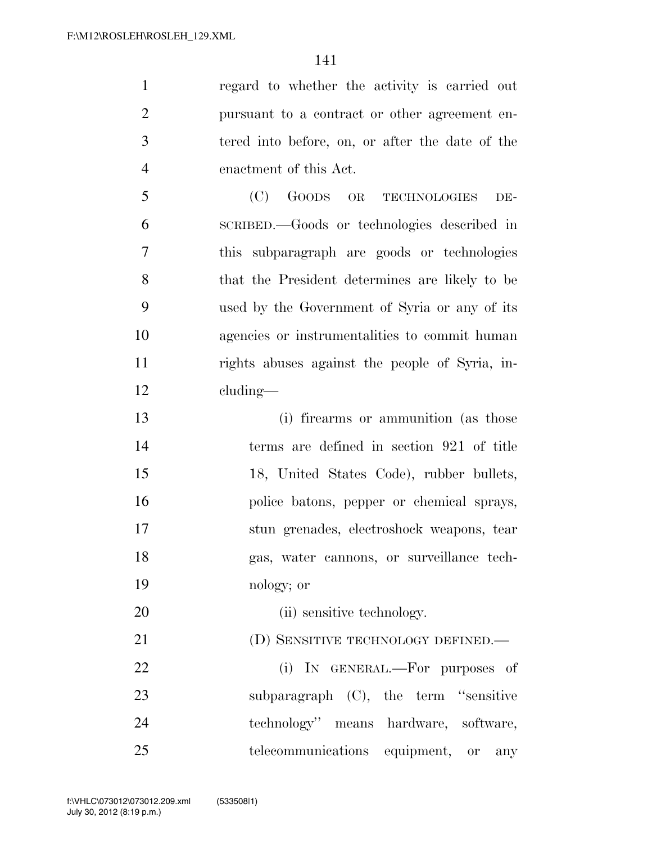regard to whether the activity is carried out pursuant to a contract or other agreement en- tered into before, on, or after the date of the enactment of this Act. (C) GOODS OR TECHNOLOGIES DE-

 SCRIBED.—Goods or technologies described in this subparagraph are goods or technologies that the President determines are likely to be used by the Government of Syria or any of its agencies or instrumentalities to commit human rights abuses against the people of Syria, in-cluding—

 (i) firearms or ammunition (as those terms are defined in section 921 of title 18, United States Code), rubber bullets, police batons, pepper or chemical sprays, stun grenades, electroshock weapons, tear gas, water cannons, or surveillance tech-nology; or

20 (ii) sensitive technology.

21 (D) SENSITIVE TECHNOLOGY DEFINED.—

22 (i) In GENERAL.—For purposes of 23 subparagraph (C), the term "sensitive" technology'' means hardware, software, telecommunications equipment, or any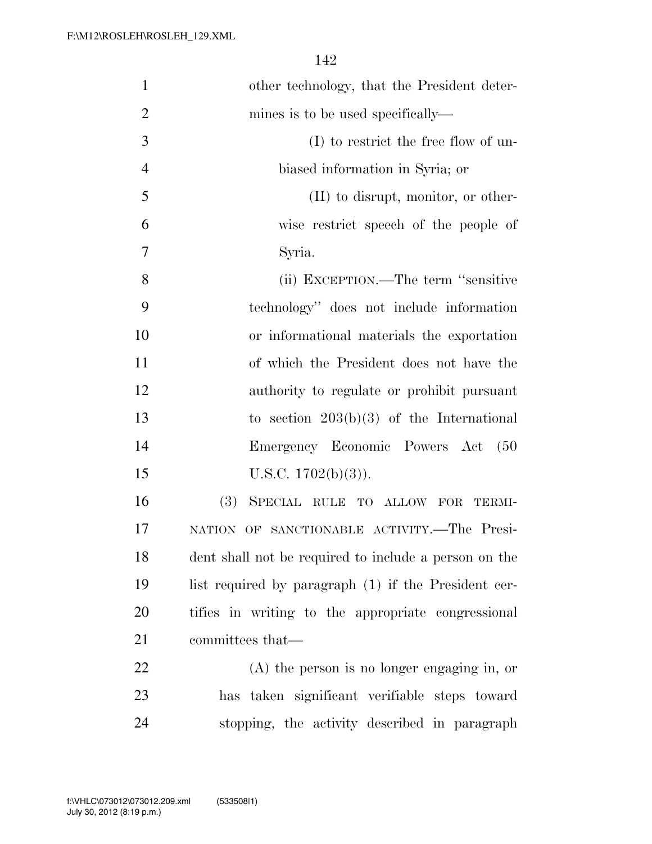| $\mathbf{1}$   | other technology, that the President deter-           |
|----------------|-------------------------------------------------------|
| $\overline{2}$ | mines is to be used specifically—                     |
| 3              | $(I)$ to restrict the free flow of un-                |
| $\overline{4}$ | biased information in Syria; or                       |
| 5              | $(II)$ to disrupt, monitor, or other-                 |
| 6              | wise restrict speech of the people of                 |
| 7              | Syria.                                                |
| 8              | (ii) EXCEPTION.—The term "sensitive"                  |
| 9              | technology" does not include information              |
| 10             | or informational materials the exportation            |
| 11             | of which the President does not have the              |
| 12             | authority to regulate or prohibit pursuant            |
| 13             | to section $203(b)(3)$ of the International           |
| 14             | Emergency Economic Powers Act<br>(50)                 |
| 15             | U.S.C. $1702(b)(3)$ ).                                |
| 16             | (3)<br>SPECIAL RULE TO ALLOW FOR<br>TERMI-            |
| 17             | OF SANCTIONABLE ACTIVITY.-The Presi-<br><b>NATION</b> |
| 18             | dent shall not be required to include a person on the |
| 19             | list required by paragraph (1) if the President cer-  |
| 20             | tifies in writing to the appropriate congressional    |
| 21             | committees that—                                      |
| 22             | $(A)$ the person is no longer engaging in, or         |
| 23             | has taken significant verifiable steps toward         |
| 24             | stopping, the activity described in paragraph         |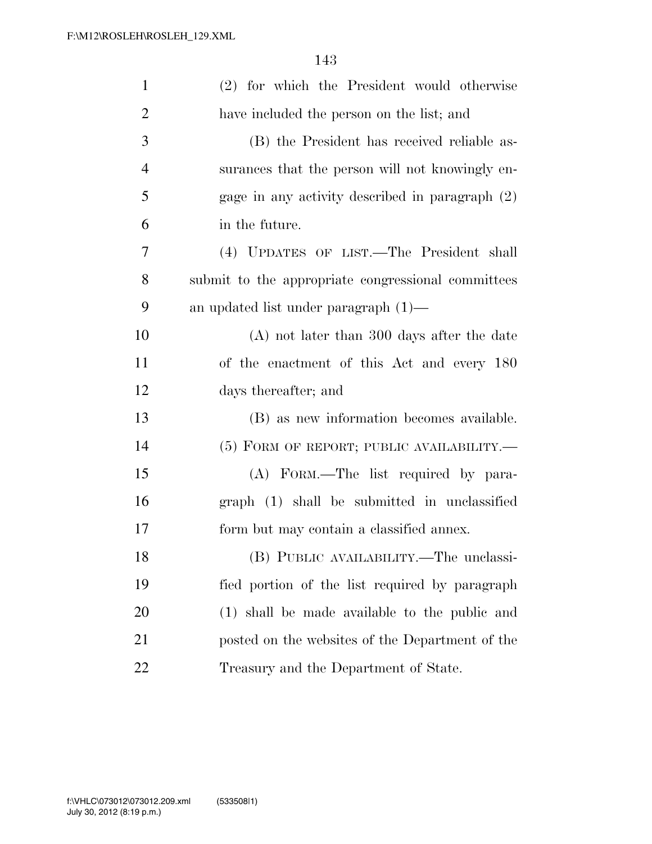| $\mathbf{1}$   | (2) for which the President would otherwise        |
|----------------|----------------------------------------------------|
| $\overline{2}$ | have included the person on the list; and          |
| 3              | (B) the President has received reliable as-        |
| $\overline{4}$ | surances that the person will not knowingly en-    |
| 5              | gage in any activity described in paragraph (2)    |
| 6              | in the future.                                     |
| 7              | (4) UPDATES OF LIST.—The President shall           |
| 8              | submit to the appropriate congressional committees |
| 9              | an updated list under paragraph $(1)$ —            |
| 10             | $(A)$ not later than 300 days after the date       |
| 11             | of the enactment of this Act and every 180         |
| 12             | days thereafter; and                               |
| 13             | (B) as new information becomes available.          |
| 14             | $(5)$ FORM OF REPORT; PUBLIC AVAILABILITY.—        |
| 15             | (A) FORM.—The list required by para-               |
| 16             | graph (1) shall be submitted in unclassified       |
| 17             | form but may contain a classified annex.           |
| 18             | (B) PUBLIC AVAILABILITY.—The unclassi-             |
| 19             | fied portion of the list required by paragraph     |
| 20             | (1) shall be made available to the public and      |
| 21             | posted on the websites of the Department of the    |
| 22             | Treasury and the Department of State.              |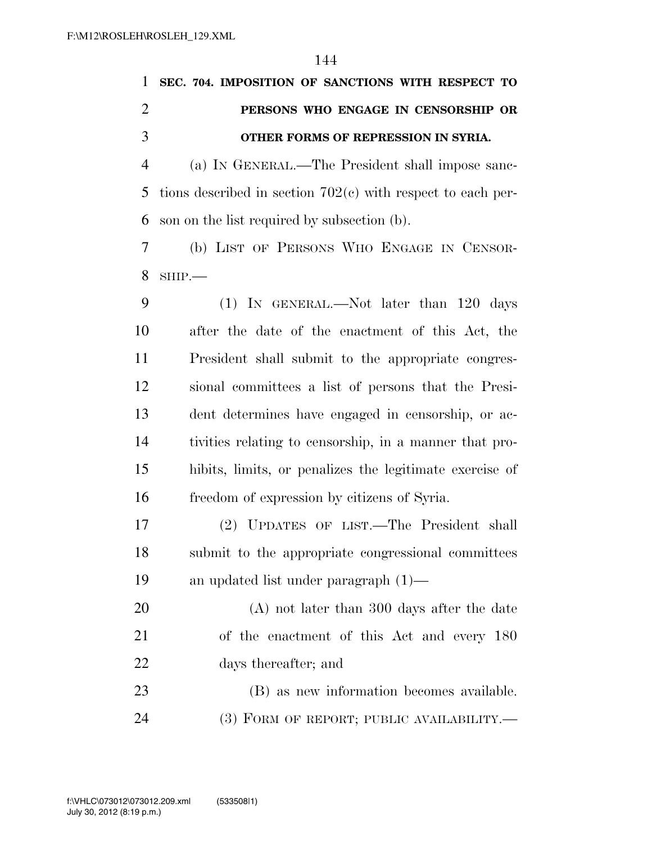| $\mathbf{1}$   | SEC. 704. IMPOSITION OF SANCTIONS WITH RESPECT TO             |
|----------------|---------------------------------------------------------------|
| $\overline{2}$ | PERSONS WHO ENGAGE IN CENSORSHIP OR                           |
| 3              | OTHER FORMS OF REPRESSION IN SYRIA.                           |
| $\overline{4}$ | (a) IN GENERAL.—The President shall impose sanc-              |
| 5              | tions described in section $702(e)$ with respect to each per- |
| 6              | son on the list required by subsection (b).                   |
| 7              | (b) LIST OF PERSONS WHO ENGAGE IN CENSOR-                     |
| 8              | $SHIP$ .                                                      |
| 9              | $(1)$ In GENERAL.—Not later than 120 days                     |
| 10             | after the date of the enactment of this Act, the              |
| 11             | President shall submit to the appropriate congres-            |
| 12             | sional committees a list of persons that the Presi-           |
| 13             | dent determines have engaged in censorship, or ac-            |
| 14             | tivities relating to censorship, in a manner that pro-        |
| 15             | hibits, limits, or penalizes the legitimate exercise of       |
| 16             | freedom of expression by citizens of Syria.                   |
| 17             | (2) UPDATES OF LIST.—The President shall                      |
| 18             | submit to the appropriate congressional committees            |
| 19             | an updated list under paragraph $(1)$ —                       |
| 20             | $(A)$ not later than 300 days after the date                  |
| 21             | of the enactment of this Act and every 180                    |
| 22             | days thereafter; and                                          |
| 23             | (B) as new information becomes available.                     |
| 24             | (3) FORM OF REPORT; PUBLIC AVAILABILITY.—                     |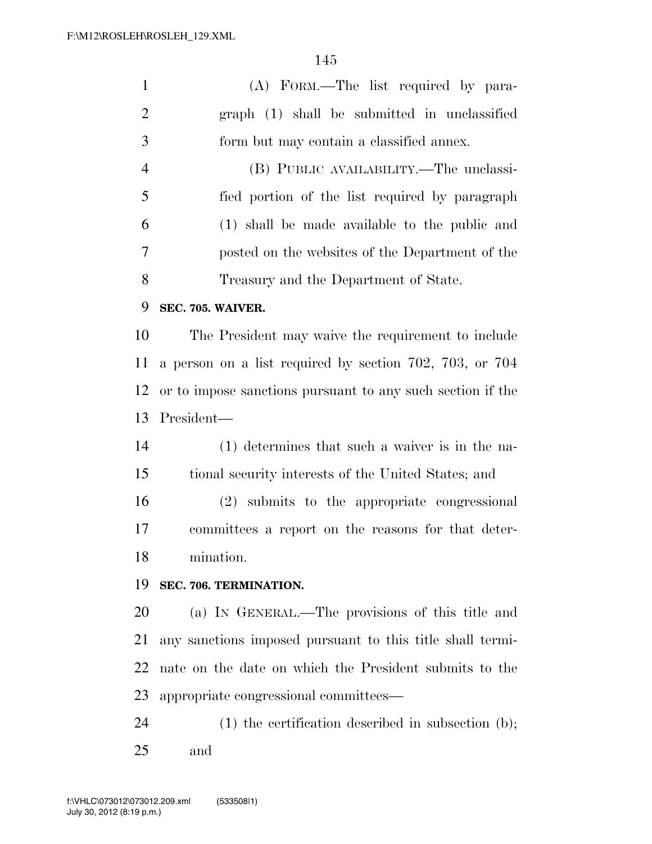| $\mathbf{1}$   | (A) FORM.—The list required by para-                       |
|----------------|------------------------------------------------------------|
| $\overline{2}$ | graph (1) shall be submitted in unclassified               |
| 3              | form but may contain a classified annex.                   |
| $\overline{4}$ | (B) PUBLIC AVAILABILITY.—The unclassi-                     |
| 5              | fied portion of the list required by paragraph             |
| 6              | (1) shall be made available to the public and              |
| 7              | posted on the websites of the Department of the            |
| 8              | Treasury and the Department of State.                      |
| 9              | SEC. 705. WAIVER.                                          |
| 10             | The President may waive the requirement to include         |
| 11             | a person on a list required by section 702, 703, or 704    |
| 12             | or to impose sanctions pursuant to any such section if the |
| 13             | President—                                                 |
| 14             | (1) determines that such a waiver is in the na-            |
| 15             | tional security interests of the United States; and        |
| 16             | (2) submits to the appropriate congressional               |
| 17             | committees a report on the reasons for that deter-         |
| 18             | mination.                                                  |
| 19             | SEC. 706. TERMINATION.                                     |
| 20             | (a) IN GENERAL.—The provisions of this title and           |
| 21             | any sanctions imposed pursuant to this title shall termi-  |
| 22             | nate on the date on which the President submits to the     |
| 23             | appropriate congressional committees—                      |
| 24             | $(1)$ the certification described in subsection $(b)$ ;    |
| 25             | and                                                        |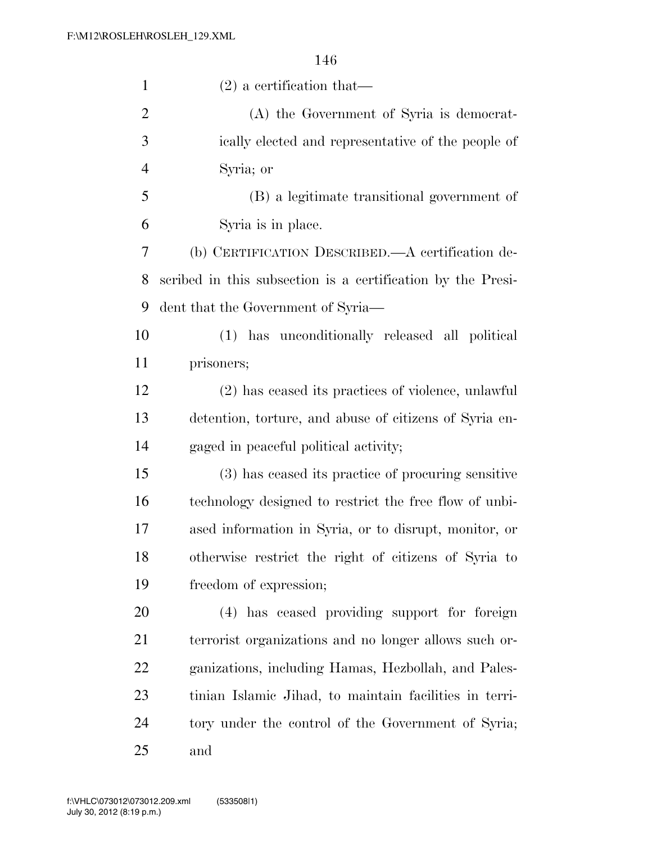| $\mathbf{1}$   | $(2)$ a certification that—                                 |
|----------------|-------------------------------------------------------------|
| $\overline{2}$ | (A) the Government of Syria is democrat-                    |
| 3              | ically elected and representative of the people of          |
| $\overline{4}$ | Syria; or                                                   |
| 5              | (B) a legitimate transitional government of                 |
| 6              | Syria is in place.                                          |
| 7              | (b) CERTIFICATION DESCRIBED.—A certification de-            |
| 8              | scribed in this subsection is a certification by the Presi- |
| 9              | dent that the Government of Syria—                          |
| 10             | (1) has unconditionally released all political              |
| 11             | prisoners;                                                  |
| 12             | (2) has ceased its practices of violence, unlawful          |
| 13             | detention, torture, and abuse of citizens of Syria en-      |
| 14             | gaged in peaceful political activity;                       |
| 15             | (3) has ceased its practice of procuring sensitive          |
| 16             | technology designed to restrict the free flow of unbi-      |
| 17             | ased information in Syria, or to disrupt, monitor, or       |
| 18             | otherwise restrict the right of citizens of Syria to        |
| 19             | freedom of expression;                                      |
| 20             | (4) has ceased providing support for foreign                |
| 21             | terrorist organizations and no longer allows such or-       |
| 22             | ganizations, including Hamas, Hezbollah, and Pales-         |
| 23             | tinian Islamic Jihad, to maintain facilities in terri-      |
| 24             | tory under the control of the Government of Syria;          |
| 25             | and                                                         |